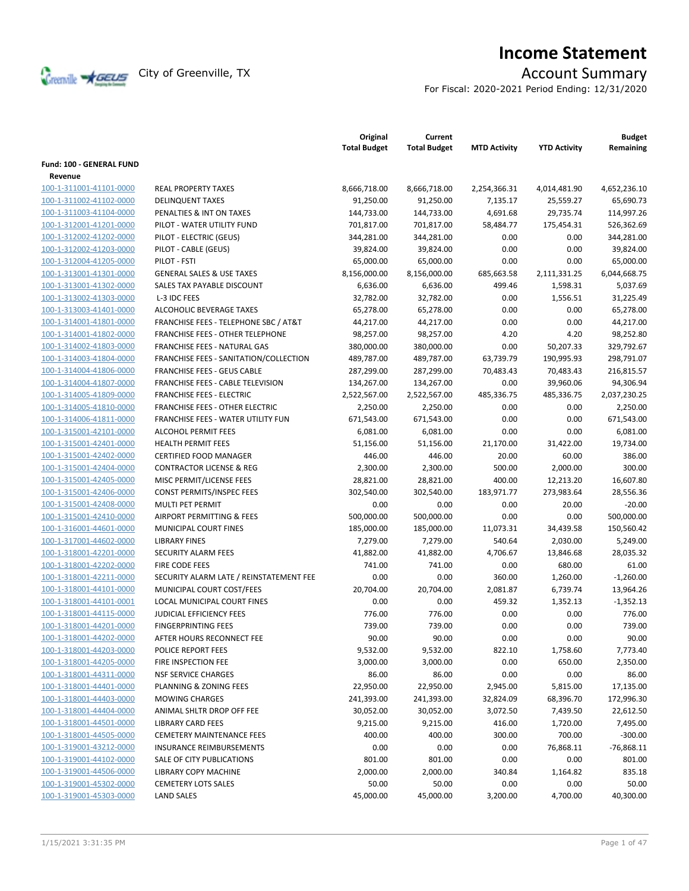

# **Income Statement**

For Fiscal: 2020-2021 Period Ending: 12/31/2020

|                                                    |                                          | Original<br><b>Total Budget</b> | Current<br><b>Total Budget</b> | <b>MTD Activity</b> | <b>YTD Activity</b> | <b>Budget</b><br>Remaining |
|----------------------------------------------------|------------------------------------------|---------------------------------|--------------------------------|---------------------|---------------------|----------------------------|
| <b>Fund: 100 - GENERAL FUND</b>                    |                                          |                                 |                                |                     |                     |                            |
| Revenue                                            |                                          |                                 |                                |                     |                     |                            |
| 100-1-311001-41101-0000                            | <b>REAL PROPERTY TAXES</b>               | 8,666,718.00                    | 8,666,718.00                   | 2,254,366.31        | 4,014,481.90        | 4,652,236.10               |
| 100-1-311002-41102-0000                            | <b>DELINQUENT TAXES</b>                  | 91,250.00                       | 91,250.00                      | 7,135.17            | 25,559.27           | 65,690.73                  |
| 100-1-311003-41104-0000                            | PENALTIES & INT ON TAXES                 | 144,733.00                      | 144,733.00                     | 4,691.68            | 29,735.74           | 114,997.26                 |
| 100-1-312001-41201-0000                            | PILOT - WATER UTILITY FUND               | 701,817.00                      | 701,817.00                     | 58,484.77           | 175,454.31          | 526,362.69                 |
| 100-1-312002-41202-0000                            | PILOT - ELECTRIC (GEUS)                  | 344,281.00                      | 344,281.00                     | 0.00                | 0.00                | 344,281.00                 |
| 100-1-312002-41203-0000                            | PILOT - CABLE (GEUS)                     | 39,824.00                       | 39,824.00                      | 0.00                | 0.00                | 39,824.00                  |
| 100-1-312004-41205-0000                            | PILOT - FSTI                             | 65,000.00                       | 65,000.00                      | 0.00                | 0.00                | 65,000.00                  |
| 100-1-313001-41301-0000                            | <b>GENERAL SALES &amp; USE TAXES</b>     | 8,156,000.00                    | 8,156,000.00                   | 685,663.58          | 2,111,331.25        | 6,044,668.75               |
| 100-1-313001-41302-0000                            | SALES TAX PAYABLE DISCOUNT               | 6,636.00                        | 6,636.00                       | 499.46              | 1,598.31            | 5,037.69                   |
| 100-1-313002-41303-0000                            | L-3 IDC FEES                             | 32,782.00                       | 32,782.00                      | 0.00                | 1,556.51            | 31,225.49                  |
| 100-1-313003-41401-0000                            | ALCOHOLIC BEVERAGE TAXES                 | 65,278.00                       | 65,278.00                      | 0.00                | 0.00                | 65,278.00                  |
| 100-1-314001-41801-0000                            | FRANCHISE FEES - TELEPHONE SBC / AT&T    | 44,217.00                       | 44,217.00                      | 0.00                | 0.00                | 44,217.00                  |
| 100-1-314001-41802-0000                            | <b>FRANCHISE FEES - OTHER TELEPHONE</b>  | 98,257.00                       | 98,257.00                      | 4.20                | 4.20                | 98,252.80                  |
| 100-1-314002-41803-0000                            | FRANCHISE FEES - NATURAL GAS             | 380,000.00                      | 380,000.00                     | 0.00                | 50,207.33           | 329,792.67                 |
| 100-1-314003-41804-0000                            | FRANCHISE FEES - SANITATION/COLLECTION   | 489,787.00                      | 489,787.00                     | 63,739.79           | 190,995.93          | 298,791.07                 |
| 100-1-314004-41806-0000                            | <b>FRANCHISE FEES - GEUS CABLE</b>       | 287,299.00                      | 287,299.00                     | 70,483.43           | 70,483.43           | 216,815.57                 |
| 100-1-314004-41807-0000                            | <b>FRANCHISE FEES - CABLE TELEVISION</b> | 134,267.00                      | 134,267.00                     | 0.00                | 39,960.06           | 94,306.94                  |
| 100-1-314005-41809-0000                            | <b>FRANCHISE FEES - ELECTRIC</b>         | 2,522,567.00                    | 2,522,567.00                   | 485,336.75          | 485,336.75          | 2,037,230.25               |
| 100-1-314005-41810-0000                            | <b>FRANCHISE FEES - OTHER ELECTRIC</b>   | 2,250.00                        | 2,250.00                       | 0.00                | 0.00                | 2.250.00                   |
| 100-1-314006-41811-0000                            | FRANCHISE FEES - WATER UTILITY FUN       | 671,543.00                      | 671,543.00                     | 0.00                | 0.00                | 671,543.00                 |
| 100-1-315001-42101-0000                            | <b>ALCOHOL PERMIT FEES</b>               | 6,081.00                        | 6,081.00                       | 0.00                | 0.00                | 6,081.00                   |
| 100-1-315001-42401-0000                            | <b>HEALTH PERMIT FEES</b>                | 51,156.00                       | 51,156.00                      | 21,170.00           | 31,422.00           | 19,734.00                  |
| 100-1-315001-42402-0000                            | <b>CERTIFIED FOOD MANAGER</b>            | 446.00                          | 446.00                         | 20.00               | 60.00               | 386.00                     |
| 100-1-315001-42404-0000                            | <b>CONTRACTOR LICENSE &amp; REG</b>      | 2,300.00                        | 2,300.00                       | 500.00              | 2,000.00            | 300.00                     |
| 100-1-315001-42405-0000                            | MISC PERMIT/LICENSE FEES                 | 28,821.00                       | 28,821.00                      | 400.00              | 12,213.20           | 16,607.80                  |
| 100-1-315001-42406-0000                            | CONST PERMITS/INSPEC FEES                | 302,540.00                      | 302,540.00                     | 183,971.77          | 273,983.64          | 28,556.36                  |
| 100-1-315001-42408-0000                            | MULTI PET PERMIT                         | 0.00                            | 0.00                           | 0.00                | 20.00               | $-20.00$                   |
| 100-1-315001-42410-0000                            | AIRPORT PERMITTING & FEES                | 500,000.00                      | 500,000.00                     | 0.00                | 0.00                | 500,000.00                 |
| 100-1-316001-44601-0000                            | MUNICIPAL COURT FINES                    | 185,000.00                      | 185,000.00                     | 11,073.31           | 34,439.58           | 150,560.42                 |
| 100-1-317001-44602-0000                            | <b>LIBRARY FINES</b>                     | 7,279.00                        | 7,279.00                       | 540.64              | 2,030.00            | 5,249.00                   |
| 100-1-318001-42201-0000                            | SECURITY ALARM FEES                      | 41,882.00                       | 41,882.00                      | 4,706.67            | 13,846.68           | 28,035.32                  |
| 100-1-318001-42202-0000                            | FIRE CODE FEES                           | 741.00                          | 741.00                         | 0.00                | 680.00              | 61.00                      |
| 100-1-318001-42211-0000                            | SECURITY ALARM LATE / REINSTATEMENT FEE  | 0.00                            | 0.00                           | 360.00              | 1,260.00            | $-1,260.00$                |
| 100-1-318001-44101-0000                            | MUNICIPAL COURT COST/FEES                | 20,704.00                       | 20,704.00                      | 2,081.87            | 6,739.74            | 13,964.26                  |
| 100-1-318001-44101-0001                            | LOCAL MUNICIPAL COURT FINES              | 0.00                            | 0.00                           | 459.32              | 1,352.13            | $-1,352.13$                |
| 100-1-318001-44115-0000                            | JUDICIAL EFFICIENCY FEES                 | 776.00                          | 776.00                         | 0.00                | 0.00                | 776.00                     |
| 100-1-318001-44201-0000                            | <b>FINGERPRINTING FEES</b>               | 739.00                          | 739.00                         | 0.00                | 0.00                | 739.00                     |
| 100-1-318001-44202-0000                            | AFTER HOURS RECONNECT FEE                | 90.00                           | 90.00                          | 0.00                | 0.00                | 90.00                      |
| 100-1-318001-44203-0000                            | POLICE REPORT FEES                       | 9,532.00                        | 9,532.00                       | 822.10              | 1,758.60            | 7,773.40                   |
| 100-1-318001-44205-0000                            | FIRE INSPECTION FEE                      | 3,000.00                        | 3,000.00                       | 0.00                | 650.00              | 2,350.00                   |
| 100-1-318001-44311-0000                            | <b>NSF SERVICE CHARGES</b>               | 86.00                           | 86.00                          | 0.00                | 0.00                | 86.00                      |
| 100-1-318001-44401-0000                            | PLANNING & ZONING FEES                   | 22,950.00                       | 22,950.00                      | 2,945.00            | 5,815.00            | 17,135.00                  |
| 100-1-318001-44403-0000                            | <b>MOWING CHARGES</b>                    | 241,393.00                      | 241,393.00                     | 32,824.09           | 68,396.70           | 172,996.30                 |
| 100-1-318001-44404-0000                            | ANIMAL SHLTR DROP OFF FEE                | 30,052.00                       | 30,052.00                      | 3,072.50            | 7,439.50            | 22,612.50                  |
|                                                    | <b>LIBRARY CARD FEES</b>                 |                                 | 9,215.00                       |                     | 1,720.00            |                            |
| 100-1-318001-44501-0000<br>100-1-318001-44505-0000 | <b>CEMETERY MAINTENANCE FEES</b>         | 9,215.00<br>400.00              | 400.00                         | 416.00<br>300.00    | 700.00              | 7,495.00<br>$-300.00$      |
| 100-1-319001-43212-0000                            | INSURANCE REIMBURSEMENTS                 | 0.00                            | 0.00                           | 0.00                | 76,868.11           | $-76,868.11$               |
| 100-1-319001-44102-0000                            | SALE OF CITY PUBLICATIONS                | 801.00                          | 801.00                         | 0.00                | 0.00                | 801.00                     |
|                                                    | <b>LIBRARY COPY MACHINE</b>              |                                 |                                |                     |                     |                            |
| 100-1-319001-44506-0000                            |                                          | 2,000.00                        | 2,000.00                       | 340.84              | 1,164.82            | 835.18                     |
| 100-1-319001-45302-0000                            | <b>CEMETERY LOTS SALES</b>               | 50.00                           | 50.00                          | 0.00                | 0.00                | 50.00                      |
| 100-1-319001-45303-0000                            | <b>LAND SALES</b>                        | 45,000.00                       | 45,000.00                      | 3,200.00            | 4,700.00            | 40,300.00                  |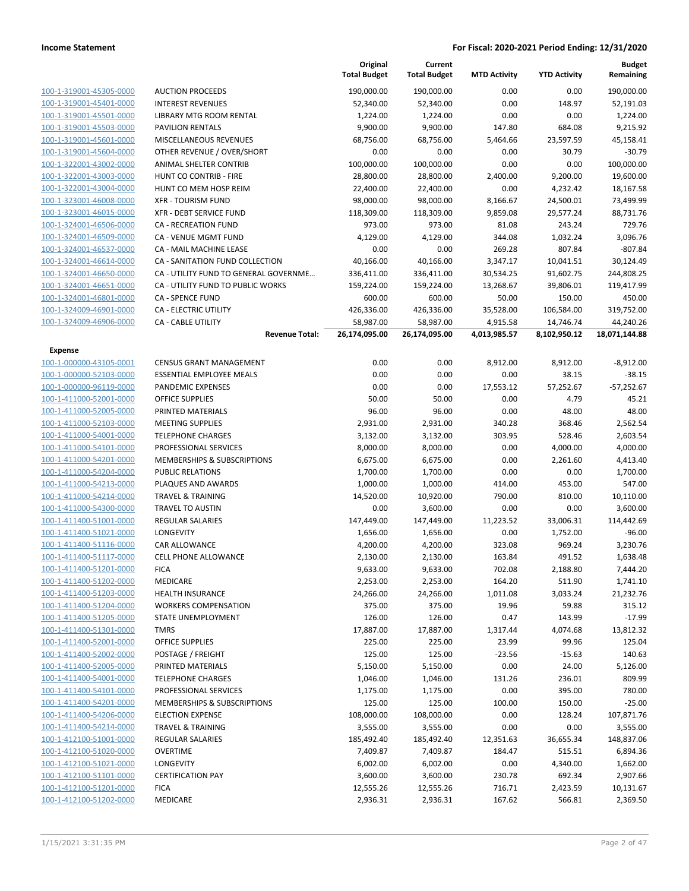|                         |                                       | Original<br><b>Total Budget</b> | Current<br><b>Total Budget</b> | <b>MTD Activity</b> | <b>YTD Activity</b> | <b>Budget</b><br>Remaining |
|-------------------------|---------------------------------------|---------------------------------|--------------------------------|---------------------|---------------------|----------------------------|
| 100-1-319001-45305-0000 | <b>AUCTION PROCEEDS</b>               | 190,000.00                      | 190,000.00                     | 0.00                | 0.00                | 190,000.00                 |
| 100-1-319001-45401-0000 | <b>INTEREST REVENUES</b>              | 52,340.00                       | 52,340.00                      | 0.00                | 148.97              | 52,191.03                  |
| 100-1-319001-45501-0000 | LIBRARY MTG ROOM RENTAL               | 1,224.00                        | 1,224.00                       | 0.00                | 0.00                | 1,224.00                   |
| 100-1-319001-45503-0000 | <b>PAVILION RENTALS</b>               | 9,900.00                        | 9,900.00                       | 147.80              | 684.08              | 9,215.92                   |
| 100-1-319001-45601-0000 | MISCELLANEOUS REVENUES                | 68,756.00                       | 68,756.00                      | 5,464.66            | 23,597.59           | 45,158.41                  |
| 100-1-319001-45604-0000 | OTHER REVENUE / OVER/SHORT            | 0.00                            | 0.00                           | 0.00                | 30.79               | $-30.79$                   |
| 100-1-322001-43002-0000 | ANIMAL SHELTER CONTRIB                | 100,000.00                      | 100,000.00                     | 0.00                | 0.00                | 100,000.00                 |
| 100-1-322001-43003-0000 | HUNT CO CONTRIB - FIRE                | 28,800.00                       | 28,800.00                      | 2,400.00            | 9,200.00            | 19,600.00                  |
| 100-1-322001-43004-0000 | HUNT CO MEM HOSP REIM                 | 22,400.00                       | 22,400.00                      | 0.00                | 4,232.42            | 18,167.58                  |
| 100-1-323001-46008-0000 | <b>XFR - TOURISM FUND</b>             | 98,000.00                       | 98,000.00                      | 8,166.67            | 24,500.01           | 73,499.99                  |
| 100-1-323001-46015-0000 | XFR - DEBT SERVICE FUND               | 118,309.00                      | 118,309.00                     | 9,859.08            | 29,577.24           | 88,731.76                  |
| 100-1-324001-46506-0000 | <b>CA - RECREATION FUND</b>           | 973.00                          | 973.00                         | 81.08               | 243.24              | 729.76                     |
| 100-1-324001-46509-0000 | CA - VENUE MGMT FUND                  | 4,129.00                        | 4,129.00                       | 344.08              | 1,032.24            | 3,096.76                   |
| 100-1-324001-46537-0000 | CA - MAIL MACHINE LEASE               | 0.00                            | 0.00                           | 269.28              | 807.84              | $-807.84$                  |
| 100-1-324001-46614-0000 | CA - SANITATION FUND COLLECTION       | 40,166.00                       | 40,166.00                      | 3,347.17            | 10,041.51           | 30,124.49                  |
| 100-1-324001-46650-0000 | CA - UTILITY FUND TO GENERAL GOVERNME | 336,411.00                      | 336,411.00                     | 30,534.25           | 91,602.75           | 244,808.25                 |
| 100-1-324001-46651-0000 | CA - UTILITY FUND TO PUBLIC WORKS     | 159,224.00                      | 159,224.00                     | 13,268.67           | 39,806.01           | 119,417.99                 |
| 100-1-324001-46801-0000 | <b>CA - SPENCE FUND</b>               | 600.00                          | 600.00                         | 50.00               | 150.00              | 450.00                     |
| 100-1-324009-46901-0000 | CA - ELECTRIC UTILITY                 | 426,336.00                      | 426,336.00                     | 35,528.00           | 106,584.00          | 319,752.00                 |
| 100-1-324009-46906-0000 | CA - CABLE UTILITY                    | 58,987.00                       | 58,987.00                      | 4,915.58            | 14,746.74           | 44,240.26                  |
|                         | <b>Revenue Total:</b>                 | 26,174,095.00                   | 26,174,095.00                  | 4,013,985.57        | 8,102,950.12        | 18,071,144.88              |
| Expense                 |                                       |                                 |                                |                     |                     |                            |
| 100-1-000000-43105-0001 | <b>CENSUS GRANT MANAGEMENT</b>        | 0.00                            | 0.00                           | 8,912.00            | 8,912.00            | $-8,912.00$                |
| 100-1-000000-52103-0000 | <b>ESSENTIAL EMPLOYEE MEALS</b>       | 0.00                            | 0.00                           | 0.00                | 38.15               | $-38.15$                   |
| 100-1-000000-96119-0000 | PANDEMIC EXPENSES                     | 0.00                            | 0.00                           | 17,553.12           | 57,252.67           | $-57,252.67$               |
| 100-1-411000-52001-0000 | <b>OFFICE SUPPLIES</b>                | 50.00                           | 50.00                          | 0.00                | 4.79                | 45.21                      |
| 100-1-411000-52005-0000 | PRINTED MATERIALS                     | 96.00                           | 96.00                          | 0.00                | 48.00               | 48.00                      |
| 100-1-411000-52103-0000 | <b>MEETING SUPPLIES</b>               | 2,931.00                        | 2,931.00                       | 340.28              | 368.46              | 2,562.54                   |
| 100-1-411000-54001-0000 | <b>TELEPHONE CHARGES</b>              | 3,132.00                        | 3,132.00                       | 303.95              | 528.46              | 2,603.54                   |
| 100-1-411000-54101-0000 | PROFESSIONAL SERVICES                 | 8,000.00                        | 8,000.00                       | 0.00                | 4,000.00            | 4,000.00                   |
| 100-1-411000-54201-0000 | MEMBERSHIPS & SUBSCRIPTIONS           | 6,675.00                        | 6,675.00                       | 0.00                | 2,261.60            | 4,413.40                   |
| 100-1-411000-54204-0000 | <b>PUBLIC RELATIONS</b>               | 1,700.00                        | 1,700.00                       | 0.00                | 0.00                | 1,700.00                   |
| 100-1-411000-54213-0000 | PLAQUES AND AWARDS                    | 1,000.00                        | 1,000.00                       | 414.00              | 453.00              | 547.00                     |
| 100-1-411000-54214-0000 | <b>TRAVEL &amp; TRAINING</b>          | 14,520.00                       | 10,920.00                      | 790.00              | 810.00              | 10,110.00                  |
| 100-1-411000-54300-0000 | <b>TRAVEL TO AUSTIN</b>               | 0.00                            | 3,600.00                       | 0.00                | 0.00                | 3,600.00                   |
| 100-1-411400-51001-0000 | <b>REGULAR SALARIES</b>               | 147,449.00                      | 147,449.00                     | 11,223.52           | 33,006.31           | 114,442.69                 |
| 100-1-411400-51021-0000 | LONGEVITY                             | 1,656.00                        | 1,656.00                       | 0.00                | 1,752.00            | $-96.00$                   |
| 100-1-411400-51116-0000 | CAR ALLOWANCE                         | 4,200.00                        | 4,200.00                       | 323.08              | 969.24              | 3,230.76                   |
| 100-1-411400-51117-0000 | <b>CELL PHONE ALLOWANCE</b>           | 2,130.00                        | 2,130.00                       | 163.84              | 491.52              | 1,638.48                   |
| 100-1-411400-51201-0000 | <b>FICA</b>                           | 9,633.00                        | 9,633.00                       | 702.08              | 2,188.80            | 7,444.20                   |
| 100-1-411400-51202-0000 | MEDICARE                              | 2,253.00                        | 2,253.00                       | 164.20              | 511.90              | 1,741.10                   |
| 100-1-411400-51203-0000 | <b>HEALTH INSURANCE</b>               | 24,266.00                       | 24,266.00                      | 1,011.08            | 3,033.24            | 21,232.76                  |
| 100-1-411400-51204-0000 | <b>WORKERS COMPENSATION</b>           | 375.00                          | 375.00                         | 19.96               | 59.88               | 315.12                     |
| 100-1-411400-51205-0000 | STATE UNEMPLOYMENT                    | 126.00                          | 126.00                         | 0.47                | 143.99              | $-17.99$                   |
| 100-1-411400-51301-0000 | <b>TMRS</b>                           | 17,887.00                       | 17,887.00                      | 1,317.44            | 4,074.68            | 13,812.32                  |
| 100-1-411400-52001-0000 | <b>OFFICE SUPPLIES</b>                | 225.00                          | 225.00                         | 23.99               | 99.96               | 125.04                     |
| 100-1-411400-52002-0000 | POSTAGE / FREIGHT                     | 125.00                          | 125.00                         | $-23.56$            | $-15.63$            | 140.63                     |
| 100-1-411400-52005-0000 | PRINTED MATERIALS                     | 5,150.00                        | 5,150.00                       | 0.00                | 24.00               | 5,126.00                   |
| 100-1-411400-54001-0000 | <b>TELEPHONE CHARGES</b>              | 1,046.00                        | 1,046.00                       | 131.26              | 236.01              | 809.99                     |
| 100-1-411400-54101-0000 | PROFESSIONAL SERVICES                 | 1,175.00                        | 1,175.00                       | 0.00                | 395.00              | 780.00                     |
| 100-1-411400-54201-0000 | MEMBERSHIPS & SUBSCRIPTIONS           | 125.00                          | 125.00                         | 100.00              | 150.00              | $-25.00$                   |
| 100-1-411400-54206-0000 | <b>ELECTION EXPENSE</b>               | 108,000.00                      | 108,000.00                     | 0.00                | 128.24              | 107,871.76                 |
| 100-1-411400-54214-0000 | <b>TRAVEL &amp; TRAINING</b>          | 3,555.00                        | 3,555.00                       | 0.00                | 0.00                | 3,555.00                   |
| 100-1-412100-51001-0000 | <b>REGULAR SALARIES</b>               | 185,492.40                      | 185,492.40                     | 12,351.63           | 36,655.34           | 148,837.06                 |
| 100-1-412100-51020-0000 | <b>OVERTIME</b>                       | 7,409.87                        | 7,409.87                       | 184.47              | 515.51              | 6,894.36                   |
| 100-1-412100-51021-0000 | LONGEVITY                             | 6,002.00                        | 6,002.00                       | 0.00                | 4,340.00            | 1,662.00                   |
| 100-1-412100-51101-0000 | <b>CERTIFICATION PAY</b>              | 3,600.00                        | 3,600.00                       | 230.78              | 692.34              | 2,907.66                   |
| 100-1-412100-51201-0000 | <b>FICA</b>                           | 12,555.26                       | 12,555.26                      | 716.71              | 2,423.59            | 10,131.67                  |
| 100-1-412100-51202-0000 | MEDICARE                              | 2,936.31                        | 2,936.31                       | 167.62              | 566.81              | 2,369.50                   |
|                         |                                       |                                 |                                |                     |                     |                            |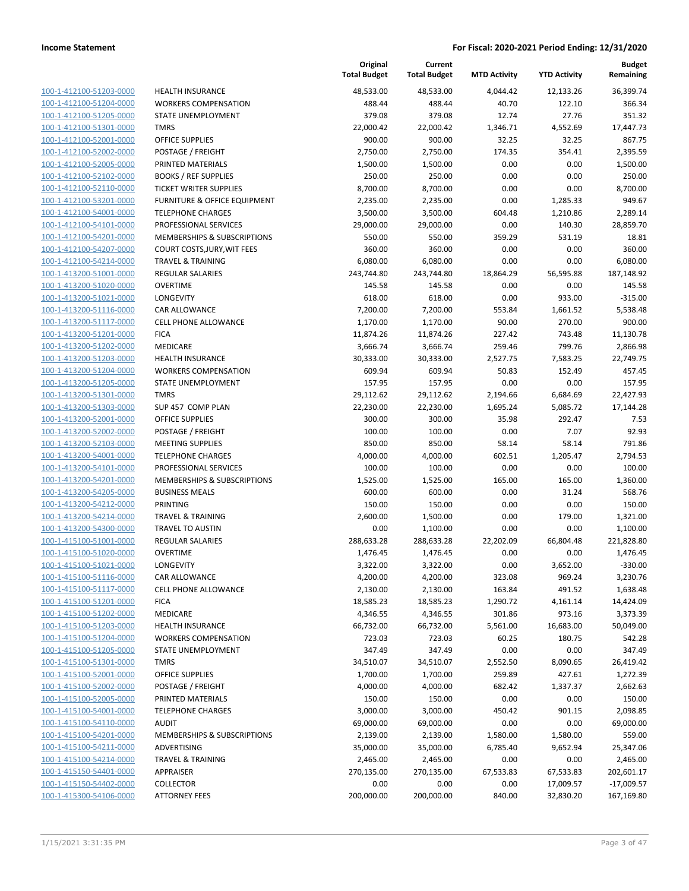| 100-1-412100-51203-0000         |
|---------------------------------|
| 100-1-412100-51204-0000         |
| 100-1-412100-51205-0000         |
| 100-1-412100-51301-0000         |
| 100-1-412100-52001-0000         |
| 100-1-412100-52002-0000         |
| 100-1-412100-52005-0000         |
| 100-1-412100-52102-0000         |
| 100-1-412100-52110-0000         |
| 100-1-412100-53201-0000         |
| 100-1-412100-54001-0000         |
| 100-1-412100-54101-0000         |
| -412100-54201-0000<br>$100 - 1$ |
| 100-1-412100-54207-0000         |
| 100-1-412100-54214-0000         |
| <u>100-1-413200-51001-0000</u>  |
| <u>100-1-413200-51020-0000</u>  |
| 100-1-413200-51021-0000         |
| 100-1-413200-51116-0000         |
| <u>100-1-413200-51117-0000</u>  |
| 100-1-413200-51201-0000         |
| 100-1-413200-51202-0000         |
| -413200-51203-0000<br>$100 - 1$ |
| 100-1-413200-51204-0000         |
| 100-1-413200-51205-0000         |
| 100-1-413200-51301-0000         |
| 100-1-413200-51303-0000         |
| 100-1-413200-52001-0000         |
| 100-1-413200-52002-0000         |
| 100-1-413200-52103-0000         |
| 100-1-413200-54001-0000         |
| 100-1-413200-54101-0000         |
| 100-1-413200-54201-0000         |
| 100-1-413200-54205-0000         |
| 100-1-413200-54212-0000         |
| <u>100-1-413200-54214-0000</u>  |
| 100-1-413200-54300-0000         |
| 100-1-415100-51001-0000         |
| 100-1-415100-51020-0000         |
|                                 |
| 100-1-415100-51021-0000         |
| 100-1-415100-51116-0000         |
| <u>100-1-415100-51117-0000</u>  |
| 100-1-415100-51201-0000         |
| 100-1-415100-51202-0000         |
| <u>100-1-415100-51203-0000</u>  |
| 100-1-415100-51204-0000         |
| <u>100-1-415100-51205-0000</u>  |
| <u>100-1-415100-51301-0000</u>  |
| 100-1-415100-52001-0000         |
| 100-1-415100-52002-0000         |
| <u>100-1-415100-52005-0000</u>  |
| <u>100-1-415100-54001-0000</u>  |
| <u>100-1-415100-54110-0000</u>  |
| 100-1-415100-54201-0000         |
| <u>100-1-415100-54211-0000</u>  |
| <u>100-1-415100-54214-0000</u>  |
| <u>100-1-415150-54401-0000</u>  |
| <u>100-1-415150-54402-0000</u>  |
| 100-1-415300-54106-0000         |
|                                 |

|                         |                                         | Original<br><b>Total Budget</b> | Current<br><b>Total Budget</b> | <b>MTD Activity</b> | <b>YTD Activity</b> | <b>Budget</b><br>Remaining |
|-------------------------|-----------------------------------------|---------------------------------|--------------------------------|---------------------|---------------------|----------------------------|
| 100-1-412100-51203-0000 | <b>HEALTH INSURANCE</b>                 | 48,533.00                       | 48,533.00                      | 4,044.42            | 12,133.26           | 36,399.74                  |
| 100-1-412100-51204-0000 | <b>WORKERS COMPENSATION</b>             | 488.44                          | 488.44                         | 40.70               | 122.10              | 366.34                     |
| 100-1-412100-51205-0000 | STATE UNEMPLOYMENT                      | 379.08                          | 379.08                         | 12.74               | 27.76               | 351.32                     |
| 100-1-412100-51301-0000 | <b>TMRS</b>                             | 22,000.42                       | 22,000.42                      | 1,346.71            | 4,552.69            | 17,447.73                  |
| 100-1-412100-52001-0000 | <b>OFFICE SUPPLIES</b>                  | 900.00                          | 900.00                         | 32.25               | 32.25               | 867.75                     |
| 100-1-412100-52002-0000 | POSTAGE / FREIGHT                       | 2,750.00                        | 2,750.00                       | 174.35              | 354.41              | 2,395.59                   |
| 100-1-412100-52005-0000 | PRINTED MATERIALS                       | 1,500.00                        | 1,500.00                       | 0.00                | 0.00                | 1,500.00                   |
| 100-1-412100-52102-0000 | <b>BOOKS / REF SUPPLIES</b>             | 250.00                          | 250.00                         | 0.00                | 0.00                | 250.00                     |
| 100-1-412100-52110-0000 | <b>TICKET WRITER SUPPLIES</b>           | 8,700.00                        | 8,700.00                       | 0.00                | 0.00                | 8,700.00                   |
| 100-1-412100-53201-0000 | <b>FURNITURE &amp; OFFICE EQUIPMENT</b> | 2,235.00                        | 2,235.00                       | 0.00                | 1,285.33            | 949.67                     |
| 100-1-412100-54001-0000 | <b>TELEPHONE CHARGES</b>                | 3,500.00                        | 3,500.00                       | 604.48              | 1,210.86            | 2,289.14                   |
| 100-1-412100-54101-0000 | PROFESSIONAL SERVICES                   | 29,000.00                       | 29,000.00                      | 0.00                | 140.30              | 28,859.70                  |
| 100-1-412100-54201-0000 | MEMBERSHIPS & SUBSCRIPTIONS             | 550.00                          | 550.00                         | 359.29              | 531.19              | 18.81                      |
| 100-1-412100-54207-0000 | COURT COSTS, JURY, WIT FEES             | 360.00                          | 360.00                         | 0.00                | 0.00                | 360.00                     |
| 100-1-412100-54214-0000 | <b>TRAVEL &amp; TRAINING</b>            | 6,080.00                        | 6,080.00                       | 0.00                | 0.00                | 6,080.00                   |
| 100-1-413200-51001-0000 | REGULAR SALARIES                        | 243,744.80                      | 243,744.80                     | 18,864.29           | 56,595.88           | 187,148.92                 |
| 100-1-413200-51020-0000 | <b>OVERTIME</b>                         | 145.58                          | 145.58                         | 0.00                | 0.00                | 145.58                     |
| 100-1-413200-51021-0000 | <b>LONGEVITY</b>                        | 618.00                          | 618.00                         | 0.00                | 933.00              | $-315.00$                  |
| 100-1-413200-51116-0000 | CAR ALLOWANCE                           | 7,200.00                        | 7,200.00                       | 553.84              | 1,661.52            | 5,538.48                   |
| 100-1-413200-51117-0000 | CELL PHONE ALLOWANCE                    | 1,170.00                        | 1,170.00                       | 90.00               | 270.00              | 900.00                     |
| 100-1-413200-51201-0000 | <b>FICA</b>                             | 11,874.26                       | 11,874.26                      | 227.42              | 743.48              | 11,130.78                  |
| 100-1-413200-51202-0000 | MEDICARE                                | 3,666.74                        | 3,666.74                       | 259.46              | 799.76              | 2,866.98                   |
| 100-1-413200-51203-0000 | <b>HEALTH INSURANCE</b>                 | 30,333.00                       | 30,333.00                      | 2,527.75            | 7,583.25            | 22,749.75                  |
| 100-1-413200-51204-0000 | <b>WORKERS COMPENSATION</b>             | 609.94                          | 609.94                         | 50.83               | 152.49              | 457.45                     |
| 100-1-413200-51205-0000 | STATE UNEMPLOYMENT                      | 157.95                          | 157.95                         | 0.00                | 0.00                | 157.95                     |
| 100-1-413200-51301-0000 | <b>TMRS</b>                             | 29,112.62                       | 29,112.62                      | 2,194.66            | 6,684.69            | 22,427.93                  |
| 100-1-413200-51303-0000 | SUP 457 COMP PLAN                       | 22,230.00                       | 22,230.00                      | 1,695.24            | 5,085.72            | 17,144.28                  |
| 100-1-413200-52001-0000 | <b>OFFICE SUPPLIES</b>                  | 300.00                          | 300.00                         | 35.98               | 292.47              | 7.53                       |
| 100-1-413200-52002-0000 | POSTAGE / FREIGHT                       | 100.00                          | 100.00                         | 0.00                | 7.07                | 92.93                      |
| 100-1-413200-52103-0000 | <b>MEETING SUPPLIES</b>                 | 850.00                          | 850.00                         | 58.14               | 58.14               | 791.86                     |
| 100-1-413200-54001-0000 | <b>TELEPHONE CHARGES</b>                | 4,000.00                        | 4,000.00                       | 602.51              | 1,205.47            | 2,794.53                   |
| 100-1-413200-54101-0000 | PROFESSIONAL SERVICES                   | 100.00                          | 100.00                         | 0.00                | 0.00                | 100.00                     |
| 100-1-413200-54201-0000 | MEMBERSHIPS & SUBSCRIPTIONS             | 1,525.00                        | 1,525.00                       | 165.00              | 165.00              | 1,360.00                   |
| 100-1-413200-54205-0000 | <b>BUSINESS MEALS</b>                   | 600.00                          | 600.00                         | 0.00                | 31.24               | 568.76                     |
| 100-1-413200-54212-0000 | <b>PRINTING</b>                         | 150.00                          | 150.00                         | 0.00                | 0.00                | 150.00                     |
| 100-1-413200-54214-0000 | <b>TRAVEL &amp; TRAINING</b>            | 2,600.00                        | 1,500.00                       | 0.00                | 179.00              | 1,321.00                   |
| 100-1-413200-54300-0000 | TRAVEL TO AUSTIN                        | 0.00                            | 1,100.00                       | 0.00                | 0.00                | 1,100.00                   |
| 100-1-415100-51001-0000 | REGULAR SALARIES                        | 288,633.28                      | 288,633.28                     | 22,202.09           | 66,804.48           | 221,828.80                 |
| 100-1-415100-51020-0000 | <b>OVERTIME</b>                         | 1,476.45                        | 1,476.45                       | 0.00                | 0.00                | 1,476.45                   |
| 100-1-415100-51021-0000 | LONGEVITY                               | 3,322.00                        | 3,322.00                       | 0.00                | 3,652.00            | $-330.00$                  |
| 100-1-415100-51116-0000 | CAR ALLOWANCE                           | 4,200.00                        | 4,200.00                       | 323.08              | 969.24              | 3,230.76                   |
| 100-1-415100-51117-0000 | CELL PHONE ALLOWANCE                    | 2,130.00                        | 2,130.00                       | 163.84              | 491.52              | 1,638.48                   |
| 100-1-415100-51201-0000 | <b>FICA</b>                             | 18,585.23                       | 18,585.23                      | 1,290.72            | 4,161.14            | 14,424.09                  |
| 100-1-415100-51202-0000 | MEDICARE                                | 4,346.55                        | 4,346.55                       | 301.86              | 973.16              | 3,373.39                   |
| 100-1-415100-51203-0000 | <b>HEALTH INSURANCE</b>                 | 66,732.00                       | 66,732.00                      | 5,561.00            | 16,683.00           | 50,049.00                  |
| 100-1-415100-51204-0000 | <b>WORKERS COMPENSATION</b>             | 723.03                          | 723.03                         | 60.25               | 180.75              | 542.28                     |
| 100-1-415100-51205-0000 | STATE UNEMPLOYMENT                      | 347.49                          | 347.49                         | 0.00                | 0.00                | 347.49                     |
| 100-1-415100-51301-0000 | <b>TMRS</b>                             | 34,510.07                       | 34,510.07                      | 2,552.50            | 8,090.65            | 26,419.42                  |
| 100-1-415100-52001-0000 | OFFICE SUPPLIES                         | 1,700.00                        | 1,700.00                       | 259.89              | 427.61              | 1,272.39                   |
| 100-1-415100-52002-0000 | POSTAGE / FREIGHT                       | 4,000.00                        | 4,000.00                       | 682.42              | 1,337.37            | 2,662.63                   |
| 100-1-415100-52005-0000 | PRINTED MATERIALS                       | 150.00                          | 150.00                         | 0.00                | 0.00                | 150.00                     |
| 100-1-415100-54001-0000 | <b>TELEPHONE CHARGES</b>                | 3,000.00                        | 3,000.00                       | 450.42              | 901.15              | 2,098.85                   |
| 100-1-415100-54110-0000 | <b>AUDIT</b>                            | 69,000.00                       | 69,000.00                      | 0.00                | 0.00                | 69,000.00                  |
| 100-1-415100-54201-0000 | MEMBERSHIPS & SUBSCRIPTIONS             | 2,139.00                        | 2,139.00                       | 1,580.00            | 1,580.00            | 559.00                     |
| 100-1-415100-54211-0000 | ADVERTISING                             | 35,000.00                       | 35,000.00                      | 6,785.40            | 9,652.94            | 25,347.06                  |
| 100-1-415100-54214-0000 | <b>TRAVEL &amp; TRAINING</b>            | 2,465.00                        | 2,465.00                       | 0.00                | 0.00                | 2,465.00                   |
| 100-1-415150-54401-0000 | APPRAISER                               | 270,135.00                      | 270,135.00                     | 67,533.83           | 67,533.83           | 202,601.17                 |
| 100-1-415150-54402-0000 | <b>COLLECTOR</b>                        | 0.00                            | 0.00                           | 0.00                | 17,009.57           | $-17,009.57$               |
| 100-1-415300-54106-0000 | <b>ATTORNEY FEES</b>                    | 200,000.00                      | 200,000.00                     | 840.00              | 32,830.20           | 167,169.80                 |
|                         |                                         |                                 |                                |                     |                     |                            |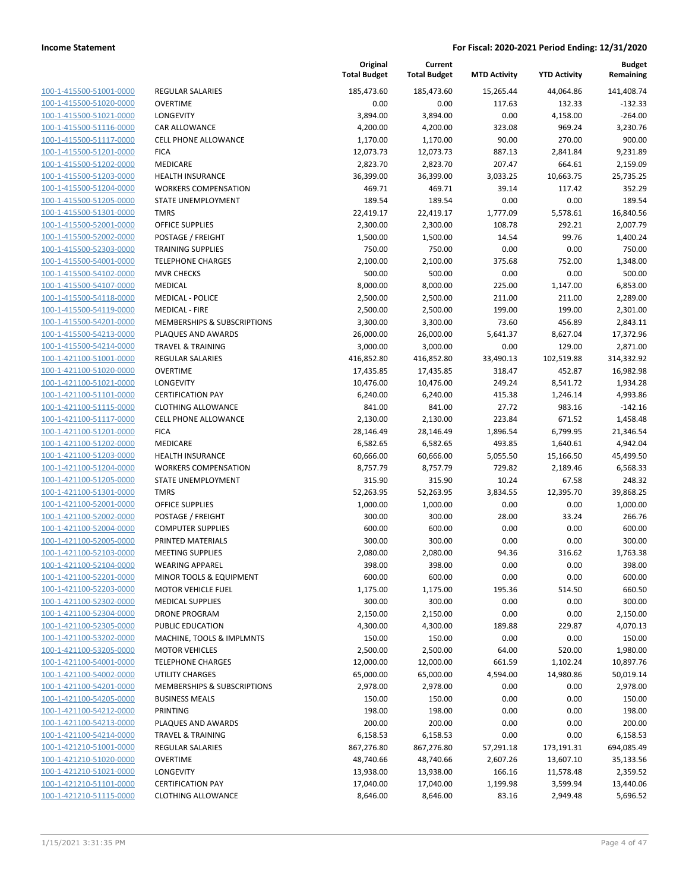| 100-1-415500-51001-0000                                   |
|-----------------------------------------------------------|
| 100-1-415500-51020-0000                                   |
| 100-1-415500-51021-0000                                   |
| <u>100-1-415500-51116-0000</u>                            |
| 100-1-415500-51117-0000                                   |
| -415500-51201-0000<br>$100 - 1$                           |
| 100-1-415500-51202-0000                                   |
| 100-1-415500-51203-0000                                   |
| 100-1-415500-51204-0000                                   |
| 100-1-415500-51205-0000                                   |
| $100 - 1$<br>-415500-51301-0000                           |
| 100-1-415500-52001-0000                                   |
| 100-1-415500-52002-0000                                   |
| <u>100-1-415500-52303-0000</u>                            |
| 100-1-415500-54001-0000                                   |
| 415500-54102-0000<br>$100 - 1$                            |
|                                                           |
| 100-1-415500-54107-0000                                   |
| 100-1-415500-54118-0000                                   |
| 100-1-415500-54119-0000                                   |
| 100-1-415500-54201-0000                                   |
| $100 - 1$<br>-415500-54213-0000                           |
| 100-1-415500-54214-0000                                   |
| 100-1-421100-51001-0000                                   |
| <u>100-1-421100-51020-0000</u>                            |
| 100-1-421100-51021-0000                                   |
| -421100-51101-0000<br>$100 - 1$                           |
| 100-1-421100-51115-0000                                   |
| 100-1-421100-51117-0000                                   |
| 100-1-421100-51201-0000                                   |
| 100-1-421100-51202-0000                                   |
| -421100-51203-0000<br>$100 - 1$                           |
| 100-1-421100-51204-0000                                   |
| 100-1-421100-51205-0000                                   |
| <u>100-1-421100-51301-0000</u>                            |
| 100-1-421100-52001-0000                                   |
| 100-1-421100-52002-0000                                   |
| 100-1-421100-52004-0000                                   |
| 100-1-421100-52005-0000                                   |
| 100-1-421100-52103-0000                                   |
| 100-1-421100-52104-0000                                   |
| -421100-52201-0000<br>$100 - 1$                           |
|                                                           |
| <u>100-1-421100-52203-0000</u>                            |
| <u>100-1-421100-52302-0000</u>                            |
| 100-1-421100-52304-0000                                   |
| 100-1-421100-52305-0000                                   |
| <u>100-1-421100-53202-0000</u>                            |
| 100-1-421100-53205-0000                                   |
| <u>100-1-421100-54001-0000</u>                            |
| <u>100-1-421100-54002-0000</u>                            |
| 100-1-421100-54201-0000                                   |
| 100-1-421100-54205-0000                                   |
| 100-1-421100-54212-0000                                   |
| 100-1-421100-54213-0000                                   |
| 100-1-421100-54214-0000                                   |
|                                                           |
| 100-1-421210-51001-0000                                   |
| <u>100-1-421210-51020-0000</u>                            |
| 100-1-421210-51021-0000                                   |
|                                                           |
| 100-1-421210-51101-0000<br><u>100-1-421210-51115-0000</u> |

| REGULAR SALARIES                              |
|-----------------------------------------------|
| <b>OVERTIME</b>                               |
| <b>LONGEVITY</b>                              |
| <b>CAR ALLOWANCE</b>                          |
| <b>CELL PHONE ALLOWANCE</b>                   |
| <b>FICA</b>                                   |
| MEDICARE                                      |
| <b>HEALTH INSURANCE</b>                       |
| <b>WORKERS COMPENSATION</b>                   |
| STATE UNEMPLOYMENT                            |
| <b>TMRS</b>                                   |
| OFFICE SUPPLIES                               |
| POSTAGE / FREIGHT                             |
| <b>TRAINING SUPPLIES</b>                      |
| <b>TELEPHONE CHARGES</b>                      |
| <b>MVR CHECKS</b>                             |
| <b>MEDICAL</b>                                |
| <b>MEDICAL - POLICE</b>                       |
| <b>MEDICAL - FIRE</b>                         |
| <b>MEMBERSHIPS &amp; SUBSCRIPTIONS</b>        |
| PLAQUES AND AWARDS                            |
| <b>TRAVEL &amp; TRAINING</b>                  |
| <b>REGULAR SALARIES</b>                       |
| OVERTIME                                      |
| LONGEVITY                                     |
| <b>CERTIFICATION PAY</b>                      |
| <b>CLOTHING ALLOWANCE</b>                     |
| <b>CELL PHONE ALLOWANCE</b>                   |
| <b>FICA</b>                                   |
| MEDICARE                                      |
| <b>HEALTH INSURANCE</b>                       |
| <b>WORKERS COMPENSATION</b>                   |
| <b>STATE UNEMPLOYMENT</b>                     |
| TMRS                                          |
| OFFICE SUPPLIES                               |
| POSTAGE / FREIGHT<br><b>COMPUTER SUPPLIES</b> |
| PRINTED MATERIALS                             |
| <b>MEETING SUPPLIES</b>                       |
| <b>WEARING APPAREL</b>                        |
| MINOR TOOLS & EQUIPMENT                       |
| MOTOR VEHICLE FUEL                            |
| <b>MEDICAL SUPPLIES</b>                       |
| <b>DRONE PROGRAM</b>                          |
| PUBLIC EDUCATION                              |
| MACHINE, TOOLS & IMPLMNTS                     |
|                                               |
|                                               |
| <b>MOTOR VEHICLES</b>                         |
| <b>TELEPHONE CHARGES</b>                      |
| UTILITY CHARGES                               |
| <b>MEMBERSHIPS &amp; SUBSCRIPTIONS</b>        |
| <b>BUSINESS MEALS</b><br>PRINTING             |
| PLAQUES AND AWARDS                            |
| <b>TRAVEL &amp; TRAINING</b>                  |
| <b>REGULAR SALARIES</b>                       |
| <b>OVERTIME</b>                               |
| <b>LONGEVITY</b>                              |
| <b>CERTIFICATION PAY</b>                      |

|                                                    |                                                    | Original<br><b>Total Budget</b> | Current<br><b>Total Budget</b> | <b>MTD Activity</b> | <b>YTD Activity</b>  | <b>Budget</b><br>Remaining |
|----------------------------------------------------|----------------------------------------------------|---------------------------------|--------------------------------|---------------------|----------------------|----------------------------|
| 100-1-415500-51001-0000                            | REGULAR SALARIES                                   | 185,473.60                      | 185,473.60                     | 15,265.44           | 44,064.86            | 141,408.74                 |
| 100-1-415500-51020-0000                            | <b>OVERTIME</b>                                    | 0.00                            | 0.00                           | 117.63              | 132.33               | $-132.33$                  |
| 100-1-415500-51021-0000                            | LONGEVITY                                          | 3,894.00                        | 3,894.00                       | 0.00                | 4,158.00             | $-264.00$                  |
| 100-1-415500-51116-0000                            | <b>CAR ALLOWANCE</b>                               | 4,200.00                        | 4,200.00                       | 323.08              | 969.24               | 3.230.76                   |
| 100-1-415500-51117-0000                            | <b>CELL PHONE ALLOWANCE</b>                        | 1,170.00                        | 1,170.00                       | 90.00               | 270.00               | 900.00                     |
| 100-1-415500-51201-0000                            | <b>FICA</b>                                        | 12,073.73                       | 12,073.73                      | 887.13              | 2,841.84             | 9,231.89                   |
| 100-1-415500-51202-0000                            | MEDICARE                                           | 2,823.70                        | 2,823.70                       | 207.47              | 664.61               | 2,159.09                   |
| 100-1-415500-51203-0000                            | <b>HEALTH INSURANCE</b>                            | 36,399.00                       | 36,399.00                      | 3,033.25            | 10,663.75            | 25,735.25                  |
| 100-1-415500-51204-0000                            | <b>WORKERS COMPENSATION</b>                        | 469.71                          | 469.71                         | 39.14               | 117.42               | 352.29                     |
| 100-1-415500-51205-0000                            | STATE UNEMPLOYMENT                                 | 189.54                          | 189.54                         | 0.00                | 0.00                 | 189.54                     |
| 100-1-415500-51301-0000                            | <b>TMRS</b>                                        | 22,419.17                       | 22,419.17                      | 1,777.09            | 5,578.61             | 16,840.56                  |
| 100-1-415500-52001-0000                            | <b>OFFICE SUPPLIES</b>                             | 2,300.00                        | 2,300.00                       | 108.78              | 292.21               | 2,007.79                   |
| 100-1-415500-52002-0000                            | POSTAGE / FREIGHT                                  | 1,500.00                        | 1,500.00                       | 14.54               | 99.76                | 1,400.24                   |
| 100-1-415500-52303-0000                            | <b>TRAINING SUPPLIES</b>                           | 750.00                          | 750.00                         | 0.00                | 0.00                 | 750.00                     |
| 100-1-415500-54001-0000                            | <b>TELEPHONE CHARGES</b>                           | 2,100.00                        | 2,100.00                       | 375.68              | 752.00               | 1,348.00                   |
| 100-1-415500-54102-0000                            | <b>MVR CHECKS</b>                                  | 500.00                          | 500.00                         | 0.00                | 0.00                 | 500.00                     |
| 100-1-415500-54107-0000                            | MEDICAL                                            | 8,000.00                        | 8,000.00                       | 225.00              | 1,147.00             | 6,853.00                   |
| 100-1-415500-54118-0000                            | <b>MEDICAL - POLICE</b>                            | 2,500.00                        | 2,500.00                       | 211.00              | 211.00               | 2,289.00                   |
| 100-1-415500-54119-0000<br>100-1-415500-54201-0000 | <b>MEDICAL - FIRE</b>                              | 2,500.00                        | 2,500.00                       | 199.00              | 199.00               | 2,301.00                   |
|                                                    | MEMBERSHIPS & SUBSCRIPTIONS                        | 3,300.00                        | 3,300.00                       | 73.60               | 456.89<br>8,627.04   | 2,843.11                   |
| 100-1-415500-54213-0000<br>100-1-415500-54214-0000 | PLAQUES AND AWARDS<br><b>TRAVEL &amp; TRAINING</b> | 26,000.00<br>3,000.00           | 26,000.00<br>3,000.00          | 5,641.37<br>0.00    | 129.00               | 17,372.96<br>2,871.00      |
| 100-1-421100-51001-0000                            | REGULAR SALARIES                                   | 416,852.80                      | 416,852.80                     | 33,490.13           |                      | 314,332.92                 |
| 100-1-421100-51020-0000                            | <b>OVERTIME</b>                                    | 17,435.85                       | 17,435.85                      | 318.47              | 102,519.88<br>452.87 | 16,982.98                  |
| 100-1-421100-51021-0000                            | LONGEVITY                                          | 10,476.00                       | 10,476.00                      | 249.24              | 8,541.72             | 1,934.28                   |
| 100-1-421100-51101-0000                            | <b>CERTIFICATION PAY</b>                           | 6,240.00                        | 6,240.00                       | 415.38              | 1,246.14             | 4,993.86                   |
| 100-1-421100-51115-0000                            | <b>CLOTHING ALLOWANCE</b>                          | 841.00                          | 841.00                         | 27.72               | 983.16               | $-142.16$                  |
| 100-1-421100-51117-0000                            | <b>CELL PHONE ALLOWANCE</b>                        | 2,130.00                        | 2,130.00                       | 223.84              | 671.52               | 1,458.48                   |
| 100-1-421100-51201-0000                            | <b>FICA</b>                                        | 28,146.49                       | 28,146.49                      | 1,896.54            | 6,799.95             | 21,346.54                  |
| 100-1-421100-51202-0000                            | MEDICARE                                           | 6,582.65                        | 6,582.65                       | 493.85              | 1,640.61             | 4,942.04                   |
| 100-1-421100-51203-0000                            | HEALTH INSURANCE                                   | 60,666.00                       | 60,666.00                      | 5,055.50            | 15,166.50            | 45,499.50                  |
| 100-1-421100-51204-0000                            | <b>WORKERS COMPENSATION</b>                        | 8,757.79                        | 8,757.79                       | 729.82              | 2,189.46             | 6,568.33                   |
| 100-1-421100-51205-0000                            | STATE UNEMPLOYMENT                                 | 315.90                          | 315.90                         | 10.24               | 67.58                | 248.32                     |
| 100-1-421100-51301-0000                            | <b>TMRS</b>                                        | 52,263.95                       | 52,263.95                      | 3,834.55            | 12,395.70            | 39,868.25                  |
| 100-1-421100-52001-0000                            | <b>OFFICE SUPPLIES</b>                             | 1,000.00                        | 1,000.00                       | 0.00                | 0.00                 | 1,000.00                   |
| 100-1-421100-52002-0000                            | POSTAGE / FREIGHT                                  | 300.00                          | 300.00                         | 28.00               | 33.24                | 266.76                     |
| 100-1-421100-52004-0000                            | <b>COMPUTER SUPPLIES</b>                           | 600.00                          | 600.00                         | 0.00                | 0.00                 | 600.00                     |
| 100-1-421100-52005-0000                            | PRINTED MATERIALS                                  | 300.00                          | 300.00                         | 0.00                | 0.00                 | 300.00                     |
| 100-1-421100-52103-0000                            | <b>MEETING SUPPLIES</b>                            | 2,080.00                        | 2,080.00                       | 94.36               | 316.62               | 1,763.38                   |
| 100-1-421100-52104-0000                            | <b>WEARING APPAREL</b>                             | 398.00                          | 398.00                         | 0.00                | 0.00                 | 398.00                     |
| 100-1-421100-52201-0000                            | MINOR TOOLS & EQUIPMENT                            | 600.00                          | 600.00                         | 0.00                | 0.00                 | 600.00                     |
| 100-1-421100-52203-0000                            | <b>MOTOR VEHICLE FUEL</b>                          | 1,175.00                        | 1,175.00                       | 195.36              | 514.50               | 660.50                     |
| 100-1-421100-52302-0000                            | <b>MEDICAL SUPPLIES</b>                            | 300.00                          | 300.00                         | 0.00                | 0.00                 | 300.00                     |
| 100-1-421100-52304-0000                            | <b>DRONE PROGRAM</b>                               | 2,150.00                        | 2,150.00                       | 0.00                | 0.00                 | 2,150.00                   |
| 100-1-421100-52305-0000                            | PUBLIC EDUCATION                                   | 4,300.00                        | 4,300.00                       | 189.88              | 229.87               | 4,070.13                   |
| 100-1-421100-53202-0000                            | MACHINE, TOOLS & IMPLMNTS                          | 150.00                          | 150.00                         | 0.00                | 0.00                 | 150.00                     |
| 100-1-421100-53205-0000                            | <b>MOTOR VEHICLES</b>                              | 2,500.00                        | 2,500.00                       | 64.00               | 520.00               | 1,980.00                   |
| 100-1-421100-54001-0000                            | <b>TELEPHONE CHARGES</b>                           | 12,000.00                       | 12,000.00                      | 661.59              | 1,102.24             | 10,897.76                  |
| 100-1-421100-54002-0000                            | <b>UTILITY CHARGES</b>                             | 65,000.00                       | 65,000.00                      | 4,594.00            | 14,980.86            | 50,019.14                  |
| 100-1-421100-54201-0000                            | MEMBERSHIPS & SUBSCRIPTIONS                        | 2,978.00                        | 2,978.00                       | 0.00                | 0.00                 | 2,978.00                   |
| 100-1-421100-54205-0000                            | <b>BUSINESS MEALS</b>                              | 150.00                          | 150.00                         | 0.00                | 0.00                 | 150.00                     |
| 100-1-421100-54212-0000                            | PRINTING                                           | 198.00                          | 198.00                         | 0.00                | 0.00                 | 198.00                     |
| 100-1-421100-54213-0000                            | PLAQUES AND AWARDS                                 | 200.00                          | 200.00                         | 0.00                | 0.00                 | 200.00                     |
| 100-1-421100-54214-0000                            | <b>TRAVEL &amp; TRAINING</b>                       | 6,158.53                        | 6,158.53                       | 0.00                | 0.00                 | 6,158.53                   |
| 100-1-421210-51001-0000                            | REGULAR SALARIES                                   | 867,276.80                      | 867,276.80                     | 57,291.18           | 173,191.31           | 694,085.49                 |
| 100-1-421210-51020-0000                            | <b>OVERTIME</b>                                    | 48,740.66                       | 48,740.66                      | 2,607.26            | 13,607.10            | 35,133.56                  |
| 100-1-421210-51021-0000                            | <b>LONGEVITY</b>                                   | 13,938.00                       | 13,938.00                      | 166.16              | 11,578.48            | 2,359.52                   |
| 100-1-421210-51101-0000                            | <b>CERTIFICATION PAY</b>                           | 17,040.00                       | 17,040.00                      | 1,199.98            | 3,599.94             | 13,440.06                  |
| 100-1-421210-51115-0000                            | <b>CLOTHING ALLOWANCE</b>                          | 8,646.00                        | 8,646.00                       | 83.16               | 2,949.48             | 5,696.52                   |
|                                                    |                                                    |                                 |                                |                     |                      |                            |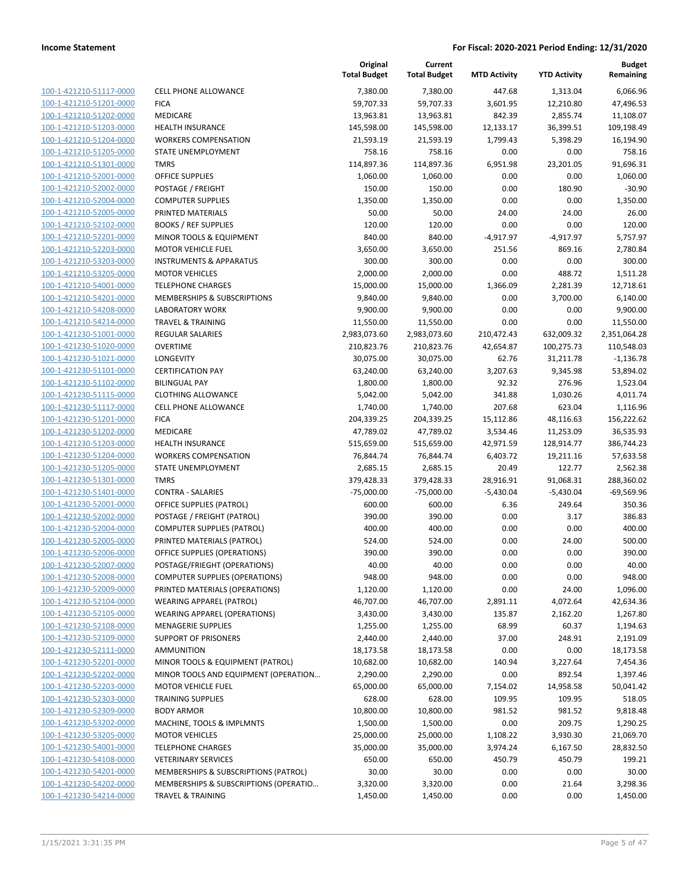| 100-1-421210-51117-0000                            | CELL PI                |
|----------------------------------------------------|------------------------|
| 100-1-421210-51201-0000                            | <b>FICA</b>            |
| 100-1-421210-51202-0000                            | <b>MEDIC</b>           |
| 100-1-421210-51203-0000                            | <b>HEALTI</b>          |
| 100-1-421210-51204-0000                            | WORKI                  |
| 100-1-421210-51205-0000                            | <b>STATE</b>           |
| 100-1-421210-51301-0000                            | TMRS                   |
| 100-1-421210-52001-0000                            | OFFICE                 |
| 100-1-421210-52002-0000                            | <b>POSTA</b>           |
| 100-1-421210-52004-0000                            | <b>COMPL</b>           |
| 100-1-421210-52005-0000                            | PRINTE                 |
| 100-1-421210-52102-0000                            | <b>BOOKS</b>           |
| 100-1-421210-52201-0000                            | minor                  |
| 100-1-421210-52203-0000                            | MOTOI                  |
| 100-1-421210-53203-0000                            | INSTRL                 |
| 100-1-421210-53205-0000                            | MOTOI                  |
| 100-1-421210-54001-0000                            | TELEPH                 |
| 100-1-421210-54201-0000                            | <b>MEMB</b>            |
| 100-1-421210-54208-0000                            | LABOR.                 |
| 100-1-421210-54214-0000                            | <b>TRAVEI</b>          |
| 100-1-421230-51001-0000                            | REGUL                  |
| 100-1-421230-51020-0000                            | <b>OVERT</b>           |
| 100-1-421230-51021-0000                            | LONGE                  |
| 100-1-421230-51101-0000                            | <b>CERTIF</b>          |
| 100-1-421230-51102-0000                            | <b>BILING</b>          |
| 100-1-421230-51115-0000                            | <b>CLOTHI</b>          |
| 100-1-421230-51117-0000                            | CELL PI                |
| 100-1-421230-51201-0000                            | <b>FICA</b>            |
| 100-1-421230-51202-0000                            | <b>MEDIC</b>           |
| 100-1-421230-51203-0000                            | HEALTI                 |
| 100-1-421230-51204-0000                            | WORKE                  |
| 100-1-421230-51205-0000                            | STATE I                |
| 100-1-421230-51301-0000                            | TMRS                   |
| 100-1-421230-51401-0000                            | CONTR                  |
| 100-1-421230-52001-0000                            | OFFICE                 |
| 100-1-421230-52002-0000                            | <b>POSTA</b>           |
| 100-1-421230-52004-0000                            | COMPl                  |
| 100-1-421230-52005-0000                            | PRINTE                 |
| 100-1-421230-52006-0000                            | OFFICE<br><b>POSTA</b> |
| 100-1-421230-52007-0000<br>100-1-421230-52008-0000 | COMPl                  |
|                                                    | PRINTE                 |
| 100-1-421230-52009-0000<br>100-1-421230-52104-0000 | WEARI                  |
| 100-1-421230-52105-0000                            | WEARI                  |
| 100-1-421230-52108-0000                            | MENAC                  |
| 100-1-421230-52109-0000                            | <b>SUPPO</b>           |
| 100-1-421230-52111-0000                            | AMMU                   |
| 100-1-421230-52201-0000                            | minor                  |
| 100-1-421230-52202-0000                            | minor                  |
| <u>100-1-421230-52203-0000</u>                     | MOTOI                  |
| 100-1-421230-52303-0000                            | TRAINI                 |
| 100-1-421230-52309-0000                            | BODY A                 |
| 100-1-421230-53202-0000                            | MACHI                  |
| 100-1-421230-53205-0000                            | MOTOI                  |
| 100-1-421230-54001-0000                            | TELEPH                 |
| 100-1-421230-54108-0000                            | VETERI                 |
| 100-1-421230-54201-0000                            | <b>MEMB</b>            |
| 100-1-421230-54202-0000                            | MEMBI                  |
| 100-1-421230-54214-0000                            | TRAVEI                 |
|                                                    |                        |

|                         |                                       | Original<br><b>Total Budget</b> | Current<br><b>Total Budget</b> | <b>MTD Activity</b> | <b>YTD Activity</b> | <b>Budget</b><br>Remaining |
|-------------------------|---------------------------------------|---------------------------------|--------------------------------|---------------------|---------------------|----------------------------|
| 100-1-421210-51117-0000 | <b>CELL PHONE ALLOWANCE</b>           | 7,380.00                        | 7,380.00                       | 447.68              | 1,313.04            | 6,066.96                   |
| 100-1-421210-51201-0000 | <b>FICA</b>                           | 59,707.33                       | 59,707.33                      | 3,601.95            | 12,210.80           | 47,496.53                  |
| 100-1-421210-51202-0000 | MEDICARE                              | 13,963.81                       | 13,963.81                      | 842.39              | 2,855.74            | 11,108.07                  |
| 100-1-421210-51203-0000 | <b>HEALTH INSURANCE</b>               | 145,598.00                      | 145,598.00                     | 12,133.17           | 36,399.51           | 109,198.49                 |
| 100-1-421210-51204-0000 | <b>WORKERS COMPENSATION</b>           | 21,593.19                       | 21,593.19                      | 1,799.43            | 5,398.29            | 16,194.90                  |
| 100-1-421210-51205-0000 | STATE UNEMPLOYMENT                    | 758.16                          | 758.16                         | 0.00                | 0.00                | 758.16                     |
| 100-1-421210-51301-0000 | <b>TMRS</b>                           | 114,897.36                      | 114,897.36                     | 6,951.98            | 23,201.05           | 91,696.31                  |
| 100-1-421210-52001-0000 | <b>OFFICE SUPPLIES</b>                | 1,060.00                        | 1,060.00                       | 0.00                | 0.00                | 1,060.00                   |
| 100-1-421210-52002-0000 | POSTAGE / FREIGHT                     | 150.00                          | 150.00                         | 0.00                | 180.90              | $-30.90$                   |
| 100-1-421210-52004-0000 | <b>COMPUTER SUPPLIES</b>              | 1,350.00                        | 1,350.00                       | 0.00                | 0.00                | 1,350.00                   |
| 100-1-421210-52005-0000 | PRINTED MATERIALS                     | 50.00                           | 50.00                          | 24.00               | 24.00               | 26.00                      |
| 100-1-421210-52102-0000 | <b>BOOKS / REF SUPPLIES</b>           | 120.00                          | 120.00                         | 0.00                | 0.00                | 120.00                     |
| 100-1-421210-52201-0000 | MINOR TOOLS & EQUIPMENT               | 840.00                          | 840.00                         | $-4,917.97$         | $-4,917.97$         | 5,757.97                   |
| 100-1-421210-52203-0000 | <b>MOTOR VEHICLE FUEL</b>             | 3,650.00                        | 3,650.00                       | 251.56              | 869.16              | 2,780.84                   |
| 100-1-421210-53203-0000 | <b>INSTRUMENTS &amp; APPARATUS</b>    | 300.00                          | 300.00                         | 0.00                | 0.00                | 300.00                     |
| 100-1-421210-53205-0000 | <b>MOTOR VEHICLES</b>                 | 2,000.00                        | 2,000.00                       | 0.00                | 488.72              | 1,511.28                   |
| 100-1-421210-54001-0000 | <b>TELEPHONE CHARGES</b>              | 15,000.00                       | 15,000.00                      | 1,366.09            | 2,281.39            | 12,718.61                  |
| 100-1-421210-54201-0000 | MEMBERSHIPS & SUBSCRIPTIONS           | 9,840.00                        | 9,840.00                       | 0.00                | 3,700.00            | 6,140.00                   |
| 100-1-421210-54208-0000 | <b>LABORATORY WORK</b>                | 9,900.00                        | 9,900.00                       | 0.00                | 0.00                | 9,900.00                   |
| 100-1-421210-54214-0000 | <b>TRAVEL &amp; TRAINING</b>          | 11,550.00                       | 11,550.00                      | 0.00                | 0.00                | 11,550.00                  |
| 100-1-421230-51001-0000 | <b>REGULAR SALARIES</b>               | 2,983,073.60                    | 2,983,073.60                   | 210,472.43          | 632,009.32          | 2,351,064.28               |
| 100-1-421230-51020-0000 | <b>OVERTIME</b>                       | 210,823.76                      | 210,823.76                     | 42,654.87           | 100,275.73          | 110,548.03                 |
| 100-1-421230-51021-0000 | <b>LONGEVITY</b>                      | 30,075.00                       | 30,075.00                      | 62.76               | 31,211.78           | $-1,136.78$                |
| 100-1-421230-51101-0000 | <b>CERTIFICATION PAY</b>              | 63,240.00                       | 63,240.00                      | 3,207.63            | 9,345.98            | 53,894.02                  |
| 100-1-421230-51102-0000 | <b>BILINGUAL PAY</b>                  | 1,800.00                        | 1,800.00                       | 92.32               | 276.96              | 1,523.04                   |
| 100-1-421230-51115-0000 | <b>CLOTHING ALLOWANCE</b>             | 5,042.00                        | 5,042.00                       | 341.88              | 1,030.26            | 4,011.74                   |
| 100-1-421230-51117-0000 | CELL PHONE ALLOWANCE                  | 1,740.00                        | 1,740.00                       | 207.68              | 623.04              | 1,116.96                   |
| 100-1-421230-51201-0000 | <b>FICA</b>                           | 204,339.25                      | 204,339.25                     | 15,112.86           | 48,116.63           | 156,222.62                 |
| 100-1-421230-51202-0000 | MEDICARE                              | 47,789.02                       | 47,789.02                      | 3,534.46            | 11,253.09           | 36,535.93                  |
| 100-1-421230-51203-0000 | <b>HEALTH INSURANCE</b>               | 515,659.00                      | 515,659.00                     | 42,971.59           | 128,914.77          | 386,744.23                 |
| 100-1-421230-51204-0000 | <b>WORKERS COMPENSATION</b>           | 76,844.74                       | 76,844.74                      | 6,403.72            | 19,211.16           | 57,633.58                  |
| 100-1-421230-51205-0000 | STATE UNEMPLOYMENT                    | 2,685.15                        | 2,685.15                       | 20.49               | 122.77              | 2,562.38                   |
| 100-1-421230-51301-0000 | <b>TMRS</b>                           | 379,428.33                      | 379,428.33                     | 28,916.91           | 91,068.31           | 288,360.02                 |
| 100-1-421230-51401-0000 | <b>CONTRA - SALARIES</b>              | $-75,000.00$                    | $-75,000.00$                   | $-5,430.04$         | $-5,430.04$         | $-69,569.96$               |
| 100-1-421230-52001-0000 | <b>OFFICE SUPPLIES (PATROL)</b>       | 600.00                          | 600.00                         | 6.36                | 249.64              | 350.36                     |
| 100-1-421230-52002-0000 | POSTAGE / FREIGHT (PATROL)            | 390.00                          | 390.00                         | 0.00                | 3.17                | 386.83                     |
| 100-1-421230-52004-0000 | <b>COMPUTER SUPPLIES (PATROL)</b>     | 400.00                          | 400.00                         | 0.00                | 0.00                | 400.00                     |
| 100-1-421230-52005-0000 | PRINTED MATERIALS (PATROL)            | 524.00                          | 524.00                         | 0.00                | 24.00               | 500.00                     |
| 100-1-421230-52006-0000 | OFFICE SUPPLIES (OPERATIONS)          | 390.00                          | 390.00                         | 0.00                | 0.00                | 390.00                     |
| 100-1-421230-52007-0000 | POSTAGE/FRIEGHT (OPERATIONS)          | 40.00                           | 40.00                          | 0.00                | 0.00                | 40.00                      |
| 100-1-421230-52008-0000 | <b>COMPUTER SUPPLIES (OPERATIONS)</b> | 948.00                          | 948.00                         | 0.00                | 0.00                | 948.00                     |
| 100-1-421230-52009-0000 | PRINTED MATERIALS (OPERATIONS)        | 1,120.00                        | 1,120.00                       | 0.00                | 24.00               | 1,096.00                   |
| 100-1-421230-52104-0000 | <b>WEARING APPAREL (PATROL)</b>       | 46,707.00                       | 46,707.00                      | 2,891.11            | 4,072.64            | 42,634.36                  |
| 100-1-421230-52105-0000 | <b>WEARING APPAREL (OPERATIONS)</b>   | 3,430.00                        | 3,430.00                       | 135.87              | 2,162.20            | 1,267.80                   |
| 100-1-421230-52108-0000 | <b>MENAGERIE SUPPLIES</b>             | 1,255.00                        | 1,255.00                       | 68.99               | 60.37               | 1,194.63                   |
| 100-1-421230-52109-0000 | <b>SUPPORT OF PRISONERS</b>           | 2,440.00                        | 2,440.00                       | 37.00               | 248.91              | 2,191.09                   |
| 100-1-421230-52111-0000 | AMMUNITION                            | 18,173.58                       | 18,173.58                      | 0.00                | 0.00                | 18,173.58                  |
| 100-1-421230-52201-0000 | MINOR TOOLS & EQUIPMENT (PATROL)      | 10,682.00                       | 10,682.00                      | 140.94              | 3,227.64            | 7,454.36                   |
| 100-1-421230-52202-0000 | MINOR TOOLS AND EQUIPMENT (OPERATION  | 2,290.00                        | 2,290.00                       | 0.00                | 892.54              | 1,397.46                   |
| 100-1-421230-52203-0000 | <b>MOTOR VEHICLE FUEL</b>             | 65,000.00                       | 65,000.00                      | 7,154.02            | 14,958.58           | 50,041.42                  |
| 100-1-421230-52303-0000 | <b>TRAINING SUPPLIES</b>              | 628.00                          | 628.00                         | 109.95              | 109.95              | 518.05                     |
| 100-1-421230-52309-0000 | <b>BODY ARMOR</b>                     | 10,800.00                       | 10,800.00                      | 981.52              | 981.52              | 9,818.48                   |
| 100-1-421230-53202-0000 | MACHINE, TOOLS & IMPLMNTS             | 1,500.00                        | 1,500.00                       | 0.00                | 209.75              | 1,290.25                   |
| 100-1-421230-53205-0000 | <b>MOTOR VEHICLES</b>                 | 25,000.00                       | 25,000.00                      | 1,108.22            | 3,930.30            | 21,069.70                  |
| 100-1-421230-54001-0000 | <b>TELEPHONE CHARGES</b>              | 35,000.00                       | 35,000.00                      | 3,974.24            | 6,167.50            | 28,832.50                  |
| 100-1-421230-54108-0000 | <b>VETERINARY SERVICES</b>            | 650.00                          | 650.00                         | 450.79              | 450.79              | 199.21                     |
| 100-1-421230-54201-0000 | MEMBERSHIPS & SUBSCRIPTIONS (PATROL)  | 30.00                           | 30.00                          | 0.00                | 0.00                | 30.00                      |
| 100-1-421230-54202-0000 | MEMBERSHIPS & SUBSCRIPTIONS (OPERATIO | 3,320.00                        | 3,320.00                       | 0.00                | 21.64               | 3,298.36                   |
| 100-1-421230-54214-0000 | <b>TRAVEL &amp; TRAINING</b>          | 1,450.00                        | 1,450.00                       | 0.00                | 0.00                | 1,450.00                   |
|                         |                                       |                                 |                                |                     |                     |                            |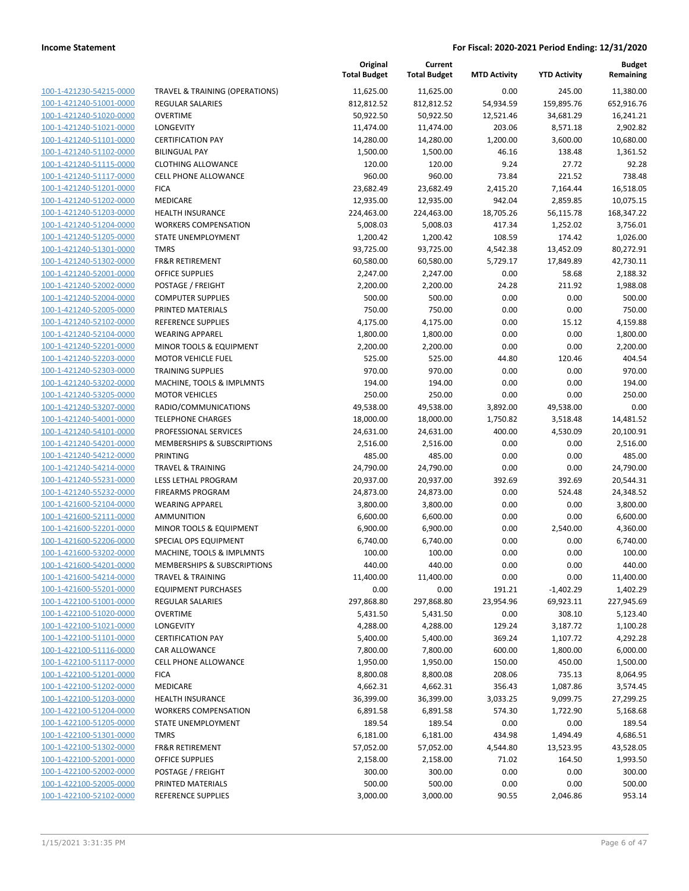|                         |                                           | Original<br><b>Total Budget</b> | Current<br><b>Total Budget</b> | <b>MTD Activity</b> | <b>YTD Activity</b> | Budget<br>Remaining |
|-------------------------|-------------------------------------------|---------------------------------|--------------------------------|---------------------|---------------------|---------------------|
| 100-1-421230-54215-0000 | <b>TRAVEL &amp; TRAINING (OPERATIONS)</b> | 11,625.00                       | 11,625.00                      | 0.00                | 245.00              | 11,380.00           |
| 100-1-421240-51001-0000 | <b>REGULAR SALARIES</b>                   | 812,812.52                      | 812,812.52                     | 54,934.59           | 159,895.76          | 652,916.76          |
| 100-1-421240-51020-0000 | <b>OVERTIME</b>                           | 50,922.50                       | 50,922.50                      | 12,521.46           | 34,681.29           | 16,241.21           |
| 100-1-421240-51021-0000 | LONGEVITY                                 | 11,474.00                       | 11,474.00                      | 203.06              | 8,571.18            | 2,902.82            |
| 100-1-421240-51101-0000 | <b>CERTIFICATION PAY</b>                  | 14,280.00                       | 14,280.00                      | 1,200.00            | 3,600.00            | 10,680.00           |
| 100-1-421240-51102-0000 | <b>BILINGUAL PAY</b>                      | 1,500.00                        | 1,500.00                       | 46.16               | 138.48              | 1,361.52            |
| 100-1-421240-51115-0000 | <b>CLOTHING ALLOWANCE</b>                 | 120.00                          | 120.00                         | 9.24                | 27.72               | 92.28               |
| 100-1-421240-51117-0000 | <b>CELL PHONE ALLOWANCE</b>               | 960.00                          | 960.00                         | 73.84               | 221.52              | 738.48              |
| 100-1-421240-51201-0000 | <b>FICA</b>                               | 23,682.49                       | 23,682.49                      | 2,415.20            | 7,164.44            | 16,518.05           |
| 100-1-421240-51202-0000 | MEDICARE                                  | 12,935.00                       | 12,935.00                      | 942.04              | 2,859.85            | 10,075.15           |
| 100-1-421240-51203-0000 | <b>HEALTH INSURANCE</b>                   | 224,463.00                      | 224,463.00                     | 18,705.26           | 56,115.78           | 168,347.22          |
| 100-1-421240-51204-0000 | <b>WORKERS COMPENSATION</b>               | 5,008.03                        | 5,008.03                       | 417.34              | 1,252.02            | 3,756.01            |
| 100-1-421240-51205-0000 | STATE UNEMPLOYMENT                        | 1,200.42                        | 1,200.42                       | 108.59              | 174.42              | 1,026.00            |
| 100-1-421240-51301-0000 | <b>TMRS</b>                               | 93,725.00                       | 93,725.00                      | 4,542.38            | 13,452.09           | 80,272.91           |
| 100-1-421240-51302-0000 | <b>FR&amp;R RETIREMENT</b>                | 60,580.00                       | 60,580.00                      | 5,729.17            | 17,849.89           | 42,730.11           |
| 100-1-421240-52001-0000 | <b>OFFICE SUPPLIES</b>                    | 2,247.00                        | 2,247.00                       | 0.00                | 58.68               | 2,188.32            |
| 100-1-421240-52002-0000 | POSTAGE / FREIGHT                         | 2,200.00                        | 2,200.00                       | 24.28               | 211.92              | 1,988.08            |
| 100-1-421240-52004-0000 | <b>COMPUTER SUPPLIES</b>                  | 500.00                          | 500.00                         | 0.00                | 0.00                | 500.00              |
| 100-1-421240-52005-0000 | PRINTED MATERIALS                         | 750.00                          | 750.00                         | 0.00                | 0.00                | 750.00              |
| 100-1-421240-52102-0000 | <b>REFERENCE SUPPLIES</b>                 | 4,175.00                        | 4,175.00                       | 0.00                | 15.12               | 4,159.88            |
| 100-1-421240-52104-0000 | <b>WEARING APPAREL</b>                    | 1,800.00                        | 1,800.00                       | 0.00                | 0.00                | 1,800.00            |
| 100-1-421240-52201-0000 | <b>MINOR TOOLS &amp; EQUIPMENT</b>        | 2,200.00                        | 2,200.00                       | 0.00                | 0.00                | 2,200.00            |
| 100-1-421240-52203-0000 | <b>MOTOR VEHICLE FUEL</b>                 | 525.00                          | 525.00                         | 44.80               | 120.46              | 404.54              |
| 100-1-421240-52303-0000 | <b>TRAINING SUPPLIES</b>                  | 970.00                          | 970.00                         | 0.00                | 0.00                | 970.00              |
| 100-1-421240-53202-0000 | MACHINE, TOOLS & IMPLMNTS                 | 194.00                          | 194.00                         | 0.00                | 0.00                | 194.00              |
| 100-1-421240-53205-0000 | <b>MOTOR VEHICLES</b>                     | 250.00                          | 250.00                         | 0.00                | 0.00                | 250.00              |
| 100-1-421240-53207-0000 | RADIO/COMMUNICATIONS                      | 49,538.00                       | 49,538.00                      | 3,892.00            | 49,538.00           | 0.00                |
| 100-1-421240-54001-0000 | <b>TELEPHONE CHARGES</b>                  | 18,000.00                       | 18,000.00                      | 1,750.82            | 3,518.48            | 14,481.52           |
| 100-1-421240-54101-0000 | PROFESSIONAL SERVICES                     | 24,631.00                       | 24,631.00                      | 400.00              | 4,530.09            | 20,100.91           |
| 100-1-421240-54201-0000 | MEMBERSHIPS & SUBSCRIPTIONS               | 2,516.00                        | 2,516.00                       | 0.00                | 0.00                | 2,516.00            |
| 100-1-421240-54212-0000 | <b>PRINTING</b>                           | 485.00                          | 485.00                         | 0.00                | 0.00                | 485.00              |
| 100-1-421240-54214-0000 | <b>TRAVEL &amp; TRAINING</b>              | 24,790.00                       | 24,790.00                      | 0.00                | 0.00                | 24,790.00           |
| 100-1-421240-55231-0000 | LESS LETHAL PROGRAM                       | 20,937.00                       | 20,937.00                      | 392.69              | 392.69              | 20,544.31           |
| 100-1-421240-55232-0000 | <b>FIREARMS PROGRAM</b>                   | 24,873.00                       | 24,873.00                      | 0.00                | 524.48              | 24,348.52           |
| 100-1-421600-52104-0000 | <b>WEARING APPAREL</b>                    | 3,800.00                        | 3,800.00                       | 0.00                | 0.00                | 3,800.00            |
| 100-1-421600-52111-0000 | <b>AMMUNITION</b>                         | 6,600.00                        | 6,600.00                       | 0.00                | 0.00                | 6,600.00            |
| 100-1-421600-52201-0000 | MINOR TOOLS & EQUIPMENT                   | 6,900.00                        | 6,900.00                       | 0.00                | 2,540.00            | 4,360.00            |
| 100-1-421600-52206-0000 | SPECIAL OPS EQUIPMENT                     | 6,740.00                        | 6,740.00                       | 0.00                | 0.00                | 6,740.00            |
| 100-1-421600-53202-0000 | MACHINE, TOOLS & IMPLMNTS                 | 100.00                          | 100.00                         | 0.00                | 0.00                | 100.00              |
| 100-1-421600-54201-0000 | MEMBERSHIPS & SUBSCRIPTIONS               | 440.00                          | 440.00                         | 0.00                | 0.00                | 440.00              |
| 100-1-421600-54214-0000 | <b>TRAVEL &amp; TRAINING</b>              | 11,400.00                       | 11,400.00                      | 0.00                | 0.00                | 11,400.00           |
| 100-1-421600-55201-0000 | <b>EQUIPMENT PURCHASES</b>                | 0.00                            | 0.00                           | 191.21              | $-1,402.29$         | 1,402.29            |
| 100-1-422100-51001-0000 | REGULAR SALARIES                          | 297,868.80                      | 297,868.80                     | 23,954.96           | 69,923.11           | 227,945.69          |
| 100-1-422100-51020-0000 | <b>OVERTIME</b>                           | 5,431.50                        | 5,431.50                       | 0.00                | 308.10              | 5,123.40            |
| 100-1-422100-51021-0000 | LONGEVITY                                 | 4,288.00                        | 4,288.00                       | 129.24              | 3,187.72            | 1,100.28            |
| 100-1-422100-51101-0000 | <b>CERTIFICATION PAY</b>                  | 5,400.00                        | 5,400.00                       | 369.24              | 1,107.72            | 4,292.28            |
| 100-1-422100-51116-0000 | CAR ALLOWANCE                             | 7,800.00                        | 7,800.00                       | 600.00              | 1,800.00            | 6,000.00            |
| 100-1-422100-51117-0000 | <b>CELL PHONE ALLOWANCE</b>               | 1,950.00                        | 1,950.00                       | 150.00              | 450.00              | 1,500.00            |
| 100-1-422100-51201-0000 | <b>FICA</b>                               | 8,800.08                        | 8,800.08                       | 208.06              | 735.13              | 8,064.95            |
| 100-1-422100-51202-0000 | MEDICARE                                  | 4,662.31                        | 4,662.31                       | 356.43              | 1,087.86            | 3,574.45            |
| 100-1-422100-51203-0000 | <b>HEALTH INSURANCE</b>                   | 36,399.00                       | 36,399.00                      | 3,033.25            | 9,099.75            | 27,299.25           |
| 100-1-422100-51204-0000 | <b>WORKERS COMPENSATION</b>               | 6,891.58                        | 6,891.58                       | 574.30              | 1,722.90            | 5,168.68            |
| 100-1-422100-51205-0000 | STATE UNEMPLOYMENT                        | 189.54                          | 189.54                         | 0.00                | 0.00                | 189.54              |
| 100-1-422100-51301-0000 | <b>TMRS</b>                               | 6,181.00                        | 6,181.00                       | 434.98              | 1,494.49            | 4,686.51            |
| 100-1-422100-51302-0000 | FR&R RETIREMENT                           | 57,052.00                       | 57,052.00                      | 4,544.80            | 13,523.95           | 43,528.05           |
| 100-1-422100-52001-0000 | OFFICE SUPPLIES                           | 2,158.00                        | 2,158.00                       | 71.02               | 164.50              | 1,993.50            |
| 100-1-422100-52002-0000 | POSTAGE / FREIGHT                         | 300.00                          | 300.00                         | 0.00                | 0.00                | 300.00              |
| 100-1-422100-52005-0000 | PRINTED MATERIALS                         | 500.00                          | 500.00                         | 0.00                | 0.00                | 500.00              |
| 100-1-422100-52102-0000 | REFERENCE SUPPLIES                        | 3,000.00                        | 3,000.00                       | 90.55               | 2,046.86            | 953.14              |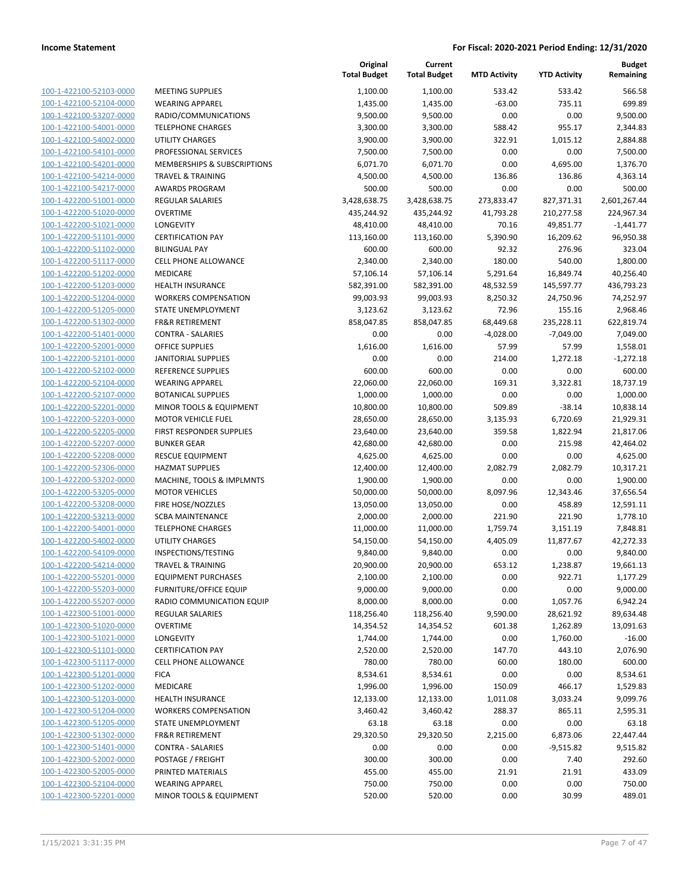|                                                    |                                            | Original<br><b>Total Budget</b> | Current<br><b>Total Budget</b> | <b>MTD Activity</b> | <b>YTD Activity</b> | <b>Budget</b><br>Remaining |
|----------------------------------------------------|--------------------------------------------|---------------------------------|--------------------------------|---------------------|---------------------|----------------------------|
| 100-1-422100-52103-0000                            | <b>MEETING SUPPLIES</b>                    | 1,100.00                        | 1,100.00                       | 533.42              | 533.42              | 566.58                     |
| 100-1-422100-52104-0000                            | <b>WEARING APPAREL</b>                     | 1,435.00                        | 1,435.00                       | $-63.00$            | 735.11              | 699.89                     |
| 100-1-422100-53207-0000                            | RADIO/COMMUNICATIONS                       | 9,500.00                        | 9,500.00                       | 0.00                | 0.00                | 9,500.00                   |
| 100-1-422100-54001-0000                            | <b>TELEPHONE CHARGES</b>                   | 3,300.00                        | 3,300.00                       | 588.42              | 955.17              | 2,344.83                   |
| 100-1-422100-54002-0000                            | <b>UTILITY CHARGES</b>                     | 3,900.00                        | 3,900.00                       | 322.91              | 1,015.12            | 2,884.88                   |
| 100-1-422100-54101-0000                            | PROFESSIONAL SERVICES                      | 7,500.00                        | 7,500.00                       | 0.00                | 0.00                | 7,500.00                   |
| 100-1-422100-54201-0000                            | MEMBERSHIPS & SUBSCRIPTIONS                | 6,071.70                        | 6,071.70                       | 0.00                | 4,695.00            | 1,376.70                   |
| 100-1-422100-54214-0000                            | <b>TRAVEL &amp; TRAINING</b>               | 4,500.00                        | 4,500.00                       | 136.86              | 136.86              | 4,363.14                   |
| 100-1-422100-54217-0000                            | <b>AWARDS PROGRAM</b>                      | 500.00                          | 500.00                         | 0.00                | 0.00                | 500.00                     |
| 100-1-422200-51001-0000                            | <b>REGULAR SALARIES</b>                    | 3,428,638.75                    | 3,428,638.75                   | 273,833.47          | 827,371.31          | 2,601,267.44               |
| 100-1-422200-51020-0000                            | <b>OVERTIME</b>                            | 435,244.92                      | 435,244.92                     | 41,793.28           | 210,277.58          | 224,967.34                 |
| 100-1-422200-51021-0000                            | LONGEVITY                                  | 48,410.00                       | 48,410.00                      | 70.16               | 49,851.77           | $-1,441.77$                |
| 100-1-422200-51101-0000                            | <b>CERTIFICATION PAY</b>                   | 113,160.00                      | 113,160.00                     | 5,390.90            | 16,209.62           | 96,950.38                  |
| 100-1-422200-51102-0000                            | <b>BILINGUAL PAY</b>                       | 600.00                          | 600.00                         | 92.32               | 276.96              | 323.04                     |
| 100-1-422200-51117-0000                            | CELL PHONE ALLOWANCE                       | 2,340.00                        | 2,340.00                       | 180.00              | 540.00              | 1,800.00                   |
| 100-1-422200-51202-0000                            | MEDICARE                                   | 57,106.14                       | 57,106.14                      | 5,291.64            | 16,849.74           | 40,256.40                  |
| 100-1-422200-51203-0000                            | <b>HEALTH INSURANCE</b>                    | 582,391.00                      | 582,391.00                     | 48,532.59           | 145,597.77          | 436,793.23                 |
| 100-1-422200-51204-0000                            | <b>WORKERS COMPENSATION</b>                | 99,003.93                       | 99,003.93                      | 8,250.32            | 24,750.96           | 74,252.97                  |
| 100-1-422200-51205-0000                            | STATE UNEMPLOYMENT                         | 3,123.62                        | 3,123.62                       | 72.96               | 155.16              | 2,968.46                   |
| 100-1-422200-51302-0000                            | <b>FR&amp;R RETIREMENT</b>                 | 858,047.85                      | 858,047.85                     | 68,449.68           | 235,228.11          | 622,819.74                 |
| 100-1-422200-51401-0000                            | <b>CONTRA - SALARIES</b>                   | 0.00                            | 0.00                           | $-4,028.00$         | $-7,049.00$         | 7,049.00                   |
| 100-1-422200-52001-0000                            | <b>OFFICE SUPPLIES</b>                     | 1,616.00                        | 1,616.00                       | 57.99               | 57.99               | 1,558.01                   |
| 100-1-422200-52101-0000                            | <b>JANITORIAL SUPPLIES</b>                 | 0.00                            | 0.00                           | 214.00              | 1,272.18            | $-1,272.18$                |
| 100-1-422200-52102-0000                            | REFERENCE SUPPLIES                         | 600.00                          | 600.00                         | 0.00                | 0.00                | 600.00                     |
| 100-1-422200-52104-0000                            | <b>WEARING APPAREL</b>                     | 22,060.00                       | 22,060.00                      | 169.31              | 3,322.81            | 18,737.19                  |
| 100-1-422200-52107-0000                            | <b>BOTANICAL SUPPLIES</b>                  | 1,000.00                        | 1,000.00                       | 0.00                | 0.00                | 1,000.00                   |
| 100-1-422200-52201-0000                            | MINOR TOOLS & EQUIPMENT                    | 10,800.00                       | 10,800.00                      | 509.89              | $-38.14$            | 10,838.14                  |
| 100-1-422200-52203-0000                            | <b>MOTOR VEHICLE FUEL</b>                  | 28,650.00                       | 28,650.00                      | 3,135.93            | 6,720.69            | 21,929.31                  |
| 100-1-422200-52205-0000                            | FIRST RESPONDER SUPPLIES                   | 23,640.00                       | 23,640.00                      | 359.58              | 1,822.94            | 21,817.06                  |
| 100-1-422200-52207-0000                            | <b>BUNKER GEAR</b>                         | 42,680.00                       | 42,680.00                      | 0.00                | 215.98              | 42,464.02                  |
| 100-1-422200-52208-0000                            | <b>RESCUE EQUIPMENT</b>                    | 4,625.00                        | 4,625.00                       | 0.00                | 0.00                | 4,625.00                   |
| 100-1-422200-52306-0000                            | <b>HAZMAT SUPPLIES</b>                     | 12,400.00                       | 12,400.00                      | 2,082.79            | 2,082.79            | 10,317.21                  |
| 100-1-422200-53202-0000                            | MACHINE, TOOLS & IMPLMNTS                  | 1,900.00                        | 1,900.00                       | 0.00                | 0.00                | 1,900.00                   |
| 100-1-422200-53205-0000                            | <b>MOTOR VEHICLES</b>                      | 50,000.00                       | 50,000.00                      | 8,097.96            | 12,343.46           | 37,656.54                  |
| 100-1-422200-53208-0000                            | FIRE HOSE/NOZZLES                          | 13,050.00                       | 13,050.00                      | 0.00                | 458.89              | 12,591.11                  |
| 100-1-422200-53213-0000                            | <b>SCBA MAINTENANCE</b>                    | 2,000.00                        | 2,000.00                       | 221.90              | 221.90              | 1,778.10                   |
| 100-1-422200-54001-0000                            | <b>TELEPHONE CHARGES</b>                   | 11,000.00                       | 11,000.00                      | 1,759.74            | 3,151.19            | 7,848.81                   |
| 100-1-422200-54002-0000                            | UTILITY CHARGES                            | 54,150.00                       | 54,150.00                      | 4,405.09            | 11,877.67           | 42,272.33                  |
| 100-1-422200-54109-0000                            | INSPECTIONS/TESTING                        | 9,840.00                        | 9,840.00                       | 0.00                | 0.00                | 9,840.00                   |
| 100-1-422200-54214-0000                            | <b>TRAVEL &amp; TRAINING</b>               | 20,900.00                       | 20,900.00                      | 653.12              | 1,238.87            | 19,661.13                  |
| 100-1-422200-55201-0000                            | <b>EQUIPMENT PURCHASES</b>                 | 2,100.00                        | 2,100.00                       | 0.00                | 922.71              | 1,177.29                   |
| 100-1-422200-55203-0000                            | <b>FURNITURE/OFFICE EQUIP</b>              | 9,000.00                        | 9,000.00                       | 0.00                | 0.00                | 9,000.00                   |
| 100-1-422200-55207-0000                            | RADIO COMMUNICATION EQUIP                  | 8,000.00                        | 8,000.00                       | 0.00                | 1,057.76            | 6,942.24                   |
| 100-1-422300-51001-0000<br>100-1-422300-51020-0000 | <b>REGULAR SALARIES</b><br><b>OVERTIME</b> | 118,256.40                      | 118,256.40<br>14,354.52        | 9,590.00            | 28,621.92           | 89,634.48                  |
| 100-1-422300-51021-0000                            | LONGEVITY                                  | 14,354.52<br>1,744.00           |                                | 601.38<br>0.00      | 1,262.89            | 13,091.63<br>$-16.00$      |
| 100-1-422300-51101-0000                            | <b>CERTIFICATION PAY</b>                   | 2,520.00                        | 1,744.00<br>2,520.00           | 147.70              | 1,760.00<br>443.10  | 2,076.90                   |
| 100-1-422300-51117-0000                            | <b>CELL PHONE ALLOWANCE</b>                | 780.00                          | 780.00                         | 60.00               | 180.00              | 600.00                     |
| 100-1-422300-51201-0000                            | <b>FICA</b>                                | 8,534.61                        | 8,534.61                       | 0.00                | 0.00                | 8,534.61                   |
| 100-1-422300-51202-0000                            | MEDICARE                                   | 1,996.00                        | 1,996.00                       | 150.09              | 466.17              | 1,529.83                   |
| 100-1-422300-51203-0000                            | <b>HEALTH INSURANCE</b>                    | 12,133.00                       | 12,133.00                      | 1,011.08            | 3,033.24            | 9,099.76                   |
| 100-1-422300-51204-0000                            | <b>WORKERS COMPENSATION</b>                | 3,460.42                        | 3,460.42                       | 288.37              | 865.11              | 2,595.31                   |
| 100-1-422300-51205-0000                            | STATE UNEMPLOYMENT                         | 63.18                           | 63.18                          | 0.00                | 0.00                | 63.18                      |
| 100-1-422300-51302-0000                            | <b>FR&amp;R RETIREMENT</b>                 | 29,320.50                       | 29,320.50                      | 2,215.00            | 6,873.06            | 22,447.44                  |
| 100-1-422300-51401-0000                            | <b>CONTRA - SALARIES</b>                   | 0.00                            | 0.00                           | 0.00                | $-9,515.82$         | 9,515.82                   |
| 100-1-422300-52002-0000                            | POSTAGE / FREIGHT                          | 300.00                          | 300.00                         | 0.00                | 7.40                | 292.60                     |
| 100-1-422300-52005-0000                            | PRINTED MATERIALS                          | 455.00                          | 455.00                         | 21.91               | 21.91               | 433.09                     |
| 100-1-422300-52104-0000                            | <b>WEARING APPAREL</b>                     | 750.00                          | 750.00                         | 0.00                | 0.00                | 750.00                     |
| 100-1-422300-52201-0000                            | MINOR TOOLS & EQUIPMENT                    | 520.00                          | 520.00                         | 0.00                | 30.99               | 489.01                     |
|                                                    |                                            |                                 |                                |                     |                     |                            |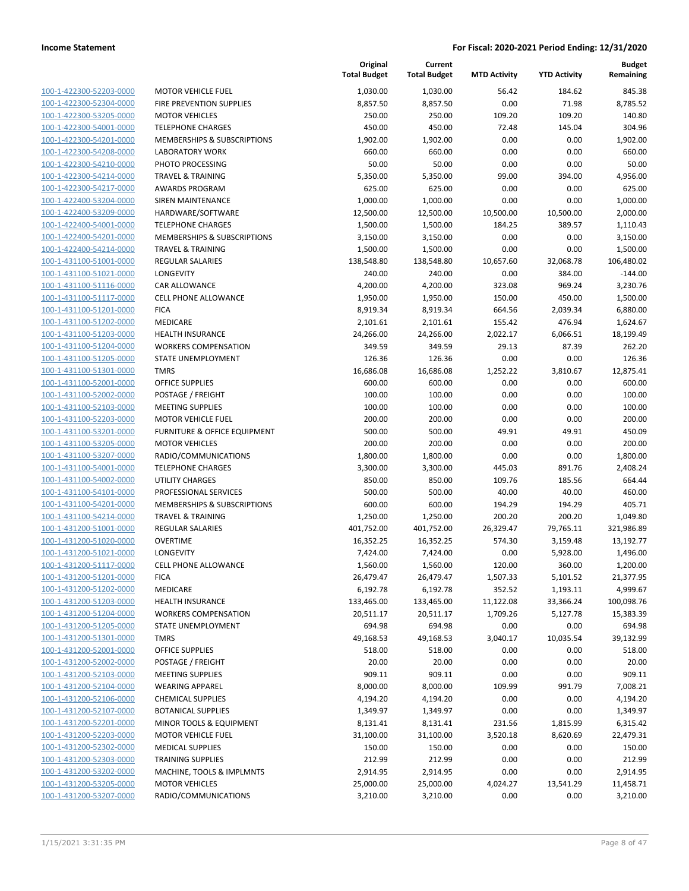| 100-1-422300-52203-0000                                          |
|------------------------------------------------------------------|
| 100-1-422300-52304-0000                                          |
| 100-1-422300-53205-0000                                          |
| 100-1-422300-54001-0000                                          |
| 100-1-422300-54201-0000                                          |
| 100-1-422300-54208-0000                                          |
| 100-1-422300-54210-0000                                          |
| 100-1-422300-54214-0000                                          |
| 100-1-422300-54217-0000                                          |
| 100-1-422400-53204-0000                                          |
| 100-1-422400-53209-0000                                          |
|                                                                  |
| 100-1-422400-54001-0000                                          |
| 100-1-422400-54201-0000                                          |
| 100-1-422400-54214-0000                                          |
| 100-1-431100-51001-0000                                          |
| 100-1-431100-51021-0000                                          |
| 100-1-431100-51116-0000                                          |
| 100-1-431100-51117-0000                                          |
| 100-1-431100-51201-0000                                          |
| 100-1-431100-51202-0000                                          |
| 100-1-431100-51203-0000                                          |
| 100-1-431100-51204-0000                                          |
| 100-1-431100-51205-0000                                          |
|                                                                  |
| 100-1-431100-51301-0000                                          |
| 100-1-431100-52001-0000                                          |
| 100-1-431100-52002-0000                                          |
| 100-1-431100-52103-0000                                          |
| 100-1-431100-52203-0000                                          |
| 100-1-431100-53201-0000                                          |
| 100-1-431100-53205-0000                                          |
| 100-1-431100-53207-0000                                          |
| 100-1-431100-54001-0000                                          |
| 100-1-431100-54002-0000                                          |
| 100-1-431100-54101-0000                                          |
| 100-1-431100-54201-0000                                          |
| 100-1-431100-54214-0000                                          |
| 100-1-431200-51001-0000                                          |
| 100-1-431200-51020-0000                                          |
| 100-1-431200-51021-0000                                          |
| 100-1-431200-51117-0000                                          |
|                                                                  |
| 100-1-431200-51201-0000                                          |
| 100-1-431200-51202-0000                                          |
| <u>100-1-431200-51203-0000</u>                                   |
| <u>100-1-431200-51204-0000</u>                                   |
| <u>100-1-431200-51205-0000</u>                                   |
| <u>100-1-431200-51301-0000</u>                                   |
| 100-1-431200-52001-0000                                          |
| 100-1-431200-52002-0000                                          |
| 100-1-431200-52103-0000                                          |
| <u>100-1-431200-52104-0000</u>                                   |
| 100-1-431200-52106-0000                                          |
| 100-1-431200-52107-0000                                          |
| 100-1-431200-52201-0000                                          |
|                                                                  |
|                                                                  |
| 100-1-431200-52203-0000                                          |
| <u>100-1-431200-52302-0000</u>                                   |
| <u>100-1-431200-52303-0000</u>                                   |
| 100-1-431200-53202-0000                                          |
| <u>100-1-431200-53205-0000</u><br><u>100-1-431200-53207-0000</u> |

|                                                    |                                          | Original<br><b>Total Budget</b> | Current<br><b>Total Budget</b> | <b>MTD Activity</b> | <b>YTD Activity</b> | <b>Budget</b><br>Remaining |
|----------------------------------------------------|------------------------------------------|---------------------------------|--------------------------------|---------------------|---------------------|----------------------------|
| 100-1-422300-52203-0000                            | <b>MOTOR VEHICLE FUEL</b>                | 1,030.00                        | 1,030.00                       | 56.42               | 184.62              | 845.38                     |
| 100-1-422300-52304-0000                            | FIRE PREVENTION SUPPLIES                 | 8,857.50                        | 8,857.50                       | 0.00                | 71.98               | 8,785.52                   |
| 100-1-422300-53205-0000                            | <b>MOTOR VEHICLES</b>                    | 250.00                          | 250.00                         | 109.20              | 109.20              | 140.80                     |
| 100-1-422300-54001-0000                            | <b>TELEPHONE CHARGES</b>                 | 450.00                          | 450.00                         | 72.48               | 145.04              | 304.96                     |
| 100-1-422300-54201-0000                            | MEMBERSHIPS & SUBSCRIPTIONS              | 1,902.00                        | 1,902.00                       | 0.00                | 0.00                | 1,902.00                   |
| 100-1-422300-54208-0000                            | <b>LABORATORY WORK</b>                   | 660.00                          | 660.00                         | 0.00                | 0.00                | 660.00                     |
| 100-1-422300-54210-0000                            | PHOTO PROCESSING                         | 50.00                           | 50.00                          | 0.00                | 0.00                | 50.00                      |
| 100-1-422300-54214-0000                            | <b>TRAVEL &amp; TRAINING</b>             | 5,350.00                        | 5,350.00                       | 99.00               | 394.00              | 4,956.00                   |
| 100-1-422300-54217-0000                            | <b>AWARDS PROGRAM</b>                    | 625.00                          | 625.00                         | 0.00                | 0.00                | 625.00                     |
| 100-1-422400-53204-0000                            | <b>SIREN MAINTENANCE</b>                 | 1,000.00                        | 1,000.00                       | 0.00                | 0.00                | 1,000.00                   |
| 100-1-422400-53209-0000                            | HARDWARE/SOFTWARE                        | 12,500.00                       | 12,500.00                      | 10,500.00           | 10,500.00           | 2,000.00                   |
| 100-1-422400-54001-0000                            | <b>TELEPHONE CHARGES</b>                 | 1,500.00                        | 1,500.00                       | 184.25              | 389.57              | 1,110.43                   |
| 100-1-422400-54201-0000                            | MEMBERSHIPS & SUBSCRIPTIONS              | 3,150.00                        | 3,150.00                       | 0.00                | 0.00                | 3,150.00                   |
| 100-1-422400-54214-0000                            | <b>TRAVEL &amp; TRAINING</b>             | 1,500.00                        | 1,500.00                       | 0.00                | 0.00                | 1,500.00                   |
| 100-1-431100-51001-0000                            | REGULAR SALARIES                         | 138,548.80                      | 138,548.80                     | 10,657.60           | 32,068.78           | 106,480.02                 |
| 100-1-431100-51021-0000                            | LONGEVITY                                | 240.00                          | 240.00                         | 0.00                | 384.00              | $-144.00$                  |
| 100-1-431100-51116-0000                            | CAR ALLOWANCE                            | 4,200.00                        | 4,200.00                       | 323.08              | 969.24              | 3,230.76                   |
| 100-1-431100-51117-0000                            | CELL PHONE ALLOWANCE                     | 1,950.00                        | 1,950.00                       | 150.00              | 450.00              | 1,500.00                   |
| 100-1-431100-51201-0000                            | <b>FICA</b>                              | 8,919.34                        | 8,919.34                       | 664.56              | 2,039.34            | 6,880.00                   |
| 100-1-431100-51202-0000                            | MEDICARE                                 | 2,101.61                        | 2,101.61                       | 155.42              | 476.94              | 1,624.67                   |
| 100-1-431100-51203-0000                            | <b>HEALTH INSURANCE</b>                  | 24,266.00                       | 24,266.00                      | 2,022.17            | 6,066.51            | 18,199.49                  |
| 100-1-431100-51204-0000                            | <b>WORKERS COMPENSATION</b>              | 349.59                          | 349.59                         | 29.13               | 87.39               | 262.20                     |
| 100-1-431100-51205-0000                            | <b>STATE UNEMPLOYMENT</b>                | 126.36                          | 126.36                         | 0.00                | 0.00                | 126.36                     |
| 100-1-431100-51301-0000                            | <b>TMRS</b>                              | 16,686.08                       | 16,686.08                      | 1,252.22            | 3,810.67            | 12,875.41                  |
| 100-1-431100-52001-0000                            | <b>OFFICE SUPPLIES</b>                   | 600.00                          | 600.00                         | 0.00                | 0.00                | 600.00                     |
| 100-1-431100-52002-0000                            | POSTAGE / FREIGHT                        | 100.00                          | 100.00                         | 0.00                | 0.00                | 100.00                     |
| 100-1-431100-52103-0000                            | <b>MEETING SUPPLIES</b>                  | 100.00                          | 100.00                         | 0.00                | 0.00                | 100.00                     |
| 100-1-431100-52203-0000                            | <b>MOTOR VEHICLE FUEL</b>                | 200.00                          | 200.00                         | 0.00                | 0.00                | 200.00                     |
| 100-1-431100-53201-0000                            | FURNITURE & OFFICE EQUIPMENT             | 500.00                          | 500.00                         | 49.91               | 49.91               | 450.09                     |
| 100-1-431100-53205-0000<br>100-1-431100-53207-0000 | <b>MOTOR VEHICLES</b>                    | 200.00                          | 200.00                         | 0.00                | 0.00                | 200.00                     |
| 100-1-431100-54001-0000                            | RADIO/COMMUNICATIONS                     | 1,800.00                        | 1,800.00                       | 0.00                | 0.00                | 1,800.00                   |
|                                                    | <b>TELEPHONE CHARGES</b>                 | 3,300.00                        | 3,300.00                       | 445.03              | 891.76              | 2,408.24                   |
| 100-1-431100-54002-0000<br>100-1-431100-54101-0000 | UTILITY CHARGES<br>PROFESSIONAL SERVICES | 850.00<br>500.00                | 850.00<br>500.00               | 109.76<br>40.00     | 185.56<br>40.00     | 664.44<br>460.00           |
| 100-1-431100-54201-0000                            | MEMBERSHIPS & SUBSCRIPTIONS              | 600.00                          | 600.00                         | 194.29              | 194.29              | 405.71                     |
| 100-1-431100-54214-0000                            | <b>TRAVEL &amp; TRAINING</b>             | 1,250.00                        | 1,250.00                       | 200.20              | 200.20              | 1,049.80                   |
| 100-1-431200-51001-0000                            | <b>REGULAR SALARIES</b>                  | 401,752.00                      | 401,752.00                     | 26,329.47           | 79,765.11           | 321,986.89                 |
| 100-1-431200-51020-0000                            | <b>OVERTIME</b>                          | 16,352.25                       | 16,352.25                      | 574.30              | 3,159.48            | 13,192.77                  |
| 100-1-431200-51021-0000                            | LONGEVITY                                | 7,424.00                        | 7,424.00                       | 0.00                | 5,928.00            | 1,496.00                   |
| 100-1-431200-51117-0000                            | CELL PHONE ALLOWANCE                     | 1,560.00                        | 1,560.00                       | 120.00              | 360.00              | 1,200.00                   |
| 100-1-431200-51201-0000                            | <b>FICA</b>                              | 26,479.47                       | 26,479.47                      | 1,507.33            | 5,101.52            | 21,377.95                  |
| 100-1-431200-51202-0000                            | <b>MEDICARE</b>                          | 6,192.78                        | 6,192.78                       | 352.52              | 1,193.11            | 4,999.67                   |
| 100-1-431200-51203-0000                            | <b>HEALTH INSURANCE</b>                  | 133,465.00                      | 133,465.00                     | 11,122.08           | 33,366.24           | 100,098.76                 |
| 100-1-431200-51204-0000                            | <b>WORKERS COMPENSATION</b>              | 20,511.17                       | 20,511.17                      | 1,709.26            | 5,127.78            | 15,383.39                  |
| 100-1-431200-51205-0000                            | <b>STATE UNEMPLOYMENT</b>                | 694.98                          | 694.98                         | 0.00                | 0.00                | 694.98                     |
| 100-1-431200-51301-0000                            | <b>TMRS</b>                              | 49,168.53                       | 49,168.53                      | 3,040.17            | 10,035.54           | 39,132.99                  |
| 100-1-431200-52001-0000                            | <b>OFFICE SUPPLIES</b>                   | 518.00                          | 518.00                         | 0.00                | 0.00                | 518.00                     |
| 100-1-431200-52002-0000                            | POSTAGE / FREIGHT                        | 20.00                           | 20.00                          | 0.00                | 0.00                | 20.00                      |
| 100-1-431200-52103-0000                            | <b>MEETING SUPPLIES</b>                  | 909.11                          | 909.11                         | 0.00                | 0.00                | 909.11                     |
| 100-1-431200-52104-0000                            | <b>WEARING APPAREL</b>                   | 8,000.00                        | 8,000.00                       | 109.99              | 991.79              | 7,008.21                   |
| 100-1-431200-52106-0000                            | <b>CHEMICAL SUPPLIES</b>                 | 4,194.20                        | 4,194.20                       | 0.00                | 0.00                | 4,194.20                   |
| 100-1-431200-52107-0000                            | <b>BOTANICAL SUPPLIES</b>                | 1,349.97                        | 1,349.97                       | 0.00                | 0.00                | 1,349.97                   |
| 100-1-431200-52201-0000                            | MINOR TOOLS & EQUIPMENT                  | 8,131.41                        | 8,131.41                       | 231.56              | 1,815.99            | 6,315.42                   |
| 100-1-431200-52203-0000                            | <b>MOTOR VEHICLE FUEL</b>                | 31,100.00                       | 31,100.00                      | 3,520.18            | 8,620.69            | 22,479.31                  |
| 100-1-431200-52302-0000                            | <b>MEDICAL SUPPLIES</b>                  | 150.00                          | 150.00                         | 0.00                | 0.00                | 150.00                     |
| 100-1-431200-52303-0000                            | <b>TRAINING SUPPLIES</b>                 | 212.99                          | 212.99                         | 0.00                | 0.00                | 212.99                     |
| 100-1-431200-53202-0000                            | MACHINE, TOOLS & IMPLMNTS                | 2,914.95                        | 2,914.95                       | 0.00                | 0.00                | 2,914.95                   |
| 100-1-431200-53205-0000                            | <b>MOTOR VEHICLES</b>                    | 25,000.00                       | 25,000.00                      | 4,024.27            | 13,541.29           | 11,458.71                  |
| 100-1-431200-53207-0000                            | RADIO/COMMUNICATIONS                     | 3,210.00                        | 3,210.00                       | 0.00                | 0.00                | 3,210.00                   |
|                                                    |                                          |                                 |                                |                     |                     |                            |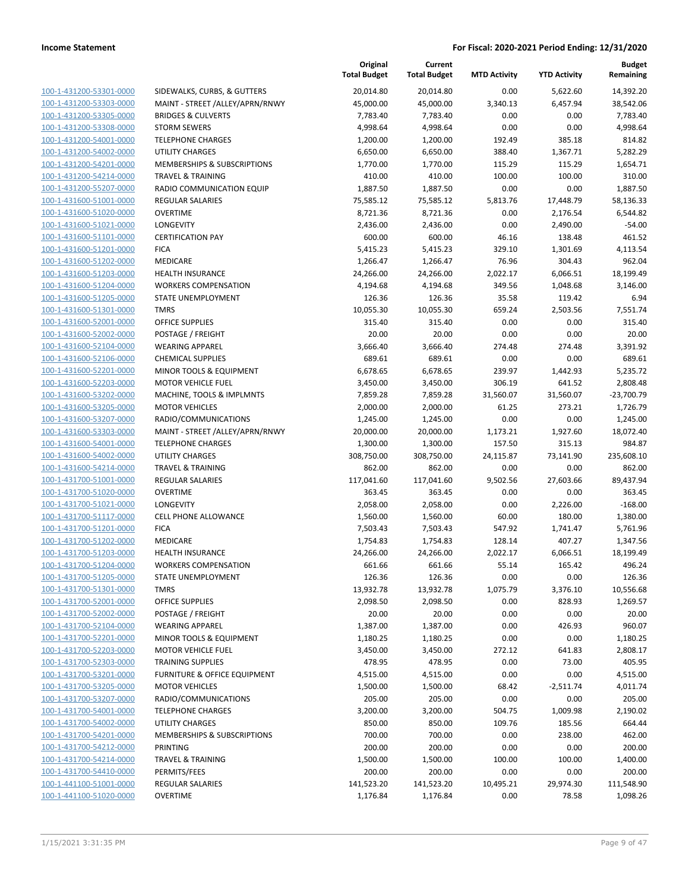| 100-1-431200-53301-0000                            | SIDEWALKS, CURBS                            |
|----------------------------------------------------|---------------------------------------------|
| 100-1-431200-53303-0000                            | MAINT - STREET / A                          |
| 100-1-431200-53305-0000                            | <b>BRIDGES &amp; CULVER</b>                 |
| 100-1-431200-53308-0000                            | <b>STORM SEWERS</b>                         |
| 100-1-431200-54001-0000                            | <b>TELEPHONE CHARG</b>                      |
| 100-1-431200-54002-0000                            | UTILITY CHARGES                             |
| 100-1-431200-54201-0000                            | <b>MEMBERSHIPS &amp; S</b>                  |
| 100-1-431200-54214-0000                            | <b>TRAVEL &amp; TRAINING</b>                |
| 100-1-431200-55207-0000                            | RADIO COMMUNIC                              |
| 100-1-431600-51001-0000                            | REGULAR SALARIES                            |
| 100-1-431600-51020-0000                            | OVERTIME                                    |
| 100-1-431600-51021-0000                            | <b>LONGEVITY</b>                            |
| 100-1-431600-51101-0000                            | <b>CERTIFICATION PAY</b>                    |
| 100-1-431600-51201-0000                            | <b>FICA</b>                                 |
| <u>100-1-431600-51202-0000</u>                     | MEDICARE                                    |
| 100-1-431600-51203-0000                            | <b>HEALTH INSURANC</b>                      |
| 100-1-431600-51204-0000                            | <b>WORKERS COMPEN</b>                       |
| 100-1-431600-51205-0000                            | <b>STATE UNEMPLOYN</b>                      |
| 100-1-431600-51301-0000                            | <b>TMRS</b>                                 |
| 100-1-431600-52001-0000                            | OFFICE SUPPLIES<br>POSTAGE / FREIGHT        |
| 100-1-431600-52002-0000<br>100-1-431600-52104-0000 | <b>WEARING APPAREL</b>                      |
| 100-1-431600-52106-0000                            | <b>CHEMICAL SUPPLIE</b>                     |
| 100-1-431600-52201-0000                            | MINOR TOOLS & EQ                            |
| <u>100-1-431600-52203-0000</u>                     | MOTOR VEHICLE FU                            |
| 100-1-431600-53202-0000                            | MACHINE, TOOLS &                            |
| 100-1-431600-53205-0000                            | <b>MOTOR VEHICLES</b>                       |
| 100-1-431600-53207-0000                            | RADIO/COMMUNIO                              |
| 100-1-431600-53303-0000                            | MAINT - STREET / A                          |
| 100-1-431600-54001-0000                            | <b>TELEPHONE CHARG</b>                      |
| 100-1-431600-54002-0000                            | UTILITY CHARGES                             |
| 100-1-431600-54214-0000                            | <b>TRAVEL &amp; TRAINING</b>                |
| 100-1-431700-51001-0000                            | <b>REGULAR SALARIES</b>                     |
| 100-1-431700-51020-0000                            | OVERTIME                                    |
| 100-1-431700-51021-0000                            | LONGEVITY                                   |
| 100-1-431700-51117-0000                            | <b>CELL PHONE ALLOV</b>                     |
| 100-1-431700-51201-0000                            | <b>FICA</b>                                 |
| 100-1-431700-51202-0000                            | MEDICARE                                    |
| 100-1-431700-51203-0000                            | <b>HEALTH INSURANC</b>                      |
| 100-1-431700-51204-0000                            | <b>WORKERS COMPEN</b>                       |
| 100-1-431700-51205-0000                            | <b>STATE UNEMPLOYM</b>                      |
| 100-1-431700-51301-0000                            | TMRS                                        |
| 100-1-431700-52001-0000                            | <b>OFFICE SUPPLIES</b>                      |
| 100-1-431700-52002-0000                            | POSTAGE / FREIGHT<br><b>WEARING APPAREL</b> |
| 100-1-431700-52104-0000<br>100-1-431700-52201-0000 | MINOR TOOLS & EQ                            |
| 100-1-431700-52203-0000                            | <b>MOTOR VEHICLE FU</b>                     |
| 100-1-431700-52303-0000                            | <b>TRAINING SUPPLIES</b>                    |
| 100-1-431700-53201-0000                            | <b>FURNITURE &amp; OFFI</b>                 |
| 100-1-431700-53205-0000                            | <b>MOTOR VEHICLES</b>                       |
| 100-1-431700-53207-0000                            | RADIO/COMMUNIO                              |
| 100-1-431700-54001-0000                            | <b>TELEPHONE CHARG</b>                      |
| 100-1-431700-54002-0000                            | <b>UTILITY CHARGES</b>                      |
| 100-1-431700-54201-0000                            | <b>MEMBERSHIPS &amp; S</b>                  |
| 100-1-431700-54212-0000                            | PRINTING                                    |
| 100-1-431700-54214-0000                            | <b>TRAVEL &amp; TRAININ</b>                 |
| 100-1-431700-54410-0000                            | PERMITS/FEES                                |
| 100-1-441100-51001-0000                            | <b>REGULAR SALARIES</b>                     |
| 100-1-441100-51020-0000                            | OVERTIME                                    |
|                                                    |                                             |

|                                                    |                                                      | Original<br><b>Total Budget</b> | Current<br><b>Total Budget</b> | <b>MTD Activity</b> | <b>YTD Activity</b> | Budget<br>Remaining  |
|----------------------------------------------------|------------------------------------------------------|---------------------------------|--------------------------------|---------------------|---------------------|----------------------|
| 100-1-431200-53301-0000                            | SIDEWALKS, CURBS, & GUTTERS                          | 20,014.80                       | 20,014.80                      | 0.00                | 5,622.60            | 14,392.20            |
| 100-1-431200-53303-0000                            | MAINT - STREET /ALLEY/APRN/RNWY                      | 45,000.00                       | 45,000.00                      | 3,340.13            | 6,457.94            | 38,542.06            |
| 100-1-431200-53305-0000                            | <b>BRIDGES &amp; CULVERTS</b>                        | 7,783.40                        | 7,783.40                       | 0.00                | 0.00                | 7,783.40             |
| 100-1-431200-53308-0000                            | <b>STORM SEWERS</b>                                  | 4,998.64                        | 4,998.64                       | 0.00                | 0.00                | 4,998.64             |
| 100-1-431200-54001-0000                            | <b>TELEPHONE CHARGES</b>                             | 1,200.00                        | 1,200.00                       | 192.49              | 385.18              | 814.82               |
| 100-1-431200-54002-0000                            | <b>UTILITY CHARGES</b>                               | 6,650.00                        | 6,650.00                       | 388.40              | 1,367.71            | 5,282.29             |
| 100-1-431200-54201-0000                            | MEMBERSHIPS & SUBSCRIPTIONS                          | 1,770.00                        | 1,770.00                       | 115.29              | 115.29              | 1,654.71             |
| 100-1-431200-54214-0000                            | <b>TRAVEL &amp; TRAINING</b>                         | 410.00                          | 410.00                         | 100.00              | 100.00              | 310.00               |
| 100-1-431200-55207-0000                            | RADIO COMMUNICATION EQUIP                            | 1,887.50                        | 1,887.50                       | 0.00                | 0.00                | 1,887.50             |
| 100-1-431600-51001-0000                            | <b>REGULAR SALARIES</b>                              | 75,585.12                       | 75,585.12                      | 5,813.76            | 17,448.79           | 58,136.33            |
| 100-1-431600-51020-0000                            | <b>OVERTIME</b>                                      | 8,721.36                        | 8,721.36                       | 0.00                | 2,176.54            | 6,544.82             |
| 100-1-431600-51021-0000                            | LONGEVITY                                            | 2,436.00                        | 2,436.00                       | 0.00                | 2,490.00            | $-54.00$             |
| 100-1-431600-51101-0000                            | <b>CERTIFICATION PAY</b>                             | 600.00                          | 600.00                         | 46.16               | 138.48              | 461.52               |
| 100-1-431600-51201-0000                            | <b>FICA</b>                                          | 5,415.23                        | 5,415.23                       | 329.10              | 1,301.69            | 4,113.54             |
| 100-1-431600-51202-0000                            | MEDICARE                                             | 1,266.47                        | 1,266.47                       | 76.96               | 304.43              | 962.04               |
| 100-1-431600-51203-0000                            | <b>HEALTH INSURANCE</b>                              | 24,266.00                       | 24,266.00                      | 2,022.17            | 6,066.51            | 18,199.49            |
| 100-1-431600-51204-0000                            | <b>WORKERS COMPENSATION</b>                          | 4,194.68                        | 4,194.68                       | 349.56              | 1,048.68            | 3,146.00             |
| 100-1-431600-51205-0000                            | STATE UNEMPLOYMENT                                   | 126.36                          | 126.36                         | 35.58               | 119.42              | 6.94                 |
| 100-1-431600-51301-0000                            | <b>TMRS</b>                                          | 10,055.30                       | 10,055.30                      | 659.24              | 2,503.56            | 7,551.74             |
| 100-1-431600-52001-0000                            | <b>OFFICE SUPPLIES</b>                               | 315.40                          | 315.40                         | 0.00                | 0.00                | 315.40               |
| 100-1-431600-52002-0000                            | POSTAGE / FREIGHT                                    | 20.00                           | 20.00                          | 0.00                | 0.00                | 20.00                |
| 100-1-431600-52104-0000                            | <b>WEARING APPAREL</b>                               | 3,666.40                        | 3,666.40                       | 274.48              | 274.48              | 3,391.92             |
| 100-1-431600-52106-0000                            | <b>CHEMICAL SUPPLIES</b>                             | 689.61                          | 689.61                         | 0.00                | 0.00                | 689.61               |
| 100-1-431600-52201-0000<br>100-1-431600-52203-0000 | MINOR TOOLS & EQUIPMENT<br><b>MOTOR VEHICLE FUEL</b> | 6,678.65<br>3,450.00            | 6,678.65<br>3,450.00           | 239.97<br>306.19    | 1,442.93<br>641.52  | 5,235.72<br>2,808.48 |
| 100-1-431600-53202-0000                            | MACHINE, TOOLS & IMPLMNTS                            | 7,859.28                        | 7,859.28                       | 31,560.07           | 31,560.07           | $-23,700.79$         |
| 100-1-431600-53205-0000                            | <b>MOTOR VEHICLES</b>                                | 2,000.00                        | 2,000.00                       | 61.25               | 273.21              | 1,726.79             |
| 100-1-431600-53207-0000                            | RADIO/COMMUNICATIONS                                 | 1,245.00                        | 1,245.00                       | 0.00                | 0.00                | 1,245.00             |
| 100-1-431600-53303-0000                            | MAINT - STREET /ALLEY/APRN/RNWY                      | 20,000.00                       | 20,000.00                      | 1,173.21            | 1,927.60            | 18,072.40            |
| 100-1-431600-54001-0000                            | <b>TELEPHONE CHARGES</b>                             | 1,300.00                        | 1,300.00                       | 157.50              | 315.13              | 984.87               |
| 100-1-431600-54002-0000                            | <b>UTILITY CHARGES</b>                               | 308,750.00                      | 308,750.00                     | 24,115.87           | 73,141.90           | 235,608.10           |
| 100-1-431600-54214-0000                            | <b>TRAVEL &amp; TRAINING</b>                         | 862.00                          | 862.00                         | 0.00                | 0.00                | 862.00               |
| 100-1-431700-51001-0000                            | <b>REGULAR SALARIES</b>                              | 117,041.60                      | 117,041.60                     | 9,502.56            | 27,603.66           | 89,437.94            |
| 100-1-431700-51020-0000                            | <b>OVERTIME</b>                                      | 363.45                          | 363.45                         | 0.00                | 0.00                | 363.45               |
| 100-1-431700-51021-0000                            | LONGEVITY                                            | 2,058.00                        | 2,058.00                       | 0.00                | 2,226.00            | $-168.00$            |
| 100-1-431700-51117-0000                            | <b>CELL PHONE ALLOWANCE</b>                          | 1,560.00                        | 1,560.00                       | 60.00               | 180.00              | 1,380.00             |
| 100-1-431700-51201-0000                            | <b>FICA</b>                                          | 7,503.43                        | 7,503.43                       | 547.92              | 1,741.47            | 5,761.96             |
| 100-1-431700-51202-0000                            | MEDICARE                                             | 1,754.83                        | 1,754.83                       | 128.14              | 407.27              | 1,347.56             |
| 100-1-431700-51203-0000                            | <b>HEALTH INSURANCE</b>                              | 24,266.00                       | 24,266.00                      | 2,022.17            | 6,066.51            | 18,199.49            |
| 100-1-431700-51204-0000                            | <b>WORKERS COMPENSATION</b>                          | 661.66                          | 661.66                         | 55.14               | 165.42              | 496.24               |
| 100-1-431700-51205-0000                            | STATE UNEMPLOYMENT                                   | 126.36                          | 126.36                         | 0.00                | 0.00                | 126.36               |
| 100-1-431700-51301-0000                            | <b>TMRS</b>                                          | 13,932.78                       | 13,932.78                      | 1,075.79            | 3,376.10            | 10,556.68            |
| 100-1-431700-52001-0000                            | <b>OFFICE SUPPLIES</b>                               | 2,098.50                        | 2,098.50                       | 0.00                | 828.93              | 1,269.57             |
| 100-1-431700-52002-0000                            | POSTAGE / FREIGHT                                    | 20.00                           | 20.00                          | 0.00                | 0.00                | 20.00                |
| 100-1-431700-52104-0000                            | <b>WEARING APPAREL</b>                               | 1,387.00                        | 1,387.00                       | 0.00                | 426.93              | 960.07               |
| 100-1-431700-52201-0000                            | MINOR TOOLS & EQUIPMENT                              | 1,180.25                        | 1,180.25                       | 0.00                | 0.00                | 1,180.25             |
| 100-1-431700-52203-0000                            | <b>MOTOR VEHICLE FUEL</b>                            | 3,450.00                        | 3,450.00                       | 272.12              | 641.83              | 2,808.17             |
| 100-1-431700-52303-0000                            | <b>TRAINING SUPPLIES</b>                             | 478.95                          | 478.95                         | 0.00                | 73.00               | 405.95               |
| 100-1-431700-53201-0000                            | <b>FURNITURE &amp; OFFICE EQUIPMENT</b>              | 4,515.00                        | 4,515.00                       | 0.00                | 0.00                | 4,515.00             |
| 100-1-431700-53205-0000                            | <b>MOTOR VEHICLES</b>                                | 1,500.00                        | 1,500.00                       | 68.42               | $-2,511.74$         | 4,011.74             |
| 100-1-431700-53207-0000                            | RADIO/COMMUNICATIONS                                 | 205.00                          | 205.00                         | 0.00                | 0.00                | 205.00               |
| 100-1-431700-54001-0000                            | <b>TELEPHONE CHARGES</b>                             | 3,200.00                        | 3,200.00                       | 504.75              | 1,009.98            | 2,190.02             |
| 100-1-431700-54002-0000                            | <b>UTILITY CHARGES</b>                               | 850.00                          | 850.00                         | 109.76              | 185.56              | 664.44               |
| 100-1-431700-54201-0000                            | MEMBERSHIPS & SUBSCRIPTIONS                          | 700.00                          | 700.00                         | 0.00                | 238.00              | 462.00               |
| 100-1-431700-54212-0000                            | <b>PRINTING</b>                                      | 200.00                          | 200.00                         | 0.00                | 0.00                | 200.00               |
| 100-1-431700-54214-0000                            | <b>TRAVEL &amp; TRAINING</b>                         | 1,500.00                        | 1,500.00                       | 100.00              | 100.00              | 1,400.00             |
| 100-1-431700-54410-0000                            | PERMITS/FEES                                         | 200.00                          | 200.00                         | 0.00                | 0.00                | 200.00               |
| 100-1-441100-51001-0000                            | REGULAR SALARIES                                     | 141,523.20                      | 141,523.20                     | 10,495.21           | 29,974.30           | 111,548.90           |
| 100-1-441100-51020-0000                            | <b>OVERTIME</b>                                      | 1,176.84                        | 1,176.84                       | 0.00                | 78.58               | 1,098.26             |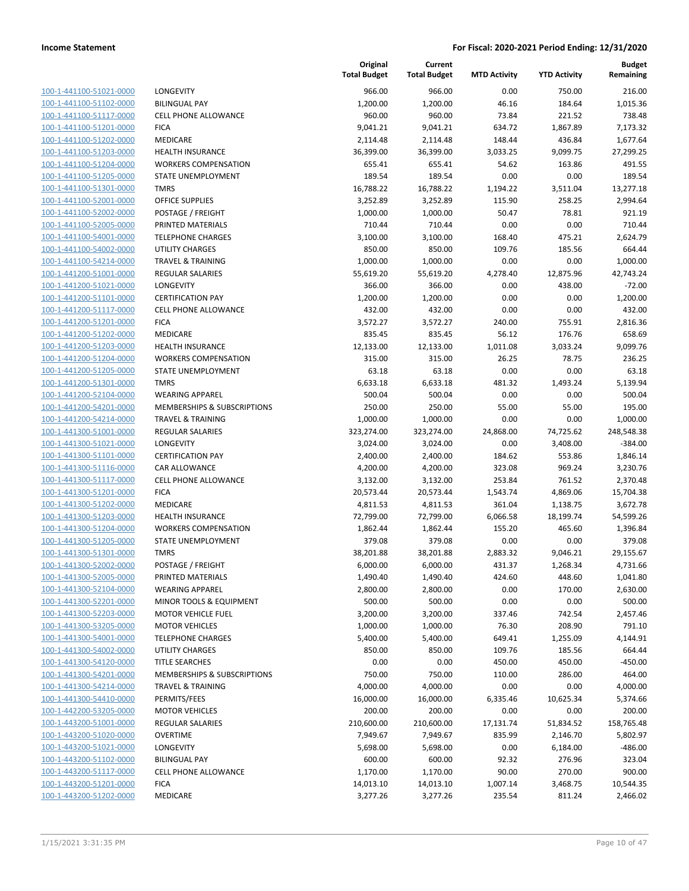| 100-1-441100-51021-0000        |
|--------------------------------|
| 100-1-441100-51102-0000        |
| 100-1-441100-51117-0000        |
| 100-1-441100-51201-0000        |
| 100-1-441100-51202-0000        |
| <u>100-1-441100-51203-0000</u> |
| 100-1-441100-51204-0000        |
| 100-1-441100-51205-0000        |
| 100-1-441100-51301-0000        |
| 100-1-441100-52001-0000        |
| 100-1-441100-52002-0000        |
| 100-1-441100-52005-0000        |
| 100-1-441100-54001-0000        |
| 100-1-441100-54002-0000        |
| 100-1-441100-54214-0000        |
| 100-1-441200-51001-0000        |
| 100-1-441200-51021-0000        |
| 100-1-441200-51101-0000        |
| 100-1-441200-51117-0000        |
| 100-1-441200-51201-0000        |
|                                |
| 100-1-441200-51202-0000        |
| 100-1-441200-51203-0000        |
| 100-1-441200-51204-0000        |
| 100-1-441200-51205-0000        |
| 100-1-441200-51301-0000        |
| 100-1-441200-52104-0000        |
| 100-1-441200-54201-0000        |
| 100-1-441200-54214-0000        |
| 100-1-441300-51001-0000        |
| 100-1-441300-51021-0000        |
| 100-1-441300-51101-0000        |
| 100-1-441300-51116-0000        |
| 100-1-441300-51117-0000        |
| 100-1-441300-51201-0000        |
| <u>100-1-441300-51202-0000</u> |
| <u>100-1-441300-51203-0000</u> |
| 100-1-441300-51204-0000        |
| 100-1-441300-51205-0000        |
| 100-1-441300-51301-0000        |
| 100-1-441300-52002-0000        |
| 100-1-441300-52005-0000        |
| <u>100-1-441300-52104-0000</u> |
| <u>100-1-441300-52201-0000</u> |
| 100-1-441300-52203-0000        |
| 100-1-441300-53205-0000        |
| <u>100-1-441300-54001-0000</u> |
|                                |
| <u>100-1-441300-54002-0000</u> |
| 100-1-441300-54120-0000        |
| 100-1-441300-54201-0000        |
| 100-1-441300-54214-0000        |
| <u>100-1-441300-54410-0000</u> |
| <u>100-1-442200-53205-0000</u> |
| <u>100-1-443200-51001-0000</u> |
| 100-1-443200-51020-0000        |
| <u>100-1-443200-51021-0000</u> |
| <u>100-1-443200-51102-0000</u> |
| <u>100-1-443200-51117-0000</u> |
| <u>100-1-443200-51201-0000</u> |
| 100-1-443200-51202-0000        |
|                                |

|                                                    |                                      | Original<br><b>Total Budget</b> | Current<br><b>Total Budget</b> | <b>MTD Activity</b> | <b>YTD Activity</b> | <b>Budget</b><br>Remaining |
|----------------------------------------------------|--------------------------------------|---------------------------------|--------------------------------|---------------------|---------------------|----------------------------|
| 100-1-441100-51021-0000                            | LONGEVITY                            | 966.00                          | 966.00                         | 0.00                | 750.00              | 216.00                     |
| 100-1-441100-51102-0000                            | <b>BILINGUAL PAY</b>                 | 1,200.00                        | 1,200.00                       | 46.16               | 184.64              | 1,015.36                   |
| 100-1-441100-51117-0000                            | <b>CELL PHONE ALLOWANCE</b>          | 960.00                          | 960.00                         | 73.84               | 221.52              | 738.48                     |
| 100-1-441100-51201-0000                            | <b>FICA</b>                          | 9,041.21                        | 9,041.21                       | 634.72              | 1,867.89            | 7,173.32                   |
| 100-1-441100-51202-0000                            | <b>MEDICARE</b>                      | 2,114.48                        | 2,114.48                       | 148.44              | 436.84              | 1,677.64                   |
| 100-1-441100-51203-0000                            | <b>HEALTH INSURANCE</b>              | 36,399.00                       | 36,399.00                      | 3,033.25            | 9,099.75            | 27,299.25                  |
| 100-1-441100-51204-0000                            | <b>WORKERS COMPENSATION</b>          | 655.41                          | 655.41                         | 54.62               | 163.86              | 491.55                     |
| 100-1-441100-51205-0000                            | <b>STATE UNEMPLOYMENT</b>            | 189.54                          | 189.54                         | 0.00                | 0.00                | 189.54                     |
| 100-1-441100-51301-0000                            | <b>TMRS</b>                          | 16,788.22                       | 16,788.22                      | 1,194.22            | 3,511.04            | 13,277.18                  |
| 100-1-441100-52001-0000                            | <b>OFFICE SUPPLIES</b>               | 3,252.89                        | 3,252.89                       | 115.90              | 258.25              | 2,994.64                   |
| 100-1-441100-52002-0000                            | POSTAGE / FREIGHT                    | 1,000.00                        | 1,000.00                       | 50.47               | 78.81               | 921.19                     |
| 100-1-441100-52005-0000                            | PRINTED MATERIALS                    | 710.44                          | 710.44                         | 0.00                | 0.00                | 710.44                     |
| 100-1-441100-54001-0000                            | <b>TELEPHONE CHARGES</b>             | 3,100.00                        | 3,100.00                       | 168.40              | 475.21              | 2,624.79                   |
| 100-1-441100-54002-0000                            | <b>UTILITY CHARGES</b>               | 850.00                          | 850.00                         | 109.76              | 185.56              | 664.44                     |
| 100-1-441100-54214-0000                            | <b>TRAVEL &amp; TRAINING</b>         | 1,000.00                        | 1,000.00                       | 0.00                | 0.00                | 1,000.00                   |
| 100-1-441200-51001-0000                            | REGULAR SALARIES                     | 55,619.20                       | 55,619.20                      | 4,278.40            | 12,875.96           | 42,743.24                  |
| 100-1-441200-51021-0000                            | <b>LONGEVITY</b>                     | 366.00                          | 366.00                         | 0.00                | 438.00              | $-72.00$                   |
| 100-1-441200-51101-0000                            | <b>CERTIFICATION PAY</b>             | 1,200.00                        | 1,200.00                       | 0.00                | 0.00                | 1,200.00                   |
| 100-1-441200-51117-0000                            | <b>CELL PHONE ALLOWANCE</b>          | 432.00                          | 432.00                         | 0.00                | 0.00                | 432.00                     |
| 100-1-441200-51201-0000                            | <b>FICA</b>                          | 3,572.27                        | 3,572.27                       | 240.00              | 755.91              | 2,816.36                   |
| 100-1-441200-51202-0000                            | <b>MEDICARE</b>                      | 835.45                          | 835.45                         | 56.12               | 176.76              | 658.69                     |
| 100-1-441200-51203-0000                            | <b>HEALTH INSURANCE</b>              | 12,133.00                       | 12,133.00                      | 1,011.08            | 3,033.24            | 9,099.76                   |
| 100-1-441200-51204-0000                            | <b>WORKERS COMPENSATION</b>          | 315.00                          | 315.00                         | 26.25               | 78.75               | 236.25                     |
| 100-1-441200-51205-0000                            | STATE UNEMPLOYMENT                   | 63.18                           | 63.18                          | 0.00                | 0.00                | 63.18                      |
| 100-1-441200-51301-0000                            | <b>TMRS</b>                          | 6,633.18                        | 6,633.18                       | 481.32              | 1,493.24            | 5,139.94                   |
| 100-1-441200-52104-0000                            | <b>WEARING APPAREL</b>               | 500.04                          | 500.04                         | 0.00                | 0.00                | 500.04                     |
| 100-1-441200-54201-0000                            | MEMBERSHIPS & SUBSCRIPTIONS          | 250.00                          | 250.00                         | 55.00               | 55.00               | 195.00                     |
| 100-1-441200-54214-0000                            | <b>TRAVEL &amp; TRAINING</b>         | 1,000.00                        | 1,000.00                       | 0.00                | 0.00                | 1,000.00                   |
| 100-1-441300-51001-0000<br>100-1-441300-51021-0000 | <b>REGULAR SALARIES</b><br>LONGEVITY | 323,274.00                      | 323,274.00                     | 24,868.00           | 74,725.62           | 248,548.38                 |
|                                                    | <b>CERTIFICATION PAY</b>             | 3,024.00                        | 3,024.00                       | 0.00<br>184.62      | 3,408.00            | $-384.00$                  |
| 100-1-441300-51101-0000<br>100-1-441300-51116-0000 | CAR ALLOWANCE                        | 2,400.00<br>4,200.00            | 2,400.00<br>4,200.00           | 323.08              | 553.86<br>969.24    | 1,846.14<br>3,230.76       |
| 100-1-441300-51117-0000                            | <b>CELL PHONE ALLOWANCE</b>          | 3,132.00                        | 3,132.00                       | 253.84              | 761.52              | 2,370.48                   |
| 100-1-441300-51201-0000                            | <b>FICA</b>                          | 20,573.44                       | 20,573.44                      | 1,543.74            | 4,869.06            | 15,704.38                  |
| 100-1-441300-51202-0000                            | <b>MEDICARE</b>                      | 4,811.53                        | 4,811.53                       | 361.04              | 1,138.75            | 3,672.78                   |
| 100-1-441300-51203-0000                            | <b>HEALTH INSURANCE</b>              | 72,799.00                       | 72,799.00                      | 6,066.58            | 18,199.74           | 54,599.26                  |
| 100-1-441300-51204-0000                            | <b>WORKERS COMPENSATION</b>          | 1,862.44                        | 1,862.44                       | 155.20              | 465.60              | 1,396.84                   |
| 100-1-441300-51205-0000                            | STATE UNEMPLOYMENT                   | 379.08                          | 379.08                         | 0.00                | 0.00                | 379.08                     |
| 100-1-441300-51301-0000                            | <b>TMRS</b>                          | 38,201.88                       | 38,201.88                      | 2,883.32            | 9,046.21            | 29,155.67                  |
| 100-1-441300-52002-0000                            | POSTAGE / FREIGHT                    | 6,000.00                        | 6,000.00                       | 431.37              | 1,268.34            | 4,731.66                   |
| 100-1-441300-52005-0000                            | PRINTED MATERIALS                    | 1,490.40                        | 1,490.40                       | 424.60              | 448.60              | 1,041.80                   |
| 100-1-441300-52104-0000                            | <b>WEARING APPAREL</b>               | 2,800.00                        | 2,800.00                       | 0.00                | 170.00              | 2,630.00                   |
| 100-1-441300-52201-0000                            | <b>MINOR TOOLS &amp; EQUIPMENT</b>   | 500.00                          | 500.00                         | 0.00                | 0.00                | 500.00                     |
| 100-1-441300-52203-0000                            | <b>MOTOR VEHICLE FUEL</b>            | 3,200.00                        | 3,200.00                       | 337.46              | 742.54              | 2,457.46                   |
| 100-1-441300-53205-0000                            | <b>MOTOR VEHICLES</b>                | 1,000.00                        | 1,000.00                       | 76.30               | 208.90              | 791.10                     |
| 100-1-441300-54001-0000                            | <b>TELEPHONE CHARGES</b>             | 5,400.00                        | 5,400.00                       | 649.41              | 1,255.09            | 4,144.91                   |
| 100-1-441300-54002-0000                            | <b>UTILITY CHARGES</b>               | 850.00                          | 850.00                         | 109.76              | 185.56              | 664.44                     |
| 100-1-441300-54120-0000                            | <b>TITLE SEARCHES</b>                | 0.00                            | 0.00                           | 450.00              | 450.00              | -450.00                    |
| 100-1-441300-54201-0000                            | MEMBERSHIPS & SUBSCRIPTIONS          | 750.00                          | 750.00                         | 110.00              | 286.00              | 464.00                     |
| 100-1-441300-54214-0000                            | <b>TRAVEL &amp; TRAINING</b>         | 4,000.00                        | 4,000.00                       | 0.00                | 0.00                | 4,000.00                   |
| 100-1-441300-54410-0000                            | PERMITS/FEES                         | 16,000.00                       | 16,000.00                      | 6,335.46            | 10,625.34           | 5,374.66                   |
| 100-1-442200-53205-0000                            | <b>MOTOR VEHICLES</b>                | 200.00                          | 200.00                         | 0.00                | 0.00                | 200.00                     |
| 100-1-443200-51001-0000                            | <b>REGULAR SALARIES</b>              | 210,600.00                      | 210,600.00                     | 17,131.74           | 51,834.52           | 158,765.48                 |
| 100-1-443200-51020-0000                            | <b>OVERTIME</b>                      | 7,949.67                        | 7,949.67                       | 835.99              | 2,146.70            | 5,802.97                   |
| 100-1-443200-51021-0000                            | LONGEVITY                            | 5,698.00                        | 5,698.00                       | 0.00                | 6,184.00            | $-486.00$                  |
| 100-1-443200-51102-0000                            | <b>BILINGUAL PAY</b>                 | 600.00                          | 600.00                         | 92.32               | 276.96              | 323.04                     |
| 100-1-443200-51117-0000                            | CELL PHONE ALLOWANCE                 | 1,170.00                        | 1,170.00                       | 90.00               | 270.00              | 900.00                     |
| 100-1-443200-51201-0000                            | <b>FICA</b>                          | 14,013.10                       | 14,013.10                      | 1,007.14            | 3,468.75            | 10,544.35                  |
| 100-1-443200-51202-0000                            | MEDICARE                             | 3,277.26                        | 3,277.26                       | 235.54              | 811.24              | 2,466.02                   |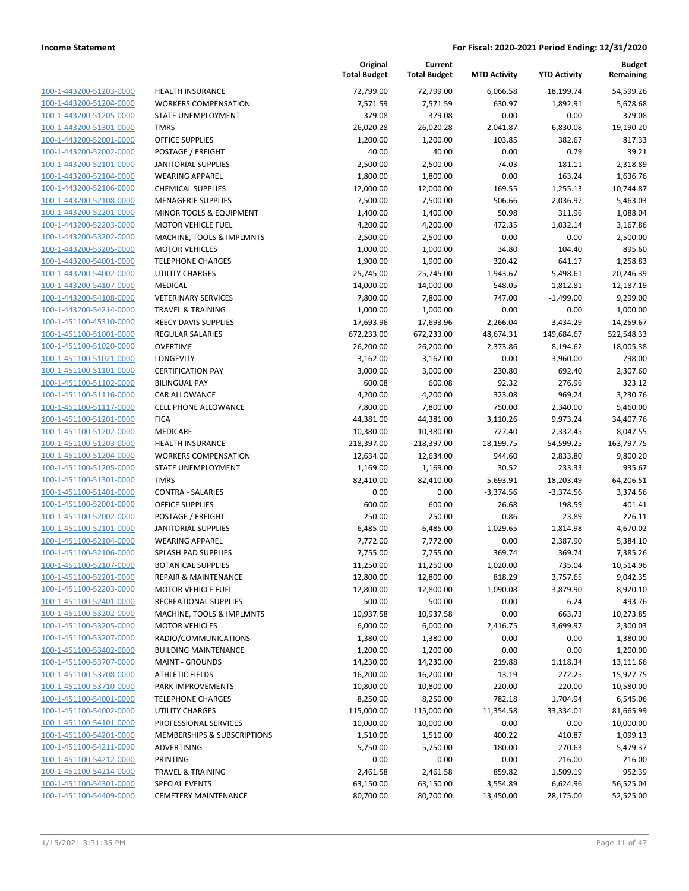| 100-1-443200-51203-0000        |
|--------------------------------|
| 100-1-443200-51204-0000        |
| 100-1-443200-51205-0000        |
| 100-1-443200-51301-0000        |
| 100-1-443200-52001-0000        |
| 100-1-443200-52002-0000        |
| 100-1-443200-52101-0000        |
| 100-1-443200-52104-0000        |
| 100-1-443200-52106-0000        |
| 100-1-443200-52108-0000        |
|                                |
| 100-1-443200-52201-0000        |
| 100-1-443200-52203-0000        |
| 100-1-443200-53202-0000        |
| 100-1-443200-53205-0000        |
| 100-1-443200-54001-0000        |
| 100-1-443200-54002-0000        |
| 100-1-443200-54107-0000        |
| 100-1-443200-54108-0000        |
| 100-1-443200-54214-0000        |
| 100-1-451100-45310-0000        |
| 100-1-451100-51001-0000        |
| 100-1-451100-51020-0000        |
| 100-1-451100-51021-0000        |
|                                |
| 100-1-451100-51101-0000        |
| 100-1-451100-51102-0000        |
| 100-1-451100-51116-0000        |
| 100-1-451100-51117-0000        |
| 100-1-451100-51201-0000        |
| 100-1-451100-51202-0000        |
| 100-1-451100-51203-0000        |
| 100-1-451100-51204-0000        |
| 100-1-451100-51205-0000        |
| 100-1-451100-51301-0000        |
| 100-1-451100-51401-0000        |
| 100-1-451100-52001-0000        |
| 100-1-451100-52002-0000        |
| 100-1-451100-52101-0000        |
| 100-1-451100-52104-0000        |
| 100-1-451100-52106-0000        |
| 100-1-451100-52107-0000        |
| 100-1-451100-52201-0000        |
|                                |
| 100-1-451100-52203-0000        |
| 100-1-451100-52401-0000        |
| <u>100-1-451100-53202-0000</u> |
| 100-1-451100-53205-0000        |
| 100-1-451100-53207-0000        |
| 100-1-451100-53402-0000        |
| 100-1-451100-53707-0000        |
| <u>100-1-451100-53708-0000</u> |
| 100-1-451100-53710-0000        |
| 100-1-451100-54001-0000        |
| 100-1-451100-54002-0000        |
| 100-1-451100-54101-0000        |
| <u>100-1-451100-54201-0000</u> |
|                                |
| 100-1-451100-54211-0000        |
| 100-1-451100-54212-0000        |
| 100-1-451100-54214-0000        |
| <u>100-1-451100-54301-0000</u> |
| <u>100-1-451100-54409-0000</u> |

| <b>HEALTH INSURANCE</b>                                |
|--------------------------------------------------------|
| <b>WORKERS COMPENSATION</b>                            |
| STATE UNEMPLOYMENT                                     |
| <b>TMRS</b>                                            |
| OFFICE SUPPLIES                                        |
| POSTAGE / FREIGHT                                      |
| <b>JANITORIAL SUPPLIES</b>                             |
| <b>WEARING APPAREL</b>                                 |
| <b>CHEMICAL SUPPLIES</b>                               |
| <b>MENAGERIE SUPPLIES</b>                              |
| <b>MINOR TOOLS &amp; EQUIPMENT</b>                     |
| <b>MOTOR VEHICLE FUEL</b>                              |
| MACHINE, TOOLS & IMPLMNTS                              |
| <b>MOTOR VEHICLES</b>                                  |
| <b>TELEPHONE CHARGES</b>                               |
| <b>UTILITY CHARGES</b>                                 |
| MEDICAL                                                |
| <b>VETERINARY SERVICES</b>                             |
| <b>TRAVEL &amp; TRAINING</b>                           |
| <b>REECY DAVIS SUPPLIES</b>                            |
| <b>REGULAR SALARIES</b>                                |
| OVERTIME                                               |
| <b>LONGEVITY</b>                                       |
| <b>CERTIFICATION PAY</b>                               |
| <b>BILINGUAL PAY</b>                                   |
| <b>CAR ALLOWANCE</b>                                   |
| <b>CELL PHONE ALLOWANCE</b>                            |
| <b>FICA</b>                                            |
|                                                        |
| MEDICARE                                               |
| <b>HEALTH INSURANCE</b><br><b>WORKERS COMPENSATION</b> |
|                                                        |
| STATE UNEMPLOYMENT                                     |
| <b>TMRS</b>                                            |
| <b>CONTRA - SALARIES</b>                               |
| OFFICE SUPPLIES                                        |
| POSTAGE / FREIGHT                                      |
| <b>JANITORIAL SUPPLIES</b>                             |
| <b>WEARING APPAREL</b>                                 |
| <b>SPLASH PAD SUPPLIES</b>                             |
| <b>BOTANICAL SUPPLIES</b>                              |
| <b>REPAIR &amp; MAINTENANCE</b>                        |
| <b>MOTOR VEHICLE FUEL</b>                              |
| RECREATIONAL SUPPLIES                                  |
| MACHINE, TOOLS & IMPLMNTS                              |
| <b>MOTOR VEHICLES</b>                                  |
| RADIO/COMMUNICATIONS                                   |
| <b>BUILDING MAINTENANCE</b>                            |
| <b>MAINT - GROUNDS</b>                                 |
| <b>ATHLETIC FIELDS</b>                                 |
| <b>PARK IMPROVEMENTS</b>                               |
| <b>TELEPHONE CHARGES</b>                               |
| UTILITY CHARGES                                        |
| PROFESSIONAL SERVICES                                  |
| <b>MEMBERSHIPS &amp; SUBSCRIPTIONS</b>                 |
| <b>ADVERTISING</b>                                     |
| PRINTING                                               |
| <b>TRAVEL &amp; TRAINING</b>                           |
| <b>SPECIAL EVENTS</b>                                  |
| <b>CEMETERY MAINTENANCE</b>                            |

|                         |                                 | Original<br><b>Total Budget</b> | Current<br><b>Total Budget</b> | <b>MTD Activity</b> | <b>YTD Activity</b> | <b>Budget</b><br>Remaining |
|-------------------------|---------------------------------|---------------------------------|--------------------------------|---------------------|---------------------|----------------------------|
| 100-1-443200-51203-0000 | <b>HEALTH INSURANCE</b>         | 72,799.00                       | 72,799.00                      | 6,066.58            | 18,199.74           | 54,599.26                  |
| 100-1-443200-51204-0000 | <b>WORKERS COMPENSATION</b>     | 7,571.59                        | 7,571.59                       | 630.97              | 1,892.91            | 5,678.68                   |
| 100-1-443200-51205-0000 | STATE UNEMPLOYMENT              | 379.08                          | 379.08                         | 0.00                | 0.00                | 379.08                     |
| 100-1-443200-51301-0000 | <b>TMRS</b>                     | 26,020.28                       | 26,020.28                      | 2,041.87            | 6,830.08            | 19,190.20                  |
| 100-1-443200-52001-0000 | <b>OFFICE SUPPLIES</b>          | 1,200.00                        | 1,200.00                       | 103.85              | 382.67              | 817.33                     |
| 100-1-443200-52002-0000 | POSTAGE / FREIGHT               | 40.00                           | 40.00                          | 0.00                | 0.79                | 39.21                      |
| 100-1-443200-52101-0000 | <b>JANITORIAL SUPPLIES</b>      | 2,500.00                        | 2,500.00                       | 74.03               | 181.11              | 2,318.89                   |
| 100-1-443200-52104-0000 | <b>WEARING APPAREL</b>          | 1,800.00                        | 1,800.00                       | 0.00                | 163.24              | 1,636.76                   |
| 100-1-443200-52106-0000 | <b>CHEMICAL SUPPLIES</b>        | 12,000.00                       | 12,000.00                      | 169.55              | 1,255.13            | 10,744.87                  |
| 100-1-443200-52108-0000 | <b>MENAGERIE SUPPLIES</b>       | 7,500.00                        | 7,500.00                       | 506.66              | 2,036.97            | 5,463.03                   |
| 100-1-443200-52201-0000 | MINOR TOOLS & EQUIPMENT         | 1,400.00                        | 1,400.00                       | 50.98               | 311.96              | 1,088.04                   |
| 100-1-443200-52203-0000 | <b>MOTOR VEHICLE FUEL</b>       | 4,200.00                        | 4,200.00                       | 472.35              | 1,032.14            | 3,167.86                   |
| 100-1-443200-53202-0000 | MACHINE, TOOLS & IMPLMNTS       | 2,500.00                        | 2,500.00                       | 0.00                | 0.00                | 2,500.00                   |
| 100-1-443200-53205-0000 | <b>MOTOR VEHICLES</b>           | 1,000.00                        | 1,000.00                       | 34.80               | 104.40              | 895.60                     |
| 100-1-443200-54001-0000 | <b>TELEPHONE CHARGES</b>        | 1,900.00                        | 1,900.00                       | 320.42              | 641.17              | 1,258.83                   |
| 100-1-443200-54002-0000 | UTILITY CHARGES                 | 25,745.00                       | 25,745.00                      | 1,943.67            | 5,498.61            | 20,246.39                  |
| 100-1-443200-54107-0000 | MEDICAL                         | 14,000.00                       | 14,000.00                      | 548.05              | 1,812.81            | 12,187.19                  |
| 100-1-443200-54108-0000 | <b>VETERINARY SERVICES</b>      | 7,800.00                        | 7,800.00                       | 747.00              | $-1,499.00$         | 9,299.00                   |
| 100-1-443200-54214-0000 | <b>TRAVEL &amp; TRAINING</b>    | 1,000.00                        | 1,000.00                       | 0.00                | 0.00                | 1,000.00                   |
| 100-1-451100-45310-0000 | <b>REECY DAVIS SUPPLIES</b>     | 17,693.96                       | 17,693.96                      | 2,266.04            | 3,434.29            | 14,259.67                  |
| 100-1-451100-51001-0000 | <b>REGULAR SALARIES</b>         | 672,233.00                      | 672,233.00                     | 48,674.31           | 149,684.67          | 522,548.33                 |
| 100-1-451100-51020-0000 | <b>OVERTIME</b>                 | 26,200.00                       | 26,200.00                      | 2,373.86            | 8,194.62            | 18,005.38                  |
| 100-1-451100-51021-0000 | <b>LONGEVITY</b>                | 3,162.00                        | 3,162.00                       | 0.00                | 3,960.00            | $-798.00$                  |
| 100-1-451100-51101-0000 | <b>CERTIFICATION PAY</b>        | 3,000.00                        | 3,000.00                       | 230.80              | 692.40              | 2,307.60                   |
| 100-1-451100-51102-0000 | <b>BILINGUAL PAY</b>            | 600.08                          | 600.08                         | 92.32               | 276.96              | 323.12                     |
| 100-1-451100-51116-0000 | CAR ALLOWANCE                   | 4,200.00                        | 4,200.00                       | 323.08              | 969.24              | 3,230.76                   |
| 100-1-451100-51117-0000 | <b>CELL PHONE ALLOWANCE</b>     | 7,800.00                        | 7,800.00                       | 750.00              | 2,340.00            | 5,460.00                   |
| 100-1-451100-51201-0000 | <b>FICA</b>                     | 44,381.00                       | 44,381.00                      | 3,110.26            | 9,973.24            | 34,407.76                  |
| 100-1-451100-51202-0000 | MEDICARE                        | 10,380.00                       | 10,380.00                      | 727.40              | 2,332.45            | 8,047.55                   |
| 100-1-451100-51203-0000 | <b>HEALTH INSURANCE</b>         | 218,397.00                      | 218,397.00                     | 18,199.75           | 54,599.25           | 163,797.75                 |
| 100-1-451100-51204-0000 | <b>WORKERS COMPENSATION</b>     | 12,634.00                       | 12,634.00                      | 944.60              | 2,833.80            | 9,800.20                   |
| 100-1-451100-51205-0000 | STATE UNEMPLOYMENT              | 1,169.00                        | 1,169.00                       | 30.52               | 233.33              | 935.67                     |
| 100-1-451100-51301-0000 | <b>TMRS</b>                     | 82,410.00                       | 82,410.00                      | 5,693.91            | 18,203.49           | 64,206.51                  |
| 100-1-451100-51401-0000 | <b>CONTRA - SALARIES</b>        | 0.00                            | 0.00                           | $-3,374.56$         | $-3,374.56$         | 3,374.56                   |
| 100-1-451100-52001-0000 | <b>OFFICE SUPPLIES</b>          | 600.00                          | 600.00                         | 26.68               | 198.59              | 401.41                     |
| 100-1-451100-52002-0000 | POSTAGE / FREIGHT               | 250.00                          | 250.00                         | 0.86                | 23.89               | 226.11                     |
| 100-1-451100-52101-0000 | <b>JANITORIAL SUPPLIES</b>      | 6,485.00                        | 6,485.00                       | 1,029.65            | 1,814.98            | 4,670.02                   |
| 100-1-451100-52104-0000 | <b>WEARING APPAREL</b>          | 7,772.00                        | 7,772.00                       | 0.00                | 2,387.90            | 5,384.10                   |
| 100-1-451100-52106-0000 | SPLASH PAD SUPPLIES             | 7,755.00                        | 7,755.00                       | 369.74              | 369.74              | 7,385.26                   |
| 100-1-451100-52107-0000 | <b>BOTANICAL SUPPLIES</b>       | 11,250.00                       | 11,250.00                      | 1,020.00            | 735.04              | 10,514.96                  |
| 100-1-451100-52201-0000 | <b>REPAIR &amp; MAINTENANCE</b> | 12,800.00                       | 12,800.00                      | 818.29              | 3,757.65            | 9,042.35                   |
| 100-1-451100-52203-0000 | <b>MOTOR VEHICLE FUEL</b>       | 12,800.00                       | 12,800.00                      | 1,090.08            | 3,879.90            | 8,920.10                   |
| 100-1-451100-52401-0000 | RECREATIONAL SUPPLIES           | 500.00                          | 500.00                         | 0.00                | 6.24                | 493.76                     |
| 100-1-451100-53202-0000 | MACHINE, TOOLS & IMPLMNTS       | 10,937.58                       | 10,937.58                      | 0.00                | 663.73              | 10,273.85                  |
| 100-1-451100-53205-0000 | <b>MOTOR VEHICLES</b>           | 6,000.00                        | 6,000.00                       | 2,416.75            | 3,699.97            | 2,300.03                   |
| 100-1-451100-53207-0000 | RADIO/COMMUNICATIONS            | 1,380.00                        | 1,380.00                       | 0.00                | 0.00                | 1,380.00                   |
| 100-1-451100-53402-0000 | <b>BUILDING MAINTENANCE</b>     | 1,200.00                        | 1,200.00                       | 0.00                | 0.00                | 1,200.00                   |
| 100-1-451100-53707-0000 | <b>MAINT - GROUNDS</b>          | 14,230.00                       | 14,230.00                      | 219.88              | 1,118.34            | 13,111.66                  |
| 100-1-451100-53708-0000 | <b>ATHLETIC FIELDS</b>          | 16,200.00                       | 16,200.00                      | $-13.19$            | 272.25              | 15,927.75                  |
| 100-1-451100-53710-0000 | PARK IMPROVEMENTS               | 10,800.00                       | 10,800.00                      | 220.00              | 220.00              | 10,580.00                  |
| 100-1-451100-54001-0000 | <b>TELEPHONE CHARGES</b>        | 8,250.00                        | 8,250.00                       | 782.18              | 1,704.94            | 6,545.06                   |
| 100-1-451100-54002-0000 | UTILITY CHARGES                 | 115,000.00                      | 115,000.00                     | 11,354.58           | 33,334.01           | 81,665.99                  |
| 100-1-451100-54101-0000 | PROFESSIONAL SERVICES           | 10,000.00                       | 10,000.00                      | 0.00                | 0.00                | 10,000.00                  |
| 100-1-451100-54201-0000 | MEMBERSHIPS & SUBSCRIPTIONS     | 1,510.00                        | 1,510.00                       | 400.22              | 410.87              | 1,099.13                   |
| 100-1-451100-54211-0000 | ADVERTISING                     | 5,750.00                        | 5,750.00                       | 180.00              | 270.63              | 5,479.37                   |
| 100-1-451100-54212-0000 | PRINTING                        | 0.00                            | 0.00                           | 0.00                | 216.00              | $-216.00$                  |
| 100-1-451100-54214-0000 | <b>TRAVEL &amp; TRAINING</b>    | 2,461.58                        | 2,461.58                       | 859.82              | 1,509.19            | 952.39                     |
| 100-1-451100-54301-0000 | <b>SPECIAL EVENTS</b>           | 63,150.00                       | 63,150.00                      | 3,554.89            | 6,624.96            | 56,525.04                  |
| 100-1-451100-54409-0000 | <b>CEMETERY MAINTENANCE</b>     | 80,700.00                       | 80,700.00                      | 13,450.00           | 28,175.00           | 52,525.00                  |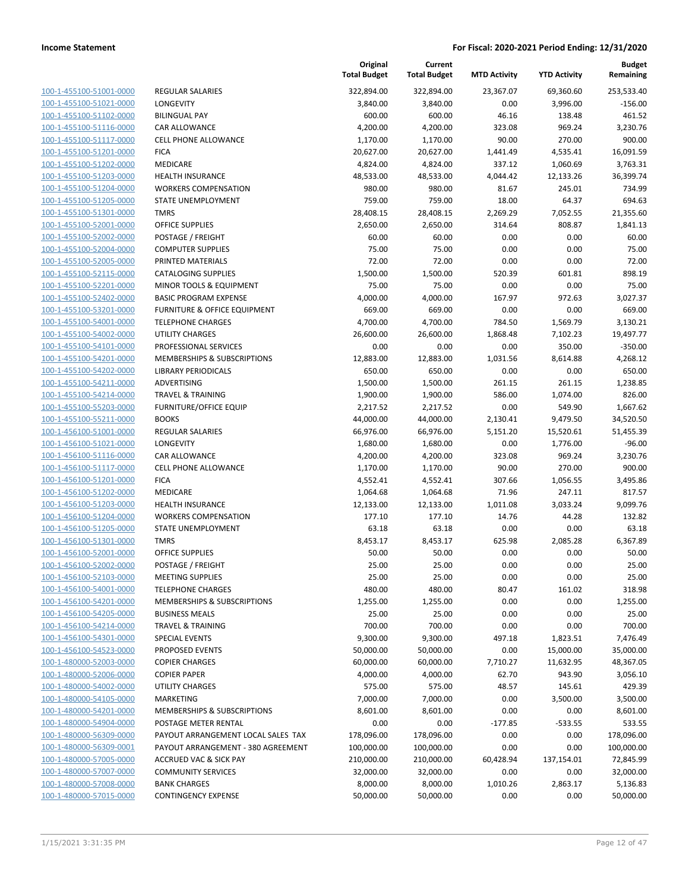**Budget Remaining**

| 100-1-455100-51001-0000        |
|--------------------------------|
| 100-1-455100-51021-0000        |
| 100-1-455100-51102-0000        |
| 100-1-455100-51116-0000        |
| 100-1-455100-51117-0000        |
| 100-1-455100-51201-0000        |
| 100-1-455100-51202-0000        |
| 100-1-455100-51203-0000        |
| 100-1-455100-51204-0000        |
| 100-1-455100-51205-0000        |
| 100-1-455100-51301-0000        |
| 100-1-455100-52001-0000        |
| 100-1-455100-52002-0000        |
| 100-1-455100-52004-0000        |
| 100-1-455100-52005-0000        |
| 100-1-455100-52115-0000        |
| 100-1-455100-52201-0000        |
|                                |
| 100-1-455100-52402-0000        |
| 100-1-455100-53201-0000        |
| 100-1-455100-54001-0000        |
| 100-1-455100-54002-0000        |
| 100-1-455100-54101-0000        |
| 100-1-455100-54201-0000        |
| 100-1-455100-54202-0000        |
| 100-1-455100-54211-0000        |
| 100-1-455100-54214-0000        |
| 100-1-455100-55203-0000        |
| 100-1-455100-55211-0000        |
| 100-1-456100-51001-0000        |
| 100-1-456100-51021-0000        |
| 100-1-456100-51116-0000        |
| 100-1-456100-51117-0000        |
| 100-1-456100-51201-0000        |
| 100-1-456100-51202-0000        |
| 100-1-456100-51203-0000        |
| 100-1-456100-51204-0000        |
| 100-1-456100-51205-0000        |
| 100-1-456100-51301-0000        |
| 100-1-456100-52001-0000        |
| 100-1-456100-52002-0000        |
|                                |
| 100-1-456100-52103-0000        |
| <u>100-1-456100-54001-0000</u> |
| 100-1-456100-54201-0000        |
| <u>100-1-456100-54205-0000</u> |
| <u>100-1-456100-54214-0000</u> |
| <u>100-1-456100-54301-0000</u> |
| <u>100-1-456100-54523-0000</u> |
| <u>100-1-480000-52003-0000</u> |
| <u>100-1-480000-52006-0000</u> |
| <u>100-1-480000-54002-0000</u> |
| <u>100-1-480000-54105-0000</u> |
| 100-1-480000-54201-0000        |
| 100-1-480000-54904-0000        |
| 100-1-480000-56309-0000        |
| <u>100-1-480000-56309-0001</u> |
| <u>100-1-480000-57005-0000</u> |
| 100-1-480000-57007-0000        |
| <u>100-1-480000-57008-0000</u> |
| <u>100-1-480000-57015-0000</u> |
|                                |

|                         |                                         | Original<br><b>Total Budget</b> | Current<br><b>Total Budget</b> | <b>MTD Activity</b> | <b>YTD Activity</b> | <b>Budget</b><br>Remaining |
|-------------------------|-----------------------------------------|---------------------------------|--------------------------------|---------------------|---------------------|----------------------------|
| 100-1-455100-51001-0000 | <b>REGULAR SALARIES</b>                 | 322,894.00                      | 322,894.00                     | 23,367.07           | 69,360.60           | 253,533.40                 |
| 100-1-455100-51021-0000 | LONGEVITY                               | 3,840.00                        | 3,840.00                       | 0.00                | 3,996.00            | $-156.00$                  |
| 100-1-455100-51102-0000 | <b>BILINGUAL PAY</b>                    | 600.00                          | 600.00                         | 46.16               | 138.48              | 461.52                     |
| 100-1-455100-51116-0000 | <b>CAR ALLOWANCE</b>                    | 4,200.00                        | 4,200.00                       | 323.08              | 969.24              | 3,230.76                   |
| 100-1-455100-51117-0000 | <b>CELL PHONE ALLOWANCE</b>             | 1,170.00                        | 1,170.00                       | 90.00               | 270.00              | 900.00                     |
| 100-1-455100-51201-0000 | <b>FICA</b>                             | 20,627.00                       | 20,627.00                      | 1,441.49            | 4,535.41            | 16,091.59                  |
| 100-1-455100-51202-0000 | MEDICARE                                | 4,824.00                        | 4,824.00                       | 337.12              | 1,060.69            | 3,763.31                   |
| 100-1-455100-51203-0000 | <b>HEALTH INSURANCE</b>                 | 48,533.00                       | 48,533.00                      | 4,044.42            | 12,133.26           | 36,399.74                  |
| 100-1-455100-51204-0000 | <b>WORKERS COMPENSATION</b>             | 980.00                          | 980.00                         | 81.67               | 245.01              | 734.99                     |
| 100-1-455100-51205-0000 | <b>STATE UNEMPLOYMENT</b>               | 759.00                          | 759.00                         | 18.00               | 64.37               | 694.63                     |
| 100-1-455100-51301-0000 | <b>TMRS</b>                             | 28,408.15                       | 28,408.15                      | 2,269.29            | 7,052.55            | 21,355.60                  |
| 100-1-455100-52001-0000 | <b>OFFICE SUPPLIES</b>                  | 2,650.00                        | 2,650.00                       | 314.64              | 808.87              | 1,841.13                   |
| 100-1-455100-52002-0000 | POSTAGE / FREIGHT                       | 60.00                           | 60.00                          | 0.00                | 0.00                | 60.00                      |
| 100-1-455100-52004-0000 | <b>COMPUTER SUPPLIES</b>                | 75.00                           | 75.00                          | 0.00                | 0.00                | 75.00                      |
| 100-1-455100-52005-0000 | PRINTED MATERIALS                       | 72.00                           | 72.00                          | 0.00                | 0.00                | 72.00                      |
| 100-1-455100-52115-0000 | <b>CATALOGING SUPPLIES</b>              | 1,500.00                        | 1,500.00                       | 520.39              | 601.81              | 898.19                     |
| 100-1-455100-52201-0000 | MINOR TOOLS & EQUIPMENT                 | 75.00                           | 75.00                          | 0.00                | 0.00                | 75.00                      |
| 100-1-455100-52402-0000 | <b>BASIC PROGRAM EXPENSE</b>            | 4,000.00                        | 4,000.00                       | 167.97              | 972.63              | 3,027.37                   |
| 100-1-455100-53201-0000 | <b>FURNITURE &amp; OFFICE EQUIPMENT</b> | 669.00                          | 669.00                         | 0.00                | 0.00                | 669.00                     |
| 100-1-455100-54001-0000 | <b>TELEPHONE CHARGES</b>                | 4,700.00                        | 4,700.00                       | 784.50              | 1,569.79            | 3,130.21                   |
| 100-1-455100-54002-0000 | <b>UTILITY CHARGES</b>                  | 26,600.00                       | 26,600.00                      | 1,868.48            | 7,102.23            | 19,497.77                  |
| 100-1-455100-54101-0000 | PROFESSIONAL SERVICES                   | 0.00                            | 0.00                           | 0.00                | 350.00              | $-350.00$                  |
| 100-1-455100-54201-0000 | MEMBERSHIPS & SUBSCRIPTIONS             | 12,883.00                       | 12,883.00                      | 1,031.56            | 8,614.88            | 4,268.12                   |
| 100-1-455100-54202-0000 | <b>LIBRARY PERIODICALS</b>              | 650.00                          | 650.00                         | 0.00                | 0.00                | 650.00                     |
| 100-1-455100-54211-0000 | ADVERTISING                             | 1,500.00                        | 1,500.00                       | 261.15              | 261.15              | 1,238.85                   |
| 100-1-455100-54214-0000 | <b>TRAVEL &amp; TRAINING</b>            | 1,900.00                        | 1,900.00                       | 586.00              | 1,074.00            | 826.00                     |
| 100-1-455100-55203-0000 | FURNITURE/OFFICE EQUIP                  | 2,217.52                        | 2,217.52                       | 0.00                | 549.90              | 1,667.62                   |
| 100-1-455100-55211-0000 | <b>BOOKS</b>                            | 44,000.00                       | 44,000.00                      | 2,130.41            | 9,479.50            | 34,520.50                  |
| 100-1-456100-51001-0000 | <b>REGULAR SALARIES</b>                 | 66,976.00                       | 66,976.00                      | 5,151.20            | 15,520.61           | 51,455.39                  |
| 100-1-456100-51021-0000 | <b>LONGEVITY</b>                        | 1,680.00                        | 1,680.00                       | 0.00                | 1,776.00            | $-96.00$                   |
| 100-1-456100-51116-0000 | <b>CAR ALLOWANCE</b>                    | 4,200.00                        | 4,200.00                       | 323.08              | 969.24              | 3,230.76                   |
| 100-1-456100-51117-0000 | CELL PHONE ALLOWANCE                    | 1,170.00                        | 1,170.00                       | 90.00               | 270.00              | 900.00                     |
| 100-1-456100-51201-0000 | <b>FICA</b>                             | 4,552.41                        | 4,552.41                       | 307.66              | 1,056.55            | 3,495.86                   |
| 100-1-456100-51202-0000 | MEDICARE                                | 1,064.68                        | 1,064.68                       | 71.96               | 247.11              | 817.57                     |
| 100-1-456100-51203-0000 | <b>HEALTH INSURANCE</b>                 | 12,133.00                       | 12,133.00                      | 1,011.08            | 3,033.24            | 9.099.76                   |
| 100-1-456100-51204-0000 | <b>WORKERS COMPENSATION</b>             | 177.10                          | 177.10                         | 14.76               | 44.28               | 132.82                     |
| 100-1-456100-51205-0000 | STATE UNEMPLOYMENT                      | 63.18                           | 63.18                          | 0.00                | 0.00                | 63.18                      |
| 100-1-456100-51301-0000 | <b>TMRS</b>                             | 8,453.17                        | 8,453.17                       | 625.98              | 2,085.28            | 6,367.89                   |
| 100-1-456100-52001-0000 | <b>OFFICE SUPPLIES</b>                  | 50.00                           | 50.00                          | 0.00                | 0.00                | 50.00                      |
| 100-1-456100-52002-0000 | POSTAGE / FREIGHT                       | 25.00                           | 25.00                          | 0.00                | 0.00                | 25.00                      |
| 100-1-456100-52103-0000 | <b>MEETING SUPPLIES</b>                 | 25.00                           | 25.00                          | 0.00                | 0.00                | 25.00                      |
| 100-1-456100-54001-0000 | <b>TELEPHONE CHARGES</b>                | 480.00                          | 480.00                         | 80.47               | 161.02              | 318.98                     |
| 100-1-456100-54201-0000 | MEMBERSHIPS & SUBSCRIPTIONS             | 1,255.00                        | 1,255.00                       | 0.00                | 0.00                | 1,255.00                   |
| 100-1-456100-54205-0000 | <b>BUSINESS MEALS</b>                   | 25.00                           | 25.00                          | 0.00                | 0.00                | 25.00                      |
| 100-1-456100-54214-0000 | TRAVEL & TRAINING                       | 700.00                          | 700.00                         | 0.00                | 0.00                | 700.00                     |
| 100-1-456100-54301-0000 | SPECIAL EVENTS                          | 9,300.00                        | 9,300.00                       | 497.18              | 1,823.51            | 7,476.49                   |
| 100-1-456100-54523-0000 | PROPOSED EVENTS                         | 50,000.00                       | 50,000.00                      | 0.00                | 15,000.00           | 35,000.00                  |
| 100-1-480000-52003-0000 | <b>COPIER CHARGES</b>                   | 60,000.00                       | 60,000.00                      | 7,710.27            | 11,632.95           | 48,367.05                  |
| 100-1-480000-52006-0000 | <b>COPIER PAPER</b>                     | 4,000.00                        | 4,000.00                       | 62.70               | 943.90              | 3,056.10                   |
| 100-1-480000-54002-0000 | <b>UTILITY CHARGES</b>                  | 575.00                          | 575.00                         | 48.57               | 145.61              | 429.39                     |
| 100-1-480000-54105-0000 | <b>MARKETING</b>                        | 7,000.00                        | 7,000.00                       | 0.00                | 3,500.00            | 3,500.00                   |
| 100-1-480000-54201-0000 | MEMBERSHIPS & SUBSCRIPTIONS             | 8,601.00                        | 8,601.00                       | 0.00                | 0.00                | 8,601.00                   |
| 100-1-480000-54904-0000 | POSTAGE METER RENTAL                    | 0.00                            | 0.00                           | $-177.85$           | $-533.55$           | 533.55                     |
| 100-1-480000-56309-0000 | PAYOUT ARRANGEMENT LOCAL SALES TAX      | 178,096.00                      | 178,096.00                     | 0.00                | 0.00                | 178,096.00                 |
| 100-1-480000-56309-0001 | PAYOUT ARRANGEMENT - 380 AGREEMENT      | 100,000.00                      | 100,000.00                     | 0.00                | 0.00                | 100,000.00                 |
| 100-1-480000-57005-0000 | <b>ACCRUED VAC &amp; SICK PAY</b>       | 210,000.00                      | 210,000.00                     | 60,428.94           | 137,154.01          | 72,845.99                  |
| 100-1-480000-57007-0000 | <b>COMMUNITY SERVICES</b>               | 32,000.00                       | 32,000.00                      | 0.00                | 0.00                | 32,000.00                  |
| 100-1-480000-57008-0000 | <b>BANK CHARGES</b>                     | 8,000.00                        | 8,000.00                       | 1,010.26            | 2,863.17            | 5,136.83                   |
| 100-1-480000-57015-0000 | <b>CONTINGENCY EXPENSE</b>              | 50,000.00                       | 50,000.00                      | 0.00                | 0.00                | 50,000.00                  |

**Original**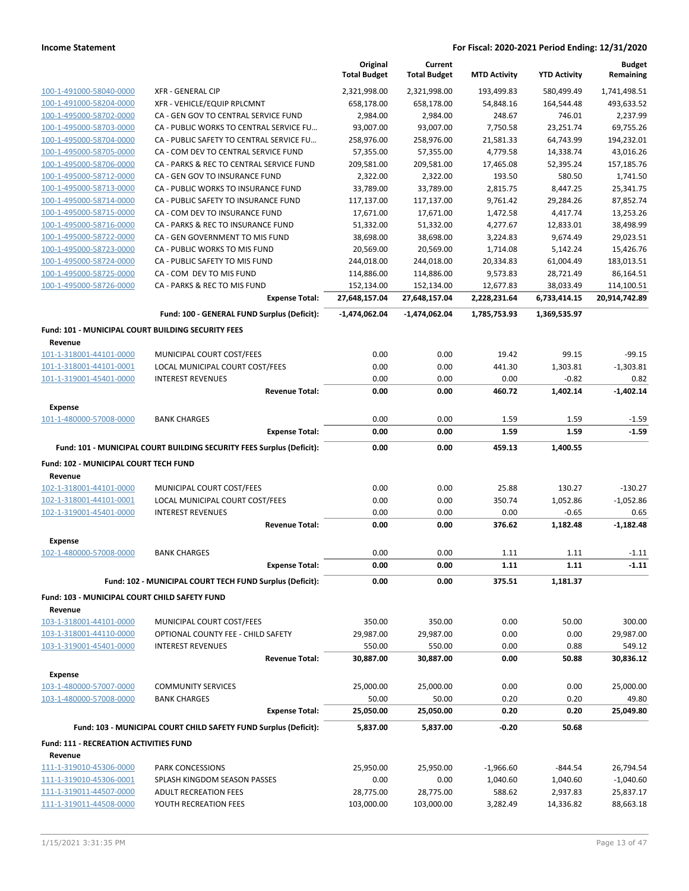|                                                      |                                                                       | Original<br><b>Total Budget</b> | Current<br><b>Total Budget</b> | <b>MTD Activity</b> | <b>YTD Activity</b> | <b>Budget</b><br>Remaining |
|------------------------------------------------------|-----------------------------------------------------------------------|---------------------------------|--------------------------------|---------------------|---------------------|----------------------------|
| 100-1-491000-58040-0000                              | <b>XFR - GENERAL CIP</b>                                              | 2,321,998.00                    | 2,321,998.00                   | 193,499.83          | 580,499.49          | 1,741,498.51               |
| 100-1-491000-58204-0000                              | XFR - VEHICLE/EQUIP RPLCMNT                                           | 658,178.00                      | 658,178.00                     | 54,848.16           | 164,544.48          | 493,633.52                 |
| 100-1-495000-58702-0000                              | CA - GEN GOV TO CENTRAL SERVICE FUND                                  | 2,984.00                        | 2,984.00                       | 248.67              | 746.01              | 2,237.99                   |
| 100-1-495000-58703-0000                              | CA - PUBLIC WORKS TO CENTRAL SERVICE FU                               | 93,007.00                       | 93,007.00                      | 7,750.58            | 23,251.74           | 69,755.26                  |
| 100-1-495000-58704-0000                              | CA - PUBLIC SAFETY TO CENTRAL SERVICE FU                              | 258,976.00                      | 258,976.00                     | 21,581.33           | 64,743.99           | 194,232.01                 |
| 100-1-495000-58705-0000                              | CA - COM DEV TO CENTRAL SERVICE FUND                                  | 57,355.00                       | 57,355.00                      | 4,779.58            | 14,338.74           | 43,016.26                  |
| 100-1-495000-58706-0000                              | CA - PARKS & REC TO CENTRAL SERVICE FUND                              | 209,581.00                      | 209,581.00                     | 17,465.08           | 52,395.24           | 157,185.76                 |
| 100-1-495000-58712-0000                              | CA - GEN GOV TO INSURANCE FUND                                        | 2,322.00                        | 2,322.00                       | 193.50              | 580.50              | 1,741.50                   |
| 100-1-495000-58713-0000                              | CA - PUBLIC WORKS TO INSURANCE FUND                                   | 33,789.00                       | 33,789.00                      | 2,815.75            | 8,447.25            | 25,341.75                  |
| 100-1-495000-58714-0000                              | CA - PUBLIC SAFETY TO INSURANCE FUND                                  | 117,137.00                      | 117,137.00                     | 9,761.42            | 29,284.26           | 87,852.74                  |
| 100-1-495000-58715-0000                              | CA - COM DEV TO INSURANCE FUND                                        | 17,671.00                       | 17,671.00                      | 1,472.58            | 4,417.74            | 13,253.26                  |
| 100-1-495000-58716-0000                              | CA - PARKS & REC TO INSURANCE FUND                                    | 51,332.00                       | 51,332.00                      | 4,277.67            | 12,833.01           | 38,498.99                  |
| 100-1-495000-58722-0000                              | CA - GEN GOVERNMENT TO MIS FUND                                       | 38,698.00                       | 38,698.00                      | 3,224.83            | 9,674.49            | 29,023.51                  |
| 100-1-495000-58723-0000                              | CA - PUBLIC WORKS TO MIS FUND                                         | 20,569.00                       | 20,569.00                      | 1,714.08            | 5,142.24            | 15,426.76                  |
| 100-1-495000-58724-0000                              | CA - PUBLIC SAFETY TO MIS FUND                                        | 244,018.00                      | 244,018.00                     | 20,334.83           | 61,004.49           | 183,013.51                 |
| 100-1-495000-58725-0000                              | CA - COM DEV TO MIS FUND                                              | 114,886.00                      | 114,886.00                     | 9,573.83            | 28,721.49           | 86,164.51                  |
| 100-1-495000-58726-0000                              | CA - PARKS & REC TO MIS FUND                                          | 152,134.00                      | 152,134.00                     | 12,677.83           | 38,033.49           | 114,100.51                 |
|                                                      | <b>Expense Total:</b>                                                 | 27,648,157.04                   | 27,648,157.04                  | 2,228,231.64        | 6,733,414.15        | 20,914,742.89              |
|                                                      | Fund: 100 - GENERAL FUND Surplus (Deficit):                           | $-1,474,062.04$                 | $-1,474,062.04$                | 1,785,753.93        | 1,369,535.97        |                            |
| Fund: 101 - MUNICIPAL COURT BUILDING SECURITY FEES   |                                                                       |                                 |                                |                     |                     |                            |
| Revenue                                              |                                                                       |                                 |                                |                     |                     |                            |
| 101-1-318001-44101-0000                              | MUNICIPAL COURT COST/FEES                                             | 0.00                            | 0.00                           | 19.42               | 99.15               | $-99.15$                   |
| 101-1-318001-44101-0001                              | LOCAL MUNICIPAL COURT COST/FEES                                       | 0.00                            | 0.00                           | 441.30              | 1,303.81            | $-1,303.81$                |
| 101-1-319001-45401-0000                              | <b>INTEREST REVENUES</b>                                              | 0.00                            | 0.00                           | 0.00                | $-0.82$             | 0.82                       |
| <b>Expense</b>                                       | <b>Revenue Total:</b>                                                 | 0.00                            | 0.00                           | 460.72              | 1,402.14            | $-1,402.14$                |
| 101-1-480000-57008-0000                              | <b>BANK CHARGES</b>                                                   | 0.00                            | 0.00                           | 1.59                | 1.59                | $-1.59$                    |
|                                                      | <b>Expense Total:</b>                                                 | 0.00                            | 0.00                           | 1.59                | 1.59                | $-1.59$                    |
|                                                      | Fund: 101 - MUNICIPAL COURT BUILDING SECURITY FEES Surplus (Deficit): | 0.00                            | 0.00                           | 459.13              | 1,400.55            |                            |
|                                                      |                                                                       |                                 |                                |                     |                     |                            |
| Fund: 102 - MUNICIPAL COURT TECH FUND<br>Revenue     |                                                                       |                                 |                                |                     |                     |                            |
| 102-1-318001-44101-0000                              | MUNICIPAL COURT COST/FEES                                             | 0.00                            | 0.00                           | 25.88               | 130.27              | $-130.27$                  |
| 102-1-318001-44101-0001                              | LOCAL MUNICIPAL COURT COST/FEES                                       | 0.00                            | 0.00                           | 350.74              | 1,052.86            | $-1,052.86$                |
| 102-1-319001-45401-0000                              | <b>INTEREST REVENUES</b>                                              | 0.00                            | 0.00                           | 0.00                | $-0.65$             | 0.65                       |
|                                                      | <b>Revenue Total:</b>                                                 | 0.00                            | 0.00                           | 376.62              | 1,182.48            | $-1,182.48$                |
| <b>Expense</b>                                       |                                                                       |                                 |                                |                     |                     |                            |
| 102-1-480000-57008-0000                              | <b>BANK CHARGES</b>                                                   | 0.00                            | 0.00                           | 1.11                | 1.11                | $-1.11$                    |
|                                                      | <b>Expense Total:</b>                                                 | 0.00                            | 0.00                           | 1.11                | 1.11                | $-1.11$                    |
|                                                      |                                                                       |                                 |                                |                     |                     |                            |
|                                                      | Fund: 102 - MUNICIPAL COURT TECH FUND Surplus (Deficit):              | 0.00                            | 0.00                           | 375.51              | 1,181.37            |                            |
| <b>Fund: 103 - MUNICIPAL COURT CHILD SAFETY FUND</b> |                                                                       |                                 |                                |                     |                     |                            |
| Revenue                                              |                                                                       |                                 |                                |                     |                     |                            |
| 103-1-318001-44101-0000                              | MUNICIPAL COURT COST/FEES                                             | 350.00                          | 350.00                         | 0.00                | 50.00               | 300.00                     |
| 103-1-318001-44110-0000                              | OPTIONAL COUNTY FEE - CHILD SAFETY                                    | 29,987.00                       | 29,987.00                      | 0.00                | 0.00                | 29,987.00                  |
| 103-1-319001-45401-0000                              | <b>INTEREST REVENUES</b><br><b>Revenue Total:</b>                     | 550.00<br>30,887.00             | 550.00<br>30,887.00            | 0.00<br>0.00        | 0.88<br>50.88       | 549.12<br>30,836.12        |
| <b>Expense</b>                                       |                                                                       |                                 |                                |                     |                     |                            |
| 103-1-480000-57007-0000                              | <b>COMMUNITY SERVICES</b>                                             | 25,000.00                       | 25,000.00                      | 0.00                | 0.00                | 25,000.00                  |
| 103-1-480000-57008-0000                              | <b>BANK CHARGES</b>                                                   | 50.00                           | 50.00                          | 0.20                | 0.20                | 49.80                      |
|                                                      | <b>Expense Total:</b>                                                 | 25,050.00                       | 25,050.00                      | 0.20                | 0.20                | 25,049.80                  |
|                                                      | Fund: 103 - MUNICIPAL COURT CHILD SAFETY FUND Surplus (Deficit):      | 5,837.00                        | 5,837.00                       | $-0.20$             | 50.68               |                            |
| Fund: 111 - RECREATION ACTIVITIES FUND               |                                                                       |                                 |                                |                     |                     |                            |
| Revenue                                              |                                                                       |                                 |                                |                     |                     |                            |
| 111-1-319010-45306-0000                              | PARK CONCESSIONS                                                      | 25,950.00                       | 25,950.00                      | $-1,966.60$         | $-844.54$           | 26,794.54                  |
| 111-1-319010-45306-0001                              | SPLASH KINGDOM SEASON PASSES                                          | 0.00                            | 0.00                           | 1,040.60            | 1,040.60            | $-1,040.60$                |
| 111-1-319011-44507-0000                              | ADULT RECREATION FEES                                                 | 28,775.00                       | 28,775.00                      | 588.62              | 2,937.83            | 25,837.17                  |
| 111-1-319011-44508-0000                              | YOUTH RECREATION FEES                                                 | 103,000.00                      | 103,000.00                     | 3,282.49            | 14,336.82           | 88,663.18                  |
|                                                      |                                                                       |                                 |                                |                     |                     |                            |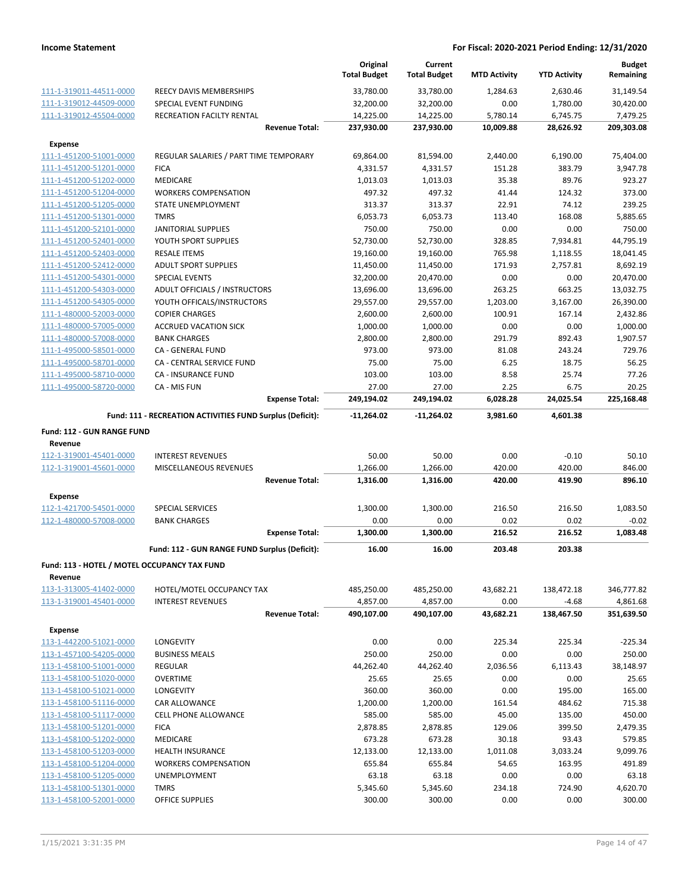|                                                    |                                                           |                       | Original<br><b>Total Budget</b> | Current<br><b>Total Budget</b> | <b>MTD Activity</b> | <b>YTD Activity</b> | <b>Budget</b><br>Remaining |
|----------------------------------------------------|-----------------------------------------------------------|-----------------------|---------------------------------|--------------------------------|---------------------|---------------------|----------------------------|
| 111-1-319011-44511-0000                            | REECY DAVIS MEMBERSHIPS                                   |                       | 33,780.00                       | 33,780.00                      | 1,284.63            | 2,630.46            | 31,149.54                  |
| 111-1-319012-44509-0000                            | SPECIAL EVENT FUNDING                                     |                       | 32,200.00                       | 32,200.00                      | 0.00                | 1,780.00            | 30,420.00                  |
| 111-1-319012-45504-0000                            | RECREATION FACILTY RENTAL                                 |                       | 14,225.00                       | 14,225.00                      | 5,780.14            | 6,745.75            | 7,479.25                   |
|                                                    |                                                           | <b>Revenue Total:</b> | 237,930.00                      | 237,930.00                     | 10,009.88           | 28,626.92           | 209,303.08                 |
| <b>Expense</b>                                     |                                                           |                       |                                 |                                |                     |                     |                            |
| 111-1-451200-51001-0000                            | REGULAR SALARIES / PART TIME TEMPORARY                    |                       | 69,864.00                       | 81,594.00                      | 2,440.00            | 6,190.00            | 75,404.00                  |
| 111-1-451200-51201-0000                            | <b>FICA</b>                                               |                       | 4,331.57                        | 4,331.57                       | 151.28              | 383.79              | 3,947.78                   |
| 111-1-451200-51202-0000                            | MEDICARE                                                  |                       | 1,013.03                        | 1,013.03                       | 35.38               | 89.76               | 923.27                     |
| 111-1-451200-51204-0000                            | <b>WORKERS COMPENSATION</b>                               |                       | 497.32                          | 497.32                         | 41.44               | 124.32              | 373.00                     |
| 111-1-451200-51205-0000                            | STATE UNEMPLOYMENT                                        |                       | 313.37                          | 313.37                         | 22.91               | 74.12               | 239.25                     |
| 111-1-451200-51301-0000                            | <b>TMRS</b>                                               |                       | 6,053.73                        | 6,053.73                       | 113.40              | 168.08              | 5,885.65                   |
| 111-1-451200-52101-0000                            | <b>JANITORIAL SUPPLIES</b>                                |                       | 750.00                          | 750.00                         | 0.00                | 0.00                | 750.00                     |
| 111-1-451200-52401-0000                            | YOUTH SPORT SUPPLIES                                      |                       | 52,730.00                       | 52,730.00                      | 328.85              | 7,934.81            | 44,795.19                  |
| 111-1-451200-52403-0000                            | <b>RESALE ITEMS</b>                                       |                       | 19,160.00                       | 19,160.00                      | 765.98              | 1,118.55            | 18,041.45                  |
| 111-1-451200-52412-0000                            | <b>ADULT SPORT SUPPLIES</b>                               |                       | 11,450.00                       | 11,450.00                      | 171.93              | 2,757.81            | 8,692.19                   |
| 111-1-451200-54301-0000<br>111-1-451200-54303-0000 | <b>SPECIAL EVENTS</b>                                     |                       | 32,200.00                       | 20,470.00                      | 0.00                | 0.00                | 20,470.00                  |
|                                                    | ADULT OFFICIALS / INSTRUCTORS                             |                       | 13,696.00                       | 13,696.00                      | 263.25              | 663.25              | 13,032.75                  |
| 111-1-451200-54305-0000                            | YOUTH OFFICALS/INSTRUCTORS                                |                       | 29,557.00                       | 29,557.00                      | 1,203.00            | 3,167.00            | 26,390.00                  |
| 111-1-480000-52003-0000                            | <b>COPIER CHARGES</b>                                     |                       | 2,600.00                        | 2,600.00                       | 100.91              | 167.14              | 2,432.86                   |
| 111-1-480000-57005-0000                            | <b>ACCRUED VACATION SICK</b>                              |                       | 1,000.00                        | 1,000.00                       | 0.00                | 0.00                | 1,000.00                   |
| 111-1-480000-57008-0000<br>111-1-495000-58501-0000 | <b>BANK CHARGES</b>                                       |                       | 2,800.00<br>973.00              | 2,800.00<br>973.00             | 291.79              | 892.43<br>243.24    | 1,907.57<br>729.76         |
| 111-1-495000-58701-0000                            | CA - GENERAL FUND                                         |                       |                                 |                                | 81.08               |                     |                            |
|                                                    | CA - CENTRAL SERVICE FUND<br><b>CA - INSURANCE FUND</b>   |                       | 75.00<br>103.00                 | 75.00<br>103.00                | 6.25<br>8.58        | 18.75<br>25.74      | 56.25<br>77.26             |
| 111-1-495000-58710-0000<br>111-1-495000-58720-0000 | CA - MIS FUN                                              |                       | 27.00                           | 27.00                          | 2.25                | 6.75                | 20.25                      |
|                                                    |                                                           | <b>Expense Total:</b> | 249,194.02                      | 249,194.02                     | 6,028.28            | 24,025.54           | 225,168.48                 |
|                                                    | Fund: 111 - RECREATION ACTIVITIES FUND Surplus (Deficit): |                       | -11,264.02                      | -11,264.02                     | 3,981.60            | 4,601.38            |                            |
|                                                    |                                                           |                       |                                 |                                |                     |                     |                            |
| <b>Fund: 112 - GUN RANGE FUND</b>                  |                                                           |                       |                                 |                                |                     |                     |                            |
| Revenue                                            |                                                           |                       |                                 |                                |                     |                     |                            |
| 112-1-319001-45401-0000                            | <b>INTEREST REVENUES</b>                                  |                       | 50.00                           | 50.00                          | 0.00                | $-0.10$             | 50.10                      |
| 112-1-319001-45601-0000                            | MISCELLANEOUS REVENUES                                    | <b>Revenue Total:</b> | 1,266.00<br>1,316.00            | 1,266.00<br>1,316.00           | 420.00<br>420.00    | 420.00<br>419.90    | 846.00<br>896.10           |
|                                                    |                                                           |                       |                                 |                                |                     |                     |                            |
| <b>Expense</b><br>112-1-421700-54501-0000          | SPECIAL SERVICES                                          |                       |                                 |                                | 216.50              | 216.50              | 1,083.50                   |
|                                                    |                                                           |                       | 1,300.00                        | 1,300.00                       |                     |                     | $-0.02$                    |
| 112-1-480000-57008-0000                            | <b>BANK CHARGES</b>                                       | <b>Expense Total:</b> | 0.00<br>1,300.00                | 0.00<br>1,300.00               | 0.02<br>216.52      | 0.02<br>216.52      | 1,083.48                   |
|                                                    | Fund: 112 - GUN RANGE FUND Surplus (Deficit):             |                       |                                 |                                |                     |                     |                            |
|                                                    |                                                           |                       | 16.00                           | 16.00                          | 203.48              | 203.38              |                            |
| Fund: 113 - HOTEL / MOTEL OCCUPANCY TAX FUND       |                                                           |                       |                                 |                                |                     |                     |                            |
| Revenue<br>113-1-313005-41402-0000                 | HOTEL/MOTEL OCCUPANCY TAX                                 |                       | 485,250.00                      | 485,250.00                     | 43,682.21           | 138,472.18          | 346,777.82                 |
| 113-1-319001-45401-0000                            | <b>INTEREST REVENUES</b>                                  |                       | 4,857.00                        | 4,857.00                       | 0.00                | $-4.68$             | 4,861.68                   |
|                                                    |                                                           | <b>Revenue Total:</b> | 490,107.00                      | 490,107.00                     | 43,682.21           | 138,467.50          | 351,639.50                 |
|                                                    |                                                           |                       |                                 |                                |                     |                     |                            |
| <b>Expense</b>                                     |                                                           |                       |                                 |                                |                     |                     |                            |
| 113-1-442200-51021-0000                            | <b>LONGEVITY</b>                                          |                       | 0.00                            | 0.00                           | 225.34              | 225.34              | $-225.34$                  |
| 113-1-457100-54205-0000                            | <b>BUSINESS MEALS</b>                                     |                       | 250.00                          | 250.00                         | 0.00                | 0.00                | 250.00                     |
| 113-1-458100-51001-0000                            | <b>REGULAR</b>                                            |                       | 44,262.40                       | 44,262.40                      | 2,036.56            | 6,113.43            | 38,148.97                  |
| 113-1-458100-51020-0000                            | OVERTIME                                                  |                       | 25.65                           | 25.65                          | 0.00                | 0.00                | 25.65                      |
| 113-1-458100-51021-0000                            | <b>LONGEVITY</b>                                          |                       | 360.00                          | 360.00                         | 0.00                | 195.00              | 165.00                     |
| 113-1-458100-51116-0000                            | <b>CAR ALLOWANCE</b>                                      |                       | 1,200.00                        | 1,200.00                       | 161.54              | 484.62              | 715.38                     |
| 113-1-458100-51117-0000                            | <b>CELL PHONE ALLOWANCE</b>                               |                       | 585.00                          | 585.00                         | 45.00               | 135.00              | 450.00                     |
| 113-1-458100-51201-0000                            | <b>FICA</b>                                               |                       | 2,878.85                        | 2,878.85                       | 129.06              | 399.50              | 2,479.35                   |
| 113-1-458100-51202-0000                            | MEDICARE                                                  |                       | 673.28                          | 673.28                         | 30.18               | 93.43               | 579.85                     |
| 113-1-458100-51203-0000                            | <b>HEALTH INSURANCE</b>                                   |                       | 12,133.00                       | 12,133.00                      | 1,011.08            | 3,033.24            | 9,099.76                   |
| 113-1-458100-51204-0000                            | <b>WORKERS COMPENSATION</b>                               |                       | 655.84                          | 655.84                         | 54.65               | 163.95              | 491.89                     |
| 113-1-458100-51205-0000                            | <b>UNEMPLOYMENT</b>                                       |                       | 63.18                           | 63.18                          | 0.00                | 0.00                | 63.18                      |
| 113-1-458100-51301-0000                            | <b>TMRS</b>                                               |                       | 5,345.60                        | 5,345.60                       | 234.18              | 724.90              | 4,620.70                   |
| 113-1-458100-52001-0000                            | <b>OFFICE SUPPLIES</b>                                    |                       | 300.00                          | 300.00                         | 0.00                | 0.00                | 300.00                     |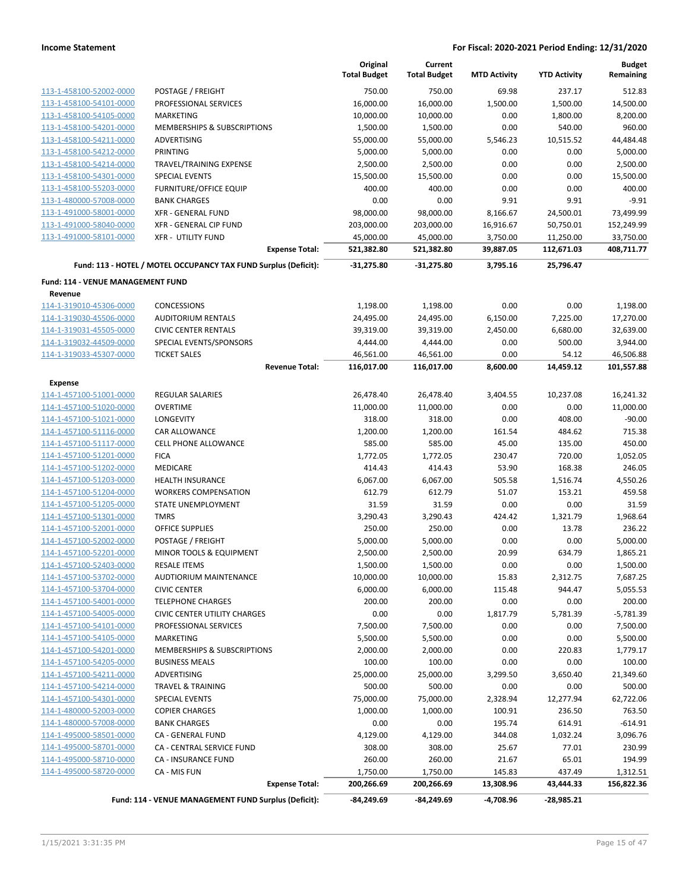|                                                    |                                                                 | Original<br><b>Total Budget</b> | Current<br><b>Total Budget</b> | <b>MTD Activity</b> | <b>YTD Activity</b> | <b>Budget</b><br>Remaining |
|----------------------------------------------------|-----------------------------------------------------------------|---------------------------------|--------------------------------|---------------------|---------------------|----------------------------|
| 113-1-458100-52002-0000                            | POSTAGE / FREIGHT                                               | 750.00                          | 750.00                         | 69.98               | 237.17              | 512.83                     |
| 113-1-458100-54101-0000                            | PROFESSIONAL SERVICES                                           | 16,000.00                       | 16,000.00                      | 1,500.00            | 1,500.00            | 14,500.00                  |
| 113-1-458100-54105-0000                            | <b>MARKETING</b>                                                | 10,000.00                       | 10,000.00                      | 0.00                | 1,800.00            | 8,200.00                   |
| 113-1-458100-54201-0000                            | MEMBERSHIPS & SUBSCRIPTIONS                                     | 1,500.00                        | 1,500.00                       | 0.00                | 540.00              | 960.00                     |
| 113-1-458100-54211-0000                            | ADVERTISING                                                     | 55,000.00                       | 55,000.00                      | 5,546.23            | 10,515.52           | 44,484.48                  |
| 113-1-458100-54212-0000                            | <b>PRINTING</b>                                                 | 5,000.00                        | 5,000.00                       | 0.00                | 0.00                | 5,000.00                   |
| 113-1-458100-54214-0000                            | TRAVEL/TRAINING EXPENSE                                         | 2,500.00                        | 2,500.00                       | 0.00                | 0.00                | 2,500.00                   |
| 113-1-458100-54301-0000                            | <b>SPECIAL EVENTS</b>                                           | 15,500.00                       | 15,500.00                      | 0.00                | 0.00                | 15,500.00                  |
| 113-1-458100-55203-0000                            | <b>FURNITURE/OFFICE EQUIP</b>                                   | 400.00                          | 400.00                         | 0.00                | 0.00                | 400.00                     |
| 113-1-480000-57008-0000                            | <b>BANK CHARGES</b>                                             | 0.00                            | 0.00                           | 9.91                | 9.91                | $-9.91$                    |
| 113-1-491000-58001-0000                            | <b>XFR - GENERAL FUND</b>                                       | 98,000.00                       | 98,000.00                      | 8,166.67            | 24,500.01           | 73,499.99                  |
| 113-1-491000-58040-0000                            | XFR - GENERAL CIP FUND                                          | 203,000.00                      | 203,000.00                     | 16,916.67           | 50,750.01           | 152,249.99                 |
| 113-1-491000-58101-0000                            | <b>XFR - UTILITY FUND</b>                                       | 45,000.00                       | 45,000.00                      | 3,750.00            | 11,250.00           | 33,750.00                  |
|                                                    | <b>Expense Total:</b>                                           | 521,382.80                      | 521,382.80                     | 39,887.05           | 112,671.03          | 408,711.77                 |
|                                                    | Fund: 113 - HOTEL / MOTEL OCCUPANCY TAX FUND Surplus (Deficit): | $-31,275.80$                    | $-31,275.80$                   | 3,795.16            | 25,796.47           |                            |
| Fund: 114 - VENUE MANAGEMENT FUND                  |                                                                 |                                 |                                |                     |                     |                            |
| Revenue                                            |                                                                 |                                 |                                |                     |                     |                            |
| 114-1-319010-45306-0000                            | <b>CONCESSIONS</b>                                              | 1,198.00                        | 1,198.00                       | 0.00                | 0.00                | 1,198.00                   |
| 114-1-319030-45506-0000                            | <b>AUDITORIUM RENTALS</b>                                       | 24,495.00                       | 24,495.00                      | 6,150.00            | 7,225.00            | 17,270.00                  |
| 114-1-319031-45505-0000                            | <b>CIVIC CENTER RENTALS</b>                                     | 39,319.00                       | 39,319.00                      | 2,450.00            | 6,680.00            | 32,639.00                  |
| 114-1-319032-44509-0000<br>114-1-319033-45307-0000 | SPECIAL EVENTS/SPONSORS                                         | 4,444.00                        | 4,444.00                       | 0.00                | 500.00              | 3,944.00                   |
|                                                    | <b>TICKET SALES</b><br><b>Revenue Total:</b>                    | 46,561.00<br>116,017.00         | 46,561.00<br>116,017.00        | 0.00<br>8,600.00    | 54.12<br>14,459.12  | 46,506.88<br>101,557.88    |
| Expense                                            |                                                                 |                                 |                                |                     |                     |                            |
| 114-1-457100-51001-0000                            | <b>REGULAR SALARIES</b>                                         | 26,478.40                       | 26,478.40                      | 3,404.55            | 10,237.08           | 16,241.32                  |
| 114-1-457100-51020-0000                            | <b>OVERTIME</b>                                                 | 11,000.00                       | 11,000.00                      | 0.00                | 0.00                | 11,000.00                  |
| 114-1-457100-51021-0000                            | LONGEVITY                                                       | 318.00                          | 318.00                         | 0.00                | 408.00              | $-90.00$                   |
| 114-1-457100-51116-0000                            | CAR ALLOWANCE                                                   | 1,200.00                        | 1,200.00                       | 161.54              | 484.62              | 715.38                     |
| 114-1-457100-51117-0000                            | CELL PHONE ALLOWANCE                                            | 585.00                          | 585.00                         | 45.00               | 135.00              | 450.00                     |
| 114-1-457100-51201-0000                            | <b>FICA</b>                                                     | 1,772.05                        | 1,772.05                       | 230.47              | 720.00              | 1,052.05                   |
| 114-1-457100-51202-0000                            | MEDICARE                                                        | 414.43                          | 414.43                         | 53.90               | 168.38              | 246.05                     |
| 114-1-457100-51203-0000                            | <b>HEALTH INSURANCE</b>                                         | 6,067.00                        | 6,067.00                       | 505.58              | 1,516.74            | 4,550.26                   |
| 114-1-457100-51204-0000                            | <b>WORKERS COMPENSATION</b>                                     | 612.79                          | 612.79                         | 51.07               | 153.21              | 459.58                     |
| 114-1-457100-51205-0000                            | STATE UNEMPLOYMENT                                              | 31.59                           | 31.59                          | 0.00                | 0.00                | 31.59                      |
| 114-1-457100-51301-0000                            | <b>TMRS</b>                                                     | 3,290.43                        | 3,290.43                       | 424.42              | 1,321.79            | 1,968.64                   |
| 114-1-457100-52001-0000                            | OFFICE SUPPLIES                                                 | 250.00                          | 250.00                         | 0.00                | 13.78               | 236.22                     |
| 114-1-457100-52002-0000                            | POSTAGE / FREIGHT                                               | 5,000.00                        | 5,000.00                       | 0.00                | 0.00                | 5,000.00                   |
| 114-1-457100-52201-0000                            | MINOR TOOLS & EQUIPMENT                                         | 2,500.00                        | 2,500.00                       | 20.99               | 634.79              | 1,865.21                   |
| 114-1-457100-52403-0000                            | RESALE ITEMS                                                    | 1,500.00                        | 1,500.00                       | 0.00                | 0.00                | 1,500.00                   |
| 114-1-457100-53702-0000                            | AUDTIORIUM MAINTENANCE                                          | 10,000.00                       | 10,000.00                      | 15.83               | 2,312.75            | 7,687.25                   |
| 114-1-457100-53704-0000                            | <b>CIVIC CENTER</b>                                             | 6,000.00                        | 6,000.00                       | 115.48              | 944.47              | 5,055.53                   |
| 114-1-457100-54001-0000                            | <b>TELEPHONE CHARGES</b>                                        | 200.00                          | 200.00                         | 0.00                | 0.00                | 200.00                     |
| 114-1-457100-54005-0000                            | <b>CIVIC CENTER UTILITY CHARGES</b>                             | 0.00                            | 0.00                           | 1,817.79            | 5,781.39            | $-5,781.39$                |
| 114-1-457100-54101-0000                            | PROFESSIONAL SERVICES                                           | 7,500.00                        | 7,500.00                       | 0.00                | 0.00                | 7,500.00                   |
| 114-1-457100-54105-0000                            | <b>MARKETING</b>                                                | 5,500.00                        | 5,500.00                       | 0.00                | 0.00                | 5,500.00                   |
| 114-1-457100-54201-0000                            | <b>MEMBERSHIPS &amp; SUBSCRIPTIONS</b>                          | 2,000.00                        | 2,000.00                       | 0.00                | 220.83              | 1,779.17                   |
| 114-1-457100-54205-0000                            | <b>BUSINESS MEALS</b>                                           | 100.00                          | 100.00                         | 0.00                | 0.00                | 100.00                     |
| 114-1-457100-54211-0000                            | <b>ADVERTISING</b>                                              | 25,000.00                       | 25,000.00                      | 3,299.50            | 3,650.40            | 21,349.60                  |
| 114-1-457100-54214-0000                            | <b>TRAVEL &amp; TRAINING</b>                                    | 500.00                          | 500.00                         | 0.00                | 0.00                | 500.00                     |
| 114-1-457100-54301-0000                            | <b>SPECIAL EVENTS</b>                                           | 75,000.00                       | 75,000.00                      | 2,328.94            | 12,277.94           | 62,722.06                  |
| 114-1-480000-52003-0000                            | <b>COPIER CHARGES</b>                                           | 1,000.00                        | 1,000.00                       | 100.91              | 236.50              | 763.50                     |
| 114-1-480000-57008-0000                            | <b>BANK CHARGES</b>                                             | 0.00                            | 0.00                           | 195.74              | 614.91              | $-614.91$                  |
| 114-1-495000-58501-0000                            | CA - GENERAL FUND                                               | 4,129.00                        | 4,129.00                       | 344.08              | 1,032.24            | 3,096.76                   |
| 114-1-495000-58701-0000                            | CA - CENTRAL SERVICE FUND                                       | 308.00                          | 308.00                         | 25.67               | 77.01               | 230.99                     |
| 114-1-495000-58710-0000                            | CA - INSURANCE FUND                                             | 260.00                          | 260.00                         | 21.67               | 65.01               | 194.99                     |
| 114-1-495000-58720-0000                            | CA - MIS FUN                                                    | 1,750.00                        | 1,750.00                       | 145.83              | 437.49              | 1,312.51                   |
|                                                    | <b>Expense Total:</b>                                           | 200,266.69                      | 200,266.69                     | 13,308.96           | 43,444.33           | 156,822.36                 |
|                                                    | Fund: 114 - VENUE MANAGEMENT FUND Surplus (Deficit):            | $-84,249.69$                    | $-84,249.69$                   | -4,708.96           | $-28,985.21$        |                            |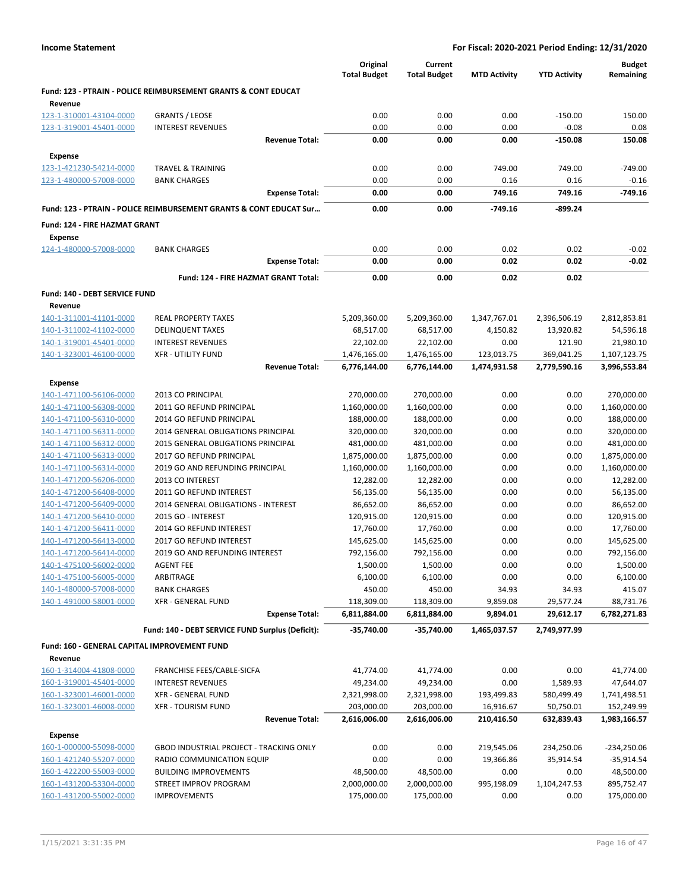|                                                    |                                                                           | Original<br><b>Total Budget</b> | Current<br><b>Total Budget</b> | <b>MTD Activity</b> | <b>YTD Activity</b> | <b>Budget</b><br>Remaining |
|----------------------------------------------------|---------------------------------------------------------------------------|---------------------------------|--------------------------------|---------------------|---------------------|----------------------------|
| Revenue                                            | <b>Fund: 123 - PTRAIN - POLICE REIMBURSEMENT GRANTS &amp; CONT EDUCAT</b> |                                 |                                |                     |                     |                            |
| 123-1-310001-43104-0000                            | <b>GRANTS / LEOSE</b>                                                     | 0.00                            | 0.00                           | 0.00                | $-150.00$           | 150.00                     |
| 123-1-319001-45401-0000                            | <b>INTEREST REVENUES</b>                                                  | 0.00                            | 0.00                           | 0.00                | $-0.08$             | 0.08                       |
|                                                    | <b>Revenue Total:</b>                                                     | 0.00                            | 0.00                           | 0.00                | $-150.08$           | 150.08                     |
| <b>Expense</b>                                     |                                                                           |                                 |                                |                     |                     |                            |
| 123-1-421230-54214-0000                            | <b>TRAVEL &amp; TRAINING</b>                                              | 0.00                            | 0.00                           | 749.00              | 749.00              | $-749.00$                  |
| 123-1-480000-57008-0000                            | <b>BANK CHARGES</b>                                                       | 0.00                            | 0.00                           | 0.16                | 0.16                | $-0.16$                    |
|                                                    | <b>Expense Total:</b>                                                     | 0.00                            | 0.00                           | 749.16              | 749.16              | $-749.16$                  |
|                                                    | Fund: 123 - PTRAIN - POLICE REIMBURSEMENT GRANTS & CONT EDUCAT Sur        | 0.00                            | 0.00                           | -749.16             | -899.24             |                            |
| Fund: 124 - FIRE HAZMAT GRANT                      |                                                                           |                                 |                                |                     |                     |                            |
| <b>Expense</b>                                     |                                                                           |                                 |                                |                     |                     |                            |
| 124-1-480000-57008-0000                            | <b>BANK CHARGES</b>                                                       | 0.00<br>0.00                    | 0.00<br>0.00                   | 0.02<br>0.02        | 0.02<br>0.02        | $-0.02$                    |
|                                                    | <b>Expense Total:</b>                                                     |                                 |                                |                     |                     | $-0.02$                    |
|                                                    | Fund: 124 - FIRE HAZMAT GRANT Total:                                      | 0.00                            | 0.00                           | 0.02                | 0.02                |                            |
| Fund: 140 - DEBT SERVICE FUND                      |                                                                           |                                 |                                |                     |                     |                            |
| Revenue                                            |                                                                           |                                 |                                |                     |                     |                            |
| 140-1-311001-41101-0000                            | <b>REAL PROPERTY TAXES</b>                                                | 5,209,360.00                    | 5,209,360.00                   | 1,347,767.01        | 2,396,506.19        | 2,812,853.81               |
| 140-1-311002-41102-0000<br>140-1-319001-45401-0000 | <b>DELINQUENT TAXES</b><br><b>INTEREST REVENUES</b>                       | 68,517.00<br>22,102.00          | 68,517.00<br>22,102.00         | 4,150.82<br>0.00    | 13,920.82<br>121.90 | 54,596.18<br>21,980.10     |
| 140-1-323001-46100-0000                            | <b>XFR - UTILITY FUND</b>                                                 | 1,476,165.00                    | 1,476,165.00                   | 123,013.75          | 369,041.25          | 1,107,123.75               |
|                                                    | <b>Revenue Total:</b>                                                     | 6,776,144.00                    | 6,776,144.00                   | 1,474,931.58        | 2,779,590.16        | 3,996,553.84               |
| Expense                                            |                                                                           |                                 |                                |                     |                     |                            |
| 140-1-471100-56106-0000                            | 2013 CO PRINCIPAL                                                         | 270,000.00                      | 270,000.00                     | 0.00                | 0.00                | 270,000.00                 |
| 140-1-471100-56308-0000                            | 2011 GO REFUND PRINCIPAL                                                  | 1,160,000.00                    | 1,160,000.00                   | 0.00                | 0.00                | 1,160,000.00               |
| 140-1-471100-56310-0000                            | 2014 GO REFUND PRINCIPAL                                                  | 188,000.00                      | 188,000.00                     | 0.00                | 0.00                | 188,000.00                 |
| 140-1-471100-56311-0000                            | 2014 GENERAL OBLIGATIONS PRINCIPAL                                        | 320,000.00                      | 320,000.00                     | 0.00                | 0.00                | 320,000.00                 |
| 140-1-471100-56312-0000                            | 2015 GENERAL OBLIGATIONS PRINCIPAL                                        | 481,000.00                      | 481,000.00                     | 0.00                | 0.00                | 481,000.00                 |
| 140-1-471100-56313-0000                            | 2017 GO REFUND PRINCIPAL                                                  | 1,875,000.00                    | 1,875,000.00                   | 0.00                | 0.00                | 1,875,000.00               |
| 140-1-471100-56314-0000                            | 2019 GO AND REFUNDING PRINCIPAL                                           | 1,160,000.00                    | 1,160,000.00                   | 0.00                | 0.00                | 1,160,000.00               |
| 140-1-471200-56206-0000                            | 2013 CO INTEREST                                                          | 12,282.00                       | 12,282.00                      | 0.00                | 0.00                | 12,282.00                  |
| 140-1-471200-56408-0000                            | 2011 GO REFUND INTEREST                                                   | 56,135.00                       | 56,135.00                      | 0.00                | 0.00                | 56,135.00                  |
| 140-1-471200-56409-0000                            | 2014 GENERAL OBLIGATIONS - INTEREST                                       | 86,652.00                       | 86,652.00                      | 0.00                | 0.00                | 86,652.00                  |
| 140-1-471200-56410-0000                            | 2015 GO - INTEREST                                                        | 120,915.00                      | 120,915.00                     | 0.00                | 0.00                | 120,915.00                 |
| 140-1-471200-56411-0000                            | 2014 GO REFUND INTEREST                                                   | 17,760.00                       | 17,760.00                      | 0.00                | 0.00                | 17,760.00                  |
| 140-1-471200-56413-0000                            | 2017 GO REFUND INTEREST                                                   | 145,625.00                      | 145,625.00                     | 0.00                | 0.00                | 145,625.00                 |
| 140-1-471200-56414-0000                            | 2019 GO AND REFUNDING INTEREST                                            | 792,156.00                      | 792,156.00                     | 0.00                | 0.00                | 792,156.00                 |
| 140-1-475100-56002-0000                            | <b>AGENT FEE</b>                                                          | 1,500.00                        | 1,500.00                       | 0.00                | 0.00                | 1,500.00                   |
| 140-1-475100-56005-0000                            | ARBITRAGE                                                                 | 6,100.00                        | 6,100.00                       | 0.00                | 0.00                | 6,100.00                   |
| 140-1-480000-57008-0000                            | <b>BANK CHARGES</b>                                                       | 450.00                          | 450.00                         | 34.93               | 34.93               | 415.07                     |
| 140-1-491000-58001-0000                            | XFR - GENERAL FUND                                                        | 118,309.00                      | 118,309.00                     | 9,859.08            | 29,577.24           | 88,731.76                  |
|                                                    | <b>Expense Total:</b>                                                     | 6,811,884.00                    | 6,811,884.00                   | 9,894.01            | 29,612.17           | 6,782,271.83               |
|                                                    | Fund: 140 - DEBT SERVICE FUND Surplus (Deficit):                          | -35,740.00                      | -35,740.00                     | 1,465,037.57        | 2,749,977.99        |                            |
| Fund: 160 - GENERAL CAPITAL IMPROVEMENT FUND       |                                                                           |                                 |                                |                     |                     |                            |
| Revenue                                            |                                                                           |                                 |                                |                     |                     |                            |
| 160-1-314004-41808-0000                            | FRANCHISE FEES/CABLE-SICFA                                                | 41,774.00                       | 41,774.00                      | 0.00                | 0.00                | 41,774.00                  |
| 160-1-319001-45401-0000                            | <b>INTEREST REVENUES</b>                                                  | 49,234.00                       | 49,234.00                      | 0.00                | 1,589.93            | 47,644.07                  |
| 160-1-323001-46001-0000                            | <b>XFR - GENERAL FUND</b>                                                 | 2,321,998.00                    | 2,321,998.00                   | 193,499.83          | 580,499.49          | 1,741,498.51               |
| 160-1-323001-46008-0000                            | <b>XFR - TOURISM FUND</b>                                                 | 203,000.00                      | 203,000.00                     | 16,916.67           | 50,750.01           | 152,249.99                 |
|                                                    | <b>Revenue Total:</b>                                                     | 2,616,006.00                    | 2,616,006.00                   | 210,416.50          | 632,839.43          | 1,983,166.57               |
| <b>Expense</b>                                     |                                                                           |                                 |                                |                     |                     |                            |
| 160-1-000000-55098-0000                            | GBOD INDUSTRIAL PROJECT - TRACKING ONLY                                   | 0.00                            | 0.00                           | 219,545.06          | 234,250.06          | $-234,250.06$              |
| 160-1-421240-55207-0000                            | RADIO COMMUNICATION EQUIP                                                 | 0.00                            | 0.00                           | 19,366.86           | 35,914.54           | $-35,914.54$               |
| 160-1-422200-55003-0000                            | <b>BUILDING IMPROVEMENTS</b>                                              | 48,500.00                       | 48,500.00                      | 0.00                | 0.00                | 48,500.00                  |
| 160-1-431200-53304-0000                            | STREET IMPROV PROGRAM                                                     | 2,000,000.00                    | 2,000,000.00                   | 995,198.09          | 1,104,247.53        | 895,752.47                 |
| 160-1-431200-55002-0000                            | <b>IMPROVEMENTS</b>                                                       | 175,000.00                      | 175,000.00                     | 0.00                | 0.00                | 175,000.00                 |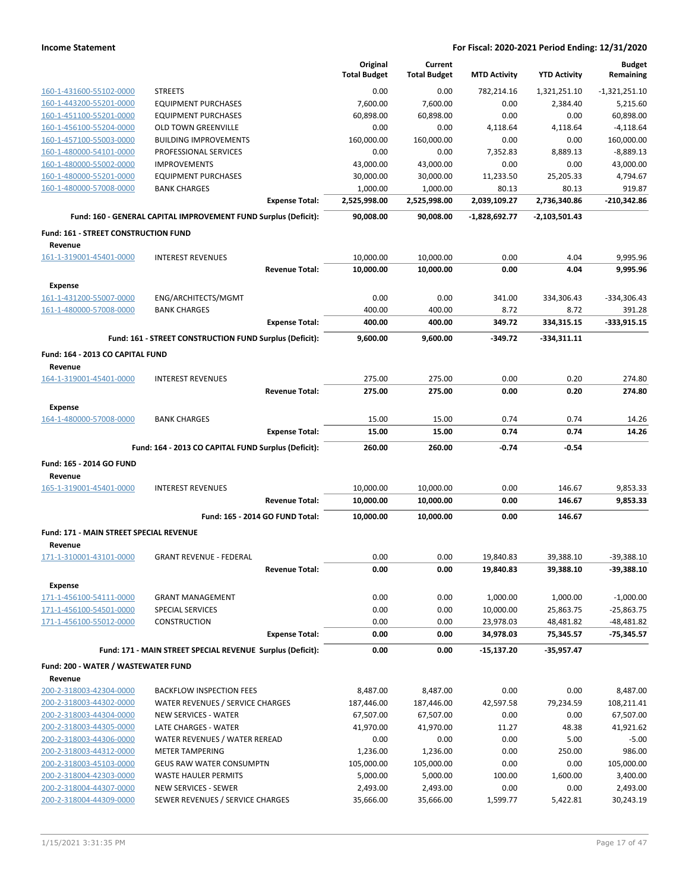|                                                 |                                                                 | Original<br><b>Total Budget</b> | Current<br><b>Total Budget</b> | <b>MTD Activity</b> | <b>YTD Activity</b> | <b>Budget</b><br>Remaining |
|-------------------------------------------------|-----------------------------------------------------------------|---------------------------------|--------------------------------|---------------------|---------------------|----------------------------|
| 160-1-431600-55102-0000                         | <b>STREETS</b>                                                  | 0.00                            | 0.00                           | 782,214.16          | 1,321,251.10        | $-1,321,251.10$            |
| 160-1-443200-55201-0000                         | <b>EQUIPMENT PURCHASES</b>                                      | 7,600.00                        | 7,600.00                       | 0.00                | 2,384.40            | 5,215.60                   |
| 160-1-451100-55201-0000                         | <b>EQUIPMENT PURCHASES</b>                                      | 60,898.00                       | 60,898.00                      | 0.00                | 0.00                | 60,898.00                  |
| 160-1-456100-55204-0000                         | <b>OLD TOWN GREENVILLE</b>                                      | 0.00                            | 0.00                           | 4,118.64            | 4,118.64            | $-4,118.64$                |
| 160-1-457100-55003-0000                         | <b>BUILDING IMPROVEMENTS</b>                                    | 160,000.00                      | 160,000.00                     | 0.00                | 0.00                | 160,000.00                 |
| 160-1-480000-54101-0000                         | PROFESSIONAL SERVICES                                           | 0.00                            | 0.00                           | 7,352.83            | 8,889.13            | $-8,889.13$                |
| 160-1-480000-55002-0000                         | <b>IMPROVEMENTS</b>                                             | 43,000.00                       | 43,000.00                      | 0.00                | 0.00                | 43,000.00                  |
| 160-1-480000-55201-0000                         | <b>EQUIPMENT PURCHASES</b>                                      | 30,000.00                       | 30,000.00                      | 11,233.50           | 25,205.33           | 4,794.67                   |
| 160-1-480000-57008-0000                         | <b>BANK CHARGES</b>                                             | 1,000.00                        | 1,000.00                       | 80.13               | 80.13               | 919.87                     |
|                                                 | <b>Expense Total:</b>                                           | 2,525,998.00                    | 2,525,998.00                   | 2,039,109.27        | 2,736,340.86        | $-210,342.86$              |
|                                                 | Fund: 160 - GENERAL CAPITAL IMPROVEMENT FUND Surplus (Deficit): | 90,008.00                       | 90,008.00                      | $-1,828,692.77$     | -2,103,501.43       |                            |
| Fund: 161 - STREET CONSTRUCTION FUND<br>Revenue |                                                                 |                                 |                                |                     |                     |                            |
| 161-1-319001-45401-0000                         | <b>INTEREST REVENUES</b>                                        | 10,000.00                       | 10,000.00                      | 0.00                | 4.04                | 9,995.96                   |
|                                                 | <b>Revenue Total:</b>                                           | 10,000.00                       | 10,000.00                      | 0.00                | 4.04                | 9,995.96                   |
|                                                 |                                                                 |                                 |                                |                     |                     |                            |
| <b>Expense</b>                                  |                                                                 |                                 |                                |                     |                     |                            |
| 161-1-431200-55007-0000                         | ENG/ARCHITECTS/MGMT                                             | 0.00                            | 0.00                           | 341.00              | 334,306.43          | -334,306.43                |
| 161-1-480000-57008-0000                         | <b>BANK CHARGES</b><br><b>Expense Total:</b>                    | 400.00<br>400.00                | 400.00<br>400.00               | 8.72<br>349.72      | 8.72<br>334,315.15  | 391.28<br>$-333,915.15$    |
|                                                 |                                                                 |                                 |                                |                     |                     |                            |
|                                                 | Fund: 161 - STREET CONSTRUCTION FUND Surplus (Deficit):         | 9,600.00                        | 9,600.00                       | -349.72             | -334,311.11         |                            |
| Fund: 164 - 2013 CO CAPITAL FUND<br>Revenue     |                                                                 |                                 |                                |                     |                     |                            |
| 164-1-319001-45401-0000                         | <b>INTEREST REVENUES</b>                                        | 275.00                          | 275.00                         | 0.00                | 0.20                | 274.80                     |
|                                                 | <b>Revenue Total:</b>                                           | 275.00                          | 275.00                         | 0.00                | 0.20                | 274.80                     |
| <b>Expense</b>                                  |                                                                 |                                 |                                |                     |                     |                            |
| 164-1-480000-57008-0000                         | <b>BANK CHARGES</b>                                             | 15.00                           | 15.00                          | 0.74                | 0.74                | 14.26                      |
|                                                 | <b>Expense Total:</b>                                           | 15.00                           | 15.00                          | 0.74                | 0.74                | 14.26                      |
|                                                 | Fund: 164 - 2013 CO CAPITAL FUND Surplus (Deficit):             | 260.00                          | 260.00                         | -0.74               | $-0.54$             |                            |
| Fund: 165 - 2014 GO FUND<br>Revenue             |                                                                 |                                 |                                |                     |                     |                            |
| 165-1-319001-45401-0000                         | <b>INTEREST REVENUES</b>                                        | 10,000.00                       | 10,000.00                      | 0.00                | 146.67              | 9,853.33                   |
|                                                 | <b>Revenue Total:</b>                                           | 10,000.00                       | 10,000.00                      | 0.00                | 146.67              | 9,853.33                   |
|                                                 | Fund: 165 - 2014 GO FUND Total:                                 | 10,000.00                       | 10,000.00                      | 0.00                | 146.67              |                            |
| <b>Fund: 171 - MAIN STREET SPECIAL REVENUE</b>  |                                                                 |                                 |                                |                     |                     |                            |
| Revenue<br><u>171-1-310001-43101-0000</u>       | <b>GRANT REVENUE - FEDERAL</b>                                  | 0.00                            | 0.00                           | 19,840.83           | 39,388.10           | -39,388.10                 |
|                                                 | <b>Revenue Total:</b>                                           | 0.00                            | 0.00                           | 19,840.83           | 39,388.10           | $-39,388.10$               |
| <b>Expense</b>                                  |                                                                 |                                 |                                |                     |                     |                            |
| 171-1-456100-54111-0000                         | <b>GRANT MANAGEMENT</b>                                         | 0.00                            | 0.00                           | 1,000.00            | 1,000.00            | $-1,000.00$                |
| 171-1-456100-54501-0000                         | SPECIAL SERVICES                                                | 0.00                            | 0.00                           | 10,000.00           | 25,863.75           | $-25,863.75$               |
| 171-1-456100-55012-0000                         | CONSTRUCTION                                                    | 0.00                            | 0.00                           | 23,978.03           | 48,481.82           | $-48,481.82$               |
|                                                 | <b>Expense Total:</b>                                           | 0.00                            | 0.00                           | 34,978.03           | 75,345.57           | $-75,345.57$               |
|                                                 | Fund: 171 - MAIN STREET SPECIAL REVENUE Surplus (Deficit):      | 0.00                            | 0.00                           | -15,137.20          | -35,957.47          |                            |
| Fund: 200 - WATER / WASTEWATER FUND             |                                                                 |                                 |                                |                     |                     |                            |
| Revenue                                         |                                                                 |                                 |                                |                     |                     |                            |
| 200-2-318003-42304-0000                         | <b>BACKFLOW INSPECTION FEES</b>                                 | 8,487.00                        | 8,487.00                       | 0.00                | 0.00                | 8,487.00                   |
| 200-2-318003-44302-0000                         | WATER REVENUES / SERVICE CHARGES                                | 187,446.00                      | 187,446.00                     | 42,597.58           | 79,234.59           | 108,211.41                 |
| 200-2-318003-44304-0000                         | NEW SERVICES - WATER                                            | 67,507.00                       | 67,507.00                      | 0.00                | 0.00                | 67,507.00                  |
| 200-2-318003-44305-0000                         | LATE CHARGES - WATER                                            | 41,970.00                       | 41,970.00                      | 11.27               | 48.38               | 41,921.62                  |
| 200-2-318003-44306-0000                         | WATER REVENUES / WATER REREAD                                   | 0.00                            | 0.00                           | 0.00                | 5.00                | $-5.00$                    |
| 200-2-318003-44312-0000                         | METER TAMPERING                                                 | 1,236.00                        | 1,236.00                       | 0.00                | 250.00              | 986.00                     |
| 200-2-318003-45103-0000                         | <b>GEUS RAW WATER CONSUMPTN</b>                                 | 105,000.00                      | 105,000.00                     | 0.00                | 0.00                | 105,000.00                 |
| 200-2-318004-42303-0000                         | <b>WASTE HAULER PERMITS</b>                                     | 5,000.00                        | 5,000.00                       | 100.00              | 1,600.00            | 3,400.00                   |
| 200-2-318004-44307-0000                         | NEW SERVICES - SEWER                                            | 2,493.00                        | 2,493.00                       | 0.00                | 0.00                | 2,493.00                   |
| 200-2-318004-44309-0000                         | SEWER REVENUES / SERVICE CHARGES                                | 35,666.00                       | 35,666.00                      | 1,599.77            | 5,422.81            | 30,243.19                  |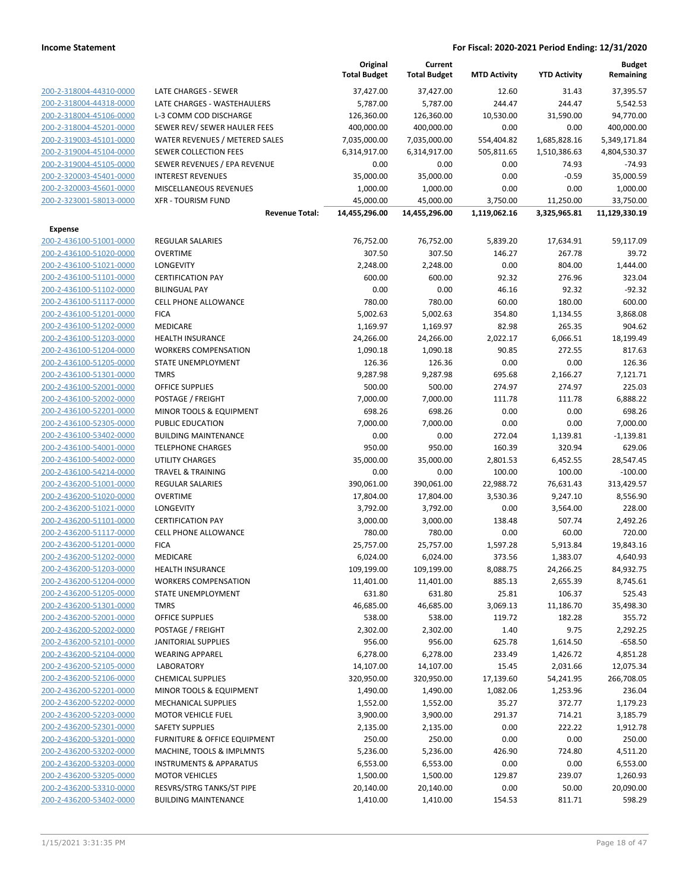|                         |                                    | Original<br><b>Total Budget</b> | Current<br><b>Total Budget</b> | <b>MTD Activity</b> | <b>YTD Activity</b> | <b>Budget</b><br>Remaining |
|-------------------------|------------------------------------|---------------------------------|--------------------------------|---------------------|---------------------|----------------------------|
| 200-2-318004-44310-0000 | LATE CHARGES - SEWER               | 37,427.00                       | 37,427.00                      | 12.60               | 31.43               | 37,395.57                  |
| 200-2-318004-44318-0000 | LATE CHARGES - WASTEHAULERS        | 5,787.00                        | 5,787.00                       | 244.47              | 244.47              | 5,542.53                   |
| 200-2-318004-45106-0000 | L-3 COMM COD DISCHARGE             | 126,360.00                      | 126,360.00                     | 10,530.00           | 31,590.00           | 94,770.00                  |
| 200-2-318004-45201-0000 | SEWER REV/ SEWER HAULER FEES       | 400,000.00                      | 400,000.00                     | 0.00                | 0.00                | 400,000.00                 |
| 200-2-319003-45101-0000 | WATER REVENUES / METERED SALES     | 7,035,000.00                    | 7,035,000.00                   | 554,404.82          | 1,685,828.16        | 5,349,171.84               |
| 200-2-319004-45104-0000 | <b>SEWER COLLECTION FEES</b>       | 6,314,917.00                    | 6,314,917.00                   | 505,811.65          | 1,510,386.63        | 4,804,530.37               |
| 200-2-319004-45105-0000 | SEWER REVENUES / EPA REVENUE       | 0.00                            | 0.00                           | 0.00                | 74.93               | $-74.93$                   |
| 200-2-320003-45401-0000 | <b>INTEREST REVENUES</b>           | 35,000.00                       | 35,000.00                      | 0.00                | $-0.59$             | 35,000.59                  |
| 200-2-320003-45601-0000 | <b>MISCELLANEOUS REVENUES</b>      | 1,000.00                        | 1,000.00                       | 0.00                | 0.00                | 1,000.00                   |
| 200-2-323001-58013-0000 | <b>XFR - TOURISM FUND</b>          | 45,000.00                       | 45,000.00                      | 3,750.00            | 11,250.00           | 33,750.00                  |
|                         | <b>Revenue Total:</b>              | 14,455,296.00                   | 14,455,296.00                  | 1,119,062.16        | 3,325,965.81        | 11,129,330.19              |
| Expense                 |                                    |                                 |                                |                     |                     |                            |
| 200-2-436100-51001-0000 | <b>REGULAR SALARIES</b>            | 76,752.00                       | 76,752.00                      | 5,839.20            | 17,634.91           | 59,117.09                  |
| 200-2-436100-51020-0000 | <b>OVERTIME</b>                    | 307.50                          | 307.50                         | 146.27              | 267.78              | 39.72                      |
| 200-2-436100-51021-0000 | <b>LONGEVITY</b>                   | 2,248.00                        | 2,248.00                       | 0.00                | 804.00              | 1,444.00                   |
| 200-2-436100-51101-0000 | <b>CERTIFICATION PAY</b>           | 600.00                          | 600.00                         | 92.32               | 276.96              | 323.04                     |
| 200-2-436100-51102-0000 | <b>BILINGUAL PAY</b>               | 0.00                            | 0.00                           | 46.16               | 92.32               | $-92.32$                   |
| 200-2-436100-51117-0000 | <b>CELL PHONE ALLOWANCE</b>        | 780.00                          | 780.00                         | 60.00               | 180.00              | 600.00                     |
| 200-2-436100-51201-0000 | <b>FICA</b>                        | 5,002.63                        | 5,002.63                       | 354.80              | 1,134.55            | 3,868.08                   |
| 200-2-436100-51202-0000 | MEDICARE                           | 1,169.97                        | 1,169.97                       | 82.98               | 265.35              | 904.62                     |
| 200-2-436100-51203-0000 | <b>HEALTH INSURANCE</b>            | 24,266.00                       | 24,266.00                      | 2,022.17            | 6,066.51            | 18,199.49                  |
| 200-2-436100-51204-0000 | <b>WORKERS COMPENSATION</b>        | 1,090.18                        | 1,090.18                       | 90.85               | 272.55              | 817.63                     |
| 200-2-436100-51205-0000 | <b>STATE UNEMPLOYMENT</b>          | 126.36                          | 126.36                         | 0.00                | 0.00                | 126.36                     |
| 200-2-436100-51301-0000 | <b>TMRS</b>                        | 9,287.98                        | 9,287.98                       | 695.68              | 2,166.27            | 7,121.71                   |
| 200-2-436100-52001-0000 | OFFICE SUPPLIES                    | 500.00                          | 500.00                         | 274.97              | 274.97              | 225.03                     |
| 200-2-436100-52002-0000 | POSTAGE / FREIGHT                  | 7,000.00                        | 7,000.00                       | 111.78              | 111.78              | 6,888.22                   |
| 200-2-436100-52201-0000 | MINOR TOOLS & EQUIPMENT            | 698.26                          | 698.26                         | 0.00                | 0.00                | 698.26                     |
| 200-2-436100-52305-0000 | PUBLIC EDUCATION                   | 7,000.00                        | 7,000.00                       | 0.00                | 0.00                | 7,000.00                   |
| 200-2-436100-53402-0000 | <b>BUILDING MAINTENANCE</b>        | 0.00                            | 0.00                           | 272.04              | 1,139.81            | $-1,139.81$                |
| 200-2-436100-54001-0000 | <b>TELEPHONE CHARGES</b>           | 950.00                          | 950.00                         | 160.39              | 320.94              | 629.06                     |
| 200-2-436100-54002-0000 | <b>UTILITY CHARGES</b>             | 35,000.00                       | 35,000.00                      | 2,801.53            | 6,452.55            | 28,547.45                  |
| 200-2-436100-54214-0000 | <b>TRAVEL &amp; TRAINING</b>       | 0.00                            | 0.00                           | 100.00              | 100.00              | $-100.00$                  |
| 200-2-436200-51001-0000 | REGULAR SALARIES                   | 390,061.00                      | 390,061.00                     | 22,988.72           | 76,631.43           | 313,429.57                 |
| 200-2-436200-51020-0000 | <b>OVERTIME</b>                    | 17,804.00                       | 17,804.00                      | 3,530.36            | 9,247.10            | 8,556.90                   |
| 200-2-436200-51021-0000 | LONGEVITY                          | 3,792.00                        | 3,792.00                       | 0.00                | 3,564.00            | 228.00                     |
| 200-2-436200-51101-0000 | <b>CERTIFICATION PAY</b>           | 3,000.00                        | 3,000.00                       | 138.48              | 507.74              | 2,492.26                   |
| 200-2-436200-51117-0000 | <b>CELL PHONE ALLOWANCE</b>        | 780.00                          | 780.00                         | 0.00                | 60.00               | 720.00                     |
| 200-2-436200-51201-0000 | <b>FICA</b>                        | 25,757.00                       | 25,757.00                      | 1,597.28            | 5,913.84            | 19,843.16                  |
| 200-2-436200-51202-0000 | <b>MEDICARE</b>                    | 6,024.00                        | 6,024.00                       | 373.56              | 1,383.07            | 4,640.93                   |
| 200-2-436200-51203-0000 | <b>HEALTH INSURANCE</b>            | 109,199.00                      | 109,199.00                     | 8,088.75            | 24,266.25           | 84,932.75                  |
| 200-2-436200-51204-0000 | <b>WORKERS COMPENSATION</b>        | 11,401.00                       | 11,401.00                      | 885.13              | 2,655.39            | 8,745.61                   |
| 200-2-436200-51205-0000 | STATE UNEMPLOYMENT                 | 631.80                          | 631.80                         | 25.81               | 106.37              | 525.43                     |
| 200-2-436200-51301-0000 | <b>TMRS</b>                        | 46,685.00                       | 46,685.00                      | 3,069.13            | 11,186.70           | 35,498.30                  |
| 200-2-436200-52001-0000 | <b>OFFICE SUPPLIES</b>             | 538.00                          | 538.00                         | 119.72              | 182.28              | 355.72                     |
| 200-2-436200-52002-0000 | POSTAGE / FREIGHT                  | 2,302.00                        | 2,302.00                       | 1.40                | 9.75                | 2,292.25                   |
| 200-2-436200-52101-0000 | <b>JANITORIAL SUPPLIES</b>         | 956.00                          | 956.00                         | 625.78              | 1,614.50            | $-658.50$                  |
| 200-2-436200-52104-0000 | <b>WEARING APPAREL</b>             | 6,278.00                        | 6,278.00                       | 233.49              | 1,426.72            | 4,851.28                   |
| 200-2-436200-52105-0000 | <b>LABORATORY</b>                  | 14,107.00                       | 14,107.00                      | 15.45               | 2,031.66            | 12,075.34                  |
| 200-2-436200-52106-0000 | <b>CHEMICAL SUPPLIES</b>           | 320,950.00                      | 320,950.00                     | 17,139.60           | 54,241.95           | 266,708.05                 |
| 200-2-436200-52201-0000 | MINOR TOOLS & EQUIPMENT            | 1,490.00                        | 1,490.00                       | 1,082.06            | 1,253.96            | 236.04                     |
| 200-2-436200-52202-0000 | <b>MECHANICAL SUPPLIES</b>         | 1,552.00                        | 1,552.00                       | 35.27               | 372.77              | 1,179.23                   |
| 200-2-436200-52203-0000 | <b>MOTOR VEHICLE FUEL</b>          | 3,900.00                        | 3,900.00                       | 291.37              | 714.21              | 3,185.79                   |
| 200-2-436200-52301-0000 | <b>SAFETY SUPPLIES</b>             | 2,135.00                        | 2,135.00                       | 0.00                | 222.22              | 1,912.78                   |
| 200-2-436200-53201-0000 | FURNITURE & OFFICE EQUIPMENT       | 250.00                          | 250.00                         | 0.00                | 0.00                | 250.00                     |
| 200-2-436200-53202-0000 | MACHINE, TOOLS & IMPLMNTS          | 5,236.00                        | 5,236.00                       | 426.90              | 724.80              | 4,511.20                   |
| 200-2-436200-53203-0000 | <b>INSTRUMENTS &amp; APPARATUS</b> | 6,553.00                        | 6,553.00                       | 0.00                | 0.00                | 6,553.00                   |
| 200-2-436200-53205-0000 | <b>MOTOR VEHICLES</b>              | 1,500.00                        | 1,500.00                       | 129.87              | 239.07              | 1,260.93                   |
| 200-2-436200-53310-0000 | RESVRS/STRG TANKS/ST PIPE          | 20,140.00                       | 20,140.00                      | 0.00                | 50.00               | 20,090.00                  |
| 200-2-436200-53402-0000 | <b>BUILDING MAINTENANCE</b>        | 1,410.00                        | 1,410.00                       | 154.53              | 811.71              | 598.29                     |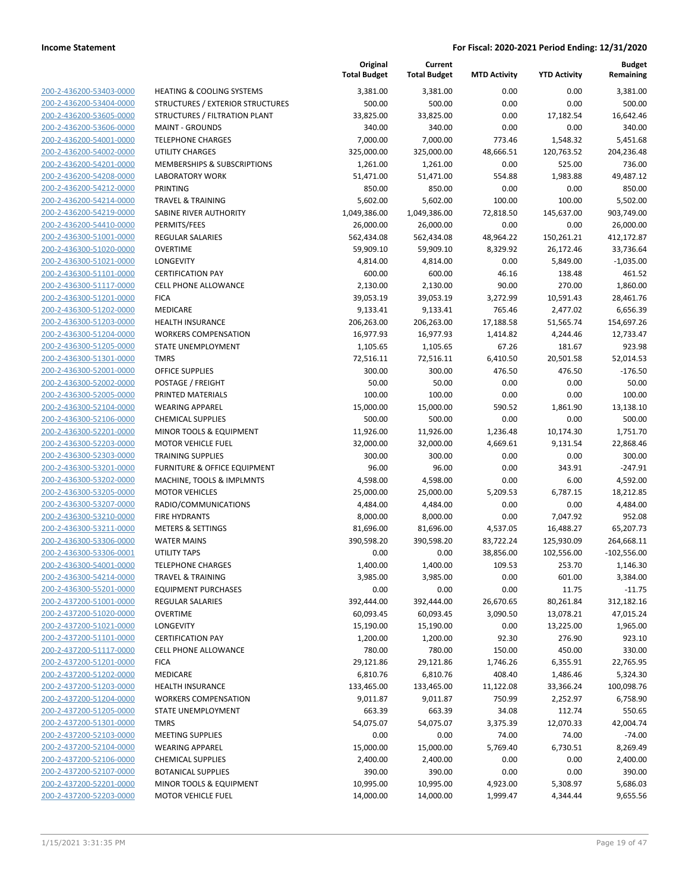|                                                    |                                        | Original<br><b>Total Budget</b> | Current<br><b>Total Budget</b> | <b>MTD Activity</b> | <b>YTD Activity</b>   | <b>Budget</b><br>Remaining |
|----------------------------------------------------|----------------------------------------|---------------------------------|--------------------------------|---------------------|-----------------------|----------------------------|
| 200-2-436200-53403-0000                            | <b>HEATING &amp; COOLING SYSTEMS</b>   | 3,381.00                        | 3,381.00                       | 0.00                | 0.00                  | 3,381.00                   |
| 200-2-436200-53404-0000                            | STRUCTURES / EXTERIOR STRUCTURES       | 500.00                          | 500.00                         | 0.00                | 0.00                  | 500.00                     |
| 200-2-436200-53605-0000                            | STRUCTURES / FILTRATION PLANT          | 33,825.00                       | 33,825.00                      | 0.00                | 17,182.54             | 16,642.46                  |
| 200-2-436200-53606-0000                            | <b>MAINT - GROUNDS</b>                 | 340.00                          | 340.00                         | 0.00                | 0.00                  | 340.00                     |
| 200-2-436200-54001-0000                            | <b>TELEPHONE CHARGES</b>               | 7,000.00                        | 7,000.00                       | 773.46              | 1,548.32              | 5,451.68                   |
| 200-2-436200-54002-0000                            | <b>UTILITY CHARGES</b>                 | 325,000.00                      | 325,000.00                     | 48,666.51           | 120,763.52            | 204,236.48                 |
| 200-2-436200-54201-0000                            | MEMBERSHIPS & SUBSCRIPTIONS            | 1,261.00                        | 1,261.00                       | 0.00                | 525.00                | 736.00                     |
| 200-2-436200-54208-0000                            | <b>LABORATORY WORK</b>                 | 51,471.00                       | 51,471.00                      | 554.88              | 1,983.88              | 49,487.12                  |
| 200-2-436200-54212-0000                            | <b>PRINTING</b>                        | 850.00                          | 850.00                         | 0.00                | 0.00                  | 850.00                     |
| 200-2-436200-54214-0000                            | <b>TRAVEL &amp; TRAINING</b>           | 5,602.00                        | 5,602.00                       | 100.00              | 100.00                | 5,502.00                   |
| 200-2-436200-54219-0000                            | SABINE RIVER AUTHORITY                 | 1,049,386.00                    | 1,049,386.00                   | 72,818.50           | 145,637.00            | 903,749.00                 |
| 200-2-436200-54410-0000                            | PERMITS/FEES                           | 26,000.00                       | 26,000.00                      | 0.00                | 0.00                  | 26,000.00                  |
| 200-2-436300-51001-0000                            | REGULAR SALARIES                       | 562,434.08                      | 562,434.08                     | 48,964.22           | 150,261.21            | 412,172.87                 |
| 200-2-436300-51020-0000                            | <b>OVERTIME</b>                        | 59,909.10                       | 59,909.10                      | 8,329.92            | 26,172.46             | 33,736.64                  |
| 200-2-436300-51021-0000                            | LONGEVITY                              | 4,814.00                        | 4,814.00                       | 0.00                | 5,849.00              | $-1,035.00$                |
| 200-2-436300-51101-0000                            | <b>CERTIFICATION PAY</b>               | 600.00                          | 600.00                         | 46.16               | 138.48                | 461.52                     |
| 200-2-436300-51117-0000                            | <b>CELL PHONE ALLOWANCE</b>            | 2,130.00                        | 2,130.00                       | 90.00               | 270.00                | 1,860.00                   |
| 200-2-436300-51201-0000                            | <b>FICA</b>                            | 39,053.19                       | 39,053.19                      | 3,272.99            | 10,591.43             | 28,461.76                  |
| 200-2-436300-51202-0000                            | MEDICARE                               | 9,133.41                        | 9,133.41                       | 765.46              | 2,477.02              | 6,656.39                   |
| 200-2-436300-51203-0000                            | HEALTH INSURANCE                       | 206,263.00                      | 206,263.00                     | 17,188.58           | 51,565.74             | 154,697.26                 |
| 200-2-436300-51204-0000                            | <b>WORKERS COMPENSATION</b>            | 16,977.93                       | 16,977.93                      | 1,414.82            | 4,244.46              | 12,733.47                  |
| 200-2-436300-51205-0000                            | STATE UNEMPLOYMENT                     | 1,105.65                        | 1,105.65                       | 67.26               | 181.67                | 923.98                     |
| 200-2-436300-51301-0000                            | <b>TMRS</b>                            | 72,516.11                       | 72,516.11                      | 6,410.50            | 20,501.58             | 52,014.53                  |
| 200-2-436300-52001-0000                            | <b>OFFICE SUPPLIES</b>                 | 300.00<br>50.00                 | 300.00<br>50.00                | 476.50              | 476.50                | $-176.50$<br>50.00         |
| 200-2-436300-52002-0000<br>200-2-436300-52005-0000 | POSTAGE / FREIGHT<br>PRINTED MATERIALS | 100.00                          | 100.00                         | 0.00<br>0.00        | 0.00<br>0.00          | 100.00                     |
| 200-2-436300-52104-0000                            | <b>WEARING APPAREL</b>                 | 15,000.00                       | 15,000.00                      | 590.52              | 1,861.90              | 13,138.10                  |
| 200-2-436300-52106-0000                            | <b>CHEMICAL SUPPLIES</b>               | 500.00                          | 500.00                         | 0.00                | 0.00                  | 500.00                     |
| 200-2-436300-52201-0000                            | MINOR TOOLS & EQUIPMENT                | 11,926.00                       | 11,926.00                      | 1,236.48            | 10,174.30             | 1,751.70                   |
| 200-2-436300-52203-0000                            | <b>MOTOR VEHICLE FUEL</b>              | 32,000.00                       | 32,000.00                      | 4,669.61            | 9,131.54              | 22,868.46                  |
| 200-2-436300-52303-0000                            | <b>TRAINING SUPPLIES</b>               | 300.00                          | 300.00                         | 0.00                | 0.00                  | 300.00                     |
| 200-2-436300-53201-0000                            | FURNITURE & OFFICE EQUIPMENT           | 96.00                           | 96.00                          | 0.00                | 343.91                | $-247.91$                  |
| 200-2-436300-53202-0000                            | MACHINE, TOOLS & IMPLMNTS              | 4,598.00                        | 4,598.00                       | 0.00                | 6.00                  | 4,592.00                   |
| 200-2-436300-53205-0000                            | <b>MOTOR VEHICLES</b>                  | 25,000.00                       | 25,000.00                      | 5,209.53            | 6,787.15              | 18,212.85                  |
| 200-2-436300-53207-0000                            | RADIO/COMMUNICATIONS                   | 4,484.00                        | 4,484.00                       | 0.00                | 0.00                  | 4,484.00                   |
| 200-2-436300-53210-0000                            | <b>FIRE HYDRANTS</b>                   | 8,000.00                        | 8,000.00                       | 0.00                | 7,047.92              | 952.08                     |
| 200-2-436300-53211-0000                            | <b>METERS &amp; SETTINGS</b>           | 81,696.00                       | 81,696.00                      | 4,537.05            | 16,488.27             | 65,207.73                  |
| 200-2-436300-53306-0000                            | <b>WATER MAINS</b>                     | 390,598.20                      | 390,598.20                     | 83,722.24           | 125,930.09            | 264,668.11                 |
| 200-2-436300-53306-0001                            | <b>UTILITY TAPS</b>                    | 0.00                            | 0.00                           | 38,856.00           | 102,556.00            | $-102,556.00$              |
| 200-2-436300-54001-0000                            | <b>TELEPHONE CHARGES</b>               | 1,400.00                        | 1,400.00                       | 109.53              | 253.70                | 1,146.30                   |
| 200-2-436300-54214-0000                            | <b>TRAVEL &amp; TRAINING</b>           | 3,985.00                        | 3,985.00                       | 0.00                | 601.00                | 3,384.00                   |
| 200-2-436300-55201-0000                            | <b>EQUIPMENT PURCHASES</b>             | 0.00                            | 0.00                           | 0.00                | 11.75                 | $-11.75$                   |
| 200-2-437200-51001-0000                            | <b>REGULAR SALARIES</b>                | 392,444.00                      | 392,444.00                     | 26,670.65           | 80,261.84             | 312,182.16                 |
| 200-2-437200-51020-0000                            | <b>OVERTIME</b>                        | 60,093.45                       | 60,093.45                      | 3,090.50            | 13,078.21             | 47,015.24                  |
| 200-2-437200-51021-0000                            | LONGEVITY                              | 15,190.00                       | 15,190.00                      | 0.00                | 13,225.00             | 1,965.00                   |
| 200-2-437200-51101-0000                            | <b>CERTIFICATION PAY</b>               | 1,200.00                        | 1,200.00                       | 92.30               | 276.90                | 923.10                     |
| 200-2-437200-51117-0000                            | CELL PHONE ALLOWANCE                   | 780.00                          | 780.00                         | 150.00              | 450.00                | 330.00                     |
| 200-2-437200-51201-0000<br>200-2-437200-51202-0000 | <b>FICA</b><br>MEDICARE                | 29,121.86                       | 29,121.86                      | 1,746.26            | 6,355.91              | 22,765.95<br>5,324.30      |
| 200-2-437200-51203-0000                            | <b>HEALTH INSURANCE</b>                | 6,810.76<br>133,465.00          | 6,810.76<br>133,465.00         | 408.40<br>11,122.08 | 1,486.46<br>33,366.24 | 100,098.76                 |
| 200-2-437200-51204-0000                            | <b>WORKERS COMPENSATION</b>            | 9,011.87                        | 9,011.87                       | 750.99              | 2,252.97              | 6,758.90                   |
| 200-2-437200-51205-0000                            | STATE UNEMPLOYMENT                     | 663.39                          | 663.39                         | 34.08               | 112.74                | 550.65                     |
| 200-2-437200-51301-0000                            | <b>TMRS</b>                            | 54,075.07                       | 54,075.07                      | 3,375.39            | 12,070.33             | 42,004.74                  |
| 200-2-437200-52103-0000                            | <b>MEETING SUPPLIES</b>                | 0.00                            | 0.00                           | 74.00               | 74.00                 | $-74.00$                   |
| 200-2-437200-52104-0000                            | <b>WEARING APPAREL</b>                 | 15,000.00                       | 15,000.00                      | 5,769.40            | 6,730.51              | 8,269.49                   |
| 200-2-437200-52106-0000                            | <b>CHEMICAL SUPPLIES</b>               | 2,400.00                        | 2,400.00                       | 0.00                | 0.00                  | 2,400.00                   |
| 200-2-437200-52107-0000                            | <b>BOTANICAL SUPPLIES</b>              | 390.00                          | 390.00                         | 0.00                | 0.00                  | 390.00                     |
| 200-2-437200-52201-0000                            | MINOR TOOLS & EQUIPMENT                | 10,995.00                       | 10,995.00                      | 4,923.00            | 5,308.97              | 5,686.03                   |
| 200-2-437200-52203-0000                            | <b>MOTOR VEHICLE FUEL</b>              | 14,000.00                       | 14,000.00                      | 1,999.47            | 4,344.44              | 9,655.56                   |
|                                                    |                                        |                                 |                                |                     |                       |                            |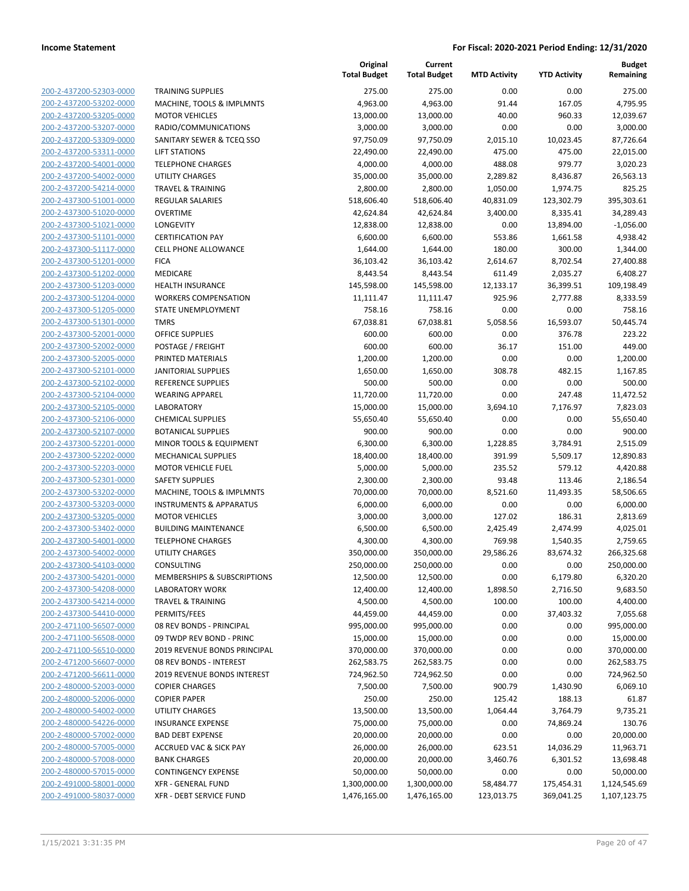**Current**

**Original**

**Budget Remaining**

| 200-2-437200-52303-0000                                          |
|------------------------------------------------------------------|
| 200-2-437200-53202-0000                                          |
| 200-2-437200-53205-0000                                          |
| 200-2-437200-53207-0000                                          |
| 200-2-437200-53309-0000                                          |
| 200-2-437200-53311-0000                                          |
| 200-2-437200-54001-0000                                          |
| 200-2-437200-54002-0000                                          |
| 200-2-437200-54214-0000                                          |
| 200-2-437300-51001-0000                                          |
| 200-2-437300-51020-0000                                          |
| 200-2-437300-51021-0000                                          |
| 200-2-437300-51101-0000                                          |
| 200-2-437300-51117-0000                                          |
| 200-2-437300-51201-0000                                          |
| 200-2-437300-51202-0000                                          |
| 200-2-437300-51203-0000                                          |
| 200-2-437300-51204-0000                                          |
| 200-2-437300-51205-0000                                          |
| 200-2-437300-51301-0000                                          |
|                                                                  |
| 200-2-437300-52001-0000                                          |
| 200-2-437300-52002-0000                                          |
| 200-2-437300-52005-0000                                          |
| 200-2-437300-52101-0000                                          |
| 200-2-437300-52102-0000                                          |
| 200-2-437300-52104-0000                                          |
| 200-2-437300-52105-0000                                          |
| 200-2-437300-52106-0000                                          |
| 200-2-437300-52107-0000                                          |
| 200-2-437300-52201-0000                                          |
| 200-2-437300-52202-0000                                          |
| 200-2-437300-52203-0000                                          |
| 200-2-437300-52301-0000                                          |
| 200-2-437300-53202-0000                                          |
| 200-2-437300-53203-0000                                          |
| 200-2-437300-53205-0000                                          |
| 200-2-437300-53402-0000                                          |
| 200-2-437300-54001-0000                                          |
| 200-2-437300-54002-0000                                          |
| 200-2-437300-54103-0000                                          |
| 200-2-437300-54201-0000                                          |
| 200-2-437300-54208-0000                                          |
| 200-2-437300-54214-0000                                          |
| 200-2-437300-54410-0000                                          |
| <u>200-2-471100-56507-0000</u>                                   |
| 200-2-471100-56508-0000                                          |
| 200-2-471100-56510-0000                                          |
| 200-2-471200-56607-0000                                          |
| <u>200-2-471200-56611-0000</u>                                   |
| <u>200-2-480000-52003-0000</u>                                   |
| 200-2-480000-52006-0000                                          |
| 200-2-480000-54002-0000                                          |
| 200-2-480000-54226-0000                                          |
| <u>200-2-480000-57002-0000</u>                                   |
|                                                                  |
|                                                                  |
| <u>200-2-480000-57005-0000</u>                                   |
| 200-2-480000-57008-0000                                          |
| 200-2-480000-57015-0000                                          |
| <u>200-2-491000-58001-0000</u><br><u>200-2-491000-58037-0000</u> |

|                                                    |                                          | <b>Total Budget</b>     | <b>Total Budget</b>     | <b>MTD Activity</b> | <b>YTD Activity</b> | Remaining              |
|----------------------------------------------------|------------------------------------------|-------------------------|-------------------------|---------------------|---------------------|------------------------|
| 200-2-437200-52303-0000                            | <b>TRAINING SUPPLIES</b>                 | 275.00                  | 275.00                  | 0.00                | 0.00                | 275.00                 |
| 200-2-437200-53202-0000                            | MACHINE, TOOLS & IMPLMNTS                | 4,963.00                | 4,963.00                | 91.44               | 167.05              | 4,795.95               |
| 200-2-437200-53205-0000                            | <b>MOTOR VEHICLES</b>                    | 13,000.00               | 13,000.00               | 40.00               | 960.33              | 12,039.67              |
| 200-2-437200-53207-0000                            | RADIO/COMMUNICATIONS                     | 3,000.00                | 3,000.00                | 0.00                | 0.00                | 3,000.00               |
| 200-2-437200-53309-0000                            | SANITARY SEWER & TCEQ SSO                | 97,750.09               | 97,750.09               | 2,015.10            | 10,023.45           | 87,726.64              |
| 200-2-437200-53311-0000                            | <b>LIFT STATIONS</b>                     | 22,490.00               | 22,490.00               | 475.00              | 475.00              | 22,015.00              |
| 200-2-437200-54001-0000                            | <b>TELEPHONE CHARGES</b>                 | 4,000.00                | 4,000.00                | 488.08              | 979.77              | 3,020.23               |
| 200-2-437200-54002-0000                            | <b>UTILITY CHARGES</b>                   | 35,000.00               | 35,000.00               | 2,289.82            | 8,436.87            | 26,563.13              |
| 200-2-437200-54214-0000                            | <b>TRAVEL &amp; TRAINING</b>             | 2,800.00                | 2,800.00                | 1,050.00            | 1,974.75            | 825.25                 |
| 200-2-437300-51001-0000                            | <b>REGULAR SALARIES</b>                  | 518,606.40              | 518,606.40              | 40,831.09           | 123,302.79          | 395,303.61             |
| 200-2-437300-51020-0000                            | <b>OVERTIME</b>                          | 42,624.84               | 42,624.84               | 3,400.00            | 8,335.41            | 34,289.43              |
| 200-2-437300-51021-0000                            | <b>LONGEVITY</b>                         | 12,838.00               | 12,838.00               | 0.00                | 13,894.00           | $-1,056.00$            |
| 200-2-437300-51101-0000                            | <b>CERTIFICATION PAY</b>                 | 6,600.00                | 6,600.00                | 553.86              | 1,661.58            | 4,938.42               |
| 200-2-437300-51117-0000                            | <b>CELL PHONE ALLOWANCE</b>              | 1,644.00                | 1,644.00                | 180.00              | 300.00              | 1,344.00               |
| 200-2-437300-51201-0000                            | <b>FICA</b>                              | 36,103.42               | 36,103.42               | 2,614.67            | 8,702.54            | 27,400.88              |
| 200-2-437300-51202-0000                            | MEDICARE                                 | 8,443.54                | 8,443.54                | 611.49              | 2,035.27            | 6,408.27               |
| 200-2-437300-51203-0000                            | <b>HEALTH INSURANCE</b>                  | 145,598.00              | 145,598.00              | 12,133.17           | 36,399.51           | 109,198.49             |
| 200-2-437300-51204-0000                            | <b>WORKERS COMPENSATION</b>              | 11,111.47               | 11,111.47               | 925.96              | 2,777.88            | 8,333.59               |
| 200-2-437300-51205-0000                            | STATE UNEMPLOYMENT                       | 758.16                  | 758.16                  | 0.00                | 0.00                | 758.16                 |
| 200-2-437300-51301-0000                            | <b>TMRS</b>                              | 67,038.81               | 67,038.81               | 5,058.56            | 16,593.07           | 50,445.74              |
| 200-2-437300-52001-0000                            | <b>OFFICE SUPPLIES</b>                   | 600.00                  | 600.00                  | 0.00                | 376.78              | 223.22                 |
| 200-2-437300-52002-0000                            | POSTAGE / FREIGHT                        | 600.00                  | 600.00                  | 36.17               | 151.00              | 449.00                 |
| 200-2-437300-52005-0000                            | PRINTED MATERIALS                        | 1,200.00                | 1,200.00                | 0.00                | 0.00                | 1,200.00               |
| 200-2-437300-52101-0000                            | <b>JANITORIAL SUPPLIES</b>               | 1,650.00                | 1,650.00                | 308.78              | 482.15              | 1,167.85               |
| 200-2-437300-52102-0000                            | REFERENCE SUPPLIES                       | 500.00                  | 500.00                  | 0.00                | 0.00                | 500.00                 |
| 200-2-437300-52104-0000                            | <b>WEARING APPAREL</b>                   | 11,720.00               | 11,720.00               | 0.00                | 247.48              | 11,472.52              |
| 200-2-437300-52105-0000                            | <b>LABORATORY</b>                        | 15,000.00               | 15,000.00               | 3,694.10            | 7,176.97            | 7,823.03               |
| 200-2-437300-52106-0000                            | <b>CHEMICAL SUPPLIES</b>                 | 55,650.40               | 55,650.40               | 0.00                | 0.00                | 55,650.40              |
| 200-2-437300-52107-0000                            | <b>BOTANICAL SUPPLIES</b>                | 900.00                  | 900.00                  | 0.00                | 0.00                | 900.00                 |
| 200-2-437300-52201-0000                            | MINOR TOOLS & EQUIPMENT                  | 6,300.00                | 6,300.00                | 1,228.85            | 3,784.91            | 2,515.09               |
| 200-2-437300-52202-0000                            | MECHANICAL SUPPLIES                      | 18,400.00               | 18,400.00               | 391.99              | 5,509.17            | 12,890.83              |
| 200-2-437300-52203-0000                            | <b>MOTOR VEHICLE FUEL</b>                | 5,000.00                | 5,000.00                | 235.52              | 579.12              | 4,420.88               |
| 200-2-437300-52301-0000                            | <b>SAFETY SUPPLIES</b>                   | 2,300.00                | 2,300.00                | 93.48               | 113.46              | 2,186.54               |
| 200-2-437300-53202-0000                            | MACHINE, TOOLS & IMPLMNTS                | 70,000.00               | 70,000.00               | 8,521.60            | 11,493.35           | 58,506.65              |
| 200-2-437300-53203-0000                            | <b>INSTRUMENTS &amp; APPARATUS</b>       | 6,000.00                | 6,000.00                | 0.00                | 0.00                | 6,000.00               |
| 200-2-437300-53205-0000                            | <b>MOTOR VEHICLES</b>                    | 3,000.00                | 3,000.00                | 127.02              | 186.31              | 2,813.69               |
| 200-2-437300-53402-0000                            | <b>BUILDING MAINTENANCE</b>              | 6,500.00                | 6,500.00                | 2,425.49            | 2,474.99            | 4,025.01               |
| 200-2-437300-54001-0000                            | <b>TELEPHONE CHARGES</b>                 | 4,300.00                | 4,300.00                | 769.98              | 1,540.35            | 2,759.65               |
| 200-2-437300-54002-0000                            | UTILITY CHARGES                          | 350,000.00              | 350,000.00              | 29,586.26           | 83,674.32           | 266,325.68             |
| 200-2-437300-54103-0000                            | CONSULTING                               | 250,000.00              | 250,000.00              | 0.00                | 0.00                | 250,000.00             |
| 200-2-437300-54201-0000                            | MEMBERSHIPS & SUBSCRIPTIONS              | 12,500.00               | 12,500.00               | 0.00                | 6,179.80            | 6,320.20               |
| 200-2-437300-54208-0000<br>200-2-437300-54214-0000 | <b>LABORATORY WORK</b>                   | 12,400.00               | 12,400.00               | 1,898.50            | 2,716.50            | 9,683.50               |
| 200-2-437300-54410-0000                            | <b>TRAVEL &amp; TRAINING</b>             | 4,500.00                | 4,500.00                | 100.00              | 100.00<br>37,403.32 | 4,400.00               |
| 200-2-471100-56507-0000                            | PERMITS/FEES<br>08 REV BONDS - PRINCIPAL | 44,459.00<br>995,000.00 | 44,459.00<br>995,000.00 | 0.00<br>0.00        | 0.00                | 7,055.68<br>995,000.00 |
| 200-2-471100-56508-0000                            | 09 TWDP REV BOND - PRINC                 |                         |                         | 0.00                | 0.00                | 15,000.00              |
| 200-2-471100-56510-0000                            | 2019 REVENUE BONDS PRINCIPAL             | 15,000.00<br>370,000.00 | 15,000.00<br>370,000.00 | 0.00                | 0.00                | 370,000.00             |
| 200-2-471200-56607-0000                            | 08 REV BONDS - INTEREST                  | 262,583.75              | 262,583.75              | 0.00                | 0.00                | 262,583.75             |
| 200-2-471200-56611-0000                            | 2019 REVENUE BONDS INTEREST              | 724,962.50              | 724,962.50              | 0.00                | 0.00                | 724,962.50             |
| 200-2-480000-52003-0000                            | <b>COPIER CHARGES</b>                    | 7,500.00                | 7,500.00                | 900.79              | 1,430.90            | 6,069.10               |
| 200-2-480000-52006-0000                            | <b>COPIER PAPER</b>                      | 250.00                  | 250.00                  | 125.42              | 188.13              | 61.87                  |
| 200-2-480000-54002-0000                            | UTILITY CHARGES                          | 13,500.00               | 13,500.00               | 1,064.44            | 3,764.79            | 9,735.21               |
| 200-2-480000-54226-0000                            | <b>INSURANCE EXPENSE</b>                 | 75,000.00               | 75,000.00               | 0.00                | 74,869.24           | 130.76                 |
| 200-2-480000-57002-0000                            | <b>BAD DEBT EXPENSE</b>                  | 20,000.00               | 20,000.00               | 0.00                | 0.00                | 20,000.00              |
| 200-2-480000-57005-0000                            | <b>ACCRUED VAC &amp; SICK PAY</b>        | 26,000.00               | 26,000.00               | 623.51              | 14,036.29           | 11,963.71              |
| 200-2-480000-57008-0000                            | <b>BANK CHARGES</b>                      | 20,000.00               | 20,000.00               | 3,460.76            | 6,301.52            | 13,698.48              |
| 200-2-480000-57015-0000                            | <b>CONTINGENCY EXPENSE</b>               | 50,000.00               | 50,000.00               | 0.00                | 0.00                | 50,000.00              |
| 200-2-491000-58001-0000                            | <b>XFR - GENERAL FUND</b>                | 1,300,000.00            | 1,300,000.00            | 58,484.77           | 175,454.31          | 1,124,545.69           |
| 200-2-491000-58037-0000                            | <b>XFR - DEBT SERVICE FUND</b>           | 1,476,165.00            | 1,476,165.00            | 123,013.75          | 369,041.25          | 1,107,123.75           |
|                                                    |                                          |                         |                         |                     |                     |                        |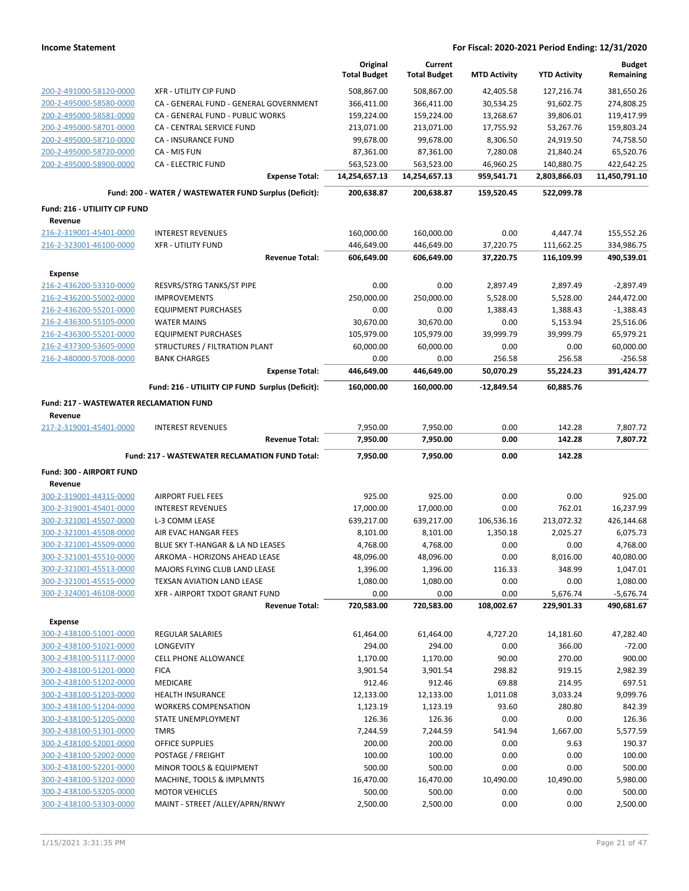|                                                    |                                                         | Original<br><b>Total Budget</b> | Current<br><b>Total Budget</b> | <b>MTD Activity</b>    | <b>YTD Activity</b>      | <b>Budget</b><br>Remaining |
|----------------------------------------------------|---------------------------------------------------------|---------------------------------|--------------------------------|------------------------|--------------------------|----------------------------|
| 200-2-491000-58120-0000                            | <b>XFR - UTILITY CIP FUND</b>                           | 508,867.00                      | 508,867.00                     | 42,405.58              | 127,216.74               | 381,650.26                 |
| 200-2-495000-58580-0000                            | CA - GENERAL FUND - GENERAL GOVERNMENT                  | 366,411.00                      | 366,411.00                     | 30,534.25              | 91,602.75                | 274,808.25                 |
| 200-2-495000-58581-0000                            | CA - GENERAL FUND - PUBLIC WORKS                        | 159,224.00                      | 159,224.00                     | 13,268.67              | 39,806.01                | 119,417.99                 |
| 200-2-495000-58701-0000                            | <b>CA - CENTRAL SERVICE FUND</b>                        | 213,071.00                      | 213,071.00                     | 17,755.92              | 53,267.76                | 159,803.24                 |
| 200-2-495000-58710-0000                            | CA - INSURANCE FUND                                     | 99,678.00                       | 99,678.00                      | 8,306.50               | 24,919.50                | 74,758.50                  |
| 200-2-495000-58720-0000                            | CA - MIS FUN                                            | 87,361.00                       | 87,361.00                      | 7,280.08               | 21,840.24                | 65,520.76                  |
| 200-2-495000-58900-0000                            | <b>CA - ELECTRIC FUND</b>                               | 563,523.00                      | 563,523.00                     | 46,960.25              | 140,880.75               | 422,642.25                 |
|                                                    | <b>Expense Total:</b>                                   | 14,254,657.13                   | 14,254,657.13                  | 959,541.71             | 2,803,866.03             | 11,450,791.10              |
|                                                    | Fund: 200 - WATER / WASTEWATER FUND Surplus (Deficit):  | 200,638.87                      | 200,638.87                     | 159,520.45             | 522,099.78               |                            |
| Fund: 216 - UTILIITY CIP FUND                      |                                                         |                                 |                                |                        |                          |                            |
| Revenue                                            |                                                         |                                 |                                |                        |                          |                            |
| 216-2-319001-45401-0000                            | <b>INTEREST REVENUES</b>                                | 160,000.00                      | 160,000.00                     | 0.00                   | 4,447.74                 | 155,552.26                 |
| 216-2-323001-46100-0000                            | <b>XFR - UTILITY FUND</b><br><b>Revenue Total:</b>      | 446,649.00<br>606,649.00        | 446,649.00<br>606,649.00       | 37,220.75<br>37,220.75 | 111,662.25<br>116,109.99 | 334,986.75<br>490,539.01   |
|                                                    |                                                         |                                 |                                |                        |                          |                            |
| <b>Expense</b>                                     |                                                         |                                 |                                |                        |                          |                            |
| 216-2-436200-53310-0000                            | RESVRS/STRG TANKS/ST PIPE<br><b>IMPROVEMENTS</b>        | 0.00                            | 0.00                           | 2,897.49               | 2,897.49<br>5,528.00     | $-2,897.49$                |
| 216-2-436200-55002-0000<br>216-2-436200-55201-0000 | <b>EQUIPMENT PURCHASES</b>                              | 250,000.00<br>0.00              | 250,000.00<br>0.00             | 5,528.00               |                          | 244,472.00                 |
| 216-2-436300-55105-0000                            | <b>WATER MAINS</b>                                      | 30,670.00                       | 30,670.00                      | 1,388.43<br>0.00       | 1,388.43<br>5,153.94     | $-1,388.43$<br>25,516.06   |
| 216-2-436300-55201-0000                            | <b>EQUIPMENT PURCHASES</b>                              | 105,979.00                      | 105,979.00                     | 39,999.79              | 39,999.79                | 65,979.21                  |
| 216-2-437300-53605-0000                            | STRUCTURES / FILTRATION PLANT                           | 60,000.00                       | 60,000.00                      | 0.00                   | 0.00                     | 60,000.00                  |
| 216-2-480000-57008-0000                            | <b>BANK CHARGES</b>                                     | 0.00                            | 0.00                           | 256.58                 | 256.58                   | $-256.58$                  |
|                                                    | <b>Expense Total:</b>                                   | 446,649.00                      | 446,649.00                     | 50,070.29              | 55,224.23                | 391.424.77                 |
|                                                    | Fund: 216 - UTILIITY CIP FUND Surplus (Deficit):        | 160,000.00                      | 160,000.00                     | $-12,849.54$           | 60,885.76                |                            |
| <b>Fund: 217 - WASTEWATER RECLAMATION FUND</b>     |                                                         |                                 |                                |                        |                          |                            |
| Revenue                                            |                                                         |                                 |                                |                        |                          |                            |
| 217-2-319001-45401-0000                            | <b>INTEREST REVENUES</b>                                | 7,950.00                        | 7,950.00                       | 0.00                   | 142.28                   | 7,807.72                   |
|                                                    | <b>Revenue Total:</b>                                   | 7,950.00                        | 7,950.00                       | 0.00                   | 142.28                   | 7,807.72                   |
|                                                    |                                                         |                                 |                                |                        |                          |                            |
|                                                    | Fund: 217 - WASTEWATER RECLAMATION FUND Total:          | 7,950.00                        | 7,950.00                       | 0.00                   | 142.28                   |                            |
| Fund: 300 - AIRPORT FUND                           |                                                         |                                 |                                |                        |                          |                            |
| Revenue                                            |                                                         |                                 |                                |                        |                          |                            |
| 300-2-319001-44315-0000                            | <b>AIRPORT FUEL FEES</b>                                | 925.00                          | 925.00                         | 0.00                   | 0.00                     | 925.00                     |
| 300-2-319001-45401-0000                            | <b>INTEREST REVENUES</b>                                | 17,000.00                       | 17,000.00                      | 0.00                   | 762.01                   | 16,237.99                  |
| 300-2-321001-45507-0000                            | L-3 COMM LEASE                                          | 639,217.00                      | 639,217.00                     | 106,536.16             | 213,072.32               | 426,144.68                 |
| 300-2-321001-45508-0000                            | AIR EVAC HANGAR FEES                                    | 8,101.00                        | 8,101.00                       | 1,350.18               | 2,025.27                 | 6,075.73                   |
| 300-2-321001-45509-0000                            | BLUE SKY T-HANGAR & LA ND LEASES                        | 4,768.00                        | 4,768.00                       | 0.00                   | 0.00                     | 4,768.00                   |
| 300-2-321001-45510-0000                            | ARKOMA - HORIZONS AHEAD LEASE                           | 48,096.00                       | 48,096.00                      | 0.00                   | 8,016.00                 | 40,080.00                  |
| 300-2-321001-45513-0000                            | MAJORS FLYING CLUB LAND LEASE                           | 1,396.00                        | 1,396.00                       | 116.33                 | 348.99                   | 1,047.01                   |
| 300-2-321001-45515-0000                            | TEXSAN AVIATION LAND LEASE                              | 1,080.00                        | 1,080.00                       | 0.00                   | 0.00                     | 1,080.00                   |
| 300-2-324001-46108-0000                            | XFR - AIRPORT TXDOT GRANT FUND<br><b>Revenue Total:</b> | 0.00<br>720,583.00              | 0.00<br>720,583.00             | 0.00<br>108,002.67     | 5,676.74<br>229,901.33   | $-5,676.74$<br>490,681.67  |
| <b>Expense</b>                                     |                                                         |                                 |                                |                        |                          |                            |
| 300-2-438100-51001-0000                            | REGULAR SALARIES                                        | 61,464.00                       | 61,464.00                      | 4,727.20               | 14,181.60                | 47,282.40                  |
| 300-2-438100-51021-0000                            | LONGEVITY                                               | 294.00                          | 294.00                         | 0.00                   | 366.00                   | $-72.00$                   |
| 300-2-438100-51117-0000                            | <b>CELL PHONE ALLOWANCE</b>                             | 1,170.00                        | 1,170.00                       | 90.00                  | 270.00                   | 900.00                     |
| 300-2-438100-51201-0000                            | <b>FICA</b>                                             | 3,901.54                        | 3,901.54                       | 298.82                 | 919.15                   | 2,982.39                   |
| 300-2-438100-51202-0000                            | <b>MEDICARE</b>                                         | 912.46                          | 912.46                         | 69.88                  | 214.95                   | 697.51                     |
| 300-2-438100-51203-0000                            | <b>HEALTH INSURANCE</b>                                 | 12,133.00                       | 12,133.00                      | 1,011.08               | 3,033.24                 | 9.099.76                   |
| 300-2-438100-51204-0000                            | <b>WORKERS COMPENSATION</b>                             | 1,123.19                        | 1,123.19                       | 93.60                  | 280.80                   | 842.39                     |
| 300-2-438100-51205-0000                            | STATE UNEMPLOYMENT                                      | 126.36                          | 126.36                         | 0.00                   | 0.00                     | 126.36                     |
| 300-2-438100-51301-0000                            | <b>TMRS</b>                                             | 7,244.59                        | 7,244.59                       | 541.94                 | 1,667.00                 | 5,577.59                   |
| 300-2-438100-52001-0000                            | <b>OFFICE SUPPLIES</b>                                  | 200.00                          | 200.00                         | 0.00                   | 9.63                     | 190.37                     |
| 300-2-438100-52002-0000                            | POSTAGE / FREIGHT                                       | 100.00                          | 100.00                         | 0.00                   | 0.00                     | 100.00                     |
| 300-2-438100-52201-0000                            | MINOR TOOLS & EQUIPMENT                                 | 500.00                          | 500.00                         | 0.00                   | 0.00                     | 500.00                     |
| 300-2-438100-53202-0000                            | MACHINE, TOOLS & IMPLMNTS                               | 16,470.00                       | 16,470.00                      | 10,490.00              | 10,490.00                | 5,980.00                   |
| 300-2-438100-53205-0000                            | <b>MOTOR VEHICLES</b>                                   | 500.00                          | 500.00                         | 0.00                   | 0.00                     | 500.00                     |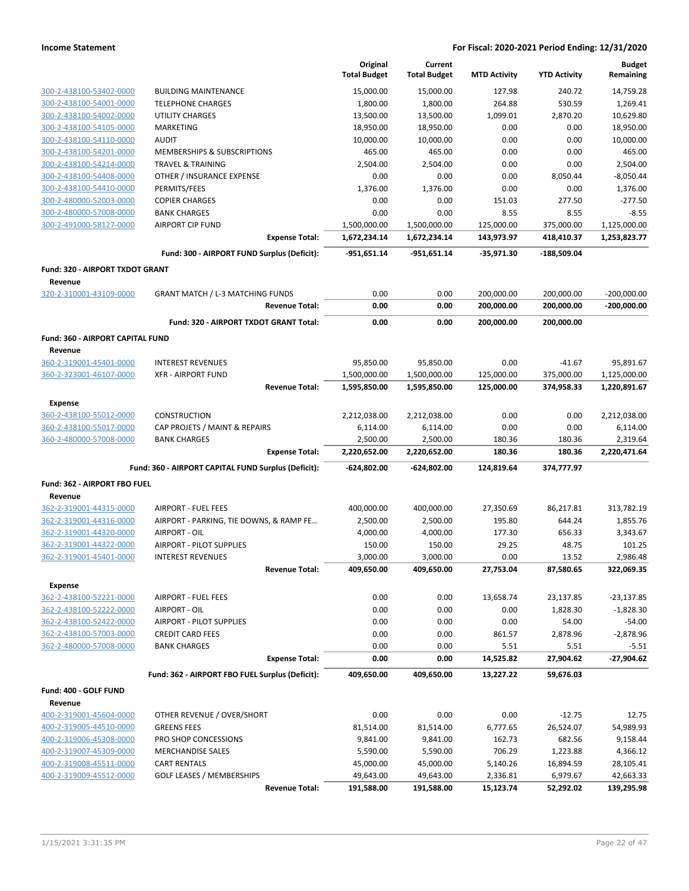|                                                   |                                                     | Original<br><b>Total Budget</b> | Current<br><b>Total Budget</b> | <b>MTD Activity</b>   | <b>YTD Activity</b>   | <b>Budget</b><br>Remaining |
|---------------------------------------------------|-----------------------------------------------------|---------------------------------|--------------------------------|-----------------------|-----------------------|----------------------------|
| 300-2-438100-53402-0000                           | <b>BUILDING MAINTENANCE</b>                         | 15,000.00                       | 15,000.00                      | 127.98                | 240.72                | 14,759.28                  |
| 300-2-438100-54001-0000                           | <b>TELEPHONE CHARGES</b>                            | 1,800.00                        | 1,800.00                       | 264.88                | 530.59                | 1,269.41                   |
| 300-2-438100-54002-0000                           | <b>UTILITY CHARGES</b>                              | 13,500.00                       | 13,500.00                      | 1,099.01              | 2,870.20              | 10,629.80                  |
| 300-2-438100-54105-0000                           | <b>MARKETING</b>                                    | 18,950.00                       | 18,950.00                      | 0.00                  | 0.00                  | 18,950.00                  |
| 300-2-438100-54110-0000                           | <b>AUDIT</b>                                        | 10,000.00                       | 10,000.00                      | 0.00                  | 0.00                  | 10,000.00                  |
| 300-2-438100-54201-0000                           | MEMBERSHIPS & SUBSCRIPTIONS                         | 465.00                          | 465.00                         | 0.00                  | 0.00                  | 465.00                     |
| 300-2-438100-54214-0000                           | <b>TRAVEL &amp; TRAINING</b>                        | 2,504.00                        | 2,504.00                       | 0.00                  | 0.00                  | 2,504.00                   |
| 300-2-438100-54408-0000                           | OTHER / INSURANCE EXPENSE                           | 0.00                            | 0.00                           | 0.00                  | 8,050.44              | $-8,050.44$                |
| 300-2-438100-54410-0000                           | PERMITS/FEES                                        | 1,376.00                        | 1,376.00                       | 0.00                  | 0.00                  | 1,376.00                   |
| 300-2-480000-52003-0000                           | <b>COPIER CHARGES</b>                               | 0.00                            | 0.00                           | 151.03                | 277.50                | $-277.50$                  |
| 300-2-480000-57008-0000                           | <b>BANK CHARGES</b>                                 | 0.00                            | 0.00                           | 8.55                  | 8.55                  | $-8.55$                    |
| 300-2-491000-58127-0000                           | <b>AIRPORT CIP FUND</b>                             | 1,500,000.00                    | 1,500,000.00                   | 125,000.00            | 375,000.00            | 1,125,000.00               |
|                                                   | <b>Expense Total:</b>                               | 1,672,234.14                    | 1,672,234.14                   | 143,973.97            | 418,410.37            | 1,253,823.77               |
|                                                   | Fund: 300 - AIRPORT FUND Surplus (Deficit):         | $-951,651.14$                   | $-951,651.14$                  | $-35,971.30$          | $-188,509.04$         |                            |
| <b>Fund: 320 - AIRPORT TXDOT GRANT</b><br>Revenue |                                                     |                                 |                                |                       |                       |                            |
| 320-2-310001-43109-0000                           | <b>GRANT MATCH / L-3 MATCHING FUNDS</b>             | 0.00                            | 0.00                           | 200,000.00            | 200,000.00            | $-200,000.00$              |
|                                                   | <b>Revenue Total:</b>                               | 0.00                            | 0.00                           | 200,000.00            | 200,000.00            | $-200,000.00$              |
|                                                   | Fund: 320 - AIRPORT TXDOT GRANT Total:              | 0.00                            | 0.00                           | 200,000.00            | 200,000.00            |                            |
| Fund: 360 - AIRPORT CAPITAL FUND                  |                                                     |                                 |                                |                       |                       |                            |
| Revenue                                           |                                                     |                                 |                                |                       |                       |                            |
| 360-2-319001-45401-0000                           | <b>INTEREST REVENUES</b>                            | 95,850.00                       | 95,850.00                      | 0.00                  | $-41.67$              | 95,891.67                  |
| 360-2-323001-46107-0000                           | <b>XFR - AIRPORT FUND</b>                           | 1,500,000.00                    | 1,500,000.00                   | 125,000.00            | 375,000.00            | 1,125,000.00               |
|                                                   | <b>Revenue Total:</b>                               | 1,595,850.00                    | 1,595,850.00                   | 125,000.00            | 374,958.33            | 1,220,891.67               |
| <b>Expense</b>                                    |                                                     |                                 |                                |                       |                       |                            |
| 360-2-438100-55012-0000                           | <b>CONSTRUCTION</b>                                 | 2,212,038.00                    | 2,212,038.00                   | 0.00                  | 0.00                  | 2,212,038.00               |
| 360-2-438100-55017-0000                           | CAP PROJETS / MAINT & REPAIRS                       | 6,114.00                        | 6,114.00                       | 0.00                  | 0.00                  | 6,114.00                   |
| 360-2-480000-57008-0000                           | <b>BANK CHARGES</b>                                 | 2,500.00                        | 2,500.00                       | 180.36                | 180.36                | 2,319.64                   |
|                                                   | <b>Expense Total:</b>                               | 2,220,652.00                    | 2,220,652.00                   | 180.36                | 180.36                | 2,220,471.64               |
|                                                   | Fund: 360 - AIRPORT CAPITAL FUND Surplus (Deficit): | $-624,802.00$                   | -624,802.00                    | 124,819.64            | 374,777.97            |                            |
| Fund: 362 - AIRPORT FBO FUEL<br>Revenue           |                                                     |                                 |                                |                       |                       |                            |
| 362-2-319001-44315-0000                           | <b>AIRPORT - FUEL FEES</b>                          | 400,000.00                      | 400,000.00                     | 27,350.69             | 86,217.81             | 313,782.19                 |
| 362-2-319001-44316-0000                           | AIRPORT - PARKING, TIE DOWNS, & RAMP FE             | 2,500.00                        | 2,500.00                       | 195.80                | 644.24                | 1,855.76                   |
| 362-2-319001-44320-0000                           | AIRPORT - OIL                                       | 4,000.00                        | 4,000.00                       | 177.30                | 656.33                | 3,343.67                   |
| 362-2-319001-44322-0000                           | <b>AIRPORT - PILOT SUPPLIES</b>                     | 150.00                          | 150.00                         | 29.25                 | 48.75                 | 101.25                     |
| 362-2-319001-45401-0000                           | <b>INTEREST REVENUES</b>                            | 3,000.00                        | 3,000.00                       | 0.00                  | 13.52                 | 2,986.48                   |
|                                                   | <b>Revenue Total:</b>                               | 409,650.00                      | 409,650.00                     | 27,753.04             | 87,580.65             | 322,069.35                 |
| <b>Expense</b>                                    |                                                     |                                 |                                |                       |                       |                            |
| 362-2-438100-52221-0000                           | AIRPORT - FUEL FEES                                 | 0.00                            | 0.00                           | 13,658.74             | 23,137.85             | $-23,137.85$               |
| 362-2-438100-52222-0000                           | AIRPORT - OIL                                       | 0.00                            | 0.00                           | 0.00                  | 1,828.30              | $-1,828.30$                |
| 362-2-438100-52422-0000                           | AIRPORT - PILOT SUPPLIES                            | 0.00                            | 0.00                           | 0.00                  | 54.00                 | $-54.00$                   |
| 362-2-438100-57003-0000                           | <b>CREDIT CARD FEES</b>                             | 0.00                            | 0.00                           | 861.57                | 2,878.96              | $-2,878.96$                |
| 362-2-480000-57008-0000                           | <b>BANK CHARGES</b>                                 | 0.00                            | 0.00                           | 5.51                  | 5.51                  | $-5.51$                    |
|                                                   | <b>Expense Total:</b>                               | 0.00                            | 0.00                           | 14,525.82             | 27,904.62             | $-27,904.62$               |
|                                                   | Fund: 362 - AIRPORT FBO FUEL Surplus (Deficit):     | 409,650.00                      | 409,650.00                     | 13,227.22             | 59,676.03             |                            |
| Fund: 400 - GOLF FUND                             |                                                     |                                 |                                |                       |                       |                            |
| Revenue                                           |                                                     |                                 |                                |                       |                       |                            |
| 400-2-319001-45604-0000                           | OTHER REVENUE / OVER/SHORT                          | 0.00                            | 0.00                           | 0.00                  | $-12.75$              | 12.75                      |
| 400-2-319005-44510-0000                           | <b>GREENS FEES</b>                                  | 81,514.00                       | 81,514.00                      | 6,777.65              | 26,524.07             | 54,989.93                  |
| 400-2-319006-45308-0000                           | PRO SHOP CONCESSIONS                                | 9,841.00                        | 9,841.00                       | 162.73                | 682.56                | 9,158.44                   |
| 400-2-319007-45309-0000                           | <b>MERCHANDISE SALES</b>                            | 5,590.00                        | 5,590.00                       | 706.29                | 1,223.88              | 4,366.12                   |
| 400-2-319008-45511-0000                           | <b>CART RENTALS</b>                                 | 45,000.00                       | 45,000.00                      | 5,140.26              | 16,894.59             | 28,105.41                  |
| 400-2-319009-45512-0000                           | GOLF LEASES / MEMBERSHIPS<br><b>Revenue Total:</b>  | 49,643.00<br>191,588.00         | 49,643.00<br>191,588.00        | 2,336.81<br>15,123.74 | 6,979.67<br>52,292.02 | 42,663.33<br>139,295.98    |
|                                                   |                                                     |                                 |                                |                       |                       |                            |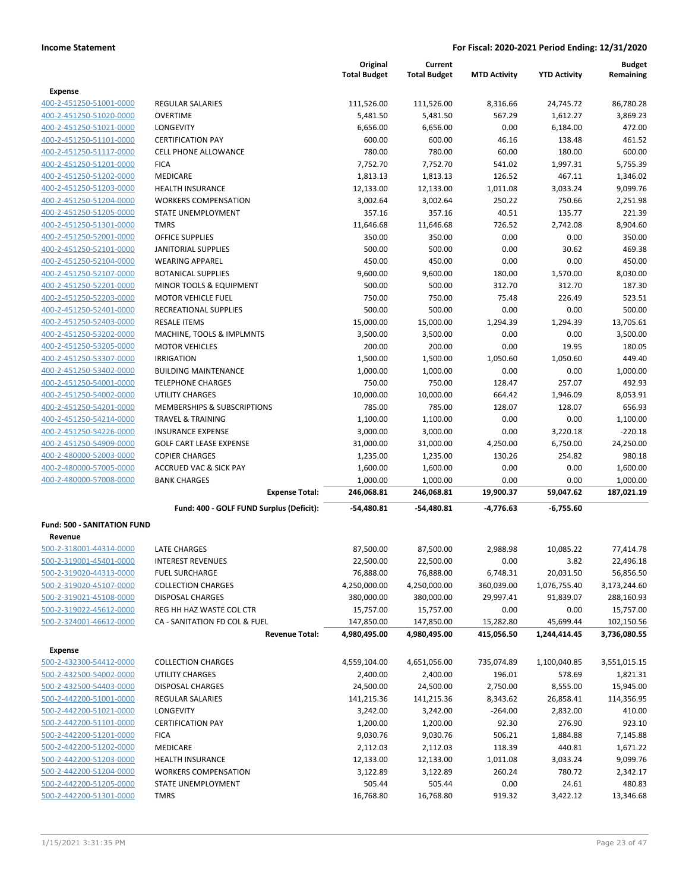|                                    |                                          | Original<br><b>Total Budget</b> | Current<br><b>Total Budget</b> | <b>MTD Activity</b> | <b>YTD Activity</b> | <b>Budget</b><br>Remaining |
|------------------------------------|------------------------------------------|---------------------------------|--------------------------------|---------------------|---------------------|----------------------------|
| <b>Expense</b>                     |                                          |                                 |                                |                     |                     |                            |
| 400-2-451250-51001-0000            | REGULAR SALARIES                         | 111,526.00                      | 111,526.00                     | 8,316.66            | 24,745.72           | 86,780.28                  |
| 400-2-451250-51020-0000            | <b>OVERTIME</b>                          | 5,481.50                        | 5,481.50                       | 567.29              | 1,612.27            | 3,869.23                   |
| 400-2-451250-51021-0000            | LONGEVITY                                | 6,656.00                        | 6,656.00                       | 0.00                | 6,184.00            | 472.00                     |
| 400-2-451250-51101-0000            | <b>CERTIFICATION PAY</b>                 | 600.00                          | 600.00                         | 46.16               | 138.48              | 461.52                     |
| 400-2-451250-51117-0000            | <b>CELL PHONE ALLOWANCE</b>              | 780.00                          | 780.00                         | 60.00               | 180.00              | 600.00                     |
| 400-2-451250-51201-0000            | <b>FICA</b>                              | 7,752.70                        | 7,752.70                       | 541.02              | 1,997.31            | 5,755.39                   |
| 400-2-451250-51202-0000            | <b>MEDICARE</b>                          | 1,813.13                        | 1,813.13                       | 126.52              | 467.11              | 1,346.02                   |
| 400-2-451250-51203-0000            | <b>HEALTH INSURANCE</b>                  | 12,133.00                       | 12,133.00                      | 1,011.08            | 3,033.24            | 9,099.76                   |
| 400-2-451250-51204-0000            | <b>WORKERS COMPENSATION</b>              | 3,002.64                        | 3,002.64                       | 250.22              | 750.66              | 2,251.98                   |
| 400-2-451250-51205-0000            | STATE UNEMPLOYMENT                       | 357.16                          | 357.16                         | 40.51               | 135.77              | 221.39                     |
| 400-2-451250-51301-0000            | <b>TMRS</b>                              | 11,646.68                       | 11,646.68                      | 726.52              | 2,742.08            | 8,904.60                   |
| 400-2-451250-52001-0000            | <b>OFFICE SUPPLIES</b>                   | 350.00                          | 350.00                         | 0.00                | 0.00                | 350.00                     |
| 400-2-451250-52101-0000            | <b>JANITORIAL SUPPLIES</b>               | 500.00                          | 500.00                         | 0.00                | 30.62               | 469.38                     |
| 400-2-451250-52104-0000            | <b>WEARING APPAREL</b>                   | 450.00                          | 450.00                         | 0.00                | 0.00                | 450.00                     |
| 400-2-451250-52107-0000            | <b>BOTANICAL SUPPLIES</b>                | 9,600.00                        | 9,600.00                       | 180.00              | 1,570.00            | 8,030.00                   |
| 400-2-451250-52201-0000            | MINOR TOOLS & EQUIPMENT                  | 500.00                          | 500.00                         | 312.70              | 312.70              | 187.30                     |
| 400-2-451250-52203-0000            | <b>MOTOR VEHICLE FUEL</b>                | 750.00                          | 750.00                         | 75.48               | 226.49              | 523.51                     |
| 400-2-451250-52401-0000            | RECREATIONAL SUPPLIES                    | 500.00                          | 500.00                         | 0.00                | 0.00                | 500.00                     |
| 400-2-451250-52403-0000            | <b>RESALE ITEMS</b>                      | 15,000.00                       | 15,000.00                      | 1,294.39            | 1,294.39            | 13.705.61                  |
| 400-2-451250-53202-0000            | MACHINE, TOOLS & IMPLMNTS                | 3,500.00                        | 3,500.00                       | 0.00                | 0.00                | 3,500.00                   |
| 400-2-451250-53205-0000            | <b>MOTOR VEHICLES</b>                    | 200.00                          | 200.00                         | 0.00                | 19.95               | 180.05                     |
| 400-2-451250-53307-0000            | <b>IRRIGATION</b>                        | 1,500.00                        | 1,500.00                       | 1,050.60            | 1,050.60            | 449.40                     |
| 400-2-451250-53402-0000            | <b>BUILDING MAINTENANCE</b>              | 1,000.00                        | 1,000.00                       | 0.00                | 0.00                | 1,000.00                   |
| 400-2-451250-54001-0000            | <b>TELEPHONE CHARGES</b>                 | 750.00                          | 750.00                         | 128.47              | 257.07              | 492.93                     |
| 400-2-451250-54002-0000            | <b>UTILITY CHARGES</b>                   | 10,000.00                       | 10,000.00                      | 664.42              | 1,946.09            | 8,053.91                   |
| 400-2-451250-54201-0000            | MEMBERSHIPS & SUBSCRIPTIONS              | 785.00                          | 785.00                         | 128.07              | 128.07              | 656.93                     |
| 400-2-451250-54214-0000            | <b>TRAVEL &amp; TRAINING</b>             | 1,100.00                        | 1,100.00                       | 0.00                | 0.00                | 1,100.00                   |
| 400-2-451250-54226-0000            | <b>INSURANCE EXPENSE</b>                 | 3,000.00                        | 3,000.00                       | 0.00                | 3,220.18            | $-220.18$                  |
| 400-2-451250-54909-0000            | <b>GOLF CART LEASE EXPENSE</b>           | 31,000.00                       | 31,000.00                      | 4,250.00            | 6,750.00            | 24,250.00                  |
| 400-2-480000-52003-0000            | <b>COPIER CHARGES</b>                    | 1,235.00                        | 1,235.00                       | 130.26              | 254.82              | 980.18                     |
| 400-2-480000-57005-0000            | <b>ACCRUED VAC &amp; SICK PAY</b>        | 1,600.00                        | 1,600.00                       | 0.00                | 0.00                | 1,600.00                   |
| 400-2-480000-57008-0000            | <b>BANK CHARGES</b>                      | 1,000.00                        | 1,000.00                       | 0.00                | 0.00                | 1,000.00                   |
|                                    | <b>Expense Total:</b>                    | 246,068.81                      | 246,068.81                     | 19,900.37           | 59,047.62           | 187,021.19                 |
|                                    | Fund: 400 - GOLF FUND Surplus (Deficit): | -54,480.81                      | -54,480.81                     | -4,776.63           | -6,755.60           |                            |
| <b>Fund: 500 - SANITATION FUND</b> |                                          |                                 |                                |                     |                     |                            |
| Revenue                            |                                          |                                 |                                |                     |                     |                            |
| 500-2-318001-44314-0000            | <b>LATE CHARGES</b>                      | 87,500.00                       | 87,500.00                      | 2,988.98            | 10,085.22           | 77,414.78                  |
| 500-2-319001-45401-0000            | <b>INTEREST REVENUES</b>                 | 22,500.00                       | 22,500.00                      | 0.00                | 3.82                | 22,496.18                  |
| 500-2-319020-44313-0000            | <b>FUEL SURCHARGE</b>                    | 76,888.00                       | 76,888.00                      | 6,748.31            | 20,031.50           | 56,856.50                  |
| 500-2-319020-45107-0000            | <b>COLLECTION CHARGES</b>                | 4,250,000.00                    | 4,250,000.00                   | 360,039.00          | 1,076,755.40        | 3,173,244.60               |
| 500-2-319021-45108-0000            | <b>DISPOSAL CHARGES</b>                  | 380,000.00                      | 380,000.00                     | 29,997.41           | 91,839.07           | 288,160.93                 |
| 500-2-319022-45612-0000            | REG HH HAZ WASTE COL CTR                 | 15,757.00                       | 15,757.00                      | 0.00                | 0.00                | 15,757.00                  |
| 500-2-324001-46612-0000            | CA - SANITATION FD COL & FUEL            | 147,850.00                      | 147,850.00                     | 15,282.80           | 45,699.44           | 102,150.56                 |
|                                    | <b>Revenue Total:</b>                    | 4,980,495.00                    | 4,980,495.00                   | 415,056.50          | 1,244,414.45        | 3,736,080.55               |
| <b>Expense</b>                     |                                          |                                 |                                |                     |                     |                            |
| 500-2-432300-54412-0000            | <b>COLLECTION CHARGES</b>                | 4,559,104.00                    | 4,651,056.00                   | 735,074.89          | 1,100,040.85        | 3,551,015.15               |
| 500-2-432500-54002-0000            | <b>UTILITY CHARGES</b>                   | 2,400.00                        | 2,400.00                       | 196.01              | 578.69              | 1,821.31                   |
| 500-2-432500-54403-0000            | <b>DISPOSAL CHARGES</b>                  | 24,500.00                       | 24,500.00                      | 2,750.00            | 8,555.00            | 15,945.00                  |
| 500-2-442200-51001-0000            | <b>REGULAR SALARIES</b>                  | 141,215.36                      | 141,215.36                     | 8,343.62            | 26,858.41           | 114,356.95                 |
| 500-2-442200-51021-0000            | <b>LONGEVITY</b>                         | 3,242.00                        | 3,242.00                       | $-264.00$           | 2,832.00            | 410.00                     |
| 500-2-442200-51101-0000            | <b>CERTIFICATION PAY</b>                 | 1,200.00                        | 1,200.00                       | 92.30               | 276.90              | 923.10                     |
| 500-2-442200-51201-0000            | <b>FICA</b>                              | 9,030.76                        | 9,030.76                       | 506.21              |                     | 7,145.88                   |
| 500-2-442200-51202-0000            | MEDICARE                                 | 2,112.03                        | 2,112.03                       | 118.39              | 1,884.88<br>440.81  | 1,671.22                   |
| 500-2-442200-51203-0000            | <b>HEALTH INSURANCE</b>                  |                                 |                                |                     |                     | 9,099.76                   |
|                                    |                                          | 12,133.00                       | 12,133.00                      | 1,011.08            | 3,033.24            |                            |
| 500-2-442200-51204-0000            | <b>WORKERS COMPENSATION</b>              | 3,122.89                        | 3,122.89                       | 260.24              | 780.72              | 2,342.17                   |
| 500-2-442200-51205-0000            | STATE UNEMPLOYMENT                       | 505.44                          | 505.44                         | 0.00                | 24.61               | 480.83                     |
| 500-2-442200-51301-0000            | <b>TMRS</b>                              | 16,768.80                       | 16,768.80                      | 919.32              | 3,422.12            | 13,346.68                  |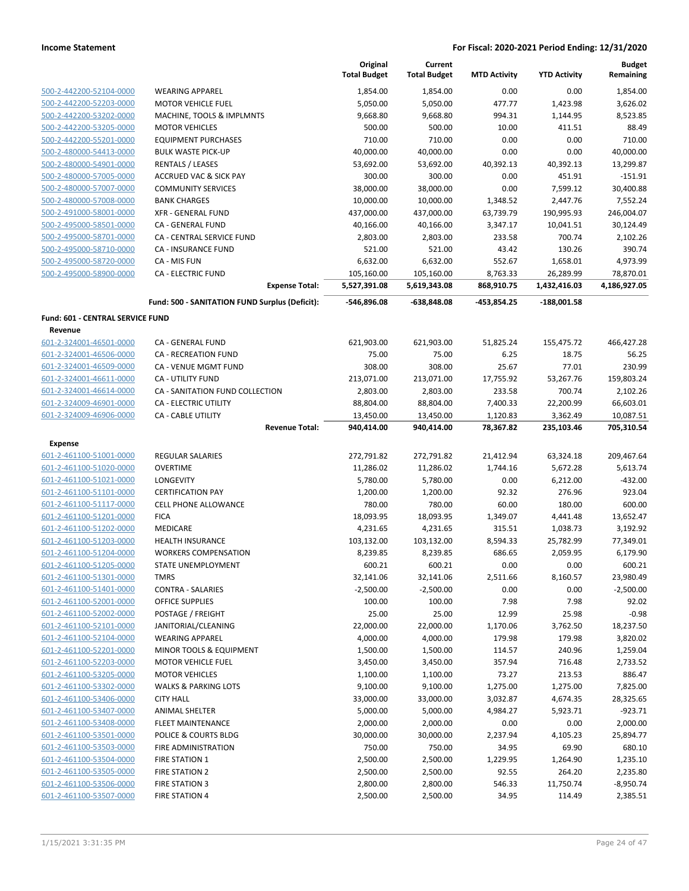|                                  |                                                | Original<br><b>Total Budget</b> | Current<br><b>Total Budget</b> | <b>MTD Activity</b>   | <b>YTD Activity</b>    | <b>Budget</b><br>Remaining |
|----------------------------------|------------------------------------------------|---------------------------------|--------------------------------|-----------------------|------------------------|----------------------------|
| 500-2-442200-52104-0000          | <b>WEARING APPAREL</b>                         | 1,854.00                        | 1,854.00                       | 0.00                  | 0.00                   | 1,854.00                   |
| 500-2-442200-52203-0000          | <b>MOTOR VEHICLE FUEL</b>                      | 5,050.00                        | 5,050.00                       | 477.77                | 1,423.98               | 3,626.02                   |
| 500-2-442200-53202-0000          | MACHINE, TOOLS & IMPLMNTS                      | 9,668.80                        | 9,668.80                       | 994.31                | 1,144.95               | 8,523.85                   |
| 500-2-442200-53205-0000          | <b>MOTOR VEHICLES</b>                          | 500.00                          | 500.00                         | 10.00                 | 411.51                 | 88.49                      |
| 500-2-442200-55201-0000          | <b>EQUIPMENT PURCHASES</b>                     | 710.00                          | 710.00                         | 0.00                  | 0.00                   | 710.00                     |
| 500-2-480000-54413-0000          | <b>BULK WASTE PICK-UP</b>                      | 40,000.00                       | 40,000.00                      | 0.00                  | 0.00                   | 40,000.00                  |
| 500-2-480000-54901-0000          | <b>RENTALS / LEASES</b>                        | 53,692.00                       | 53,692.00                      | 40,392.13             | 40,392.13              | 13,299.87                  |
| 500-2-480000-57005-0000          | <b>ACCRUED VAC &amp; SICK PAY</b>              | 300.00                          | 300.00                         | 0.00                  | 451.91                 | $-151.91$                  |
| 500-2-480000-57007-0000          | <b>COMMUNITY SERVICES</b>                      | 38,000.00                       | 38,000.00                      | 0.00                  | 7,599.12               | 30,400.88                  |
| 500-2-480000-57008-0000          | <b>BANK CHARGES</b>                            | 10,000.00                       | 10,000.00                      | 1,348.52              | 2,447.76               | 7,552.24                   |
| 500-2-491000-58001-0000          | <b>XFR - GENERAL FUND</b>                      | 437,000.00                      | 437,000.00                     | 63,739.79             | 190,995.93             | 246,004.07                 |
| 500-2-495000-58501-0000          | CA - GENERAL FUND                              | 40,166.00                       | 40,166.00                      | 3,347.17              | 10,041.51              | 30,124.49                  |
| 500-2-495000-58701-0000          | CA - CENTRAL SERVICE FUND                      | 2,803.00                        | 2,803.00                       | 233.58                | 700.74                 | 2,102.26                   |
| 500-2-495000-58710-0000          | CA - INSURANCE FUND                            | 521.00                          | 521.00                         | 43.42                 | 130.26                 | 390.74                     |
| 500-2-495000-58720-0000          | CA - MIS FUN                                   | 6,632.00                        | 6,632.00                       | 552.67                | 1,658.01               | 4,973.99                   |
| 500-2-495000-58900-0000          | <b>CA - ELECTRIC FUND</b>                      | 105,160.00                      | 105,160.00                     | 8,763.33              | 26,289.99              | 78,870.01                  |
|                                  | <b>Expense Total:</b>                          | 5,527,391.08                    | 5,619,343.08                   | 868,910.75            | 1,432,416.03           | 4,186,927.05               |
|                                  | Fund: 500 - SANITATION FUND Surplus (Deficit): | -546,896.08                     | -638,848.08                    | -453,854.25           | -188,001.58            |                            |
| Fund: 601 - CENTRAL SERVICE FUND |                                                |                                 |                                |                       |                        |                            |
| Revenue                          |                                                |                                 |                                |                       |                        |                            |
| 601-2-324001-46501-0000          | CA - GENERAL FUND                              | 621,903.00                      | 621,903.00                     | 51,825.24             | 155,475.72             | 466,427.28                 |
| 601-2-324001-46506-0000          | CA - RECREATION FUND                           | 75.00                           | 75.00                          | 6.25                  | 18.75                  | 56.25                      |
| 601-2-324001-46509-0000          | CA - VENUE MGMT FUND                           | 308.00                          | 308.00                         | 25.67                 | 77.01                  | 230.99                     |
| 601-2-324001-46611-0000          | <b>CA - UTILITY FUND</b>                       | 213,071.00                      | 213,071.00                     | 17,755.92             | 53,267.76              | 159,803.24                 |
| 601-2-324001-46614-0000          | CA - SANITATION FUND COLLECTION                | 2,803.00                        | 2,803.00                       | 233.58                | 700.74                 | 2,102.26                   |
| 601-2-324009-46901-0000          | CA - ELECTRIC UTILITY                          | 88,804.00                       | 88,804.00                      | 7,400.33              | 22,200.99              | 66,603.01                  |
| 601-2-324009-46906-0000          | CA - CABLE UTILITY<br><b>Revenue Total:</b>    | 13,450.00<br>940,414.00         | 13,450.00<br>940,414.00        | 1,120.83<br>78,367.82 | 3,362.49<br>235,103.46 | 10,087.51<br>705,310.54    |
| <b>Expense</b>                   |                                                |                                 |                                |                       |                        |                            |
| 601-2-461100-51001-0000          | <b>REGULAR SALARIES</b>                        | 272,791.82                      | 272,791.82                     | 21,412.94             | 63,324.18              | 209,467.64                 |
| 601-2-461100-51020-0000          | <b>OVERTIME</b>                                | 11,286.02                       | 11,286.02                      | 1,744.16              | 5,672.28               | 5,613.74                   |
| 601-2-461100-51021-0000          | LONGEVITY                                      | 5,780.00                        | 5,780.00                       | 0.00                  | 6,212.00               | $-432.00$                  |
| 601-2-461100-51101-0000          | <b>CERTIFICATION PAY</b>                       | 1,200.00                        | 1,200.00                       | 92.32                 | 276.96                 | 923.04                     |
| 601-2-461100-51117-0000          | <b>CELL PHONE ALLOWANCE</b>                    | 780.00                          | 780.00                         | 60.00                 | 180.00                 | 600.00                     |
| 601-2-461100-51201-0000          | <b>FICA</b>                                    | 18,093.95                       | 18,093.95                      | 1,349.07              | 4,441.48               | 13,652.47                  |
| 601-2-461100-51202-0000          | MEDICARE                                       | 4,231.65                        | 4,231.65                       | 315.51                | 1,038.73               | 3,192.92                   |
| 601-2-461100-51203-0000          | HEALTH INSURANCE                               | 103,132.00                      | 103,132.00                     | 8,594.33              | 25,782.99              | 77,349.01                  |
| 601-2-461100-51204-0000          | <b>WORKERS COMPENSATION</b>                    | 8,239.85                        | 8,239.85                       | 686.65                | 2,059.95               | 6,179.90                   |
| 601-2-461100-51205-0000          | STATE UNEMPLOYMENT                             | 600.21                          | 600.21                         | 0.00                  | 0.00                   | 600.21                     |
| 601-2-461100-51301-0000          | <b>TMRS</b>                                    | 32,141.06                       | 32,141.06                      | 2,511.66              | 8,160.57               | 23,980.49                  |
| 601-2-461100-51401-0000          | <b>CONTRA - SALARIES</b>                       | $-2,500.00$                     | $-2,500.00$                    | 0.00                  | 0.00                   | $-2,500.00$                |
| 601-2-461100-52001-0000          | OFFICE SUPPLIES                                | 100.00                          | 100.00                         | 7.98                  | 7.98                   | 92.02                      |
| 601-2-461100-52002-0000          | POSTAGE / FREIGHT                              | 25.00                           | 25.00                          | 12.99                 | 25.98                  | $-0.98$                    |
| 601-2-461100-52101-0000          | JANITORIAL/CLEANING                            | 22,000.00                       | 22,000.00                      | 1,170.06              | 3,762.50               | 18,237.50                  |
| 601-2-461100-52104-0000          | <b>WEARING APPAREL</b>                         | 4,000.00                        | 4,000.00                       | 179.98                | 179.98                 | 3,820.02                   |
| 601-2-461100-52201-0000          | MINOR TOOLS & EQUIPMENT                        | 1,500.00                        | 1,500.00                       | 114.57                | 240.96                 | 1,259.04                   |
| 601-2-461100-52203-0000          | MOTOR VEHICLE FUEL                             | 3,450.00                        | 3,450.00                       | 357.94                | 716.48                 | 2,733.52                   |
| 601-2-461100-53205-0000          | <b>MOTOR VEHICLES</b>                          | 1,100.00                        | 1,100.00                       | 73.27                 | 213.53                 | 886.47                     |
| 601-2-461100-53302-0000          | <b>WALKS &amp; PARKING LOTS</b>                | 9,100.00                        | 9,100.00                       | 1,275.00              | 1,275.00               | 7,825.00                   |
| 601-2-461100-53406-0000          | <b>CITY HALL</b>                               | 33,000.00                       | 33,000.00                      | 3,032.87              | 4,674.35               | 28,325.65                  |
| 601-2-461100-53407-0000          | ANIMAL SHELTER                                 | 5,000.00                        | 5,000.00                       | 4,984.27              | 5,923.71               | $-923.71$                  |
| 601-2-461100-53408-0000          | FLEET MAINTENANCE                              | 2,000.00                        | 2,000.00                       | 0.00                  | 0.00                   | 2,000.00                   |
| 601-2-461100-53501-0000          | POLICE & COURTS BLDG                           | 30,000.00                       | 30,000.00                      | 2,237.94              | 4,105.23               | 25,894.77                  |
| 601-2-461100-53503-0000          | FIRE ADMINISTRATION                            | 750.00                          | 750.00                         | 34.95                 | 69.90                  | 680.10                     |
| 601-2-461100-53504-0000          | <b>FIRE STATION 1</b>                          | 2,500.00                        | 2,500.00                       | 1,229.95              | 1,264.90               | 1,235.10                   |
| 601-2-461100-53505-0000          | FIRE STATION 2                                 | 2,500.00                        | 2,500.00                       | 92.55                 | 264.20                 | 2,235.80                   |
| 601-2-461100-53506-0000          | FIRE STATION 3                                 | 2,800.00                        | 2,800.00                       | 546.33                | 11,750.74              | $-8,950.74$                |
| 601-2-461100-53507-0000          | <b>FIRE STATION 4</b>                          | 2,500.00                        | 2,500.00                       | 34.95                 | 114.49                 | 2,385.51                   |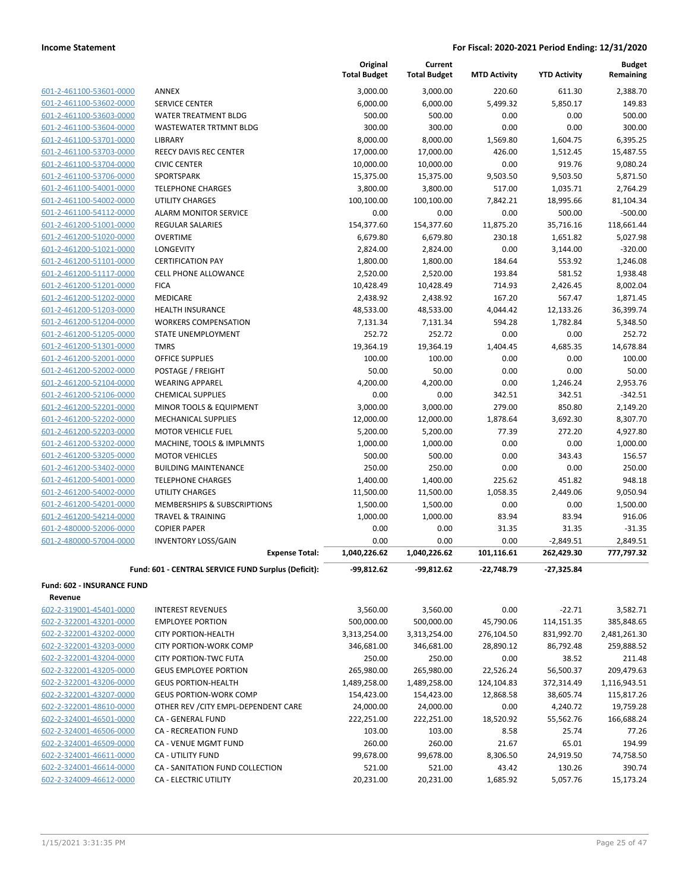|                                   |                                                     | Original<br><b>Total Budget</b> | Current<br><b>Total Budget</b> | <b>MTD Activity</b> | <b>YTD Activity</b> | <b>Budget</b><br>Remaining |
|-----------------------------------|-----------------------------------------------------|---------------------------------|--------------------------------|---------------------|---------------------|----------------------------|
| 601-2-461100-53601-0000           | ANNEX                                               | 3,000.00                        | 3,000.00                       | 220.60              | 611.30              | 2,388.70                   |
| 601-2-461100-53602-0000           | <b>SERVICE CENTER</b>                               | 6,000.00                        | 6,000.00                       | 5,499.32            | 5,850.17            | 149.83                     |
| 601-2-461100-53603-0000           | <b>WATER TREATMENT BLDG</b>                         | 500.00                          | 500.00                         | 0.00                | 0.00                | 500.00                     |
| 601-2-461100-53604-0000           | <b>WASTEWATER TRTMNT BLDG</b>                       | 300.00                          | 300.00                         | 0.00                | 0.00                | 300.00                     |
| 601-2-461100-53701-0000           | <b>LIBRARY</b>                                      | 8,000.00                        | 8,000.00                       | 1,569.80            | 1,604.75            | 6,395.25                   |
| 601-2-461100-53703-0000           | <b>REECY DAVIS REC CENTER</b>                       | 17,000.00                       | 17,000.00                      | 426.00              | 1,512.45            | 15,487.55                  |
| 601-2-461100-53704-0000           | <b>CIVIC CENTER</b>                                 | 10,000.00                       | 10,000.00                      | 0.00                | 919.76              | 9,080.24                   |
| 601-2-461100-53706-0000           | SPORTSPARK                                          | 15,375.00                       | 15,375.00                      | 9,503.50            | 9,503.50            | 5,871.50                   |
| 601-2-461100-54001-0000           | <b>TELEPHONE CHARGES</b>                            | 3,800.00                        | 3,800.00                       | 517.00              | 1,035.71            | 2,764.29                   |
| 601-2-461100-54002-0000           | <b>UTILITY CHARGES</b>                              | 100,100.00                      | 100,100.00                     | 7,842.21            | 18,995.66           | 81,104.34                  |
| 601-2-461100-54112-0000           | <b>ALARM MONITOR SERVICE</b>                        | 0.00                            | 0.00                           | 0.00                | 500.00              | $-500.00$                  |
| 601-2-461200-51001-0000           | <b>REGULAR SALARIES</b>                             | 154,377.60                      | 154,377.60                     | 11,875.20           | 35,716.16           | 118,661.44                 |
| 601-2-461200-51020-0000           | <b>OVERTIME</b>                                     | 6,679.80                        | 6,679.80                       | 230.18              | 1,651.82            | 5,027.98                   |
| 601-2-461200-51021-0000           | LONGEVITY                                           | 2,824.00                        | 2,824.00                       | 0.00                | 3,144.00            | $-320.00$                  |
| 601-2-461200-51101-0000           | <b>CERTIFICATION PAY</b>                            | 1,800.00                        | 1,800.00                       | 184.64              | 553.92              | 1,246.08                   |
| 601-2-461200-51117-0000           | <b>CELL PHONE ALLOWANCE</b>                         | 2,520.00                        | 2,520.00                       | 193.84              | 581.52              | 1,938.48                   |
| 601-2-461200-51201-0000           | <b>FICA</b>                                         | 10,428.49                       | 10,428.49                      | 714.93              | 2,426.45            | 8,002.04                   |
| 601-2-461200-51202-0000           | MEDICARE                                            | 2,438.92                        | 2,438.92                       | 167.20              | 567.47              | 1,871.45                   |
| 601-2-461200-51203-0000           | <b>HEALTH INSURANCE</b>                             | 48,533.00                       | 48,533.00                      | 4,044.42            | 12,133.26           | 36,399.74                  |
| 601-2-461200-51204-0000           | <b>WORKERS COMPENSATION</b>                         | 7,131.34                        | 7,131.34                       | 594.28              | 1,782.84            | 5,348.50                   |
| 601-2-461200-51205-0000           | STATE UNEMPLOYMENT                                  | 252.72                          | 252.72                         | 0.00                | 0.00                | 252.72                     |
| 601-2-461200-51301-0000           | <b>TMRS</b>                                         | 19,364.19                       | 19,364.19                      | 1,404.45            | 4,685.35            | 14,678.84                  |
| 601-2-461200-52001-0000           | <b>OFFICE SUPPLIES</b>                              | 100.00                          | 100.00                         | 0.00                | 0.00                | 100.00                     |
| 601-2-461200-52002-0000           | POSTAGE / FREIGHT                                   | 50.00                           | 50.00                          | 0.00                | 0.00                | 50.00                      |
| 601-2-461200-52104-0000           | <b>WEARING APPAREL</b>                              | 4,200.00                        | 4,200.00                       | 0.00                | 1,246.24            | 2,953.76                   |
| 601-2-461200-52106-0000           | <b>CHEMICAL SUPPLIES</b>                            | 0.00                            | 0.00                           | 342.51              | 342.51              | $-342.51$                  |
| 601-2-461200-52201-0000           | MINOR TOOLS & EQUIPMENT                             | 3,000.00                        | 3,000.00                       | 279.00              | 850.80              | 2,149.20                   |
| 601-2-461200-52202-0000           | <b>MECHANICAL SUPPLIES</b>                          | 12,000.00                       | 12,000.00                      | 1,878.64            | 3,692.30            | 8,307.70                   |
| 601-2-461200-52203-0000           | <b>MOTOR VEHICLE FUEL</b>                           | 5,200.00                        | 5,200.00                       | 77.39               | 272.20              | 4,927.80                   |
| 601-2-461200-53202-0000           | MACHINE, TOOLS & IMPLMNTS                           | 1,000.00                        | 1,000.00                       | 0.00                | 0.00                | 1,000.00                   |
| 601-2-461200-53205-0000           | <b>MOTOR VEHICLES</b>                               | 500.00                          | 500.00                         | 0.00                | 343.43              | 156.57                     |
| 601-2-461200-53402-0000           | <b>BUILDING MAINTENANCE</b>                         | 250.00                          | 250.00                         | 0.00                | 0.00                | 250.00                     |
| 601-2-461200-54001-0000           | <b>TELEPHONE CHARGES</b>                            | 1,400.00                        | 1,400.00                       | 225.62              | 451.82              | 948.18                     |
| 601-2-461200-54002-0000           | <b>UTILITY CHARGES</b>                              | 11,500.00                       | 11,500.00                      | 1,058.35            | 2,449.06            | 9,050.94                   |
| 601-2-461200-54201-0000           | MEMBERSHIPS & SUBSCRIPTIONS                         | 1,500.00                        | 1,500.00                       | 0.00                | 0.00                | 1,500.00                   |
| 601-2-461200-54214-0000           | <b>TRAVEL &amp; TRAINING</b>                        | 1,000.00                        | 1,000.00                       | 83.94               | 83.94               | 916.06                     |
| 601-2-480000-52006-0000           | <b>COPIER PAPER</b>                                 | 0.00                            | 0.00                           | 31.35               | 31.35               | $-31.35$                   |
| 601-2-480000-57004-0000           | <b>INVENTORY LOSS/GAIN</b>                          | 0.00                            | 0.00                           | 0.00                | $-2,849.51$         | 2,849.51                   |
|                                   | <b>Expense Total:</b>                               | 1,040,226.62                    | 1,040,226.62                   | 101,116.61          | 262,429.30          | 777,797.32                 |
|                                   | Fund: 601 - CENTRAL SERVICE FUND Surplus (Deficit): | -99,812.62                      | -99,812.62                     | $-22,748.79$        | -27,325.84          |                            |
| <b>Fund: 602 - INSURANCE FUND</b> |                                                     |                                 |                                |                     |                     |                            |
| Revenue                           |                                                     |                                 |                                |                     |                     |                            |
| 602-2-319001-45401-0000           | <b>INTEREST REVENUES</b>                            | 3,560.00                        | 3,560.00                       | 0.00                | $-22.71$            | 3,582.71                   |
| 602-2-322001-43201-0000           | <b>EMPLOYEE PORTION</b>                             | 500,000.00                      | 500,000.00                     | 45,790.06           | 114,151.35          | 385,848.65                 |
| 602-2-322001-43202-0000           | <b>CITY PORTION-HEALTH</b>                          | 3,313,254.00                    | 3,313,254.00                   | 276,104.50          | 831,992.70          | 2,481,261.30               |
| 602-2-322001-43203-0000           | <b>CITY PORTION-WORK COMP</b>                       | 346,681.00                      | 346,681.00                     | 28,890.12           | 86,792.48           | 259,888.52                 |
| 602-2-322001-43204-0000           | <b>CITY PORTION-TWC FUTA</b>                        | 250.00                          | 250.00                         | 0.00                | 38.52               | 211.48                     |
| 602-2-322001-43205-0000           | <b>GEUS EMPLOYEE PORTION</b>                        | 265,980.00                      | 265,980.00                     | 22,526.24           | 56,500.37           | 209,479.63                 |
| 602-2-322001-43206-0000           | <b>GEUS PORTION-HEALTH</b>                          | 1,489,258.00                    | 1,489,258.00                   | 124,104.83          | 372,314.49          | 1,116,943.51               |
| 602-2-322001-43207-0000           | <b>GEUS PORTION-WORK COMP</b>                       | 154,423.00                      | 154,423.00                     | 12,868.58           | 38,605.74           | 115,817.26                 |
| 602-2-322001-48610-0000           | OTHER REV / CITY EMPL-DEPENDENT CARE                | 24,000.00                       | 24,000.00                      | 0.00                | 4,240.72            | 19,759.28                  |
| 602-2-324001-46501-0000           | CA - GENERAL FUND                                   | 222,251.00                      | 222,251.00                     | 18,520.92           | 55,562.76           | 166,688.24                 |
| 602-2-324001-46506-0000           | CA - RECREATION FUND                                | 103.00                          | 103.00                         | 8.58                | 25.74               | 77.26                      |
| 602-2-324001-46509-0000           | CA - VENUE MGMT FUND                                | 260.00                          | 260.00                         | 21.67               | 65.01               | 194.99                     |
| 602-2-324001-46611-0000           | CA - UTILITY FUND                                   | 99,678.00                       | 99,678.00                      | 8,306.50            | 24,919.50           | 74,758.50                  |
| 602-2-324001-46614-0000           | CA - SANITATION FUND COLLECTION                     | 521.00                          | 521.00                         | 43.42               | 130.26              | 390.74                     |
| 602-2-324009-46612-0000           | CA - ELECTRIC UTILITY                               | 20,231.00                       | 20,231.00                      | 1,685.92            | 5,057.76            | 15,173.24                  |
|                                   |                                                     |                                 |                                |                     |                     |                            |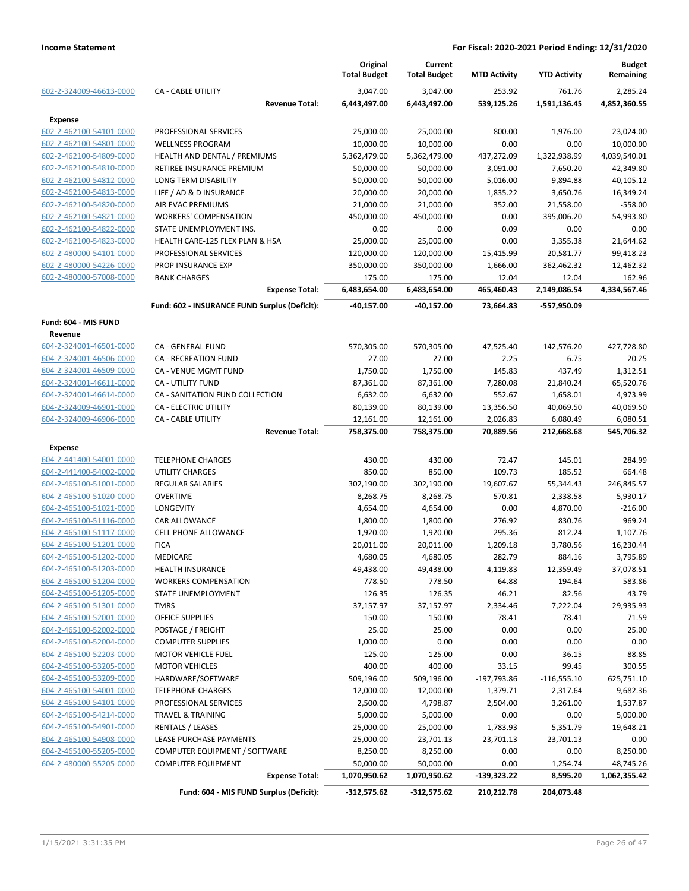|                         |                                               | Original<br><b>Total Budget</b> | Current<br><b>Total Budget</b> | <b>MTD Activity</b> | <b>YTD Activity</b> | <b>Budget</b><br>Remaining |
|-------------------------|-----------------------------------------------|---------------------------------|--------------------------------|---------------------|---------------------|----------------------------|
| 602-2-324009-46613-0000 | <b>CA - CABLE UTILITY</b>                     | 3,047.00                        | 3,047.00                       | 253.92              | 761.76              | 2,285.24                   |
|                         | <b>Revenue Total:</b>                         | 6,443,497.00                    | 6,443,497.00                   | 539,125.26          | 1,591,136.45        | 4,852,360.55               |
| <b>Expense</b>          |                                               |                                 |                                |                     |                     |                            |
| 602-2-462100-54101-0000 | PROFESSIONAL SERVICES                         | 25,000.00                       | 25,000.00                      | 800.00              | 1,976.00            | 23,024.00                  |
| 602-2-462100-54801-0000 | <b>WELLNESS PROGRAM</b>                       | 10,000.00                       | 10,000.00                      | 0.00                | 0.00                | 10,000.00                  |
| 602-2-462100-54809-0000 | HEALTH AND DENTAL / PREMIUMS                  | 5,362,479.00                    | 5,362,479.00                   | 437,272.09          | 1,322,938.99        | 4,039,540.01               |
| 602-2-462100-54810-0000 | RETIREE INSURANCE PREMIUM                     | 50,000.00                       | 50,000.00                      | 3,091.00            | 7,650.20            | 42,349.80                  |
| 602-2-462100-54812-0000 | LONG TERM DISABILITY                          | 50,000.00                       | 50,000.00                      | 5,016.00            | 9,894.88            | 40,105.12                  |
| 602-2-462100-54813-0000 | LIFE / AD & D INSURANCE                       | 20,000.00                       | 20,000.00                      | 1,835.22            | 3,650.76            | 16,349.24                  |
| 602-2-462100-54820-0000 | AIR EVAC PREMIUMS                             | 21,000.00                       | 21,000.00                      | 352.00              | 21,558.00           | $-558.00$                  |
| 602-2-462100-54821-0000 | <b>WORKERS' COMPENSATION</b>                  | 450,000.00                      | 450,000.00                     | 0.00                | 395,006.20          | 54,993.80                  |
| 602-2-462100-54822-0000 | STATE UNEMPLOYMENT INS.                       | 0.00                            | 0.00                           | 0.09                | 0.00                | 0.00                       |
| 602-2-462100-54823-0000 | HEALTH CARE-125 FLEX PLAN & HSA               | 25,000.00                       | 25,000.00                      | 0.00                | 3,355.38            | 21,644.62                  |
| 602-2-480000-54101-0000 | PROFESSIONAL SERVICES                         | 120,000.00                      | 120,000.00                     | 15,415.99           | 20,581.77           | 99,418.23                  |
| 602-2-480000-54226-0000 | PROP INSURANCE EXP                            | 350,000.00                      | 350,000.00                     | 1,666.00            | 362,462.32          | $-12,462.32$               |
| 602-2-480000-57008-0000 | <b>BANK CHARGES</b>                           | 175.00                          | 175.00                         | 12.04               | 12.04               | 162.96                     |
|                         | <b>Expense Total:</b>                         | 6,483,654.00                    | 6,483,654.00                   | 465,460.43          | 2,149,086.54        | 4,334,567.46               |
|                         | Fund: 602 - INSURANCE FUND Surplus (Deficit): | -40,157.00                      | $-40,157.00$                   | 73,664.83           | -557,950.09         |                            |
| Fund: 604 - MIS FUND    |                                               |                                 |                                |                     |                     |                            |
| Revenue                 |                                               |                                 |                                |                     |                     |                            |
| 604-2-324001-46501-0000 | CA - GENERAL FUND                             | 570,305.00                      | 570,305.00                     | 47,525.40           | 142,576.20          | 427,728.80                 |
| 604-2-324001-46506-0000 | <b>CA - RECREATION FUND</b>                   | 27.00                           | 27.00                          | 2.25                | 6.75                | 20.25                      |
| 604-2-324001-46509-0000 | CA - VENUE MGMT FUND                          | 1,750.00                        | 1,750.00                       | 145.83              | 437.49              | 1,312.51                   |
| 604-2-324001-46611-0000 | CA - UTILITY FUND                             | 87,361.00                       | 87,361.00                      | 7,280.08            | 21,840.24           | 65,520.76                  |
| 604-2-324001-46614-0000 | CA - SANITATION FUND COLLECTION               | 6,632.00                        | 6,632.00                       | 552.67              | 1,658.01            | 4,973.99                   |
| 604-2-324009-46901-0000 | CA - ELECTRIC UTILITY                         | 80,139.00                       | 80,139.00                      | 13,356.50           | 40,069.50           | 40,069.50                  |
| 604-2-324009-46906-0000 | <b>CA - CABLE UTILITY</b>                     | 12,161.00                       | 12,161.00                      | 2,026.83            | 6,080.49            | 6,080.51                   |
|                         | <b>Revenue Total:</b>                         | 758,375.00                      | 758,375.00                     | 70,889.56           | 212,668.68          | 545,706.32                 |
| Expense                 |                                               |                                 |                                |                     |                     |                            |
| 604-2-441400-54001-0000 | <b>TELEPHONE CHARGES</b>                      | 430.00                          | 430.00                         | 72.47               | 145.01              | 284.99                     |
| 604-2-441400-54002-0000 | UTILITY CHARGES                               | 850.00                          | 850.00                         | 109.73              | 185.52              | 664.48                     |
| 604-2-465100-51001-0000 | REGULAR SALARIES                              | 302,190.00                      | 302,190.00                     | 19,607.67           | 55,344.43           | 246,845.57                 |
| 604-2-465100-51020-0000 | <b>OVERTIME</b>                               | 8,268.75                        | 8,268.75                       | 570.81              | 2,338.58            | 5,930.17                   |
| 604-2-465100-51021-0000 | LONGEVITY                                     | 4,654.00                        | 4,654.00                       | 0.00                | 4,870.00            | $-216.00$                  |
| 604-2-465100-51116-0000 | <b>CAR ALLOWANCE</b>                          | 1,800.00                        | 1,800.00                       | 276.92              | 830.76              | 969.24                     |
| 604-2-465100-51117-0000 | <b>CELL PHONE ALLOWANCE</b>                   | 1,920.00                        | 1,920.00                       | 295.36              | 812.24              | 1,107.76                   |
| 604-2-465100-51201-0000 | <b>FICA</b>                                   | 20,011.00                       | 20,011.00                      | 1,209.18            | 3,780.56            | 16,230.44                  |
| 604-2-465100-51202-0000 | <b>MEDICARE</b>                               | 4,680.05                        | 4,680.05                       | 282.79              | 884.16              | 3,795.89                   |
| 604-2-465100-51203-0000 | <b>HEALTH INSURANCE</b>                       | 49,438.00                       | 49,438.00                      | 4,119.83            | 12,359.49           | 37,078.51                  |
| 604-2-465100-51204-0000 | <b>WORKERS COMPENSATION</b>                   | 778.50                          | 778.50                         | 64.88               | 194.64              | 583.86                     |
| 604-2-465100-51205-0000 | STATE UNEMPLOYMENT                            | 126.35                          | 126.35                         | 46.21               | 82.56               | 43.79                      |
| 604-2-465100-51301-0000 | <b>TMRS</b>                                   | 37,157.97                       | 37,157.97                      | 2,334.46            | 7,222.04            | 29,935.93                  |
| 604-2-465100-52001-0000 | <b>OFFICE SUPPLIES</b>                        | 150.00                          | 150.00                         | 78.41               | 78.41               | 71.59                      |
| 604-2-465100-52002-0000 | POSTAGE / FREIGHT                             | 25.00                           | 25.00                          | 0.00                | 0.00                | 25.00                      |
| 604-2-465100-52004-0000 | <b>COMPUTER SUPPLIES</b>                      | 1,000.00                        | 0.00                           | 0.00                | 0.00                | 0.00                       |
| 604-2-465100-52203-0000 | <b>MOTOR VEHICLE FUEL</b>                     | 125.00                          | 125.00                         | 0.00                | 36.15               | 88.85                      |
| 604-2-465100-53205-0000 | <b>MOTOR VEHICLES</b>                         | 400.00                          | 400.00                         | 33.15               | 99.45               | 300.55                     |
| 604-2-465100-53209-0000 | HARDWARE/SOFTWARE                             | 509,196.00                      | 509,196.00                     | -197,793.86         | $-116,555.10$       | 625,751.10                 |
| 604-2-465100-54001-0000 | <b>TELEPHONE CHARGES</b>                      | 12,000.00                       | 12,000.00                      | 1,379.71            | 2,317.64            | 9,682.36                   |
| 604-2-465100-54101-0000 | PROFESSIONAL SERVICES                         | 2,500.00                        | 4,798.87                       | 2,504.00            | 3,261.00            | 1,537.87                   |
| 604-2-465100-54214-0000 | <b>TRAVEL &amp; TRAINING</b>                  | 5,000.00                        | 5,000.00                       | 0.00                | 0.00                | 5,000.00                   |
| 604-2-465100-54901-0000 | <b>RENTALS / LEASES</b>                       | 25,000.00                       | 25,000.00                      | 1,783.93            | 5,351.79            | 19,648.21                  |
| 604-2-465100-54908-0000 | LEASE PURCHASE PAYMENTS                       | 25,000.00                       | 23,701.13                      | 23,701.13           | 23,701.13           | 0.00                       |
| 604-2-465100-55205-0000 | COMPUTER EQUIPMENT / SOFTWARE                 | 8,250.00                        | 8,250.00                       | 0.00                | 0.00                | 8,250.00                   |
| 604-2-480000-55205-0000 | <b>COMPUTER EQUIPMENT</b>                     | 50,000.00                       | 50,000.00                      | 0.00                | 1,254.74            | 48,745.26                  |
|                         | <b>Expense Total:</b>                         | 1,070,950.62                    | 1,070,950.62                   | $-139,323.22$       | 8,595.20            | 1,062,355.42               |
|                         | Fund: 604 - MIS FUND Surplus (Deficit):       | -312,575.62                     | $-312,575.62$                  | 210,212.78          | 204,073.48          |                            |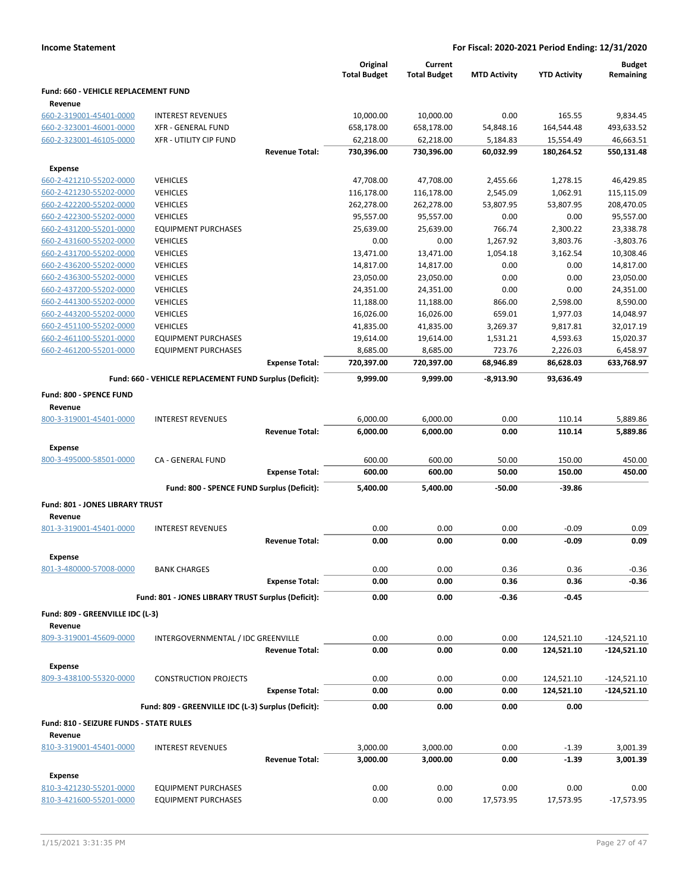|                                                    |                                                         |                       | Original<br><b>Total Budget</b> | Current<br><b>Total Budget</b> | <b>MTD Activity</b>   | <b>YTD Activity</b>     | <b>Budget</b><br>Remaining |
|----------------------------------------------------|---------------------------------------------------------|-----------------------|---------------------------------|--------------------------------|-----------------------|-------------------------|----------------------------|
| Fund: 660 - VEHICLE REPLACEMENT FUND               |                                                         |                       |                                 |                                |                       |                         |                            |
| Revenue                                            |                                                         |                       |                                 |                                |                       |                         |                            |
| 660-2-319001-45401-0000                            | <b>INTEREST REVENUES</b><br><b>XFR - GENERAL FUND</b>   |                       | 10,000.00                       | 10,000.00                      | 0.00                  | 165.55                  | 9,834.45                   |
| 660-2-323001-46001-0000<br>660-2-323001-46105-0000 | <b>XFR - UTILITY CIP FUND</b>                           |                       | 658,178.00<br>62,218.00         | 658,178.00<br>62,218.00        | 54,848.16<br>5,184.83 | 164,544.48<br>15,554.49 | 493,633.52<br>46,663.51    |
|                                                    |                                                         | <b>Revenue Total:</b> | 730,396.00                      | 730,396.00                     | 60,032.99             | 180,264.52              | 550,131.48                 |
|                                                    |                                                         |                       |                                 |                                |                       |                         |                            |
| <b>Expense</b>                                     |                                                         |                       |                                 |                                |                       | 1,278.15                |                            |
| 660-2-421210-55202-0000<br>660-2-421230-55202-0000 | <b>VEHICLES</b><br><b>VEHICLES</b>                      |                       | 47,708.00<br>116,178.00         | 47,708.00                      | 2,455.66              |                         | 46,429.85                  |
| 660-2-422200-55202-0000                            | <b>VEHICLES</b>                                         |                       | 262,278.00                      | 116,178.00<br>262,278.00       | 2,545.09<br>53,807.95 | 1,062.91<br>53,807.95   | 115,115.09<br>208,470.05   |
| 660-2-422300-55202-0000                            | <b>VEHICLES</b>                                         |                       | 95,557.00                       | 95,557.00                      | 0.00                  | 0.00                    | 95,557.00                  |
| 660-2-431200-55201-0000                            | <b>EQUIPMENT PURCHASES</b>                              |                       | 25,639.00                       | 25,639.00                      | 766.74                | 2,300.22                | 23,338.78                  |
| 660-2-431600-55202-0000                            | <b>VEHICLES</b>                                         |                       | 0.00                            | 0.00                           | 1,267.92              | 3,803.76                | $-3,803.76$                |
| 660-2-431700-55202-0000                            | <b>VEHICLES</b>                                         |                       | 13,471.00                       | 13,471.00                      | 1,054.18              | 3,162.54                | 10,308.46                  |
| 660-2-436200-55202-0000                            | <b>VEHICLES</b>                                         |                       | 14,817.00                       | 14,817.00                      | 0.00                  | 0.00                    | 14,817.00                  |
| 660-2-436300-55202-0000                            | <b>VEHICLES</b>                                         |                       | 23,050.00                       | 23,050.00                      | 0.00                  | 0.00                    | 23,050.00                  |
| 660-2-437200-55202-0000                            | <b>VEHICLES</b>                                         |                       |                                 |                                |                       | 0.00                    |                            |
| 660-2-441300-55202-0000                            | <b>VEHICLES</b>                                         |                       | 24,351.00                       | 24,351.00                      | 0.00<br>866.00        | 2,598.00                | 24,351.00<br>8,590.00      |
|                                                    | <b>VEHICLES</b>                                         |                       | 11,188.00                       | 11,188.00                      |                       |                         |                            |
| 660-2-443200-55202-0000                            |                                                         |                       | 16,026.00                       | 16,026.00                      | 659.01                | 1,977.03                | 14,048.97                  |
| 660-2-451100-55202-0000                            | <b>VEHICLES</b>                                         |                       | 41,835.00                       | 41,835.00                      | 3,269.37              | 9,817.81                | 32,017.19                  |
| 660-2-461100-55201-0000                            | <b>EQUIPMENT PURCHASES</b>                              |                       | 19,614.00                       | 19,614.00                      | 1,531.21              | 4,593.63                | 15,020.37                  |
| 660-2-461200-55201-0000                            | <b>EQUIPMENT PURCHASES</b>                              | <b>Expense Total:</b> | 8,685.00                        | 8,685.00                       | 723.76                | 2,226.03                | 6,458.97<br>633,768.97     |
|                                                    |                                                         |                       | 720,397.00                      | 720,397.00                     | 68,946.89             | 86,628.03               |                            |
|                                                    | Fund: 660 - VEHICLE REPLACEMENT FUND Surplus (Deficit): |                       | 9,999.00                        | 9,999.00                       | -8,913.90             | 93,636.49               |                            |
| Fund: 800 - SPENCE FUND                            |                                                         |                       |                                 |                                |                       |                         |                            |
| Revenue                                            |                                                         |                       |                                 |                                |                       |                         |                            |
| 800-3-319001-45401-0000                            | <b>INTEREST REVENUES</b>                                |                       | 6,000.00                        | 6,000.00                       | 0.00                  | 110.14                  | 5,889.86                   |
|                                                    |                                                         | <b>Revenue Total:</b> | 6,000.00                        | 6,000.00                       | 0.00                  | 110.14                  | 5,889.86                   |
| <b>Expense</b>                                     |                                                         |                       |                                 |                                |                       |                         |                            |
| 800-3-495000-58501-0000                            | CA - GENERAL FUND                                       |                       | 600.00                          | 600.00                         | 50.00                 | 150.00                  | 450.00                     |
|                                                    |                                                         | <b>Expense Total:</b> | 600.00                          | 600.00                         | 50.00                 | 150.00                  | 450.00                     |
|                                                    | Fund: 800 - SPENCE FUND Surplus (Deficit):              |                       | 5,400.00                        | 5,400.00                       | $-50.00$              | $-39.86$                |                            |
| Fund: 801 - JONES LIBRARY TRUST                    |                                                         |                       |                                 |                                |                       |                         |                            |
| Revenue                                            |                                                         |                       |                                 |                                |                       |                         |                            |
| 801-3-319001-45401-0000                            | <b>INTEREST REVENUES</b>                                |                       | 0.00                            | 0.00                           | 0.00                  | $-0.09$                 | 0.09                       |
|                                                    |                                                         | <b>Revenue Total:</b> | 0.00                            | 0.00                           | 0.00                  | $-0.09$                 | 0.09                       |
|                                                    |                                                         |                       |                                 |                                |                       |                         |                            |
| Expense                                            |                                                         |                       |                                 |                                |                       |                         |                            |
| 801-3-480000-57008-0000                            | <b>BANK CHARGES</b>                                     |                       | 0.00                            | 0.00                           | 0.36                  | 0.36                    | $-0.36$                    |
|                                                    |                                                         | <b>Expense Total:</b> | 0.00                            | 0.00                           | 0.36                  | 0.36                    | $-0.36$                    |
|                                                    | Fund: 801 - JONES LIBRARY TRUST Surplus (Deficit):      |                       | 0.00                            | 0.00                           | $-0.36$               | $-0.45$                 |                            |
| Fund: 809 - GREENVILLE IDC (L-3)<br>Revenue        |                                                         |                       |                                 |                                |                       |                         |                            |
| 809-3-319001-45609-0000                            | INTERGOVERNMENTAL / IDC GREENVILLE                      |                       | 0.00                            | 0.00                           | 0.00                  | 124,521.10              | $-124,521.10$              |
|                                                    |                                                         | <b>Revenue Total:</b> | 0.00                            | 0.00                           | 0.00                  | 124,521.10              | $-124,521.10$              |
|                                                    |                                                         |                       |                                 |                                |                       |                         |                            |
| <b>Expense</b>                                     |                                                         |                       |                                 |                                |                       |                         |                            |
| 809-3-438100-55320-0000                            | <b>CONSTRUCTION PROJECTS</b>                            |                       | 0.00                            | 0.00                           | 0.00                  | 124,521.10              | $-124,521.10$              |
|                                                    |                                                         | <b>Expense Total:</b> | 0.00                            | 0.00                           | 0.00                  | 124,521.10              | $-124,521.10$              |
|                                                    | Fund: 809 - GREENVILLE IDC (L-3) Surplus (Deficit):     |                       | 0.00                            | 0.00                           | 0.00                  | 0.00                    |                            |
| Fund: 810 - SEIZURE FUNDS - STATE RULES            |                                                         |                       |                                 |                                |                       |                         |                            |
| Revenue                                            |                                                         |                       |                                 |                                |                       |                         |                            |
| 810-3-319001-45401-0000                            | <b>INTEREST REVENUES</b>                                |                       | 3,000.00                        | 3,000.00                       | 0.00                  | $-1.39$                 | 3,001.39                   |
|                                                    |                                                         | <b>Revenue Total:</b> | 3,000.00                        | 3,000.00                       | 0.00                  | $-1.39$                 | 3,001.39                   |
| <b>Expense</b>                                     |                                                         |                       |                                 |                                |                       |                         |                            |
| 810-3-421230-55201-0000                            | <b>EQUIPMENT PURCHASES</b>                              |                       | 0.00                            | 0.00                           | 0.00                  | 0.00                    | 0.00                       |
| 810-3-421600-55201-0000                            | <b>EQUIPMENT PURCHASES</b>                              |                       | 0.00                            | 0.00                           | 17,573.95             | 17,573.95               | $-17,573.95$               |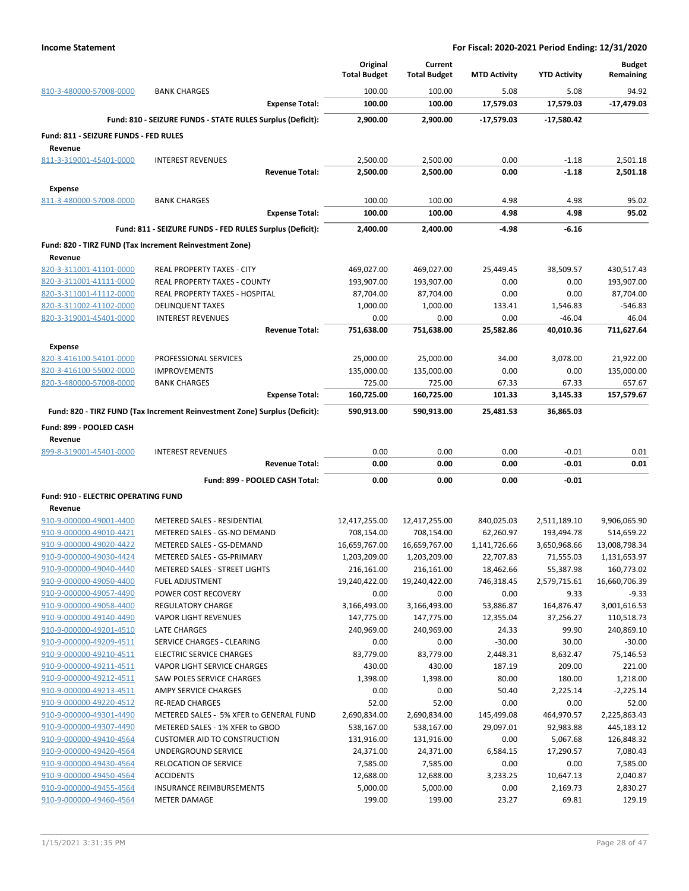|                                                    |                                                                            | Original<br><b>Total Budget</b> | Current<br><b>Total Budget</b> | <b>MTD Activity</b> | <b>YTD Activity</b> | <b>Budget</b><br>Remaining |
|----------------------------------------------------|----------------------------------------------------------------------------|---------------------------------|--------------------------------|---------------------|---------------------|----------------------------|
| 810-3-480000-57008-0000                            | <b>BANK CHARGES</b>                                                        | 100.00                          | 100.00                         | 5.08                | 5.08                | 94.92                      |
|                                                    | <b>Expense Total:</b>                                                      | 100.00                          | 100.00                         | 17,579.03           | 17,579.03           | -17,479.03                 |
|                                                    | Fund: 810 - SEIZURE FUNDS - STATE RULES Surplus (Deficit):                 | 2,900.00                        | 2,900.00                       | -17,579.03          | -17,580.42          |                            |
| Fund: 811 - SEIZURE FUNDS - FED RULES              |                                                                            |                                 |                                |                     |                     |                            |
| Revenue                                            |                                                                            |                                 |                                |                     |                     |                            |
| 811-3-319001-45401-0000                            | <b>INTEREST REVENUES</b>                                                   | 2,500.00                        | 2,500.00                       | 0.00                | $-1.18$             | 2,501.18                   |
|                                                    | <b>Revenue Total:</b>                                                      | 2,500.00                        | 2,500.00                       | 0.00                | $-1.18$             | 2.501.18                   |
| <b>Expense</b>                                     |                                                                            |                                 |                                |                     |                     |                            |
| 811-3-480000-57008-0000                            | <b>BANK CHARGES</b>                                                        | 100.00<br>100.00                | 100.00<br>100.00               | 4.98<br>4.98        | 4.98<br>4.98        | 95.02<br>95.02             |
|                                                    | <b>Expense Total:</b>                                                      |                                 |                                |                     |                     |                            |
|                                                    | Fund: 811 - SEIZURE FUNDS - FED RULES Surplus (Deficit):                   | 2,400.00                        | 2,400.00                       | -4.98               | -6.16               |                            |
|                                                    | Fund: 820 - TIRZ FUND (Tax Increment Reinvestment Zone)                    |                                 |                                |                     |                     |                            |
| Revenue                                            |                                                                            |                                 |                                |                     |                     |                            |
| 820-3-311001-41101-0000<br>820-3-311001-41111-0000 | REAL PROPERTY TAXES - CITY<br><b>REAL PROPERTY TAXES - COUNTY</b>          | 469,027.00<br>193,907.00        | 469,027.00<br>193,907.00       | 25,449.45<br>0.00   | 38,509.57<br>0.00   | 430,517.43<br>193,907.00   |
| 820-3-311001-41112-0000                            | REAL PROPERTY TAXES - HOSPITAL                                             | 87,704.00                       | 87,704.00                      | 0.00                | 0.00                | 87,704.00                  |
| 820-3-311002-41102-0000                            | <b>DELINQUENT TAXES</b>                                                    | 1,000.00                        | 1,000.00                       | 133.41              | 1,546.83            | $-546.83$                  |
| 820-3-319001-45401-0000                            | <b>INTEREST REVENUES</b>                                                   | 0.00                            | 0.00                           | 0.00                | $-46.04$            | 46.04                      |
|                                                    | <b>Revenue Total:</b>                                                      | 751,638.00                      | 751,638.00                     | 25,582.86           | 40,010.36           | 711,627.64                 |
| <b>Expense</b>                                     |                                                                            |                                 |                                |                     |                     |                            |
| 820-3-416100-54101-0000                            | PROFESSIONAL SERVICES                                                      | 25,000.00                       | 25,000.00                      | 34.00               | 3,078.00            | 21,922.00                  |
| 820-3-416100-55002-0000                            | <b>IMPROVEMENTS</b>                                                        | 135,000.00                      | 135,000.00                     | 0.00                | 0.00                | 135,000.00                 |
| 820-3-480000-57008-0000                            | <b>BANK CHARGES</b>                                                        | 725.00                          | 725.00                         | 67.33               | 67.33               | 657.67                     |
|                                                    | <b>Expense Total:</b>                                                      | 160,725.00                      | 160,725.00                     | 101.33              | 3,145.33            | 157,579.67                 |
|                                                    | Fund: 820 - TIRZ FUND (Tax Increment Reinvestment Zone) Surplus (Deficit): | 590,913.00                      | 590,913.00                     | 25,481.53           | 36,865.03           |                            |
| Fund: 899 - POOLED CASH                            |                                                                            |                                 |                                |                     |                     |                            |
| Revenue                                            |                                                                            |                                 |                                |                     |                     |                            |
| 899-8-319001-45401-0000                            | <b>INTEREST REVENUES</b>                                                   | 0.00                            | 0.00                           | 0.00                | $-0.01$             | 0.01                       |
|                                                    | <b>Revenue Total:</b>                                                      | 0.00                            | 0.00                           | 0.00                | $-0.01$             | 0.01                       |
|                                                    | Fund: 899 - POOLED CASH Total:                                             | 0.00                            | 0.00                           | 0.00                | -0.01               |                            |
| Fund: 910 - ELECTRIC OPERATING FUND                |                                                                            |                                 |                                |                     |                     |                            |
| Revenue                                            |                                                                            |                                 |                                |                     |                     |                            |
| 910-9-000000-49001-4400                            | METERED SALES - RESIDENTIAL                                                | 12,417,255.00                   | 12,417,255.00                  | 840,025.03          | 2,511,189.10        | 9,906,065.90               |
| 910-9-000000-49010-4421                            | METERED SALES - GS-NO DEMAND                                               | 708,154.00                      | 708,154.00                     | 62,260.97           | 193,494.78          | 514,659.22                 |
| 910-9-000000-49020-4422                            | METERED SALES - GS-DEMAND                                                  | 16,659,767.00                   | 16,659,767.00                  | 1,141,726.66        | 3,650,968.66        | 13,008,798.34              |
| 910-9-000000-49030-4424                            | METERED SALES - GS-PRIMARY                                                 | 1,203,209.00                    | 1,203,209.00                   | 22,707.83           | 71,555.03           | 1,131,653.97               |
| 910-9-000000-49040-4440                            | <b>METERED SALES - STREET LIGHTS</b>                                       | 216,161.00                      | 216,161.00                     | 18,462.66           | 55,387.98           | 160,773.02                 |
| 910-9-000000-49050-4400                            | <b>FUEL ADJUSTMENT</b>                                                     | 19,240,422.00                   | 19,240,422.00                  | 746,318.45          | 2,579,715.61        | 16,660,706.39              |
| 910-9-000000-49057-4490                            | POWER COST RECOVERY                                                        | 0.00                            | 0.00                           | 0.00                | 9.33                | $-9.33$                    |
| 910-9-000000-49058-4400                            | <b>REGULATORY CHARGE</b>                                                   | 3,166,493.00                    | 3,166,493.00                   | 53,886.87           | 164,876.47          | 3,001,616.53               |
| 910-9-000000-49140-4490                            | <b>VAPOR LIGHT REVENUES</b>                                                | 147,775.00                      | 147,775.00                     | 12,355.04           | 37,256.27           | 110,518.73                 |
| 910-9-000000-49201-4510                            | LATE CHARGES                                                               | 240,969.00                      | 240,969.00                     | 24.33               | 99.90               | 240,869.10                 |
| 910-9-000000-49209-4511                            | SERVICE CHARGES - CLEARING                                                 | 0.00                            | 0.00                           | $-30.00$            | 30.00               | $-30.00$                   |
| 910-9-000000-49210-4511                            | <b>ELECTRIC SERVICE CHARGES</b>                                            | 83,779.00                       | 83,779.00                      | 2,448.31            | 8,632.47            | 75,146.53                  |
| 910-9-000000-49211-4511                            | VAPOR LIGHT SERVICE CHARGES                                                | 430.00                          | 430.00                         | 187.19              | 209.00              | 221.00                     |
| 910-9-000000-49212-4511                            | <b>SAW POLES SERVICE CHARGES</b>                                           | 1,398.00                        | 1,398.00                       | 80.00               | 180.00              | 1,218.00                   |
| 910-9-000000-49213-4511                            | AMPY SERVICE CHARGES                                                       | 0.00                            | 0.00                           | 50.40               | 2,225.14            | $-2,225.14$                |
| 910-9-000000-49220-4512                            | <b>RE-READ CHARGES</b>                                                     | 52.00                           | 52.00                          | 0.00                | 0.00                | 52.00                      |
| 910-9-000000-49301-4490                            | METERED SALES - 5% XFER to GENERAL FUND                                    | 2,690,834.00                    | 2,690,834.00                   | 145,499.08          | 464,970.57          | 2,225,863.43               |
| 910-9-000000-49307-4490                            | METERED SALES - 1% XFER to GBOD                                            | 538,167.00                      | 538,167.00                     | 29,097.01           | 92,983.88           | 445,183.12                 |
| 910-9-000000-49410-4564                            | <b>CUSTOMER AID TO CONSTRUCTION</b>                                        | 131,916.00                      | 131,916.00                     | 0.00                | 5,067.68            | 126,848.32                 |
| 910-9-000000-49420-4564                            | UNDERGROUND SERVICE                                                        | 24,371.00                       | 24,371.00                      | 6,584.15            | 17,290.57           | 7,080.43                   |
| 910-9-000000-49430-4564                            | RELOCATION OF SERVICE                                                      | 7,585.00                        | 7,585.00                       | 0.00                | 0.00                | 7,585.00                   |
| 910-9-000000-49450-4564                            | <b>ACCIDENTS</b>                                                           | 12,688.00                       | 12,688.00                      | 3,233.25            | 10,647.13           | 2,040.87                   |
| 910-9-000000-49455-4564                            | <b>INSURANCE REIMBURSEMENTS</b>                                            | 5,000.00                        | 5,000.00                       | 0.00                | 2,169.73            | 2,830.27                   |
| 910-9-000000-49460-4564                            | <b>METER DAMAGE</b>                                                        | 199.00                          | 199.00                         | 23.27               | 69.81               | 129.19                     |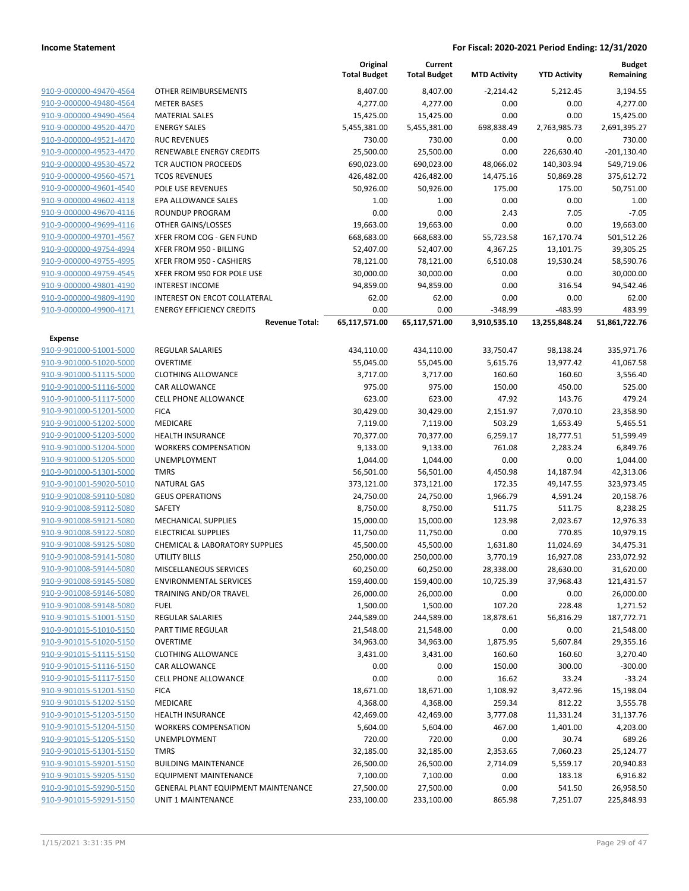|                         |                                           | Original<br><b>Total Budget</b> | Current<br><b>Total Budget</b> | <b>MTD Activity</b> | <b>YTD Activity</b> | <b>Budget</b><br>Remaining |
|-------------------------|-------------------------------------------|---------------------------------|--------------------------------|---------------------|---------------------|----------------------------|
| 910-9-000000-49470-4564 | OTHER REIMBURSEMENTS                      | 8,407.00                        | 8,407.00                       | $-2,214.42$         | 5,212.45            | 3,194.55                   |
| 910-9-000000-49480-4564 | <b>METER BASES</b>                        | 4,277.00                        | 4,277.00                       | 0.00                | 0.00                | 4,277.00                   |
| 910-9-000000-49490-4564 | <b>MATERIAL SALES</b>                     | 15,425.00                       | 15,425.00                      | 0.00                | 0.00                | 15,425.00                  |
| 910-9-000000-49520-4470 | <b>ENERGY SALES</b>                       | 5,455,381.00                    | 5,455,381.00                   | 698,838.49          | 2,763,985.73        | 2,691,395.27               |
| 910-9-000000-49521-4470 | <b>RUC REVENUES</b>                       | 730.00                          | 730.00                         | 0.00                | 0.00                | 730.00                     |
| 910-9-000000-49523-4470 | RENEWABLE ENERGY CREDITS                  | 25,500.00                       | 25,500.00                      | 0.00                | 226,630.40          | $-201,130.40$              |
| 910-9-000000-49530-4572 | <b>TCR AUCTION PROCEEDS</b>               | 690,023.00                      | 690,023.00                     | 48,066.02           | 140,303.94          | 549,719.06                 |
| 910-9-000000-49560-4571 | <b>TCOS REVENUES</b>                      | 426,482.00                      | 426,482.00                     | 14,475.16           | 50,869.28           | 375,612.72                 |
| 910-9-000000-49601-4540 | POLE USE REVENUES                         | 50,926.00                       | 50,926.00                      | 175.00              | 175.00              | 50,751.00                  |
| 910-9-000000-49602-4118 | EPA ALLOWANCE SALES                       | 1.00                            | 1.00                           | 0.00                | 0.00                | 1.00                       |
| 910-9-000000-49670-4116 | <b>ROUNDUP PROGRAM</b>                    | 0.00                            | 0.00                           | 2.43                | 7.05                | $-7.05$                    |
| 910-9-000000-49699-4116 | OTHER GAINS/LOSSES                        | 19,663.00                       | 19,663.00                      | 0.00                | 0.00                | 19,663.00                  |
| 910-9-000000-49701-4567 | XFER FROM COG - GEN FUND                  | 668,683.00                      | 668,683.00                     | 55,723.58           | 167,170.74          | 501,512.26                 |
| 910-9-000000-49754-4994 | XFER FROM 950 - BILLING                   | 52,407.00                       | 52,407.00                      | 4,367.25            | 13,101.75           | 39,305.25                  |
| 910-9-000000-49755-4995 | XFER FROM 950 - CASHIERS                  | 78,121.00                       | 78,121.00                      | 6,510.08            | 19,530.24           | 58,590.76                  |
| 910-9-000000-49759-4545 | XFER FROM 950 FOR POLE USE                | 30,000.00                       | 30,000.00                      | 0.00                | 0.00                | 30,000.00                  |
| 910-9-000000-49801-4190 | <b>INTEREST INCOME</b>                    | 94,859.00                       | 94,859.00                      | 0.00                | 316.54              | 94,542.46                  |
| 910-9-000000-49809-4190 | <b>INTEREST ON ERCOT COLLATERAL</b>       | 62.00                           | 62.00                          | 0.00                | 0.00                | 62.00                      |
| 910-9-000000-49900-4171 | <b>ENERGY EFFICIENCY CREDITS</b>          | 0.00                            | 0.00                           | $-348.99$           | $-483.99$           | 483.99                     |
|                         | <b>Revenue Total:</b>                     | 65,117,571.00                   | 65,117,571.00                  | 3,910,535.10        | 13,255,848.24       | 51,861,722.76              |
| <b>Expense</b>          |                                           |                                 |                                |                     |                     |                            |
| 910-9-901000-51001-5000 | REGULAR SALARIES                          | 434,110.00                      | 434,110.00                     | 33,750.47           | 98,138.24           | 335,971.76                 |
| 910-9-901000-51020-5000 | <b>OVERTIME</b>                           | 55,045.00                       | 55,045.00                      | 5,615.76            | 13,977.42           | 41,067.58                  |
| 910-9-901000-51115-5000 | <b>CLOTHING ALLOWANCE</b>                 | 3,717.00                        | 3,717.00                       | 160.60              | 160.60              | 3,556.40                   |
| 910-9-901000-51116-5000 | <b>CAR ALLOWANCE</b>                      | 975.00                          | 975.00                         | 150.00              | 450.00              | 525.00                     |
| 910-9-901000-51117-5000 | <b>CELL PHONE ALLOWANCE</b>               | 623.00                          | 623.00                         | 47.92               | 143.76              | 479.24                     |
| 910-9-901000-51201-5000 | <b>FICA</b>                               | 30,429.00                       | 30,429.00                      | 2,151.97            | 7,070.10            | 23,358.90                  |
| 910-9-901000-51202-5000 | MEDICARE                                  | 7,119.00                        | 7,119.00                       | 503.29              | 1,653.49            | 5,465.51                   |
| 910-9-901000-51203-5000 | <b>HEALTH INSURANCE</b>                   | 70,377.00                       | 70,377.00                      | 6,259.17            | 18,777.51           | 51,599.49                  |
| 910-9-901000-51204-5000 | <b>WORKERS COMPENSATION</b>               | 9,133.00                        | 9,133.00                       | 761.08              | 2,283.24            | 6,849.76                   |
| 910-9-901000-51205-5000 | <b>UNEMPLOYMENT</b>                       | 1,044.00                        | 1,044.00                       | 0.00                | 0.00                | 1,044.00                   |
| 910-9-901000-51301-5000 | <b>TMRS</b>                               | 56,501.00                       | 56,501.00                      | 4,450.98            | 14,187.94           | 42,313.06                  |
| 910-9-901001-59020-5010 | <b>NATURAL GAS</b>                        | 373,121.00                      | 373,121.00                     | 172.35              | 49,147.55           | 323,973.45                 |
| 910-9-901008-59110-5080 | <b>GEUS OPERATIONS</b>                    | 24,750.00                       | 24,750.00                      | 1,966.79            | 4,591.24            | 20,158.76                  |
| 910-9-901008-59112-5080 | <b>SAFETY</b>                             | 8,750.00                        | 8,750.00                       | 511.75              | 511.75              | 8,238.25                   |
| 910-9-901008-59121-5080 | MECHANICAL SUPPLIES                       | 15,000.00                       | 15,000.00                      | 123.98              | 2,023.67            | 12,976.33                  |
| 910-9-901008-59122-5080 | <b>ELECTRICAL SUPPLIES</b>                | 11,750.00                       | 11,750.00                      | 0.00                | 770.85              | 10,979.15                  |
| 910-9-901008-59125-5080 | <b>CHEMICAL &amp; LABORATORY SUPPLIES</b> | 45,500.00                       | 45,500.00                      | 1,631.80            | 11,024.69           | 34,475.31                  |
| 910-9-901008-59141-5080 | <b>UTILITY BILLS</b>                      | 250,000.00                      | 250,000.00                     | 3,770.19            | 16,927.08           | 233,072.92                 |
| 910-9-901008-59144-5080 | MISCELLANEOUS SERVICES                    | 60,250.00                       | 60,250.00                      | 28,338.00           | 28,630.00           | 31,620.00                  |
| 910-9-901008-59145-5080 | <b>ENVIRONMENTAL SERVICES</b>             | 159,400.00                      | 159,400.00                     | 10,725.39           | 37,968.43           | 121,431.57                 |
| 910-9-901008-59146-5080 | TRAINING AND/OR TRAVEL                    | 26,000.00                       | 26,000.00                      | 0.00                | 0.00                | 26,000.00                  |
| 910-9-901008-59148-5080 | <b>FUEL</b>                               | 1,500.00                        | 1,500.00                       | 107.20              | 228.48              | 1,271.52                   |
| 910-9-901015-51001-5150 | REGULAR SALARIES                          | 244,589.00                      | 244,589.00                     | 18,878.61           | 56,816.29           | 187,772.71                 |
| 910-9-901015-51010-5150 | PART TIME REGULAR                         | 21,548.00                       | 21,548.00                      | 0.00                | 0.00                | 21,548.00                  |
| 910-9-901015-51020-5150 | <b>OVERTIME</b>                           | 34,963.00                       | 34,963.00                      | 1,875.95            | 5,607.84            | 29,355.16                  |
| 910-9-901015-51115-5150 | <b>CLOTHING ALLOWANCE</b>                 | 3,431.00                        | 3,431.00                       | 160.60              | 160.60              | 3,270.40                   |
| 910-9-901015-51116-5150 | CAR ALLOWANCE                             | 0.00                            | 0.00                           | 150.00              | 300.00              | $-300.00$                  |
| 910-9-901015-51117-5150 | <b>CELL PHONE ALLOWANCE</b>               | 0.00                            | 0.00                           | 16.62               | 33.24               | $-33.24$                   |
| 910-9-901015-51201-5150 | <b>FICA</b>                               | 18,671.00                       | 18,671.00                      | 1,108.92            | 3,472.96            | 15,198.04                  |
| 910-9-901015-51202-5150 | MEDICARE                                  | 4,368.00                        | 4,368.00                       | 259.34              | 812.22              | 3,555.78                   |
| 910-9-901015-51203-5150 | HEALTH INSURANCE                          | 42,469.00                       | 42,469.00                      | 3,777.08            | 11,331.24           | 31,137.76                  |
| 910-9-901015-51204-5150 | <b>WORKERS COMPENSATION</b>               | 5,604.00                        | 5,604.00                       | 467.00              | 1,401.00            | 4,203.00                   |
| 910-9-901015-51205-5150 | <b>UNEMPLOYMENT</b>                       | 720.00                          | 720.00                         | 0.00                | 30.74               | 689.26                     |
| 910-9-901015-51301-5150 | <b>TMRS</b>                               | 32,185.00                       | 32,185.00                      | 2,353.65            | 7,060.23            | 25,124.77                  |
| 910-9-901015-59201-5150 | <b>BUILDING MAINTENANCE</b>               | 26,500.00                       | 26,500.00                      | 2,714.09            | 5,559.17            | 20,940.83                  |
| 910-9-901015-59205-5150 | <b>EQUIPMENT MAINTENANCE</b>              | 7,100.00                        | 7,100.00                       | 0.00                | 183.18              | 6,916.82                   |
| 910-9-901015-59290-5150 | GENERAL PLANT EQUIPMENT MAINTENANCE       | 27,500.00                       | 27,500.00                      | 0.00                | 541.50              | 26,958.50                  |
| 910-9-901015-59291-5150 | UNIT 1 MAINTENANCE                        | 233,100.00                      | 233,100.00                     | 865.98              | 7,251.07            | 225,848.93                 |
|                         |                                           |                                 |                                |                     |                     |                            |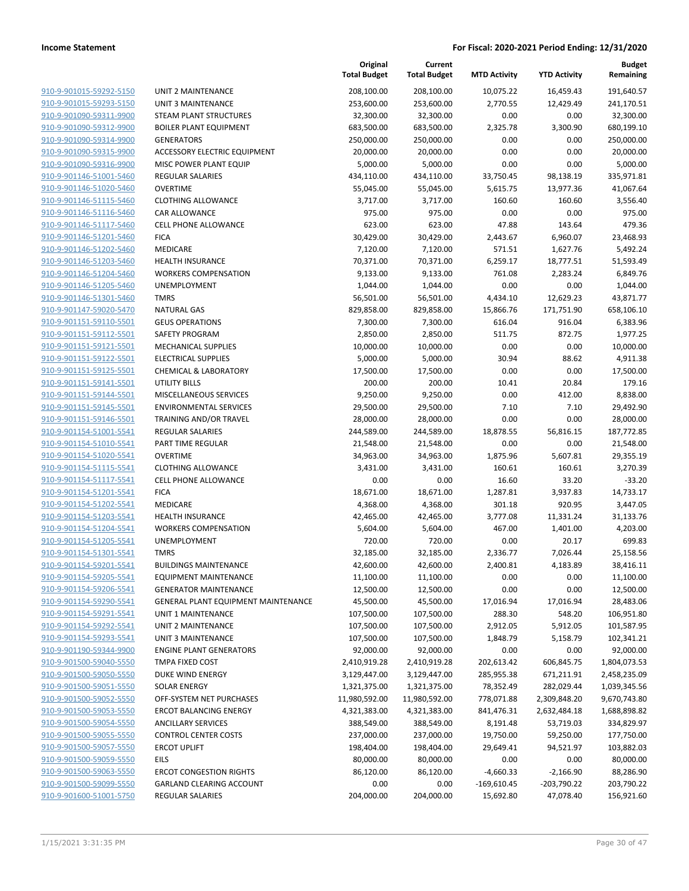|                         |                                            | Original<br><b>Total Budget</b> | Current<br><b>Total Budget</b> | <b>MTD Activity</b> | <b>YTD Activity</b> | <b>Budget</b><br>Remaining |
|-------------------------|--------------------------------------------|---------------------------------|--------------------------------|---------------------|---------------------|----------------------------|
| 910-9-901015-59292-5150 | UNIT 2 MAINTENANCE                         | 208,100.00                      | 208,100.00                     | 10,075.22           | 16.459.43           | 191,640.57                 |
| 910-9-901015-59293-5150 | <b>UNIT 3 MAINTENANCE</b>                  | 253,600.00                      | 253,600.00                     | 2,770.55            | 12,429.49           | 241,170.51                 |
| 910-9-901090-59311-9900 | STEAM PLANT STRUCTURES                     | 32,300.00                       | 32,300.00                      | 0.00                | 0.00                | 32,300.00                  |
| 910-9-901090-59312-9900 | <b>BOILER PLANT EQUIPMENT</b>              | 683,500.00                      | 683,500.00                     | 2,325.78            | 3,300.90            | 680,199.10                 |
| 910-9-901090-59314-9900 | <b>GENERATORS</b>                          | 250,000.00                      | 250,000.00                     | 0.00                | 0.00                | 250,000.00                 |
| 910-9-901090-59315-9900 | ACCESSORY ELECTRIC EQUIPMENT               | 20,000.00                       | 20,000.00                      | 0.00                | 0.00                | 20,000.00                  |
| 910-9-901090-59316-9900 | MISC POWER PLANT EQUIP                     | 5,000.00                        | 5,000.00                       | 0.00                | 0.00                | 5,000.00                   |
| 910-9-901146-51001-5460 | REGULAR SALARIES                           | 434,110.00                      | 434,110.00                     | 33,750.45           | 98,138.19           | 335,971.81                 |
| 910-9-901146-51020-5460 | <b>OVERTIME</b>                            | 55,045.00                       | 55,045.00                      | 5,615.75            | 13,977.36           | 41,067.64                  |
| 910-9-901146-51115-5460 | <b>CLOTHING ALLOWANCE</b>                  | 3,717.00                        | 3,717.00                       | 160.60              | 160.60              | 3,556.40                   |
| 910-9-901146-51116-5460 | <b>CAR ALLOWANCE</b>                       | 975.00                          | 975.00                         | 0.00                | 0.00                | 975.00                     |
| 910-9-901146-51117-5460 | <b>CELL PHONE ALLOWANCE</b>                | 623.00                          | 623.00                         | 47.88               | 143.64              | 479.36                     |
| 910-9-901146-51201-5460 | <b>FICA</b>                                | 30,429.00                       | 30,429.00                      | 2,443.67            | 6,960.07            | 23,468.93                  |
| 910-9-901146-51202-5460 | <b>MEDICARE</b>                            | 7,120.00                        | 7,120.00                       | 571.51              | 1,627.76            | 5,492.24                   |
| 910-9-901146-51203-5460 | HEALTH INSURANCE                           | 70,371.00                       | 70,371.00                      | 6,259.17            | 18,777.51           | 51,593.49                  |
| 910-9-901146-51204-5460 | <b>WORKERS COMPENSATION</b>                | 9,133.00                        | 9,133.00                       | 761.08              | 2,283.24            | 6,849.76                   |
| 910-9-901146-51205-5460 | UNEMPLOYMENT                               | 1,044.00                        | 1,044.00                       | 0.00                | 0.00                | 1,044.00                   |
| 910-9-901146-51301-5460 | <b>TMRS</b>                                | 56,501.00                       | 56,501.00                      | 4,434.10            | 12,629.23           | 43,871.77                  |
| 910-9-901147-59020-5470 | <b>NATURAL GAS</b>                         | 829,858.00                      | 829,858.00                     | 15,866.76           | 171,751.90          | 658,106.10                 |
| 910-9-901151-59110-5501 | <b>GEUS OPERATIONS</b>                     | 7,300.00                        | 7,300.00                       | 616.04              | 916.04              | 6,383.96                   |
| 910-9-901151-59112-5501 | <b>SAFETY PROGRAM</b>                      | 2,850.00                        | 2,850.00                       | 511.75              | 872.75              | 1,977.25                   |
| 910-9-901151-59121-5501 | <b>MECHANICAL SUPPLIES</b>                 | 10,000.00                       | 10,000.00                      | 0.00                | 0.00                | 10,000.00                  |
| 910-9-901151-59122-5501 | <b>ELECTRICAL SUPPLIES</b>                 | 5,000.00                        | 5,000.00                       | 30.94               | 88.62               | 4,911.38                   |
| 910-9-901151-59125-5501 | <b>CHEMICAL &amp; LABORATORY</b>           | 17,500.00                       | 17,500.00                      | 0.00                | 0.00                | 17,500.00                  |
| 910-9-901151-59141-5501 | <b>UTILITY BILLS</b>                       | 200.00                          | 200.00                         | 10.41               | 20.84               | 179.16                     |
| 910-9-901151-59144-5501 | MISCELLANEOUS SERVICES                     | 9,250.00                        | 9,250.00                       | 0.00                | 412.00              | 8,838.00                   |
| 910-9-901151-59145-5501 | <b>ENVIRONMENTAL SERVICES</b>              | 29,500.00                       | 29,500.00                      | 7.10                | 7.10                | 29,492.90                  |
| 910-9-901151-59146-5501 | TRAINING AND/OR TRAVEL                     | 28,000.00                       | 28,000.00                      | 0.00                | 0.00                | 28,000.00                  |
| 910-9-901154-51001-5541 | <b>REGULAR SALARIES</b>                    | 244,589.00                      | 244,589.00                     | 18,878.55           | 56,816.15           | 187,772.85                 |
| 910-9-901154-51010-5541 | PART TIME REGULAR                          | 21,548.00                       | 21,548.00                      | 0.00                | 0.00                | 21,548.00                  |
| 910-9-901154-51020-5541 | <b>OVERTIME</b>                            | 34,963.00                       | 34,963.00                      | 1,875.96            | 5,607.81            | 29,355.19                  |
| 910-9-901154-51115-5541 | <b>CLOTHING ALLOWANCE</b>                  | 3,431.00                        | 3,431.00                       | 160.61              | 160.61              | 3,270.39                   |
| 910-9-901154-51117-5541 | <b>CELL PHONE ALLOWANCE</b>                | 0.00                            | 0.00                           | 16.60               | 33.20               | $-33.20$                   |
| 910-9-901154-51201-5541 | <b>FICA</b>                                | 18,671.00                       | 18,671.00                      | 1,287.81            | 3,937.83            | 14,733.17                  |
| 910-9-901154-51202-5541 | MEDICARE                                   | 4,368.00                        | 4,368.00                       | 301.18              | 920.95              | 3,447.05                   |
| 910-9-901154-51203-5541 | <b>HEALTH INSURANCE</b>                    | 42,465.00                       | 42,465.00                      | 3,777.08            | 11,331.24           | 31,133.76                  |
| 910-9-901154-51204-5541 | <b>WORKERS COMPENSATION</b>                | 5,604.00                        | 5,604.00                       | 467.00              | 1,401.00            | 4,203.00                   |
| 910-9-901154-51205-5541 | UNEMPLOYMENT                               | 720.00                          | 720.00                         | 0.00                | 20.17               | 699.83                     |
| 910-9-901154-51301-5541 | <b>TMRS</b>                                | 32,185.00                       | 32,185.00                      | 2,336.77            | 7,026.44            | 25,158.56                  |
| 910-9-901154-59201-5541 | <b>BUILDINGS MAINTENANCE</b>               | 42,600.00                       | 42,600.00                      | 2,400.81            | 4,183.89            | 38,416.11                  |
| 910-9-901154-59205-5541 | <b>EQUIPMENT MAINTENANCE</b>               | 11,100.00                       | 11,100.00                      | 0.00                | 0.00                | 11,100.00                  |
| 910-9-901154-59206-5541 | <b>GENERATOR MAINTENANCE</b>               | 12,500.00                       | 12,500.00                      | 0.00                | 0.00                | 12,500.00                  |
| 910-9-901154-59290-5541 | <b>GENERAL PLANT EQUIPMENT MAINTENANCE</b> | 45,500.00                       | 45,500.00                      | 17,016.94           | 17,016.94           | 28,483.06                  |
| 910-9-901154-59291-5541 | UNIT 1 MAINTENANCE                         | 107,500.00                      | 107,500.00                     | 288.30              | 548.20              | 106,951.80                 |
| 910-9-901154-59292-5541 | UNIT 2 MAINTENANCE                         | 107,500.00                      | 107,500.00                     | 2,912.05            | 5,912.05            | 101,587.95                 |
| 910-9-901154-59293-5541 | <b>UNIT 3 MAINTENANCE</b>                  | 107,500.00                      | 107,500.00                     | 1,848.79            | 5,158.79            | 102,341.21                 |
| 910-9-901190-59344-9900 | <b>ENGINE PLANT GENERATORS</b>             | 92,000.00                       | 92,000.00                      | 0.00                | 0.00                | 92,000.00                  |
| 910-9-901500-59040-5550 | TMPA FIXED COST                            | 2,410,919.28                    | 2,410,919.28                   | 202,613.42          | 606,845.75          | 1,804,073.53               |
| 910-9-901500-59050-5550 | DUKE WIND ENERGY                           | 3,129,447.00                    | 3,129,447.00                   | 285,955.38          | 671,211.91          | 2,458,235.09               |
| 910-9-901500-59051-5550 | <b>SOLAR ENERGY</b>                        | 1,321,375.00                    | 1,321,375.00                   | 78,352.49           | 282,029.44          | 1,039,345.56               |
| 910-9-901500-59052-5550 | OFF-SYSTEM NET PURCHASES                   | 11,980,592.00                   | 11,980,592.00                  | 778,071.88          | 2,309,848.20        | 9,670,743.80               |
| 910-9-901500-59053-5550 | <b>ERCOT BALANCING ENERGY</b>              | 4,321,383.00                    | 4,321,383.00                   | 841,476.31          | 2,632,484.18        | 1,688,898.82               |
| 910-9-901500-59054-5550 | <b>ANCILLARY SERVICES</b>                  | 388,549.00                      | 388,549.00                     | 8,191.48            | 53,719.03           | 334,829.97                 |
| 910-9-901500-59055-5550 | <b>CONTROL CENTER COSTS</b>                | 237,000.00                      | 237,000.00                     | 19,750.00           | 59,250.00           | 177,750.00                 |
| 910-9-901500-59057-5550 | <b>ERCOT UPLIFT</b>                        | 198,404.00                      | 198,404.00                     | 29,649.41           | 94,521.97           | 103,882.03                 |
| 910-9-901500-59059-5550 | <b>EILS</b>                                | 80,000.00                       | 80,000.00                      | 0.00                | 0.00                | 80,000.00                  |
| 910-9-901500-59063-5550 | <b>ERCOT CONGESTION RIGHTS</b>             | 86,120.00                       | 86,120.00                      | -4,660.33           | $-2,166.90$         | 88,286.90                  |
| 910-9-901500-59099-5550 | GARLAND CLEARING ACCOUNT                   | 0.00                            | 0.00                           | $-169,610.45$       | $-203,790.22$       | 203,790.22                 |
| 910-9-901600-51001-5750 | REGULAR SALARIES                           | 204,000.00                      | 204,000.00                     | 15,692.80           | 47,078.40           | 156,921.60                 |
|                         |                                            |                                 |                                |                     |                     |                            |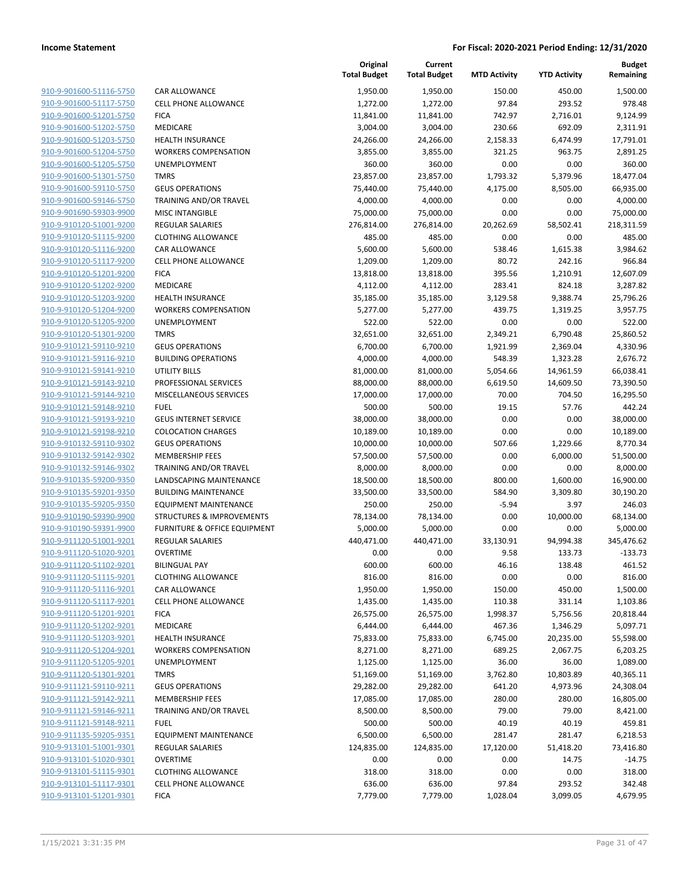| 910-9-901600-51116-5750                            | CAR ALLC                       |
|----------------------------------------------------|--------------------------------|
| 910-9-901600-51117-5750                            | <b>CELL PHO</b>                |
| 910-9-901600-51201-5750                            | <b>FICA</b>                    |
| 910-9-901600-51202-5750                            | <b>MEDICAR</b>                 |
| 910-9-901600-51203-5750                            | <b>HEALTH I</b>                |
| 910-9-901600-51204-5750                            | <b>WORKER</b>                  |
| 910-9-901600-51205-5750                            | <b>UNEMPLO</b>                 |
| 910-9-901600-51301-5750                            | <b>TMRS</b>                    |
| 910-9-901600-59110-5750                            | <b>GEUS OPI</b>                |
| 910-9-901600-59146-5750                            | <b>TRAINING</b>                |
| 910-9-901690-59303-9900                            | MISC INT.                      |
| 910-9-910120-51001-9200                            | <b>REGULAR</b>                 |
| 910-9-910120-51115-9200                            | <b>CLOTHIN</b>                 |
| 910-9-910120-51116-9200                            | CAR ALLC                       |
| 910-9-910120-51117-9200                            | <b>CELL PHO</b>                |
| 910-9-910120-51201-9200                            | <b>FICA</b>                    |
| 910-9-910120-51202-9200                            | MEDICAR                        |
| 910-9-910120-51203-9200                            | <b>HEALTH I</b>                |
| 910-9-910120-51204-9200                            | <b>WORKER</b>                  |
| 910-9-910120-51205-9200                            | <b>UNEMPLO</b>                 |
| 910-9-910120-51301-9200                            | <b>TMRS</b>                    |
| 910-9-910121-59110-9210                            | <b>GEUS OPI</b>                |
| 910-9-910121-59116-9210                            | <b>BUILDING</b>                |
| 910-9-910121-59141-9210                            | UTILITY B                      |
| 910-9-910121-59143-9210                            | <b>PROFESSI</b>                |
| 910-9-910121-59144-9210<br>910-9-910121-59148-9210 | <b>MISCELLA</b>                |
| 910-9-910121-59193-9210                            | <b>FUEL</b><br><b>GEUS INT</b> |
| 910-9-910121-59198-9210                            | COLOCAT                        |
| 910-9-910132-59110-9302                            | <b>GEUS OPI</b>                |
| 910-9-910132-59142-9302                            | MEMBER                         |
| 910-9-910132-59146-9302                            | <b>TRAINING</b>                |
| 910-9-910135-59200-9350                            | LANDSCA                        |
| 910-9-910135-59201-9350                            | <b>BUILDING</b>                |
| 910-9-910135-59205-9350                            | <b>EQUIPME</b>                 |
| 910-9-910190-59390-9900                            | STRUCTU                        |
| 910-9-910190-59391-9900                            | <b>FURNITUI</b>                |
| 910-9-911120-51001-9201                            | <b>REGULAR</b>                 |
| 910-9-911120-51020-9201                            | OVERTIM                        |
| 910-9-911120-51102-9201                            | <b>BILINGUA</b>                |
| 910-9-911120-51115-9201                            | CLOTHIN                        |
| 910-9-911120-51116-9201                            | CAR ALLC                       |
| 910-9-911120-51117-9201                            | <b>CELL PHO</b>                |
| 910-9-911120-51201-9201                            | <b>FICA</b>                    |
| 910-9-911120-51202-9201                            | <b>MEDICAR</b>                 |
| 910-9-911120-51203-9201                            | <b>HEALTH I</b>                |
| 910-9-911120-51204-9201                            | WORKER!                        |
| 910-9-911120-51205-9201                            | <b>UNEMPLO</b>                 |
| 910-9-911120-51301-9201                            | <b>TMRS</b>                    |
| 910-9-911121-59110-9211                            | <b>GEUS OPI</b>                |
| 910-9-911121-59142-9211                            | MEMBER                         |
| 910-9-911121-59146-9211                            | <b>TRAINING</b>                |
| 910-9-911121-59148-9211                            | <b>FUEL</b>                    |
| 910-9-911135-59205-9351                            | <b>EQUIPME</b>                 |
| 910-9-913101-51001-9301                            | <b>REGULAR</b>                 |
| 910-9-913101-51020-9301                            | OVERTIM                        |
| 910-9-913101-51115-9301                            | <b>CLOTHIN</b>                 |
| 910-9-913101-51117-9301<br>910-9-913101-51201-9301 | <b>CELL PHO</b>                |
|                                                    | <b>FICA</b>                    |
|                                                    |                                |

|                                                    |                                                   | Original<br><b>Total Budget</b> | Current<br><b>Total Budget</b> | <b>MTD Activity</b> | <b>YTD Activity</b>  | <b>Budget</b><br>Remaining |
|----------------------------------------------------|---------------------------------------------------|---------------------------------|--------------------------------|---------------------|----------------------|----------------------------|
| 910-9-901600-51116-5750                            | <b>CAR ALLOWANCE</b>                              | 1,950.00                        | 1,950.00                       | 150.00              | 450.00               | 1,500.00                   |
| 910-9-901600-51117-5750                            | <b>CELL PHONE ALLOWANCE</b>                       | 1,272.00                        | 1,272.00                       | 97.84               | 293.52               | 978.48                     |
| 910-9-901600-51201-5750                            | <b>FICA</b>                                       | 11,841.00                       | 11,841.00                      | 742.97              | 2,716.01             | 9,124.99                   |
| 910-9-901600-51202-5750                            | MEDICARE                                          | 3,004.00                        | 3,004.00                       | 230.66              | 692.09               | 2,311.91                   |
| 910-9-901600-51203-5750                            | <b>HEALTH INSURANCE</b>                           | 24,266.00                       | 24,266.00                      | 2,158.33            | 6,474.99             | 17,791.01                  |
| 910-9-901600-51204-5750                            | <b>WORKERS COMPENSATION</b>                       | 3,855.00                        | 3,855.00                       | 321.25              | 963.75               | 2,891.25                   |
| 910-9-901600-51205-5750                            | UNEMPLOYMENT                                      | 360.00                          | 360.00                         | 0.00                | 0.00                 | 360.00                     |
| 910-9-901600-51301-5750                            | <b>TMRS</b>                                       | 23,857.00                       | 23,857.00                      | 1,793.32            | 5,379.96             | 18,477.04                  |
| 910-9-901600-59110-5750                            | <b>GEUS OPERATIONS</b>                            | 75,440.00                       | 75,440.00                      | 4,175.00            | 8,505.00             | 66,935.00                  |
| 910-9-901600-59146-5750                            | <b>TRAINING AND/OR TRAVEL</b>                     | 4,000.00                        | 4,000.00                       | 0.00                | 0.00                 | 4,000.00                   |
| 910-9-901690-59303-9900                            | <b>MISC INTANGIBLE</b>                            | 75,000.00                       | 75,000.00                      | 0.00                | 0.00                 | 75,000.00                  |
| 910-9-910120-51001-9200                            | <b>REGULAR SALARIES</b>                           | 276,814.00                      | 276,814.00                     | 20,262.69           | 58,502.41            | 218,311.59                 |
| 910-9-910120-51115-9200                            | <b>CLOTHING ALLOWANCE</b>                         | 485.00                          | 485.00                         | 0.00                | 0.00                 | 485.00                     |
| 910-9-910120-51116-9200                            | <b>CAR ALLOWANCE</b>                              | 5,600.00                        | 5,600.00                       | 538.46              | 1,615.38             | 3,984.62                   |
| 910-9-910120-51117-9200                            | <b>CELL PHONE ALLOWANCE</b>                       | 1,209.00                        | 1,209.00                       | 80.72               | 242.16               | 966.84                     |
| 910-9-910120-51201-9200                            | <b>FICA</b>                                       | 13,818.00                       | 13,818.00                      | 395.56              | 1,210.91             | 12,607.09                  |
| 910-9-910120-51202-9200                            | <b>MEDICARE</b>                                   | 4,112.00                        | 4,112.00                       | 283.41              | 824.18               | 3,287.82                   |
| 910-9-910120-51203-9200                            | <b>HEALTH INSURANCE</b>                           | 35,185.00                       | 35,185.00                      | 3,129.58            | 9,388.74             | 25,796.26                  |
| 910-9-910120-51204-9200                            | <b>WORKERS COMPENSATION</b>                       | 5,277.00                        | 5,277.00                       | 439.75              | 1,319.25             | 3,957.75                   |
| 910-9-910120-51205-9200                            | <b>UNEMPLOYMENT</b>                               | 522.00                          | 522.00                         | 0.00                | 0.00                 | 522.00                     |
| 910-9-910120-51301-9200                            | <b>TMRS</b>                                       | 32,651.00                       | 32,651.00                      | 2,349.21            | 6,790.48             | 25,860.52                  |
| 910-9-910121-59110-9210                            | <b>GEUS OPERATIONS</b>                            | 6,700.00                        | 6,700.00                       | 1,921.99            | 2,369.04             | 4,330.96                   |
| 910-9-910121-59116-9210                            | <b>BUILDING OPERATIONS</b>                        | 4,000.00                        | 4,000.00                       | 548.39              | 1,323.28             | 2,676.72                   |
| 910-9-910121-59141-9210                            | <b>UTILITY BILLS</b>                              | 81,000.00                       | 81,000.00                      | 5,054.66            | 14,961.59            | 66,038.41                  |
| 910-9-910121-59143-9210                            | PROFESSIONAL SERVICES                             | 88,000.00                       | 88,000.00                      | 6,619.50            | 14,609.50            | 73,390.50                  |
| 910-9-910121-59144-9210                            | MISCELLANEOUS SERVICES                            | 17,000.00                       | 17,000.00                      | 70.00               | 704.50               | 16,295.50                  |
| 910-9-910121-59148-9210                            | <b>FUEL</b>                                       | 500.00                          | 500.00                         | 19.15               | 57.76                | 442.24                     |
| 910-9-910121-59193-9210                            | <b>GEUS INTERNET SERVICE</b>                      | 38,000.00                       | 38,000.00                      | 0.00                | 0.00                 | 38,000.00                  |
| 910-9-910121-59198-9210                            | <b>COLOCATION CHARGES</b>                         | 10,189.00                       | 10,189.00                      | 0.00                | 0.00                 | 10,189.00                  |
| 910-9-910132-59110-9302                            | <b>GEUS OPERATIONS</b>                            | 10,000.00                       | 10,000.00                      | 507.66              | 1,229.66             | 8,770.34                   |
| 910-9-910132-59142-9302<br>910-9-910132-59146-9302 | <b>MEMBERSHIP FEES</b>                            | 57,500.00                       | 57,500.00                      | 0.00                | 6,000.00             | 51,500.00                  |
| 910-9-910135-59200-9350                            | TRAINING AND/OR TRAVEL<br>LANDSCAPING MAINTENANCE | 8,000.00                        | 8,000.00                       | 0.00                | 0.00                 | 8,000.00<br>16,900.00      |
| 910-9-910135-59201-9350                            | <b>BUILDING MAINTENANCE</b>                       | 18,500.00<br>33,500.00          | 18,500.00<br>33,500.00         | 800.00<br>584.90    | 1,600.00<br>3,309.80 | 30,190.20                  |
| 910-9-910135-59205-9350                            | <b>EQUIPMENT MAINTENANCE</b>                      | 250.00                          | 250.00                         | $-5.94$             | 3.97                 | 246.03                     |
| 910-9-910190-59390-9900                            | <b>STRUCTURES &amp; IMPROVEMENTS</b>              | 78,134.00                       | 78,134.00                      | 0.00                | 10,000.00            | 68,134.00                  |
| 910-9-910190-59391-9900                            | FURNITURE & OFFICE EQUIPMENT                      | 5,000.00                        | 5,000.00                       | 0.00                | 0.00                 | 5,000.00                   |
| 910-9-911120-51001-9201                            | <b>REGULAR SALARIES</b>                           | 440,471.00                      | 440,471.00                     | 33,130.91           | 94,994.38            | 345,476.62                 |
| 910-9-911120-51020-9201                            | <b>OVERTIME</b>                                   | 0.00                            | 0.00                           | 9.58                | 133.73               | $-133.73$                  |
| 910-9-911120-51102-9201                            | <b>BILINGUAL PAY</b>                              | 600.00                          | 600.00                         | 46.16               | 138.48               | 461.52                     |
| 910-9-911120-51115-9201                            | <b>CLOTHING ALLOWANCE</b>                         | 816.00                          | 816.00                         | 0.00                | 0.00                 | 816.00                     |
| 910-9-911120-51116-9201                            | <b>CAR ALLOWANCE</b>                              | 1,950.00                        | 1,950.00                       | 150.00              | 450.00               | 1,500.00                   |
| 910-9-911120-51117-9201                            | <b>CELL PHONE ALLOWANCE</b>                       | 1,435.00                        | 1,435.00                       | 110.38              | 331.14               | 1,103.86                   |
| 910-9-911120-51201-9201                            | <b>FICA</b>                                       | 26,575.00                       | 26,575.00                      | 1,998.37            | 5,756.56             | 20,818.44                  |
| 910-9-911120-51202-9201                            | MEDICARE                                          | 6,444.00                        | 6,444.00                       | 467.36              | 1,346.29             | 5,097.71                   |
| 910-9-911120-51203-9201                            | <b>HEALTH INSURANCE</b>                           | 75,833.00                       | 75,833.00                      | 6,745.00            | 20,235.00            | 55,598.00                  |
| 910-9-911120-51204-9201                            | <b>WORKERS COMPENSATION</b>                       | 8,271.00                        | 8,271.00                       | 689.25              | 2,067.75             | 6,203.25                   |
| 910-9-911120-51205-9201                            | <b>UNEMPLOYMENT</b>                               | 1,125.00                        | 1,125.00                       | 36.00               | 36.00                | 1,089.00                   |
| 910-9-911120-51301-9201                            | <b>TMRS</b>                                       | 51,169.00                       | 51,169.00                      | 3,762.80            | 10,803.89            | 40,365.11                  |
| 910-9-911121-59110-9211                            | <b>GEUS OPERATIONS</b>                            | 29,282.00                       | 29,282.00                      | 641.20              | 4,973.96             | 24,308.04                  |
| 910-9-911121-59142-9211                            | <b>MEMBERSHIP FEES</b>                            | 17,085.00                       | 17,085.00                      | 280.00              | 280.00               | 16,805.00                  |
| 910-9-911121-59146-9211                            | TRAINING AND/OR TRAVEL                            | 8,500.00                        | 8,500.00                       | 79.00               | 79.00                | 8,421.00                   |
| 910-9-911121-59148-9211                            | <b>FUEL</b>                                       | 500.00                          | 500.00                         | 40.19               | 40.19                | 459.81                     |
| 910-9-911135-59205-9351                            | <b>EQUIPMENT MAINTENANCE</b>                      | 6,500.00                        | 6,500.00                       | 281.47              | 281.47               | 6,218.53                   |
| 910-9-913101-51001-9301                            | <b>REGULAR SALARIES</b>                           | 124,835.00                      | 124,835.00                     | 17,120.00           | 51,418.20            | 73,416.80                  |
| 910-9-913101-51020-9301                            | <b>OVERTIME</b>                                   | 0.00                            | 0.00                           | 0.00                | 14.75                | $-14.75$                   |
| 910-9-913101-51115-9301                            | <b>CLOTHING ALLOWANCE</b>                         | 318.00                          | 318.00                         | 0.00                | 0.00                 | 318.00                     |
| 910-9-913101-51117-9301                            | CELL PHONE ALLOWANCE                              | 636.00                          | 636.00                         | 97.84               | 293.52               | 342.48                     |
| 910-9-913101-51201-9301                            | <b>FICA</b>                                       | 7,779.00                        | 7,779.00                       | 1,028.04            | 3,099.05             | 4,679.95                   |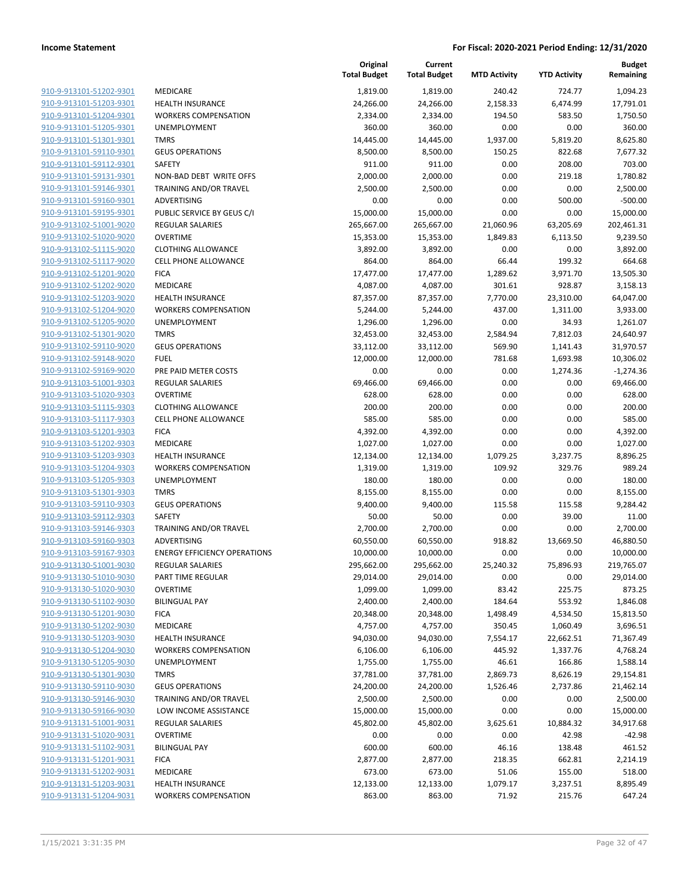|                                                    |                                     | Original<br><b>Total Budget</b> | Current<br><b>Total Budget</b> | <b>MTD Activity</b> | <b>YTD Activity</b> | <b>Budget</b><br>Remaining |
|----------------------------------------------------|-------------------------------------|---------------------------------|--------------------------------|---------------------|---------------------|----------------------------|
| 910-9-913101-51202-9301                            | MEDICARE                            | 1,819.00                        | 1,819.00                       | 240.42              | 724.77              | 1,094.23                   |
| 910-9-913101-51203-9301                            | <b>HEALTH INSURANCE</b>             | 24,266.00                       | 24,266.00                      | 2,158.33            | 6,474.99            | 17,791.01                  |
| 910-9-913101-51204-9301                            | <b>WORKERS COMPENSATION</b>         | 2,334.00                        | 2,334.00                       | 194.50              | 583.50              | 1,750.50                   |
| 910-9-913101-51205-9301                            | UNEMPLOYMENT                        | 360.00                          | 360.00                         | 0.00                | 0.00                | 360.00                     |
| 910-9-913101-51301-9301                            | <b>TMRS</b>                         | 14,445.00                       | 14,445.00                      | 1,937.00            | 5,819.20            | 8,625.80                   |
| 910-9-913101-59110-9301                            | <b>GEUS OPERATIONS</b>              | 8,500.00                        | 8,500.00                       | 150.25              | 822.68              | 7,677.32                   |
| 910-9-913101-59112-9301                            | <b>SAFETY</b>                       | 911.00                          | 911.00                         | 0.00                | 208.00              | 703.00                     |
| 910-9-913101-59131-9301                            | NON-BAD DEBT WRITE OFFS             | 2,000.00                        | 2,000.00                       | 0.00                | 219.18              | 1.780.82                   |
| 910-9-913101-59146-9301                            | TRAINING AND/OR TRAVEL              | 2,500.00                        | 2,500.00                       | 0.00                | 0.00                | 2,500.00                   |
| 910-9-913101-59160-9301                            | ADVERTISING                         | 0.00                            | 0.00                           | 0.00                | 500.00              | $-500.00$                  |
| 910-9-913101-59195-9301                            | PUBLIC SERVICE BY GEUS C/I          | 15,000.00                       | 15,000.00                      | 0.00                | 0.00                | 15,000.00                  |
| 910-9-913102-51001-9020                            | REGULAR SALARIES                    | 265,667.00                      | 265,667.00                     | 21,060.96           | 63,205.69           | 202,461.31                 |
| 910-9-913102-51020-9020                            | <b>OVERTIME</b>                     | 15,353.00                       | 15,353.00                      | 1,849.83            | 6,113.50            | 9,239.50                   |
| 910-9-913102-51115-9020                            | <b>CLOTHING ALLOWANCE</b>           | 3,892.00                        | 3,892.00                       | 0.00                | 0.00                | 3,892.00                   |
| 910-9-913102-51117-9020                            | <b>CELL PHONE ALLOWANCE</b>         | 864.00                          | 864.00                         | 66.44               | 199.32              | 664.68                     |
| 910-9-913102-51201-9020                            | <b>FICA</b>                         | 17,477.00                       | 17,477.00                      | 1,289.62            | 3,971.70            | 13,505.30                  |
| 910-9-913102-51202-9020                            | MEDICARE                            | 4,087.00                        | 4,087.00                       | 301.61              | 928.87              | 3,158.13                   |
| 910-9-913102-51203-9020                            | <b>HEALTH INSURANCE</b>             | 87,357.00                       | 87,357.00                      | 7,770.00            | 23,310.00           | 64,047.00                  |
| 910-9-913102-51204-9020                            | <b>WORKERS COMPENSATION</b>         | 5,244.00                        | 5,244.00                       | 437.00              | 1,311.00            | 3,933.00                   |
| 910-9-913102-51205-9020                            | UNEMPLOYMENT                        | 1,296.00                        | 1,296.00                       | 0.00                | 34.93               | 1,261.07                   |
| 910-9-913102-51301-9020                            | <b>TMRS</b>                         | 32,453.00                       | 32,453.00                      | 2,584.94            | 7,812.03            | 24,640.97                  |
| 910-9-913102-59110-9020                            | <b>GEUS OPERATIONS</b>              | 33,112.00                       | 33,112.00                      | 569.90              | 1,141.43            | 31,970.57                  |
| 910-9-913102-59148-9020                            | <b>FUEL</b>                         | 12,000.00                       | 12,000.00                      | 781.68              | 1,693.98            | 10,306.02                  |
| 910-9-913102-59169-9020                            | PRE PAID METER COSTS                | 0.00                            | 0.00                           | 0.00                | 1,274.36            | $-1,274.36$                |
| 910-9-913103-51001-9303                            | <b>REGULAR SALARIES</b>             | 69,466.00                       | 69,466.00                      | 0.00                | 0.00                | 69,466.00                  |
| 910-9-913103-51020-9303                            | <b>OVERTIME</b>                     | 628.00                          | 628.00                         | 0.00                | 0.00                | 628.00                     |
| 910-9-913103-51115-9303                            | <b>CLOTHING ALLOWANCE</b>           | 200.00                          | 200.00                         | 0.00                | 0.00                | 200.00                     |
| 910-9-913103-51117-9303                            | <b>CELL PHONE ALLOWANCE</b>         | 585.00                          | 585.00                         | 0.00                | 0.00                | 585.00                     |
| 910-9-913103-51201-9303                            | <b>FICA</b>                         | 4,392.00                        | 4,392.00                       | 0.00                | 0.00                | 4,392.00                   |
| 910-9-913103-51202-9303                            | MEDICARE                            | 1,027.00                        | 1,027.00                       | 0.00                | 0.00                | 1,027.00                   |
| 910-9-913103-51203-9303                            | <b>HEALTH INSURANCE</b>             | 12,134.00                       | 12,134.00                      | 1,079.25            | 3,237.75            | 8,896.25                   |
| 910-9-913103-51204-9303<br>910-9-913103-51205-9303 | <b>WORKERS COMPENSATION</b>         | 1,319.00                        | 1,319.00                       | 109.92              | 329.76              | 989.24                     |
| 910-9-913103-51301-9303                            | UNEMPLOYMENT<br><b>TMRS</b>         | 180.00                          | 180.00                         | 0.00<br>0.00        | 0.00                | 180.00<br>8,155.00         |
| 910-9-913103-59110-9303                            | <b>GEUS OPERATIONS</b>              | 8,155.00<br>9,400.00            | 8,155.00<br>9,400.00           | 115.58              | 0.00<br>115.58      | 9,284.42                   |
| 910-9-913103-59112-9303                            | SAFETY                              | 50.00                           | 50.00                          | 0.00                | 39.00               | 11.00                      |
| 910-9-913103-59146-9303                            | TRAINING AND/OR TRAVEL              | 2,700.00                        | 2,700.00                       | 0.00                | 0.00                | 2,700.00                   |
| 910-9-913103-59160-9303                            | ADVERTISING                         | 60,550.00                       | 60,550.00                      | 918.82              | 13,669.50           | 46,880.50                  |
| 910-9-913103-59167-9303                            | <b>ENERGY EFFICIENCY OPERATIONS</b> | 10,000.00                       | 10,000.00                      | 0.00                | 0.00                | 10,000.00                  |
| 910-9-913130-51001-9030                            | <b>REGULAR SALARIES</b>             | 295,662.00                      | 295,662.00                     | 25,240.32           | 75,896.93           | 219,765.07                 |
| 910-9-913130-51010-9030                            | PART TIME REGULAR                   | 29,014.00                       | 29,014.00                      | 0.00                | 0.00                | 29,014.00                  |
| 910-9-913130-51020-9030                            | <b>OVERTIME</b>                     | 1,099.00                        | 1,099.00                       | 83.42               | 225.75              | 873.25                     |
| 910-9-913130-51102-9030                            | <b>BILINGUAL PAY</b>                | 2,400.00                        | 2,400.00                       | 184.64              | 553.92              | 1,846.08                   |
| 910-9-913130-51201-9030                            | <b>FICA</b>                         | 20,348.00                       | 20,348.00                      | 1,498.49            | 4,534.50            | 15,813.50                  |
| 910-9-913130-51202-9030                            | MEDICARE                            | 4,757.00                        | 4,757.00                       | 350.45              | 1,060.49            | 3,696.51                   |
| 910-9-913130-51203-9030                            | <b>HEALTH INSURANCE</b>             | 94,030.00                       | 94,030.00                      | 7,554.17            | 22,662.51           | 71,367.49                  |
| 910-9-913130-51204-9030                            | <b>WORKERS COMPENSATION</b>         | 6,106.00                        | 6,106.00                       | 445.92              | 1,337.76            | 4,768.24                   |
| 910-9-913130-51205-9030                            | UNEMPLOYMENT                        | 1,755.00                        | 1,755.00                       | 46.61               | 166.86              | 1,588.14                   |
| 910-9-913130-51301-9030                            | <b>TMRS</b>                         | 37,781.00                       | 37,781.00                      | 2,869.73            | 8,626.19            | 29,154.81                  |
| 910-9-913130-59110-9030                            | <b>GEUS OPERATIONS</b>              | 24,200.00                       | 24,200.00                      | 1,526.46            | 2,737.86            | 21,462.14                  |
| 910-9-913130-59146-9030                            | TRAINING AND/OR TRAVEL              | 2,500.00                        | 2,500.00                       | 0.00                | 0.00                | 2,500.00                   |
| 910-9-913130-59166-9030                            | LOW INCOME ASSISTANCE               | 15,000.00                       | 15,000.00                      | 0.00                | 0.00                | 15,000.00                  |
| 910-9-913131-51001-9031                            | <b>REGULAR SALARIES</b>             | 45,802.00                       | 45,802.00                      | 3,625.61            | 10,884.32           | 34,917.68                  |
| 910-9-913131-51020-9031                            | <b>OVERTIME</b>                     | 0.00                            | 0.00                           | 0.00                | 42.98               | $-42.98$                   |
| 910-9-913131-51102-9031                            | <b>BILINGUAL PAY</b>                | 600.00                          | 600.00                         | 46.16               | 138.48              | 461.52                     |
| 910-9-913131-51201-9031                            | <b>FICA</b>                         | 2,877.00                        | 2,877.00                       | 218.35              | 662.81              | 2,214.19                   |
| 910-9-913131-51202-9031                            | MEDICARE                            | 673.00                          | 673.00                         | 51.06               | 155.00              | 518.00                     |
| 910-9-913131-51203-9031                            | <b>HEALTH INSURANCE</b>             | 12,133.00                       | 12,133.00                      | 1,079.17            | 3,237.51            | 8,895.49                   |
| 910-9-913131-51204-9031                            | <b>WORKERS COMPENSATION</b>         | 863.00                          | 863.00                         | 71.92               | 215.76              | 647.24                     |
|                                                    |                                     |                                 |                                |                     |                     |                            |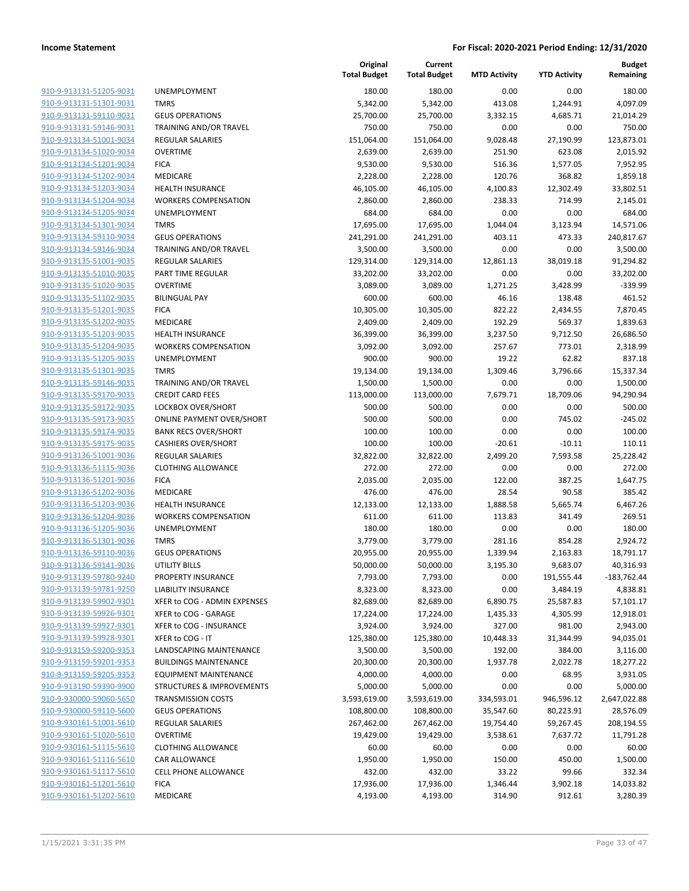| <u>910-9-913131-51205-9031</u>                            |
|-----------------------------------------------------------|
| <u>910-9-913131-51301-9031</u>                            |
| 910-9-913131-59110-9031                                   |
| 910-9-913131-59146-9031                                   |
| 910-9-913134-51001-9034                                   |
| 910-9-913134-51020-9034                                   |
| 910-9-913134-51201-9034                                   |
| 910-9-913134-51202-9034                                   |
| 910-9-913134-51203-9034                                   |
| 910-9-913134-51204-9034                                   |
| 910-9-913134-51205-9034                                   |
| 910-9-913134-51301-9034                                   |
| 910-9-913134-59110-9034                                   |
| 910-9-913134-59146-9034                                   |
| 910-9-913135-51001-9035                                   |
| <u>910-9-913135-51010-9035</u>                            |
| 910-9-913135-51020-9035                                   |
| 910-9-913135-51102-9035                                   |
| 910-9-913135-51201-9035                                   |
| 910-9-913135-51202-9035                                   |
| <u>910-9-913135-51203-9035</u>                            |
| 910-9-913135-51204-9035                                   |
| 910-9-913135-51205-9035                                   |
| 910-9-913135-51301-9035                                   |
| 910-9-913135-59146-9035                                   |
| <u>910-9-913135-59170-9035</u>                            |
| 910-9-913135-59172-9035                                   |
| 910-9-913135-59173-9035                                   |
| 910-9-913135-59174-9035                                   |
| <u>910-9-913135-59175-9035</u>                            |
| <u>910-9-913136-51001-9036</u>                            |
| 910-9-913136-51115-9036                                   |
| 910-9-913136-51201-9036                                   |
| 910-9-913136-51202-9036                                   |
| 910-9-913136-51203-9036                                   |
| <u>910-9-913136-51204-9036</u>                            |
| 910-9-913136-51205-9036                                   |
| 910-9-913136-51301-9036                                   |
| 910-9-913136-59110-9036                                   |
| 910-9-913136-59141-9036                                   |
| 910-9-913139-59780-9240                                   |
|                                                           |
| <u>910-9-913139-59781-9250</u><br>910-9-913139-59902-9301 |
| 910-9-913139-59926-9301                                   |
|                                                           |
| 910-9-913139-59927-9301                                   |
| 910-9-913139-59928-9301                                   |
| 910-9-913159-59200-9353                                   |
| <u>910-9-913159-59201-9353</u>                            |
| 910-9-913159-59205-9353                                   |
| 910-9-913190-59390-9900                                   |
| <u>910-9-930000-59060-5650</u>                            |
| 910-9-930000-59110-5600                                   |
| 910-9-930161-51001-5610                                   |
| 910-9-930161-51020-5610                                   |
| <u>910-9-930161-51115-5610</u>                            |
| <u>910-9-930161-51116-5610</u>                            |
| <u>910-9-930161-51117-5610</u>                            |
| 910-9-930161-51201-5610                                   |
| 910-9-930161-51202-5610                                   |

|                         |                                  | Original<br><b>Total Budget</b> | Current<br><b>Total Budget</b> | <b>MTD Activity</b> | <b>YTD Activity</b> | <b>Budget</b><br>Remaining |
|-------------------------|----------------------------------|---------------------------------|--------------------------------|---------------------|---------------------|----------------------------|
| 910-9-913131-51205-9031 | UNEMPLOYMENT                     | 180.00                          | 180.00                         | 0.00                | 0.00                | 180.00                     |
| 910-9-913131-51301-9031 | <b>TMRS</b>                      | 5,342.00                        | 5,342.00                       | 413.08              | 1,244.91            | 4,097.09                   |
| 910-9-913131-59110-9031 | <b>GEUS OPERATIONS</b>           | 25,700.00                       | 25,700.00                      | 3,332.15            | 4,685.71            | 21,014.29                  |
| 910-9-913131-59146-9031 | TRAINING AND/OR TRAVEL           | 750.00                          | 750.00                         | 0.00                | 0.00                | 750.00                     |
| 910-9-913134-51001-9034 | <b>REGULAR SALARIES</b>          | 151,064.00                      | 151,064.00                     | 9,028.48            | 27,190.99           | 123,873.01                 |
| 910-9-913134-51020-9034 | <b>OVERTIME</b>                  | 2,639.00                        | 2,639.00                       | 251.90              | 623.08              | 2,015.92                   |
| 910-9-913134-51201-9034 | <b>FICA</b>                      | 9,530.00                        | 9,530.00                       | 516.36              | 1,577.05            | 7,952.95                   |
| 910-9-913134-51202-9034 | <b>MEDICARE</b>                  | 2,228.00                        | 2,228.00                       | 120.76              | 368.82              | 1,859.18                   |
| 910-9-913134-51203-9034 | <b>HEALTH INSURANCE</b>          | 46,105.00                       | 46,105.00                      | 4,100.83            | 12,302.49           | 33,802.51                  |
| 910-9-913134-51204-9034 | <b>WORKERS COMPENSATION</b>      | 2,860.00                        | 2,860.00                       | 238.33              | 714.99              | 2,145.01                   |
| 910-9-913134-51205-9034 | <b>UNEMPLOYMENT</b>              | 684.00                          | 684.00                         | 0.00                | 0.00                | 684.00                     |
| 910-9-913134-51301-9034 | <b>TMRS</b>                      | 17,695.00                       | 17,695.00                      | 1,044.04            | 3,123.94            | 14,571.06                  |
| 910-9-913134-59110-9034 | <b>GEUS OPERATIONS</b>           | 241,291.00                      | 241,291.00                     | 403.11              | 473.33              | 240,817.67                 |
| 910-9-913134-59146-9034 | TRAINING AND/OR TRAVEL           | 3,500.00                        | 3,500.00                       | 0.00                | 0.00                | 3,500.00                   |
| 910-9-913135-51001-9035 | <b>REGULAR SALARIES</b>          | 129,314.00                      | 129,314.00                     | 12,861.13           | 38,019.18           | 91,294.82                  |
| 910-9-913135-51010-9035 | PART TIME REGULAR                | 33,202.00                       | 33,202.00                      | 0.00                | 0.00                | 33,202.00                  |
| 910-9-913135-51020-9035 | <b>OVERTIME</b>                  | 3,089.00                        | 3,089.00                       | 1,271.25            | 3,428.99            | $-339.99$                  |
| 910-9-913135-51102-9035 | <b>BILINGUAL PAY</b>             | 600.00                          | 600.00                         | 46.16               | 138.48              | 461.52                     |
| 910-9-913135-51201-9035 | <b>FICA</b>                      | 10,305.00                       | 10,305.00                      | 822.22              | 2,434.55            | 7,870.45                   |
| 910-9-913135-51202-9035 | <b>MEDICARE</b>                  | 2,409.00                        | 2,409.00                       | 192.29              | 569.37              | 1,839.63                   |
| 910-9-913135-51203-9035 | <b>HEALTH INSURANCE</b>          | 36,399.00                       | 36,399.00                      | 3,237.50            | 9,712.50            | 26,686.50                  |
| 910-9-913135-51204-9035 | <b>WORKERS COMPENSATION</b>      | 3,092.00                        | 3,092.00                       | 257.67              | 773.01              | 2,318.99                   |
| 910-9-913135-51205-9035 | UNEMPLOYMENT                     | 900.00                          | 900.00                         | 19.22               | 62.82               | 837.18                     |
| 910-9-913135-51301-9035 | <b>TMRS</b>                      | 19,134.00                       | 19,134.00                      | 1,309.46            | 3,796.66            | 15,337.34                  |
| 910-9-913135-59146-9035 | <b>TRAINING AND/OR TRAVEL</b>    | 1,500.00                        | 1,500.00                       | 0.00                | 0.00                | 1,500.00                   |
| 910-9-913135-59170-9035 | <b>CREDIT CARD FEES</b>          | 113,000.00                      | 113,000.00                     | 7,679.71            | 18,709.06           | 94,290.94                  |
| 910-9-913135-59172-9035 | LOCKBOX OVER/SHORT               | 500.00                          | 500.00                         | 0.00                | 0.00                | 500.00                     |
| 910-9-913135-59173-9035 | <b>ONLINE PAYMENT OVER/SHORT</b> | 500.00                          | 500.00                         | 0.00                | 745.02              | $-245.02$                  |
| 910-9-913135-59174-9035 | <b>BANK RECS OVER/SHORT</b>      | 100.00                          | 100.00                         | 0.00                | 0.00                | 100.00                     |
| 910-9-913135-59175-9035 | <b>CASHIERS OVER/SHORT</b>       | 100.00                          | 100.00                         | $-20.61$            | $-10.11$            | 110.11                     |
| 910-9-913136-51001-9036 | REGULAR SALARIES                 | 32,822.00                       | 32,822.00                      | 2,499.20            | 7,593.58            | 25,228.42                  |
| 910-9-913136-51115-9036 | <b>CLOTHING ALLOWANCE</b>        | 272.00                          | 272.00                         | 0.00                | 0.00                | 272.00                     |
| 910-9-913136-51201-9036 | <b>FICA</b>                      | 2,035.00                        | 2,035.00                       | 122.00              | 387.25              | 1,647.75                   |
| 910-9-913136-51202-9036 | MEDICARE                         | 476.00                          | 476.00                         | 28.54               | 90.58               | 385.42                     |
| 910-9-913136-51203-9036 | <b>HEALTH INSURANCE</b>          | 12,133.00                       | 12,133.00                      | 1,888.58            | 5,665.74            | 6,467.26                   |
| 910-9-913136-51204-9036 | <b>WORKERS COMPENSATION</b>      | 611.00                          | 611.00                         | 113.83              | 341.49              | 269.51                     |
| 910-9-913136-51205-9036 | UNEMPLOYMENT                     | 180.00                          | 180.00                         | 0.00                | 0.00                | 180.00                     |
| 910-9-913136-51301-9036 | <b>TMRS</b>                      | 3,779.00                        | 3,779.00                       | 281.16              | 854.28              | 2,924.72                   |
| 910-9-913136-59110-9036 | <b>GEUS OPERATIONS</b>           | 20,955.00                       | 20,955.00                      | 1,339.94            | 2,163.83            | 18,791.17                  |
| 910-9-913136-59141-9036 | UTILITY BILLS                    | 50,000.00                       | 50,000.00                      | 3,195.30            | 9,683.07            | 40,316.93                  |
| 910-9-913139-59780-9240 | PROPERTY INSURANCE               | 7,793.00                        | 7,793.00                       | 0.00                | 191,555.44          | $-183,762.44$              |
| 910-9-913139-59781-9250 | LIABILITY INSURANCE              | 8,323.00                        | 8,323.00                       | 0.00                | 3,484.19            | 4,838.81                   |
| 910-9-913139-59902-9301 | XFER to COG - ADMIN EXPENSES     | 82,689.00                       | 82,689.00                      | 6,890.75            | 25,587.83           | 57,101.17                  |
| 910-9-913139-59926-9301 | XFER to COG - GARAGE             | 17,224.00                       | 17,224.00                      | 1,435.33            | 4,305.99            | 12,918.01                  |
| 910-9-913139-59927-9301 | XFER to COG - INSURANCE          | 3,924.00                        | 3,924.00                       | 327.00              | 981.00              | 2,943.00                   |
| 910-9-913139-59928-9301 | XFER to COG - IT                 | 125,380.00                      | 125,380.00                     | 10,448.33           | 31,344.99           | 94,035.01                  |
| 910-9-913159-59200-9353 | LANDSCAPING MAINTENANCE          | 3,500.00                        | 3,500.00                       | 192.00              | 384.00              | 3,116.00                   |
| 910-9-913159-59201-9353 | <b>BUILDINGS MAINTENANCE</b>     | 20,300.00                       | 20,300.00                      | 1,937.78            | 2,022.78            | 18,277.22                  |
| 910-9-913159-59205-9353 | <b>EQUIPMENT MAINTENANCE</b>     | 4,000.00                        | 4,000.00                       | 0.00                | 68.95               | 3,931.05                   |
| 910-9-913190-59390-9900 | STRUCTURES & IMPROVEMENTS        | 5,000.00                        | 5,000.00                       | 0.00                | 0.00                | 5,000.00                   |
| 910-9-930000-59060-5650 | <b>TRANSMISSION COSTS</b>        | 3,593,619.00                    | 3,593,619.00                   | 334,593.01          | 946,596.12          | 2,647,022.88               |
| 910-9-930000-59110-5600 | <b>GEUS OPERATIONS</b>           | 108,800.00                      | 108,800.00                     | 35,547.60           | 80,223.91           | 28,576.09                  |
| 910-9-930161-51001-5610 | REGULAR SALARIES                 | 267,462.00                      | 267,462.00                     | 19,754.40           | 59,267.45           | 208,194.55                 |
| 910-9-930161-51020-5610 | <b>OVERTIME</b>                  | 19,429.00                       | 19,429.00                      | 3,538.61            | 7,637.72            | 11,791.28                  |
| 910-9-930161-51115-5610 | <b>CLOTHING ALLOWANCE</b>        | 60.00                           | 60.00                          | 0.00                | 0.00                | 60.00                      |
| 910-9-930161-51116-5610 | CAR ALLOWANCE                    | 1,950.00                        | 1,950.00                       | 150.00              | 450.00              | 1,500.00                   |
| 910-9-930161-51117-5610 | CELL PHONE ALLOWANCE             | 432.00                          | 432.00                         | 33.22               | 99.66               | 332.34                     |
| 910-9-930161-51201-5610 | <b>FICA</b>                      | 17,936.00                       | 17,936.00                      | 1,346.44            | 3,902.18            | 14,033.82                  |
| 910-9-930161-51202-5610 | MEDICARE                         | 4,193.00                        | 4,193.00                       | 314.90              | 912.61              | 3,280.39                   |
|                         |                                  |                                 |                                |                     |                     |                            |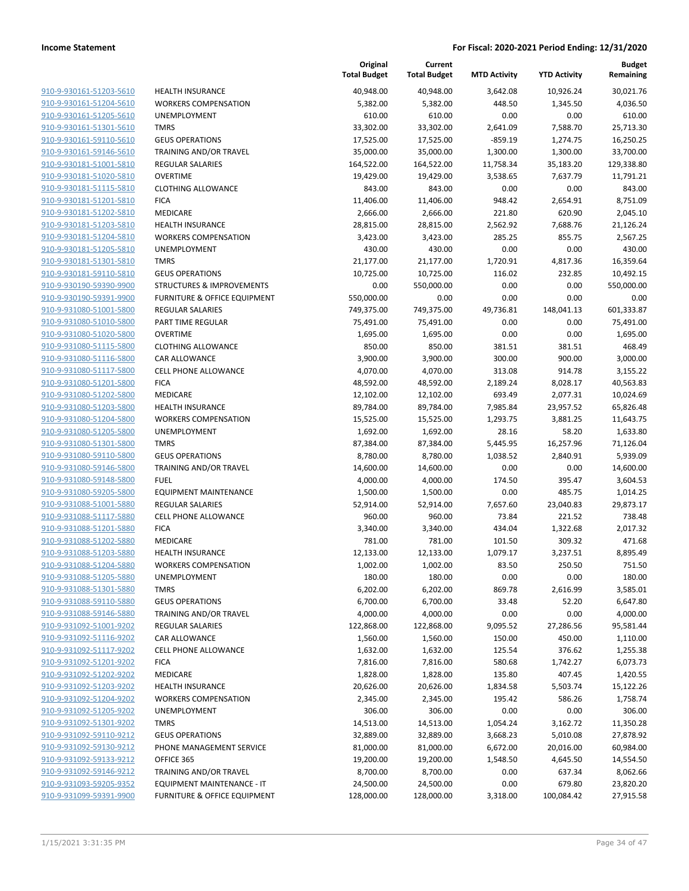| <u>910-9-930161-51203-5610</u>                     |
|----------------------------------------------------|
| 910-9-930161-51204-5610                            |
| 910-9-930161-51205-5610                            |
| 910-9-930161-51301-5610                            |
| <u>910-9-930161-59110-5610</u>                     |
| 910-9-930161-59146-5610                            |
| 910-9-930181-51001-5810                            |
| <u>910-9-930181-51020-5810</u>                     |
| 910-9-930181-51115-5810                            |
| 910-9-930181-51201-5810                            |
| <u>910-9-930181-51202-5810</u>                     |
| 910-9-930181-51203-5810                            |
| 910-9-930181-51204-5810                            |
| 910-9-930181-51205-5810                            |
| 910-9-930181-51301-5810                            |
| 910-9-930181-59110-5810                            |
| 910-9-930190-59390-9900                            |
| <u>910-9-930190-59391-9900</u>                     |
| 910-9-931080-51001-5800                            |
| 910-9-931080-51010-5800                            |
| 910-9-931080-51020-5800                            |
| 910-9-931080-51115-5800                            |
| 910-9-931080-51116-5800                            |
| 910-9-931080-51117-5800                            |
| 910-9-931080-51201-5800                            |
| 910-9-931080-51202-5800                            |
| 910-9-931080-51203-5800                            |
| 910-9-931080-51204-5800                            |
| 910-9-931080-51205-5800<br>910-9-931080-51301-5800 |
| 910-9-931080-59110-5800                            |
| 910-9-931080-59146-5800                            |
| 910-9-931080-59148-5800                            |
| 910-9-931080-59205-5800                            |
| 910-9-931088-51001-5880                            |
| 910-9-931088-51117-5880                            |
| 910-9-931088-51201-5880                            |
| 910-9-931088-51202-5880                            |
| 910-9-931088-51203-5880                            |
| 910-9-931088-51204-5880                            |
| 910-9-931088-51205-5880                            |
| 910-9-931088-51301-5880                            |
| 910-9-931088-59110-5880                            |
| 910-9-931088-59146-5880                            |
| <u>910-9-931092-51001-9202</u>                     |
| 910-9-931092-51116-9202                            |
| 910-9-931092-51117-9202                            |
| 910-9-931092-51201-9202                            |
| 910-9-931092-51202-9202                            |
| 910-9-931092-51203-9202                            |
| 910-9-931092-51204-9202                            |
| 910-9-931092-51205-9202                            |
| 910-9-931092-51301-9202                            |
| <u>910-9-931092-59110-9212</u>                     |
| 910-9-931092-59130-9212                            |
| <u>910-9-931092-59133-9212</u>                     |
| 910-9-931092-59146-9212                            |
| <u>910-9-931093-59205-9352</u>                     |
| <u>910-9-931099-59391-9900</u>                     |
|                                                    |

|                                                    |                                                                | Original<br><b>Total Budget</b> | Current<br><b>Total Budget</b> | <b>MTD Activity</b> | <b>YTD Activity</b> | <b>Budget</b><br>Remaining |
|----------------------------------------------------|----------------------------------------------------------------|---------------------------------|--------------------------------|---------------------|---------------------|----------------------------|
| 910-9-930161-51203-5610                            | <b>HEALTH INSURANCE</b>                                        | 40,948.00                       | 40,948.00                      | 3,642.08            | 10,926.24           | 30,021.76                  |
| 910-9-930161-51204-5610                            | <b>WORKERS COMPENSATION</b>                                    | 5,382.00                        | 5,382.00                       | 448.50              | 1,345.50            | 4,036.50                   |
| 910-9-930161-51205-5610                            | <b>UNEMPLOYMENT</b>                                            | 610.00                          | 610.00                         | 0.00                | 0.00                | 610.00                     |
| 910-9-930161-51301-5610                            | <b>TMRS</b>                                                    | 33,302.00                       | 33,302.00                      | 2,641.09            | 7,588.70            | 25,713.30                  |
| 910-9-930161-59110-5610                            | <b>GEUS OPERATIONS</b>                                         | 17,525.00                       | 17,525.00                      | $-859.19$           | 1,274.75            | 16,250.25                  |
| 910-9-930161-59146-5610                            | TRAINING AND/OR TRAVEL                                         | 35,000.00                       | 35,000.00                      | 1,300.00            | 1,300.00            | 33,700.00                  |
| 910-9-930181-51001-5810                            | <b>REGULAR SALARIES</b>                                        | 164,522.00                      | 164,522.00                     | 11,758.34           | 35,183.20           | 129,338.80                 |
| 910-9-930181-51020-5810                            | <b>OVERTIME</b>                                                | 19,429.00                       | 19,429.00                      | 3,538.65            | 7,637.79            | 11,791.21                  |
| 910-9-930181-51115-5810                            | <b>CLOTHING ALLOWANCE</b>                                      | 843.00                          | 843.00                         | 0.00                | 0.00                | 843.00                     |
| 910-9-930181-51201-5810                            | <b>FICA</b>                                                    | 11,406.00                       | 11,406.00                      | 948.42              | 2,654.91            | 8,751.09                   |
| 910-9-930181-51202-5810                            | <b>MEDICARE</b>                                                | 2,666.00                        | 2,666.00                       | 221.80              | 620.90              | 2,045.10                   |
| 910-9-930181-51203-5810                            | <b>HEALTH INSURANCE</b>                                        | 28,815.00                       | 28,815.00                      | 2,562.92            | 7,688.76            | 21,126.24                  |
| 910-9-930181-51204-5810                            | <b>WORKERS COMPENSATION</b>                                    | 3,423.00                        | 3,423.00                       | 285.25              | 855.75              | 2,567.25                   |
| 910-9-930181-51205-5810                            | UNEMPLOYMENT                                                   | 430.00                          | 430.00                         | 0.00                | 0.00                | 430.00                     |
| 910-9-930181-51301-5810                            | <b>TMRS</b>                                                    | 21,177.00                       | 21,177.00                      | 1,720.91            | 4,817.36            | 16,359.64                  |
| 910-9-930181-59110-5810<br>910-9-930190-59390-9900 | <b>GEUS OPERATIONS</b><br><b>STRUCTURES &amp; IMPROVEMENTS</b> | 10,725.00                       | 10,725.00<br>550,000.00        | 116.02              | 232.85<br>0.00      | 10,492.15<br>550,000.00    |
| 910-9-930190-59391-9900                            | FURNITURE & OFFICE EQUIPMENT                                   | 0.00<br>550,000.00              | 0.00                           | 0.00<br>0.00        | 0.00                | 0.00                       |
| 910-9-931080-51001-5800                            | <b>REGULAR SALARIES</b>                                        | 749,375.00                      | 749,375.00                     | 49,736.81           | 148,041.13          | 601,333.87                 |
| 910-9-931080-51010-5800                            | PART TIME REGULAR                                              | 75,491.00                       | 75,491.00                      | 0.00                | 0.00                | 75,491.00                  |
| 910-9-931080-51020-5800                            | <b>OVERTIME</b>                                                | 1,695.00                        | 1,695.00                       | 0.00                | 0.00                | 1,695.00                   |
| 910-9-931080-51115-5800                            | <b>CLOTHING ALLOWANCE</b>                                      | 850.00                          | 850.00                         | 381.51              | 381.51              | 468.49                     |
| 910-9-931080-51116-5800                            | <b>CAR ALLOWANCE</b>                                           | 3,900.00                        | 3,900.00                       | 300.00              | 900.00              | 3,000.00                   |
| 910-9-931080-51117-5800                            | <b>CELL PHONE ALLOWANCE</b>                                    | 4,070.00                        | 4,070.00                       | 313.08              | 914.78              | 3,155.22                   |
| 910-9-931080-51201-5800                            | <b>FICA</b>                                                    | 48,592.00                       | 48,592.00                      | 2,189.24            | 8,028.17            | 40,563.83                  |
| 910-9-931080-51202-5800                            | MEDICARE                                                       | 12,102.00                       | 12,102.00                      | 693.49              | 2,077.31            | 10,024.69                  |
| 910-9-931080-51203-5800                            | <b>HEALTH INSURANCE</b>                                        | 89,784.00                       | 89,784.00                      | 7,985.84            | 23,957.52           | 65,826.48                  |
| 910-9-931080-51204-5800                            | <b>WORKERS COMPENSATION</b>                                    | 15,525.00                       | 15,525.00                      | 1,293.75            | 3,881.25            | 11,643.75                  |
| 910-9-931080-51205-5800                            | UNEMPLOYMENT                                                   | 1,692.00                        | 1,692.00                       | 28.16               | 58.20               | 1,633.80                   |
| 910-9-931080-51301-5800                            | <b>TMRS</b>                                                    | 87,384.00                       | 87,384.00                      | 5,445.95            | 16,257.96           | 71,126.04                  |
| 910-9-931080-59110-5800                            | <b>GEUS OPERATIONS</b>                                         | 8,780.00                        | 8,780.00                       | 1,038.52            | 2,840.91            | 5,939.09                   |
| 910-9-931080-59146-5800                            | TRAINING AND/OR TRAVEL                                         | 14,600.00                       | 14,600.00                      | 0.00                | 0.00                | 14,600.00                  |
| 910-9-931080-59148-5800                            | <b>FUEL</b>                                                    | 4,000.00                        | 4,000.00                       | 174.50              | 395.47              | 3,604.53                   |
| 910-9-931080-59205-5800                            | <b>EQUIPMENT MAINTENANCE</b>                                   | 1,500.00                        | 1,500.00                       | 0.00                | 485.75              | 1,014.25                   |
| 910-9-931088-51001-5880                            | <b>REGULAR SALARIES</b>                                        | 52,914.00                       | 52,914.00                      | 7,657.60            | 23,040.83           | 29,873.17                  |
| 910-9-931088-51117-5880                            | <b>CELL PHONE ALLOWANCE</b>                                    | 960.00                          | 960.00                         | 73.84               | 221.52              | 738.48                     |
| 910-9-931088-51201-5880                            | <b>FICA</b>                                                    | 3,340.00                        | 3,340.00                       | 434.04              | 1,322.68            | 2,017.32                   |
| 910-9-931088-51202-5880                            | MEDICARE                                                       | 781.00                          | 781.00                         | 101.50              | 309.32              | 471.68                     |
| 910-9-931088-51203-5880                            | <b>HEALTH INSURANCE</b>                                        | 12,133.00                       | 12,133.00                      | 1,079.17            | 3,237.51            | 8,895.49                   |
| 910-9-931088-51204-5880                            | <b>WORKERS COMPENSATION</b>                                    | 1,002.00                        | 1,002.00                       | 83.50               | 250.50              | 751.50                     |
| 910-9-931088-51205-5880<br>910-9-931088-51301-5880 | UNEMPLOYMENT<br><b>TMRS</b>                                    | 180.00<br>6,202.00              | 180.00<br>6,202.00             | 0.00<br>869.78      | 0.00                | 180.00                     |
| 910-9-931088-59110-5880                            | <b>GEUS OPERATIONS</b>                                         | 6,700.00                        | 6,700.00                       | 33.48               | 2,616.99<br>52.20   | 3,585.01<br>6,647.80       |
| 910-9-931088-59146-5880                            | <b>TRAINING AND/OR TRAVEL</b>                                  | 4,000.00                        | 4,000.00                       | 0.00                | 0.00                | 4,000.00                   |
| 910-9-931092-51001-9202                            | <b>REGULAR SALARIES</b>                                        | 122,868.00                      | 122,868.00                     | 9,095.52            | 27,286.56           | 95,581.44                  |
| 910-9-931092-51116-9202                            | <b>CAR ALLOWANCE</b>                                           | 1,560.00                        | 1,560.00                       | 150.00              | 450.00              | 1,110.00                   |
| 910-9-931092-51117-9202                            | <b>CELL PHONE ALLOWANCE</b>                                    | 1,632.00                        | 1,632.00                       | 125.54              | 376.62              | 1,255.38                   |
| 910-9-931092-51201-9202                            | <b>FICA</b>                                                    | 7,816.00                        | 7,816.00                       | 580.68              | 1,742.27            | 6,073.73                   |
| 910-9-931092-51202-9202                            | MEDICARE                                                       | 1,828.00                        | 1,828.00                       | 135.80              | 407.45              | 1,420.55                   |
| 910-9-931092-51203-9202                            | HEALTH INSURANCE                                               | 20,626.00                       | 20,626.00                      | 1,834.58            | 5,503.74            | 15,122.26                  |
| 910-9-931092-51204-9202                            | <b>WORKERS COMPENSATION</b>                                    | 2,345.00                        | 2,345.00                       | 195.42              | 586.26              | 1,758.74                   |
| 910-9-931092-51205-9202                            | UNEMPLOYMENT                                                   | 306.00                          | 306.00                         | 0.00                | 0.00                | 306.00                     |
| 910-9-931092-51301-9202                            | <b>TMRS</b>                                                    | 14,513.00                       | 14,513.00                      | 1,054.24            | 3,162.72            | 11,350.28                  |
| 910-9-931092-59110-9212                            | <b>GEUS OPERATIONS</b>                                         | 32,889.00                       | 32,889.00                      | 3,668.23            | 5,010.08            | 27,878.92                  |
| 910-9-931092-59130-9212                            | PHONE MANAGEMENT SERVICE                                       | 81,000.00                       | 81,000.00                      | 6,672.00            | 20,016.00           | 60,984.00                  |
| 910-9-931092-59133-9212                            | OFFICE 365                                                     | 19,200.00                       | 19,200.00                      | 1,548.50            | 4,645.50            | 14,554.50                  |
| 910-9-931092-59146-9212                            | <b>TRAINING AND/OR TRAVEL</b>                                  | 8,700.00                        | 8,700.00                       | 0.00                | 637.34              | 8,062.66                   |
| 910-9-931093-59205-9352                            | EQUIPMENT MAINTENANCE - IT                                     | 24,500.00                       | 24,500.00                      | 0.00                | 679.80              | 23,820.20                  |
| 910-9-931099-59391-9900                            | FURNITURE & OFFICE EQUIPMENT                                   | 128,000.00                      | 128,000.00                     | 3,318.00            | 100,084.42          | 27,915.58                  |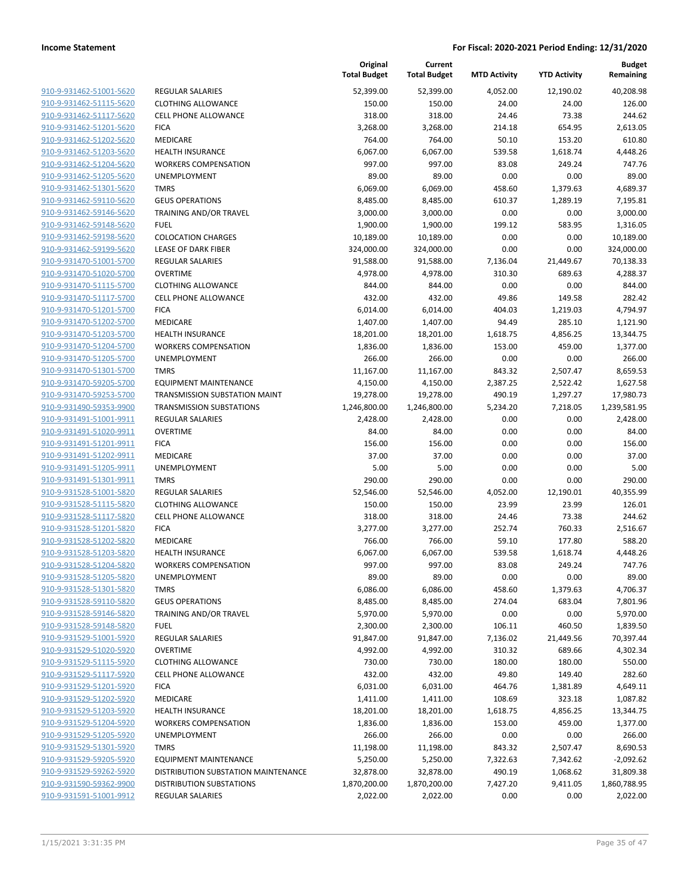| 910-9-931462-51001-5620                            |
|----------------------------------------------------|
| 910-9-931462-51115-5620                            |
| 910-9-931462-51117-5620                            |
| 910-9-931462-51201-5620                            |
| 910-9-931462-51202-5620                            |
| <u>910-9-931462-51203-5620</u>                     |
| 910-9-931462-51204-5620                            |
| 910-9-931462-51205-5620                            |
| 910-9-931462-51301-5620                            |
| 910-9-931462-59110-5620                            |
| 910-9-931462-59146-5620                            |
| 910-9-931462-59148-5620                            |
| 910-9-931462-59198-5620                            |
| 910-9-931462-59199-5620                            |
| 910-9-931470-51001-5700                            |
| <u>910-9-931470-51020-5700</u>                     |
| 910-9-931470-51115-5700                            |
| 910-9-931470-51117-5700                            |
| 910-9-931470-51201-5700                            |
| 910-9-931470-51202-5700                            |
| 910-9-931470-51203-5700                            |
| 910-9-931470-51204-5700                            |
| 910-9-931470-51205-5700                            |
| 910-9-931470-51301-5700                            |
| 910-9-931470-59205-5700                            |
| 910-9-931470-59253-5700                            |
| 910-9-931490-59353-9900                            |
| 910-9-931491-51001-9911                            |
| 910-9-931491-51020-9911                            |
| 910-9-931491-51201-9911                            |
| 910-9-931491-51202-9911                            |
| 910-9-931491-51205-9911                            |
| 910-9-931491-51301-9911                            |
| 910-9-931528-51001-5820                            |
| 910-9-931528-51115-5820                            |
| 910-9-931528-51117-5820                            |
| 910-9-931528-51201-5820                            |
| 910-9-931528-51202-5820                            |
| 910-9-931528-51203-5820                            |
| 910-9-931528-51204-5820                            |
| 910-9-931528-51205-5820                            |
| 910-9-931528-51301-5820                            |
| 910-9-931528-59110-5820                            |
| 910-9-931528-59146-5820                            |
| 910-9-931528-59148-5820                            |
| 910-9-931529-51001-5920                            |
| 910-9-931529-51020-5920                            |
| 910-9-931529-51115-5920                            |
| 910-9-931529-51117-5920                            |
| 910-9-931529-51201-5920                            |
|                                                    |
| 910-9-931529-51202-5920                            |
| 910-9-931529-51203-5920                            |
| 910-9-931529-51204-5920                            |
|                                                    |
| 910-9-931529-51205-5920                            |
| 910-9-931529-51301-5920                            |
| 910-9-931529-59205-5920                            |
| 910-9-931529-59262-5920                            |
| 910-9-931590-59362-9900<br>910-9-931591-51001-9912 |

|                                                    |                                     | Original<br><b>Total Budget</b> | Current<br><b>Total Budget</b> | <b>MTD Activity</b> | <b>YTD Activity</b> | <b>Budget</b><br>Remaining |
|----------------------------------------------------|-------------------------------------|---------------------------------|--------------------------------|---------------------|---------------------|----------------------------|
| 910-9-931462-51001-5620                            | <b>REGULAR SALARIES</b>             | 52,399.00                       | 52,399.00                      | 4,052.00            | 12,190.02           | 40,208.98                  |
| 910-9-931462-51115-5620                            | <b>CLOTHING ALLOWANCE</b>           | 150.00                          | 150.00                         | 24.00               | 24.00               | 126.00                     |
| 910-9-931462-51117-5620                            | <b>CELL PHONE ALLOWANCE</b>         | 318.00                          | 318.00                         | 24.46               | 73.38               | 244.62                     |
| 910-9-931462-51201-5620                            | <b>FICA</b>                         | 3,268.00                        | 3,268.00                       | 214.18              | 654.95              | 2,613.05                   |
| 910-9-931462-51202-5620                            | MEDICARE                            | 764.00                          | 764.00                         | 50.10               | 153.20              | 610.80                     |
| 910-9-931462-51203-5620                            | <b>HEALTH INSURANCE</b>             | 6,067.00                        | 6,067.00                       | 539.58              | 1,618.74            | 4,448.26                   |
| 910-9-931462-51204-5620                            | <b>WORKERS COMPENSATION</b>         | 997.00                          | 997.00                         | 83.08               | 249.24              | 747.76                     |
| 910-9-931462-51205-5620                            | <b>UNEMPLOYMENT</b>                 | 89.00                           | 89.00                          | 0.00                | 0.00                | 89.00                      |
| 910-9-931462-51301-5620                            | <b>TMRS</b>                         | 6,069.00                        | 6,069.00                       | 458.60              | 1,379.63            | 4,689.37                   |
| 910-9-931462-59110-5620                            | <b>GEUS OPERATIONS</b>              | 8,485.00                        | 8,485.00                       | 610.37              | 1,289.19            | 7,195.81                   |
| 910-9-931462-59146-5620                            | TRAINING AND/OR TRAVEL              | 3,000.00                        | 3,000.00                       | 0.00                | 0.00                | 3,000.00                   |
| 910-9-931462-59148-5620                            | <b>FUEL</b>                         | 1,900.00                        | 1,900.00                       | 199.12              | 583.95              | 1,316.05                   |
| 910-9-931462-59198-5620                            | <b>COLOCATION CHARGES</b>           | 10,189.00                       | 10,189.00                      | 0.00                | 0.00                | 10,189.00                  |
| 910-9-931462-59199-5620                            | <b>LEASE OF DARK FIBER</b>          | 324,000.00                      | 324,000.00                     | 0.00                | 0.00                | 324,000.00                 |
| 910-9-931470-51001-5700                            | REGULAR SALARIES                    | 91,588.00                       | 91,588.00                      | 7,136.04            | 21,449.67           | 70,138.33                  |
| 910-9-931470-51020-5700                            | <b>OVERTIME</b>                     | 4,978.00                        | 4,978.00                       | 310.30              | 689.63              | 4,288.37                   |
| 910-9-931470-51115-5700                            | <b>CLOTHING ALLOWANCE</b>           | 844.00                          | 844.00                         | 0.00                | 0.00                | 844.00                     |
| 910-9-931470-51117-5700                            | <b>CELL PHONE ALLOWANCE</b>         | 432.00                          | 432.00                         | 49.86               | 149.58              | 282.42                     |
| 910-9-931470-51201-5700                            | <b>FICA</b>                         | 6,014.00                        | 6,014.00                       | 404.03              | 1,219.03            | 4,794.97                   |
| 910-9-931470-51202-5700                            | MEDICARE                            | 1,407.00                        | 1,407.00                       | 94.49               | 285.10              | 1,121.90                   |
| 910-9-931470-51203-5700                            | <b>HEALTH INSURANCE</b>             | 18,201.00                       | 18,201.00                      | 1,618.75            | 4,856.25            | 13,344.75                  |
|                                                    | <b>WORKERS COMPENSATION</b>         |                                 |                                | 153.00              | 459.00              |                            |
| 910-9-931470-51204-5700<br>910-9-931470-51205-5700 |                                     | 1,836.00                        | 1,836.00                       |                     |                     | 1,377.00                   |
|                                                    | <b>UNEMPLOYMENT</b>                 | 266.00                          | 266.00                         | 0.00                | 0.00                | 266.00                     |
| 910-9-931470-51301-5700                            | <b>TMRS</b>                         | 11,167.00                       | 11,167.00                      | 843.32              | 2,507.47            | 8,659.53                   |
| 910-9-931470-59205-5700                            | <b>EQUIPMENT MAINTENANCE</b>        | 4,150.00                        | 4,150.00                       | 2,387.25            | 2,522.42            | 1,627.58                   |
| 910-9-931470-59253-5700                            | TRANSMISSION SUBSTATION MAINT       | 19,278.00                       | 19,278.00                      | 490.19              | 1,297.27            | 17,980.73                  |
| 910-9-931490-59353-9900                            | <b>TRANSMISSION SUBSTATIONS</b>     | 1,246,800.00                    | 1,246,800.00                   | 5,234.20            | 7,218.05            | 1,239,581.95               |
| 910-9-931491-51001-9911                            | REGULAR SALARIES                    | 2,428.00                        | 2,428.00                       | 0.00                | 0.00                | 2,428.00                   |
| 910-9-931491-51020-9911                            | <b>OVERTIME</b>                     | 84.00                           | 84.00                          | 0.00                | 0.00                | 84.00                      |
| 910-9-931491-51201-9911                            | <b>FICA</b>                         | 156.00                          | 156.00                         | 0.00                | 0.00                | 156.00                     |
| 910-9-931491-51202-9911                            | MEDICARE                            | 37.00                           | 37.00                          | 0.00                | 0.00                | 37.00                      |
| 910-9-931491-51205-9911                            | <b>UNEMPLOYMENT</b>                 | 5.00                            | 5.00                           | 0.00                | 0.00                | 5.00                       |
| 910-9-931491-51301-9911                            | <b>TMRS</b>                         | 290.00                          | 290.00                         | 0.00                | 0.00                | 290.00                     |
| 910-9-931528-51001-5820                            | <b>REGULAR SALARIES</b>             | 52,546.00                       | 52,546.00                      | 4,052.00            | 12,190.01           | 40,355.99                  |
| 910-9-931528-51115-5820                            | <b>CLOTHING ALLOWANCE</b>           | 150.00                          | 150.00                         | 23.99               | 23.99               | 126.01                     |
| 910-9-931528-51117-5820                            | <b>CELL PHONE ALLOWANCE</b>         | 318.00                          | 318.00                         | 24.46               | 73.38               | 244.62                     |
| 910-9-931528-51201-5820                            | <b>FICA</b>                         | 3,277.00                        | 3,277.00                       | 252.74              | 760.33              | 2,516.67                   |
| 910-9-931528-51202-5820                            | MEDICARE                            | 766.00                          | 766.00                         | 59.10               | 177.80              | 588.20                     |
| 910-9-931528-51203-5820                            | <b>HEALTH INSURANCE</b>             | 6,067.00                        | 6,067.00                       | 539.58              | 1,618.74            | 4,448.26                   |
| 910-9-931528-51204-5820                            | <b>WORKERS COMPENSATION</b>         | 997.00                          | 997.00                         | 83.08               | 249.24              | 747.76                     |
| 910-9-931528-51205-5820                            | <b>UNEMPLOYMENT</b>                 | 89.00                           | 89.00                          | 0.00                | 0.00                | 89.00                      |
| 910-9-931528-51301-5820                            | <b>TMRS</b>                         | 6,086.00                        | 6,086.00                       | 458.60              | 1,379.63            | 4,706.37                   |
| 910-9-931528-59110-5820                            | <b>GEUS OPERATIONS</b>              | 8,485.00                        | 8,485.00                       | 274.04              | 683.04              | 7,801.96                   |
| 910-9-931528-59146-5820                            | TRAINING AND/OR TRAVEL              | 5,970.00                        | 5,970.00                       | 0.00                | 0.00                | 5,970.00                   |
| 910-9-931528-59148-5820                            | <b>FUEL</b>                         | 2,300.00                        | 2,300.00                       | 106.11              | 460.50              | 1,839.50                   |
| 910-9-931529-51001-5920                            | REGULAR SALARIES                    | 91,847.00                       | 91,847.00                      | 7,136.02            | 21,449.56           | 70,397.44                  |
| 910-9-931529-51020-5920                            | <b>OVERTIME</b>                     | 4,992.00                        | 4,992.00                       | 310.32              | 689.66              | 4,302.34                   |
| 910-9-931529-51115-5920                            | <b>CLOTHING ALLOWANCE</b>           | 730.00                          | 730.00                         | 180.00              | 180.00              | 550.00                     |
| 910-9-931529-51117-5920                            | <b>CELL PHONE ALLOWANCE</b>         | 432.00                          | 432.00                         | 49.80               | 149.40              | 282.60                     |
| 910-9-931529-51201-5920                            | <b>FICA</b>                         | 6,031.00                        | 6,031.00                       | 464.76              | 1,381.89            | 4,649.11                   |
| 910-9-931529-51202-5920                            | MEDICARE                            | 1,411.00                        | 1,411.00                       | 108.69              | 323.18              | 1,087.82                   |
| 910-9-931529-51203-5920                            | <b>HEALTH INSURANCE</b>             | 18,201.00                       | 18,201.00                      | 1,618.75            | 4,856.25            | 13,344.75                  |
| 910-9-931529-51204-5920                            | <b>WORKERS COMPENSATION</b>         | 1,836.00                        | 1,836.00                       | 153.00              | 459.00              | 1,377.00                   |
| 910-9-931529-51205-5920                            | <b>UNEMPLOYMENT</b>                 | 266.00                          | 266.00                         | 0.00                | 0.00                | 266.00                     |
| 910-9-931529-51301-5920                            | <b>TMRS</b>                         | 11,198.00                       | 11,198.00                      | 843.32              | 2,507.47            | 8,690.53                   |
| 910-9-931529-59205-5920                            | <b>EQUIPMENT MAINTENANCE</b>        |                                 |                                |                     |                     |                            |
|                                                    |                                     | 5,250.00                        | 5,250.00                       | 7,322.63            | 7,342.62            | $-2,092.62$                |
| 910-9-931529-59262-5920                            | DISTRIBUTION SUBSTATION MAINTENANCE | 32,878.00                       | 32,878.00                      | 490.19              | 1,068.62            | 31,809.38                  |
| 910-9-931590-59362-9900                            | <b>DISTRIBUTION SUBSTATIONS</b>     | 1,870,200.00                    | 1,870,200.00                   | 7,427.20            | 9,411.05            | 1,860,788.95               |
| 910-9-931591-51001-9912                            | REGULAR SALARIES                    | 2,022.00                        | 2,022.00                       | 0.00                | 0.00                | 2,022.00                   |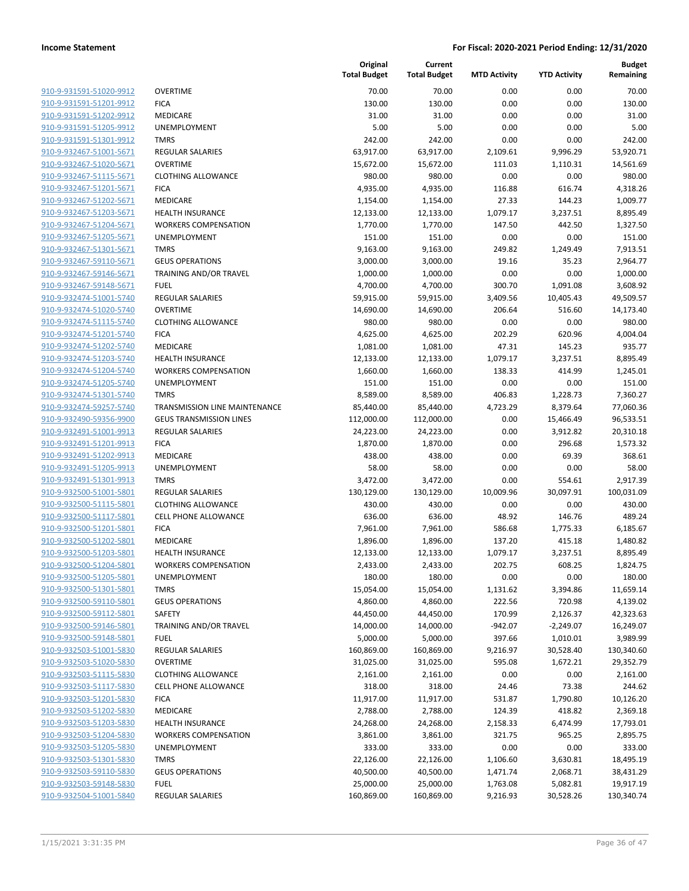| 910-9-931591-51020-9912        |
|--------------------------------|
| 910-9-931591-51201-9912        |
| 910-9-931591-51202-9912        |
| 910-9-931591-51205-9912        |
| 910-9-931591-51301-9912        |
| 910-9-932467-51001-5671        |
| 910-9-932467-51020-5671        |
| 910-9-932467-51115-5671        |
| 910-9-932467-51201-5671        |
| 910-9-932467-51202-5671        |
| 910-9-932467-51203-5671        |
| 910-9-932467-51204-5671        |
| 910-9-932467-51205-5671        |
| 910-9-932467-51301-5671        |
|                                |
| 910-9-932467-59110-5671        |
| 910-9-932467-59146-5671        |
| 910-9-932467-59148-5671        |
| 910-9-932474-51001-5740        |
| 910-9-932474-51020-5740        |
| 910-9-932474-51115-5740        |
| 910-9-932474-51201-5740        |
| 910-9-932474-51202-5740        |
| 910-9-932474-51203-5740        |
| 910-9-932474-51204-5740        |
| 910-9-932474-51205-5740        |
| 910-9-932474-51301-5740        |
| 910-9-932474-59257-5740        |
| 910-9-932490-59356-9900        |
| 910-9-932491-51001-9913        |
| 910-9-932491-51201-9913        |
| 910-9-932491-51202-9913        |
| 910-9-932491-51205-9913        |
| 910-9-932491-51301-9913        |
| 910-9-932500-51001-5801        |
|                                |
| 910-9-932500-51115-5801        |
| 910-9-932500-51117-5801        |
| 910-9-932500-51201-5801        |
| 910-9-932500-51202-5801        |
| 910-9-932500-51203-5801        |
| 910-9-932500-51204-5801        |
| 910-9-932500-51205-5801        |
| 910-9-932500-51301-5801        |
| 910-9-932500-59110-5801        |
| 910-9-932500-59112-5801        |
| 910-9-932500-59146-5801        |
| 910-9-932500-59148-5801        |
| 910-9-932503-51001-5830        |
| 910-9-932503-51020-5830        |
| 910-9-932503-51115-5830        |
| <u>910-9-932503-51117-5830</u> |
| 910-9-932503-51201-5830        |
| <u>910-9-932503-51202-5830</u> |
| 910-9-932503-51203-5830        |
| 910-9-932503-51204-5830        |
|                                |
| <u>910-9-932503-51205-5830</u> |
| 910-9-932503-51301-5830        |
| <u>910-9-932503-59110-5830</u> |
| 910-9-932503-59148-5830        |
| 910-9-932504-51001-5840        |
|                                |

|                                                    |                                                           | Original<br><b>Total Budget</b> | Current<br><b>Total Budget</b> | <b>MTD Activity</b> | <b>YTD Activity</b> | <b>Budget</b><br>Remaining |
|----------------------------------------------------|-----------------------------------------------------------|---------------------------------|--------------------------------|---------------------|---------------------|----------------------------|
| 910-9-931591-51020-9912                            | <b>OVERTIME</b>                                           | 70.00                           | 70.00                          | 0.00                | 0.00                | 70.00                      |
| 910-9-931591-51201-9912                            | <b>FICA</b>                                               | 130.00                          | 130.00                         | 0.00                | 0.00                | 130.00                     |
| 910-9-931591-51202-9912                            | MEDICARE                                                  | 31.00                           | 31.00                          | 0.00                | 0.00                | 31.00                      |
| 910-9-931591-51205-9912                            | <b>UNEMPLOYMENT</b>                                       | 5.00                            | 5.00                           | 0.00                | 0.00                | 5.00                       |
| 910-9-931591-51301-9912                            | <b>TMRS</b>                                               | 242.00                          | 242.00                         | 0.00                | 0.00                | 242.00                     |
| 910-9-932467-51001-5671                            | <b>REGULAR SALARIES</b>                                   | 63,917.00                       | 63,917.00                      | 2,109.61            | 9,996.29            | 53,920.71                  |
| 910-9-932467-51020-5671                            | <b>OVERTIME</b>                                           | 15,672.00                       | 15,672.00                      | 111.03              | 1,110.31            | 14,561.69                  |
| 910-9-932467-51115-5671                            | <b>CLOTHING ALLOWANCE</b>                                 | 980.00                          | 980.00                         | 0.00                | 0.00                | 980.00                     |
| 910-9-932467-51201-5671                            | <b>FICA</b>                                               | 4,935.00                        | 4,935.00                       | 116.88              | 616.74              | 4,318.26                   |
| 910-9-932467-51202-5671                            | <b>MEDICARE</b>                                           | 1,154.00                        | 1,154.00                       | 27.33               | 144.23              | 1,009.77                   |
| 910-9-932467-51203-5671                            | <b>HEALTH INSURANCE</b>                                   | 12,133.00                       | 12,133.00                      | 1,079.17            | 3,237.51            | 8,895.49                   |
| 910-9-932467-51204-5671                            | <b>WORKERS COMPENSATION</b>                               | 1,770.00                        | 1,770.00                       | 147.50              | 442.50              | 1,327.50                   |
| 910-9-932467-51205-5671                            | UNEMPLOYMENT                                              | 151.00                          | 151.00                         | 0.00                | 0.00                | 151.00                     |
| 910-9-932467-51301-5671                            | <b>TMRS</b>                                               | 9,163.00                        | 9,163.00                       | 249.82              | 1,249.49            | 7,913.51                   |
| 910-9-932467-59110-5671                            | <b>GEUS OPERATIONS</b>                                    | 3,000.00                        | 3,000.00                       | 19.16               | 35.23               | 2,964.77                   |
| 910-9-932467-59146-5671                            | TRAINING AND/OR TRAVEL                                    | 1,000.00                        | 1,000.00                       | 0.00                | 0.00                | 1,000.00                   |
| 910-9-932467-59148-5671                            | <b>FUEL</b>                                               | 4,700.00                        | 4,700.00                       | 300.70              | 1,091.08            | 3,608.92                   |
| 910-9-932474-51001-5740                            | <b>REGULAR SALARIES</b>                                   | 59,915.00                       | 59,915.00                      | 3,409.56            | 10,405.43           | 49,509.57                  |
| 910-9-932474-51020-5740                            | <b>OVERTIME</b>                                           | 14,690.00                       | 14,690.00                      | 206.64              | 516.60              | 14,173.40                  |
| 910-9-932474-51115-5740                            | <b>CLOTHING ALLOWANCE</b>                                 | 980.00                          | 980.00                         | 0.00                | 0.00                | 980.00                     |
| 910-9-932474-51201-5740                            | <b>FICA</b>                                               | 4,625.00                        | 4,625.00                       | 202.29              | 620.96              | 4,004.04                   |
| 910-9-932474-51202-5740                            | MEDICARE                                                  | 1,081.00                        | 1,081.00                       | 47.31               | 145.23              | 935.77                     |
| 910-9-932474-51203-5740                            | <b>HEALTH INSURANCE</b>                                   | 12,133.00                       | 12,133.00                      | 1,079.17            | 3,237.51            | 8,895.49                   |
| 910-9-932474-51204-5740                            | <b>WORKERS COMPENSATION</b>                               | 1,660.00                        | 1,660.00                       | 138.33              | 414.99              | 1,245.01                   |
| 910-9-932474-51205-5740                            | UNEMPLOYMENT                                              | 151.00                          | 151.00                         | 0.00                | 0.00                | 151.00                     |
| 910-9-932474-51301-5740                            | <b>TMRS</b>                                               | 8,589.00                        | 8,589.00                       | 406.83              | 1,228.73            | 7,360.27                   |
| 910-9-932474-59257-5740                            | <b>TRANSMISSION LINE MAINTENANCE</b>                      | 85,440.00                       | 85,440.00                      | 4,723.29            | 8,379.64            | 77,060.36                  |
| 910-9-932490-59356-9900<br>910-9-932491-51001-9913 | <b>GEUS TRANSMISSION LINES</b><br><b>REGULAR SALARIES</b> | 112,000.00                      | 112,000.00                     | 0.00                | 15,466.49           | 96,533.51                  |
| 910-9-932491-51201-9913                            | <b>FICA</b>                                               | 24,223.00<br>1,870.00           | 24,223.00<br>1,870.00          | 0.00<br>0.00        | 3,912.82<br>296.68  | 20,310.18<br>1,573.32      |
| 910-9-932491-51202-9913                            | MEDICARE                                                  | 438.00                          | 438.00                         | 0.00                | 69.39               | 368.61                     |
| 910-9-932491-51205-9913                            | <b>UNEMPLOYMENT</b>                                       | 58.00                           | 58.00                          | 0.00                | 0.00                | 58.00                      |
| 910-9-932491-51301-9913                            | <b>TMRS</b>                                               | 3,472.00                        | 3,472.00                       | 0.00                | 554.61              | 2,917.39                   |
| 910-9-932500-51001-5801                            | <b>REGULAR SALARIES</b>                                   | 130,129.00                      | 130,129.00                     | 10,009.96           | 30,097.91           | 100,031.09                 |
| 910-9-932500-51115-5801                            | <b>CLOTHING ALLOWANCE</b>                                 | 430.00                          | 430.00                         | 0.00                | 0.00                | 430.00                     |
| 910-9-932500-51117-5801                            | <b>CELL PHONE ALLOWANCE</b>                               | 636.00                          | 636.00                         | 48.92               | 146.76              | 489.24                     |
| 910-9-932500-51201-5801                            | <b>FICA</b>                                               | 7,961.00                        | 7,961.00                       | 586.68              | 1,775.33            | 6,185.67                   |
| 910-9-932500-51202-5801                            | <b>MEDICARE</b>                                           | 1,896.00                        | 1,896.00                       | 137.20              | 415.18              | 1,480.82                   |
| 910-9-932500-51203-5801                            | <b>HEALTH INSURANCE</b>                                   | 12,133.00                       | 12,133.00                      | 1,079.17            | 3,237.51            | 8,895.49                   |
| 910-9-932500-51204-5801                            | <b>WORKERS COMPENSATION</b>                               | 2,433.00                        | 2,433.00                       | 202.75              | 608.25              | 1,824.75                   |
| 910-9-932500-51205-5801                            | <b>UNEMPLOYMENT</b>                                       | 180.00                          | 180.00                         | 0.00                | 0.00                | 180.00                     |
| 910-9-932500-51301-5801                            | <b>TMRS</b>                                               | 15,054.00                       | 15,054.00                      | 1,131.62            | 3,394.86            | 11,659.14                  |
| 910-9-932500-59110-5801                            | <b>GEUS OPERATIONS</b>                                    | 4,860.00                        | 4,860.00                       | 222.56              | 720.98              | 4,139.02                   |
| 910-9-932500-59112-5801                            | SAFETY                                                    | 44,450.00                       | 44,450.00                      | 170.99              | 2,126.37            | 42,323.63                  |
| 910-9-932500-59146-5801                            | <b>TRAINING AND/OR TRAVEL</b>                             | 14,000.00                       | 14,000.00                      | -942.07             | $-2,249.07$         | 16,249.07                  |
| 910-9-932500-59148-5801                            | <b>FUEL</b>                                               | 5,000.00                        | 5,000.00                       | 397.66              | 1,010.01            | 3,989.99                   |
| 910-9-932503-51001-5830                            | REGULAR SALARIES                                          | 160,869.00                      | 160,869.00                     | 9,216.97            | 30,528.40           | 130,340.60                 |
| 910-9-932503-51020-5830                            | <b>OVERTIME</b>                                           | 31,025.00                       | 31,025.00                      | 595.08              | 1,672.21            | 29,352.79                  |
| 910-9-932503-51115-5830                            | <b>CLOTHING ALLOWANCE</b>                                 | 2,161.00                        | 2,161.00                       | 0.00                | 0.00                | 2,161.00                   |
| 910-9-932503-51117-5830                            | CELL PHONE ALLOWANCE                                      | 318.00                          | 318.00                         | 24.46               | 73.38               | 244.62                     |
| 910-9-932503-51201-5830                            | <b>FICA</b>                                               | 11,917.00                       | 11,917.00                      | 531.87              | 1,790.80            | 10,126.20                  |
| 910-9-932503-51202-5830                            | MEDICARE                                                  | 2,788.00                        | 2,788.00                       | 124.39              | 418.82              | 2,369.18                   |
| 910-9-932503-51203-5830                            | HEALTH INSURANCE                                          | 24,268.00                       | 24,268.00                      | 2,158.33            | 6,474.99            | 17,793.01                  |
| 910-9-932503-51204-5830                            | <b>WORKERS COMPENSATION</b>                               | 3,861.00                        | 3,861.00                       | 321.75              | 965.25              | 2,895.75                   |
| 910-9-932503-51205-5830                            | UNEMPLOYMENT                                              | 333.00                          | 333.00                         | 0.00                | 0.00                | 333.00                     |
| 910-9-932503-51301-5830                            | <b>TMRS</b>                                               | 22,126.00                       | 22,126.00                      | 1,106.60            | 3,630.81            | 18,495.19                  |
| 910-9-932503-59110-5830                            | <b>GEUS OPERATIONS</b>                                    | 40,500.00                       | 40,500.00                      | 1,471.74            | 2,068.71            | 38,431.29                  |
| 910-9-932503-59148-5830                            | <b>FUEL</b>                                               | 25,000.00                       | 25,000.00                      | 1,763.08            | 5,082.81            | 19,917.19                  |
| 910-9-932504-51001-5840                            | REGULAR SALARIES                                          | 160,869.00                      | 160,869.00                     | 9,216.93            | 30,528.26           | 130,340.74                 |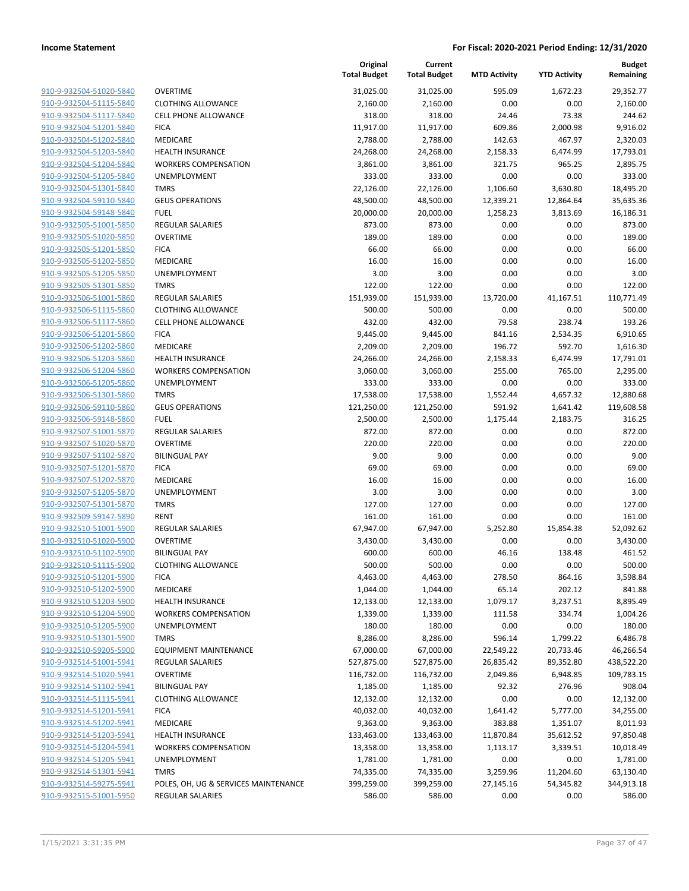| 910-9-932504-51020-5840        | c |
|--------------------------------|---|
| 910-9-932504-51115-5840        | C |
| 910-9-932504-51117-5840        | C |
| 910-9-932504-51201-5840        | F |
| 910-9-932504-51202-5840        | Ν |
| 910-9-932504-51203-5840        | ۲ |
| 910-9-932504-51204-5840        | V |
| 910-9-932504-51205-5840        | ι |
| 910-9-932504-51301-5840        | T |
| 910-9-932504-59110-5840        | G |
| 910-9-932504-59148-5840        | F |
| 910-9-932505-51001-5850        | R |
| 910-9-932505-51020-5850        | C |
| 910-9-932505-51201-5850        | F |
| 910-9-932505-51202-5850        | Ν |
| 910-9-932505-51205-5850        | ι |
| 910-9-932505-51301-5850        | Т |
| 910-9-932506-51001-5860        | R |
| 910-9-932506-51115-5860        | C |
| 910-9-932506-51117-5860        | c |
| 910-9-932506-51201-5860        | F |
| 910-9-932506-51202-5860        | Ν |
| 910-9-932506-51203-5860        | ۲ |
| 910-9-932506-51204-5860        | V |
| 910-9-932506-51205-5860        | ι |
| 910-9-932506-51301-5860        | Т |
| 910-9-932506-59110-5860        | c |
| 910-9-932506-59148-5860        | F |
| 910-9-932507-51001-5870        | R |
| 910-9-932507-51020-5870        | c |
| 910-9-932507-51102-5870        | e |
| 910-9-932507-51201-5870        | F |
| 910-9-932507-51202-5870        | Λ |
| 910-9-932507-51205-5870        | ι |
| 910-9-932507-51301-5870        | Т |
| 910-9-932509-59147-5890        | R |
| 910-9-932510-51001-5900        | R |
| 910-9-932510-51020-5900        | c |
| 910-9-932510-51102-5900        | E |
| 910-9-932510-51115-5900        | c |
| 910-9-932510-51201-5900        | F |
| 910-9-932510-51202-5900        | Ν |
| 910-9-932510-51203-5900        | ۲ |
| 910-9-932510-51204-5900        |   |
| 910-9-932510-51205-5900        | ι |
| 910-9-932510-51301-5900        | Т |
| 910-9-932510-59205-5900        | E |
| <u>910-9-932514-51001-5941</u> | R |
| 910-9-932514-51020-5941        | c |
| 910-9-932514-51102-5941        | В |
| 910-9-932514-51115-5941        | c |
| 910-9-932514-51201-5941        | F |
| 910-9-932514-51202-5941        | Λ |
| 910-9-932514-51203-5941        | ۲ |
| 910-9-932514-51204-5941        | ٧ |
| 910-9-932514-51205-5941        | ι |
| 910-9-932514-51301-5941        | Т |
| <u>910-9-932514-59275-5941</u> | P |
| 910-9-932515-51001-5950        | R |
|                                |   |

|                         |                                      | Original<br><b>Total Budget</b> | Current<br><b>Total Budget</b> | <b>MTD Activity</b> | <b>YTD Activity</b>   | <b>Budget</b><br>Remaining |
|-------------------------|--------------------------------------|---------------------------------|--------------------------------|---------------------|-----------------------|----------------------------|
| 910-9-932504-51020-5840 | <b>OVERTIME</b>                      | 31,025.00                       | 31,025.00                      | 595.09              | 1,672.23              | 29,352.77                  |
| 910-9-932504-51115-5840 | <b>CLOTHING ALLOWANCE</b>            | 2,160.00                        | 2,160.00                       | 0.00                | 0.00                  | 2,160.00                   |
| 910-9-932504-51117-5840 | <b>CELL PHONE ALLOWANCE</b>          | 318.00                          | 318.00                         | 24.46               | 73.38                 | 244.62                     |
| 910-9-932504-51201-5840 | <b>FICA</b>                          | 11,917.00                       | 11,917.00                      | 609.86              | 2,000.98              | 9,916.02                   |
| 910-9-932504-51202-5840 | MEDICARE                             | 2,788.00                        | 2,788.00                       | 142.63              | 467.97                | 2,320.03                   |
| 910-9-932504-51203-5840 | <b>HEALTH INSURANCE</b>              | 24,268.00                       | 24,268.00                      | 2,158.33            | 6,474.99              | 17,793.01                  |
| 910-9-932504-51204-5840 | <b>WORKERS COMPENSATION</b>          | 3,861.00                        | 3,861.00                       | 321.75              | 965.25                | 2,895.75                   |
| 910-9-932504-51205-5840 | <b>UNEMPLOYMENT</b>                  | 333.00                          | 333.00                         | 0.00                | 0.00                  | 333.00                     |
| 910-9-932504-51301-5840 | <b>TMRS</b>                          | 22,126.00                       | 22,126.00                      | 1,106.60            | 3,630.80              | 18,495.20                  |
| 910-9-932504-59110-5840 | <b>GEUS OPERATIONS</b>               | 48,500.00                       | 48,500.00                      | 12,339.21           | 12,864.64             | 35,635.36                  |
| 910-9-932504-59148-5840 | <b>FUEL</b>                          | 20,000.00                       | 20,000.00                      | 1,258.23            | 3,813.69              | 16,186.31                  |
| 910-9-932505-51001-5850 | <b>REGULAR SALARIES</b>              | 873.00                          | 873.00                         | 0.00                | 0.00                  | 873.00                     |
| 910-9-932505-51020-5850 | <b>OVERTIME</b>                      | 189.00                          | 189.00                         | 0.00                | 0.00                  | 189.00                     |
| 910-9-932505-51201-5850 | <b>FICA</b>                          | 66.00                           | 66.00                          | 0.00                | 0.00                  | 66.00                      |
| 910-9-932505-51202-5850 | MEDICARE                             | 16.00                           | 16.00                          | 0.00                | 0.00                  | 16.00                      |
| 910-9-932505-51205-5850 | UNEMPLOYMENT                         | 3.00                            | 3.00                           | 0.00                | 0.00                  | 3.00                       |
| 910-9-932505-51301-5850 | <b>TMRS</b>                          | 122.00                          | 122.00                         | 0.00                | 0.00                  | 122.00                     |
| 910-9-932506-51001-5860 | <b>REGULAR SALARIES</b>              | 151,939.00                      | 151,939.00                     | 13,720.00           | 41,167.51             | 110,771.49                 |
| 910-9-932506-51115-5860 | <b>CLOTHING ALLOWANCE</b>            | 500.00                          | 500.00                         | 0.00                | 0.00                  | 500.00                     |
| 910-9-932506-51117-5860 | <b>CELL PHONE ALLOWANCE</b>          | 432.00                          | 432.00                         | 79.58               | 238.74                | 193.26                     |
| 910-9-932506-51201-5860 | <b>FICA</b>                          | 9,445.00                        | 9,445.00                       | 841.16              | 2,534.35              | 6,910.65                   |
| 910-9-932506-51202-5860 | MEDICARE                             | 2,209.00                        | 2,209.00                       | 196.72              | 592.70                | 1,616.30                   |
| 910-9-932506-51203-5860 | <b>HEALTH INSURANCE</b>              | 24,266.00                       | 24,266.00                      | 2,158.33            | 6,474.99              | 17,791.01                  |
| 910-9-932506-51204-5860 | <b>WORKERS COMPENSATION</b>          | 3,060.00                        | 3,060.00                       | 255.00              | 765.00                | 2,295.00                   |
| 910-9-932506-51205-5860 | <b>UNEMPLOYMENT</b>                  | 333.00                          | 333.00                         | 0.00                | 0.00                  | 333.00                     |
| 910-9-932506-51301-5860 | <b>TMRS</b>                          | 17,538.00                       | 17,538.00                      | 1,552.44            | 4,657.32              | 12,880.68                  |
| 910-9-932506-59110-5860 | <b>GEUS OPERATIONS</b>               | 121,250.00                      | 121,250.00                     | 591.92              | 1,641.42              | 119,608.58                 |
| 910-9-932506-59148-5860 | <b>FUEL</b>                          | 2,500.00                        | 2,500.00                       | 1,175.44            | 2,183.75              | 316.25                     |
| 910-9-932507-51001-5870 | <b>REGULAR SALARIES</b>              | 872.00                          | 872.00                         | 0.00                | 0.00                  | 872.00                     |
| 910-9-932507-51020-5870 | <b>OVERTIME</b>                      | 220.00                          | 220.00                         | 0.00                | 0.00                  | 220.00                     |
| 910-9-932507-51102-5870 | <b>BILINGUAL PAY</b>                 | 9.00                            | 9.00                           | 0.00                | 0.00                  | 9.00                       |
| 910-9-932507-51201-5870 | <b>FICA</b>                          | 69.00                           | 69.00                          | 0.00                | 0.00                  | 69.00                      |
| 910-9-932507-51202-5870 | MEDICARE                             | 16.00                           | 16.00                          | 0.00                | 0.00                  | 16.00                      |
| 910-9-932507-51205-5870 | <b>UNEMPLOYMENT</b>                  | 3.00                            | 3.00                           | 0.00                | 0.00                  | 3.00                       |
| 910-9-932507-51301-5870 | <b>TMRS</b>                          | 127.00                          | 127.00                         | 0.00                | 0.00                  | 127.00                     |
| 910-9-932509-59147-5890 | <b>RENT</b>                          | 161.00                          | 161.00                         | 0.00                | 0.00                  | 161.00                     |
| 910-9-932510-51001-5900 | <b>REGULAR SALARIES</b>              | 67,947.00                       | 67,947.00                      | 5,252.80            | 15,854.38             | 52,092.62                  |
| 910-9-932510-51020-5900 | <b>OVERTIME</b>                      | 3,430.00                        | 3,430.00                       | 0.00                | 0.00                  | 3,430.00                   |
| 910-9-932510-51102-5900 | <b>BILINGUAL PAY</b>                 | 600.00                          | 600.00                         | 46.16               | 138.48                | 461.52                     |
| 910-9-932510-51115-5900 | <b>CLOTHING ALLOWANCE</b>            | 500.00                          | 500.00                         | 0.00                | 0.00                  | 500.00                     |
| 910-9-932510-51201-5900 | <b>FICA</b>                          | 4,463.00                        | 4,463.00                       | 278.50              | 864.16                | 3,598.84                   |
| 910-9-932510-51202-5900 | MEDICARE                             | 1,044.00                        | 1,044.00                       | 65.14               | 202.12                | 841.88                     |
| 910-9-932510-51203-5900 | <b>HEALTH INSURANCE</b>              | 12,133.00                       | 12,133.00                      | 1,079.17            | 3,237.51              | 8,895.49                   |
| 910-9-932510-51204-5900 | <b>WORKERS COMPENSATION</b>          | 1,339.00                        | 1,339.00                       | 111.58              | 334.74                | 1,004.26                   |
| 910-9-932510-51205-5900 | <b>UNEMPLOYMENT</b>                  | 180.00                          | 180.00                         | 0.00                | 0.00                  | 180.00                     |
| 910-9-932510-51301-5900 | <b>TMRS</b>                          | 8,286.00                        | 8,286.00                       | 596.14              | 1,799.22              | 6,486.78                   |
| 910-9-932510-59205-5900 | <b>EQUIPMENT MAINTENANCE</b>         | 67,000.00                       | 67,000.00                      | 22,549.22           | 20,733.46             | 46,266.54                  |
| 910-9-932514-51001-5941 | REGULAR SALARIES                     | 527,875.00                      |                                |                     |                       | 438,522.20                 |
| 910-9-932514-51020-5941 |                                      | 116,732.00                      | 527,875.00<br>116,732.00       | 26,835.42           | 89,352.80<br>6,948.85 |                            |
|                         | <b>OVERTIME</b>                      |                                 |                                | 2,049.86            |                       | 109,783.15                 |
| 910-9-932514-51102-5941 | <b>BILINGUAL PAY</b>                 | 1,185.00                        | 1,185.00                       | 92.32               | 276.96                | 908.04                     |
| 910-9-932514-51115-5941 | <b>CLOTHING ALLOWANCE</b>            | 12,132.00                       | 12,132.00                      | 0.00                | 0.00                  | 12,132.00                  |
| 910-9-932514-51201-5941 | <b>FICA</b>                          | 40,032.00                       | 40,032.00                      | 1,641.42            | 5,777.00              | 34,255.00                  |
| 910-9-932514-51202-5941 | MEDICARE                             | 9,363.00                        | 9,363.00                       | 383.88              | 1,351.07              | 8,011.93                   |
| 910-9-932514-51203-5941 | <b>HEALTH INSURANCE</b>              | 133,463.00                      | 133,463.00                     | 11,870.84           | 35,612.52             | 97,850.48                  |
| 910-9-932514-51204-5941 | <b>WORKERS COMPENSATION</b>          | 13,358.00                       | 13,358.00                      | 1,113.17            | 3,339.51              | 10,018.49                  |
| 910-9-932514-51205-5941 | UNEMPLOYMENT                         | 1,781.00                        | 1,781.00                       | 0.00                | 0.00                  | 1,781.00                   |
| 910-9-932514-51301-5941 | <b>TMRS</b>                          | 74,335.00                       | 74,335.00                      | 3,259.96            | 11,204.60             | 63,130.40                  |
| 910-9-932514-59275-5941 | POLES, OH, UG & SERVICES MAINTENANCE | 399,259.00                      | 399,259.00                     | 27,145.16           | 54,345.82             | 344,913.18                 |
| 910-9-932515-51001-5950 | REGULAR SALARIES                     | 586.00                          | 586.00                         | 0.00                | 0.00                  | 586.00                     |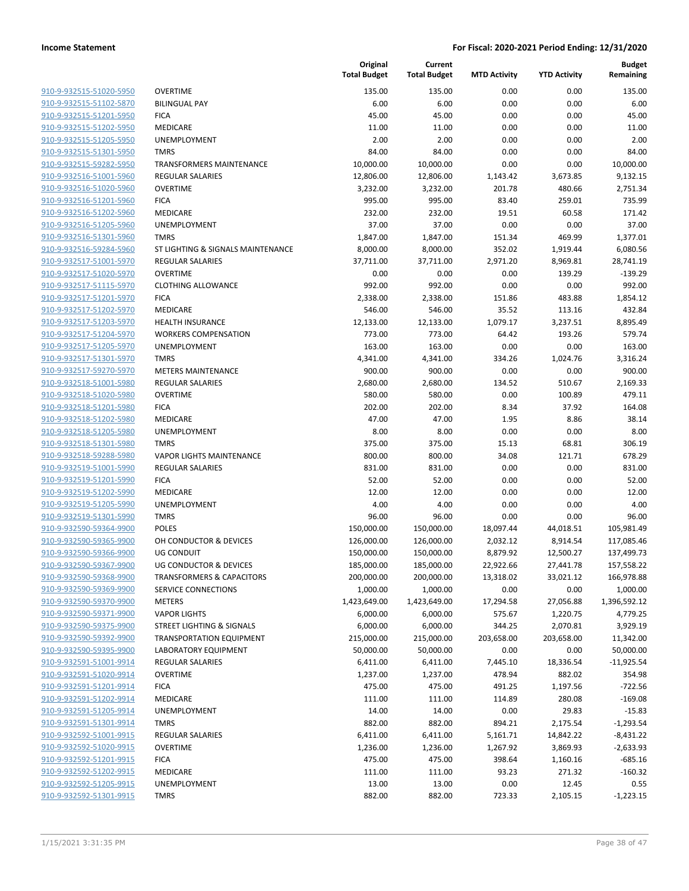| 910-9-932515-51020-5950        |
|--------------------------------|
| 910-9-932515-51102-5870        |
| 910-9-932515-51201-5950        |
| 910-9-932515-51202-5950        |
| 910-9-932515-51205-5950        |
| 910-9-932515-51301-5950        |
| 910-9-932515-59282-5950        |
| 910-9-932516-51001-5960        |
| 910-9-932516-51020-5960        |
| 910-9-932516-51201-5960        |
| 910-9-932516-51202-5960        |
| 910-9-932516-51205-5960        |
| 910-9-932516-51301-5960        |
| 910-9-932516-59284-5960        |
| <u>910-9-932517-51001-5970</u> |
|                                |
| 910-9-932517-51020-5970        |
| 910-9-932517-51115-5970        |
| 910-9-932517-51201-5970        |
| 910-9-932517-51202-5970        |
| 910-9-932517-51203-5970        |
| 910-9-932517-51204-5970        |
| 910-9-932517-51205-5970        |
| 910-9-932517-51301-5970        |
| 910-9-932517-59270-5970        |
| <u>910-9-932518-51001-5980</u> |
| 910-9-932518-51020-5980        |
| 910-9-932518-51201-5980        |
| 910-9-932518-51202-5980        |
| 910-9-932518-51205-5980        |
| <u>910-9-932518-51301-5980</u> |
| 910-9-932518-59288-5980        |
| 910-9-932519-51001-5990        |
| 910-9-932519-51201-5990        |
| 910-9-932519-51202-5990        |
| 910-9-932519-51205-5990        |
| 910-9-932519-51301-5990        |
| 910-9-932590-59364-9900        |
| 910-9-932590-59365-9900        |
| 910-9-932590-59366-9900        |
| 910-9-932590-59367-9900        |
| <u>910-9-932590-59368-9900</u> |
| <u>910-9-932590-59369-9900</u> |
|                                |
| 910-9-932590-59370-9900        |
| 910-9-932590-59371-9900        |
| <u>910-9-932590-59375-9900</u> |
| <u>910-9-932590-59392-9900</u> |
| 910-9-932590-59395-9900        |
| 910-9-932591-51001-9914        |
| 910-9-932591-51020-9914        |
| <u>910-9-932591-51201-9914</u> |
| 910-9-932591-51202-9914        |
| 910-9-932591-51205-9914        |
| 910-9-932591-51301-9914        |
| 910-9-932592-51001-9915        |
| <u>910-9-932592-51020-9915</u> |
| <u>910-9-932592-51201-9915</u> |
| 910-9-932592-51202-9915        |
|                                |
| 910-9-932592-51205-9915        |
| 910-9-932592-51301-9915        |

|                         |                                      | Original<br><b>Total Budget</b> | Current<br><b>Total Budget</b> | <b>MTD Activity</b> | <b>YTD Activity</b> | <b>Budget</b><br>Remaining |
|-------------------------|--------------------------------------|---------------------------------|--------------------------------|---------------------|---------------------|----------------------------|
| 910-9-932515-51020-5950 | <b>OVERTIME</b>                      | 135.00                          | 135.00                         | 0.00                | 0.00                | 135.00                     |
| 910-9-932515-51102-5870 | <b>BILINGUAL PAY</b>                 | 6.00                            | 6.00                           | 0.00                | 0.00                | 6.00                       |
| 910-9-932515-51201-5950 | <b>FICA</b>                          | 45.00                           | 45.00                          | 0.00                | 0.00                | 45.00                      |
| 910-9-932515-51202-5950 | MEDICARE                             | 11.00                           | 11.00                          | 0.00                | 0.00                | 11.00                      |
| 910-9-932515-51205-5950 | <b>UNEMPLOYMENT</b>                  | 2.00                            | 2.00                           | 0.00                | 0.00                | 2.00                       |
| 910-9-932515-51301-5950 | <b>TMRS</b>                          | 84.00                           | 84.00                          | 0.00                | 0.00                | 84.00                      |
| 910-9-932515-59282-5950 | TRANSFORMERS MAINTENANCE             | 10,000.00                       | 10,000.00                      | 0.00                | 0.00                | 10,000.00                  |
| 910-9-932516-51001-5960 | <b>REGULAR SALARIES</b>              | 12,806.00                       | 12,806.00                      | 1,143.42            | 3,673.85            | 9,132.15                   |
| 910-9-932516-51020-5960 | <b>OVERTIME</b>                      | 3,232.00                        | 3,232.00                       | 201.78              | 480.66              | 2,751.34                   |
| 910-9-932516-51201-5960 | <b>FICA</b>                          | 995.00                          | 995.00                         | 83.40               | 259.01              | 735.99                     |
| 910-9-932516-51202-5960 | MEDICARE                             | 232.00                          | 232.00                         | 19.51               | 60.58               | 171.42                     |
| 910-9-932516-51205-5960 | <b>UNEMPLOYMENT</b>                  | 37.00                           | 37.00                          | 0.00                | 0.00                | 37.00                      |
| 910-9-932516-51301-5960 | <b>TMRS</b>                          | 1,847.00                        | 1,847.00                       | 151.34              | 469.99              | 1,377.01                   |
| 910-9-932516-59284-5960 | ST LIGHTING & SIGNALS MAINTENANCE    | 8,000.00                        | 8,000.00                       | 352.02              | 1,919.44            | 6,080.56                   |
| 910-9-932517-51001-5970 | REGULAR SALARIES                     | 37,711.00                       | 37,711.00                      | 2,971.20            | 8,969.81            | 28,741.19                  |
| 910-9-932517-51020-5970 | <b>OVERTIME</b>                      | 0.00                            | 0.00                           | 0.00                | 139.29              | $-139.29$                  |
| 910-9-932517-51115-5970 | <b>CLOTHING ALLOWANCE</b>            | 992.00                          | 992.00                         | 0.00                | 0.00                | 992.00                     |
| 910-9-932517-51201-5970 | <b>FICA</b>                          | 2,338.00                        | 2,338.00                       | 151.86              | 483.88              | 1,854.12                   |
| 910-9-932517-51202-5970 | MEDICARE                             | 546.00                          | 546.00                         | 35.52               | 113.16              | 432.84                     |
| 910-9-932517-51203-5970 | <b>HEALTH INSURANCE</b>              | 12,133.00                       | 12,133.00                      | 1,079.17            | 3,237.51            | 8,895.49                   |
| 910-9-932517-51204-5970 | <b>WORKERS COMPENSATION</b>          | 773.00                          | 773.00                         | 64.42               | 193.26              | 579.74                     |
| 910-9-932517-51205-5970 | <b>UNEMPLOYMENT</b>                  | 163.00                          | 163.00                         | 0.00                | 0.00                | 163.00                     |
| 910-9-932517-51301-5970 | <b>TMRS</b>                          | 4,341.00                        | 4,341.00                       | 334.26              | 1,024.76            | 3,316.24                   |
| 910-9-932517-59270-5970 | <b>METERS MAINTENANCE</b>            | 900.00                          | 900.00                         | 0.00                | 0.00                | 900.00                     |
| 910-9-932518-51001-5980 | REGULAR SALARIES                     | 2,680.00                        | 2,680.00                       | 134.52              | 510.67              | 2,169.33                   |
| 910-9-932518-51020-5980 | <b>OVERTIME</b>                      | 580.00                          | 580.00                         | 0.00                | 100.89              | 479.11                     |
| 910-9-932518-51201-5980 | <b>FICA</b>                          | 202.00                          | 202.00                         | 8.34                | 37.92               | 164.08                     |
| 910-9-932518-51202-5980 | MEDICARE                             | 47.00                           | 47.00                          | 1.95                | 8.86                | 38.14                      |
| 910-9-932518-51205-5980 | UNEMPLOYMENT                         | 8.00                            | 8.00                           | 0.00                | 0.00                | 8.00                       |
| 910-9-932518-51301-5980 | <b>TMRS</b>                          | 375.00                          | 375.00                         | 15.13               | 68.81               | 306.19                     |
| 910-9-932518-59288-5980 | <b>VAPOR LIGHTS MAINTENANCE</b>      | 800.00                          | 800.00                         | 34.08               | 121.71              | 678.29                     |
| 910-9-932519-51001-5990 | <b>REGULAR SALARIES</b>              | 831.00                          | 831.00                         | 0.00                | 0.00                | 831.00                     |
| 910-9-932519-51201-5990 | <b>FICA</b>                          | 52.00                           | 52.00                          | 0.00                | 0.00                | 52.00                      |
| 910-9-932519-51202-5990 | MEDICARE                             | 12.00                           | 12.00                          | 0.00                | 0.00                | 12.00                      |
| 910-9-932519-51205-5990 | <b>UNEMPLOYMENT</b>                  | 4.00                            | 4.00                           | 0.00                | 0.00                | 4.00                       |
| 910-9-932519-51301-5990 | <b>TMRS</b>                          | 96.00                           | 96.00                          | 0.00                | 0.00                | 96.00                      |
| 910-9-932590-59364-9900 | <b>POLES</b>                         | 150,000.00                      | 150,000.00                     | 18,097.44           | 44,018.51           | 105,981.49                 |
| 910-9-932590-59365-9900 | OH CONDUCTOR & DEVICES               | 126,000.00                      | 126,000.00                     | 2,032.12            | 8,914.54            | 117,085.46                 |
| 910-9-932590-59366-9900 | <b>UG CONDUIT</b>                    | 150,000.00                      | 150,000.00                     | 8,879.92            | 12,500.27           | 137,499.73                 |
| 910-9-932590-59367-9900 | <b>UG CONDUCTOR &amp; DEVICES</b>    | 185,000.00                      | 185,000.00                     | 22,922.66           | 27,441.78           | 157,558.22                 |
| 910-9-932590-59368-9900 | <b>TRANSFORMERS &amp; CAPACITORS</b> | 200,000.00                      | 200,000.00                     | 13,318.02           | 33,021.12           | 166,978.88                 |
| 910-9-932590-59369-9900 | SERVICE CONNECTIONS                  | 1,000.00                        | 1,000.00                       | 0.00                | 0.00                | 1,000.00                   |
| 910-9-932590-59370-9900 | <b>METERS</b>                        | 1,423,649.00                    | 1,423,649.00                   | 17,294.58           | 27,056.88           | 1,396,592.12               |
| 910-9-932590-59371-9900 | <b>VAPOR LIGHTS</b>                  | 6,000.00                        | 6,000.00                       | 575.67              | 1,220.75            | 4,779.25                   |
| 910-9-932590-59375-9900 | STREET LIGHTING & SIGNALS            | 6,000.00                        | 6,000.00                       | 344.25              | 2,070.81            | 3,929.19                   |
| 910-9-932590-59392-9900 | <b>TRANSPORTATION EQUIPMENT</b>      | 215,000.00                      | 215,000.00                     | 203,658.00          | 203,658.00          | 11,342.00                  |
| 910-9-932590-59395-9900 | <b>LABORATORY EQUIPMENT</b>          | 50,000.00                       | 50,000.00                      | 0.00                | 0.00                | 50,000.00                  |
| 910-9-932591-51001-9914 | <b>REGULAR SALARIES</b>              | 6,411.00                        | 6,411.00                       | 7,445.10            | 18,336.54           | $-11,925.54$               |
| 910-9-932591-51020-9914 | <b>OVERTIME</b>                      | 1,237.00                        | 1,237.00                       | 478.94              | 882.02              | 354.98                     |
| 910-9-932591-51201-9914 | <b>FICA</b>                          | 475.00                          | 475.00                         | 491.25              | 1,197.56            | $-722.56$                  |
| 910-9-932591-51202-9914 | MEDICARE                             | 111.00                          | 111.00                         | 114.89              | 280.08              | $-169.08$                  |
| 910-9-932591-51205-9914 | <b>UNEMPLOYMENT</b>                  | 14.00                           | 14.00                          | 0.00                | 29.83               | $-15.83$                   |
| 910-9-932591-51301-9914 | TMRS                                 | 882.00                          | 882.00                         | 894.21              | 2,175.54            | $-1,293.54$                |
| 910-9-932592-51001-9915 | REGULAR SALARIES                     | 6,411.00                        | 6,411.00                       | 5,161.71            | 14,842.22           | $-8,431.22$                |
| 910-9-932592-51020-9915 | <b>OVERTIME</b>                      | 1,236.00                        | 1,236.00                       | 1,267.92            | 3,869.93            | $-2,633.93$                |
| 910-9-932592-51201-9915 | <b>FICA</b>                          | 475.00                          | 475.00                         | 398.64              | 1,160.16            | $-685.16$                  |
| 910-9-932592-51202-9915 | MEDICARE                             | 111.00                          | 111.00                         | 93.23               | 271.32              | $-160.32$                  |
| 910-9-932592-51205-9915 | <b>UNEMPLOYMENT</b>                  | 13.00                           | 13.00                          | 0.00                | 12.45               | 0.55                       |
| 910-9-932592-51301-9915 | <b>TMRS</b>                          | 882.00                          | 882.00                         | 723.33              | 2,105.15            | $-1,223.15$                |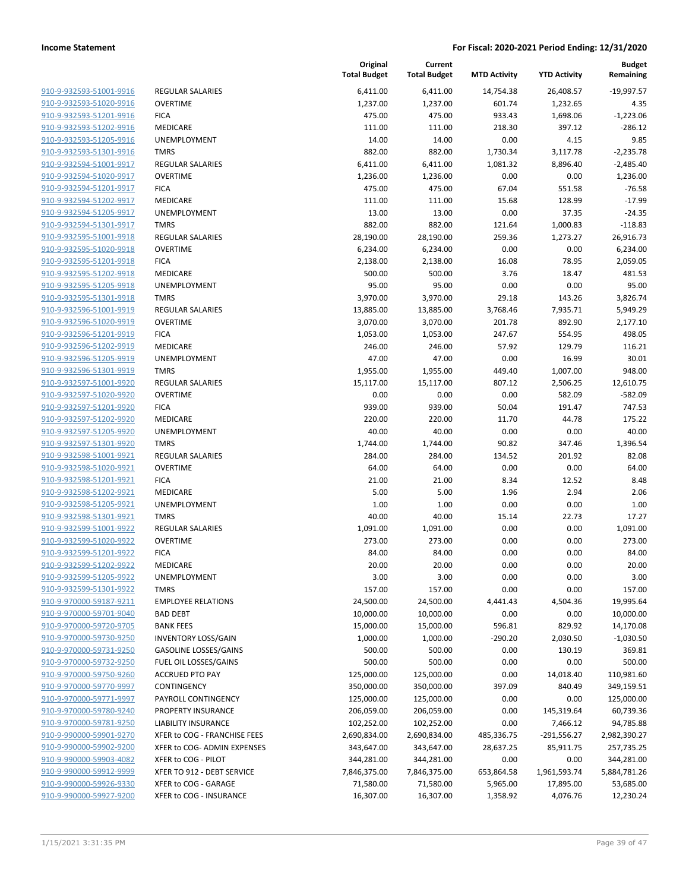| 910-9-932593-51001-9916        |
|--------------------------------|
| 910-9-932593-51020-9916        |
| 910-9-932593-51201-9916        |
| 910-9-932593-51202-9916        |
| 910-9-932593-51205-9916        |
| 910-9-932593-51301-9916        |
| <u>910-9-932594-51001-9917</u> |
| 910-9-932594-51020-9917        |
| 910-9-932594-51201-9917        |
| 910-9-932594-51202-9917        |
| 910-9-932594-51205-9917        |
| 910-9-932594-51301-9917        |
| 910-9-932595-51001-9918        |
| 910-9-932595-51020-9918        |
| 910-9-932595-51201-9918        |
| <u>910-9-932595-51202-9918</u> |
| <u>910-9-932595-51205-9918</u> |
| 910-9-932595-51301-9918        |
| 910-9-932596-51001-9919        |
| 910-9-932596-51020-9919        |
| 910-9-932596-51201-9919        |
| 910-9-932596-51202-9919        |
| 910-9-932596-51205-9919        |
| 910-9-932596-51301-9919        |
| 910-9-932597-51001-9920        |
| <u>910-9-932597-51020-9920</u> |
| <u>910-9-932597-51201-9920</u> |
| 910-9-932597-51202-9920        |
| 910-9-932597-51205-9920        |
| 910-9-932597-51301-9920        |
| 910-9-932598-51001-9921        |
| 910-9-932598-51020-9921        |
| 910-9-932598-51201-9921        |
| 910-9-932598-51202-9921        |
| 910-9-932598-51205-9921        |
| 910-9-932598-51301-9921        |
| 910-9-932599-51001-9922        |
| 910-9-932599-51020-9922        |
| 910-9-932599-51201-9922        |
| 910-9-932599-51202-9922        |
| 910-9-932599-51205-9922        |
| 910-9-932599-51301-9922        |
| 910-9-970000-59187-9211        |
| 910-9-970000-59701-9040        |
| 910-9-970000-59720-9705        |
| 910-9-970000-59730-9250        |
| 910-9-970000-59731-9250        |
| 910-9-970000-59732-9250        |
| 910-9-970000-59750-9260        |
| 910-9-970000-59770-9997        |
| 910-9-970000-59771-9997        |
| 910-9-970000-59780-9240        |
| 910-9-970000-59781-9250        |
| 910-9-990000-59901-9270        |
| 910-9-990000-59902-9200        |
| 910-9-990000-59903-4082        |
| 910-9-990000-59912-9999        |
| 910-9-990000-59926-9330        |
| 910-9-990000-59927-9200        |
|                                |

|                         |                              | Original<br><b>Total Budget</b> | Current<br><b>Total Budget</b> | <b>MTD Activity</b> | <b>YTD Activity</b> | <b>Budget</b><br>Remaining |
|-------------------------|------------------------------|---------------------------------|--------------------------------|---------------------|---------------------|----------------------------|
| 910-9-932593-51001-9916 | <b>REGULAR SALARIES</b>      | 6,411.00                        | 6,411.00                       | 14,754.38           | 26,408.57           | $-19,997.57$               |
| 910-9-932593-51020-9916 | <b>OVERTIME</b>              | 1,237.00                        | 1,237.00                       | 601.74              | 1,232.65            | 4.35                       |
| 910-9-932593-51201-9916 | <b>FICA</b>                  | 475.00                          | 475.00                         | 933.43              | 1,698.06            | $-1,223.06$                |
| 910-9-932593-51202-9916 | MEDICARE                     | 111.00                          | 111.00                         | 218.30              | 397.12              | $-286.12$                  |
| 910-9-932593-51205-9916 | UNEMPLOYMENT                 | 14.00                           | 14.00                          | 0.00                | 4.15                | 9.85                       |
| 910-9-932593-51301-9916 | <b>TMRS</b>                  | 882.00                          | 882.00                         | 1,730.34            | 3,117.78            | $-2,235.78$                |
| 910-9-932594-51001-9917 | <b>REGULAR SALARIES</b>      | 6,411.00                        | 6,411.00                       | 1,081.32            | 8,896.40            | $-2,485.40$                |
| 910-9-932594-51020-9917 | <b>OVERTIME</b>              | 1,236.00                        | 1,236.00                       | 0.00                | 0.00                | 1,236.00                   |
| 910-9-932594-51201-9917 | <b>FICA</b>                  | 475.00                          | 475.00                         | 67.04               | 551.58              | $-76.58$                   |
| 910-9-932594-51202-9917 | MEDICARE                     | 111.00                          | 111.00                         | 15.68               | 128.99              | $-17.99$                   |
| 910-9-932594-51205-9917 | <b>UNEMPLOYMENT</b>          | 13.00                           | 13.00                          | 0.00                | 37.35               | $-24.35$                   |
| 910-9-932594-51301-9917 | <b>TMRS</b>                  | 882.00                          | 882.00                         | 121.64              | 1,000.83            | $-118.83$                  |
| 910-9-932595-51001-9918 | <b>REGULAR SALARIES</b>      | 28,190.00                       | 28,190.00                      | 259.36              | 1,273.27            | 26,916.73                  |
| 910-9-932595-51020-9918 | <b>OVERTIME</b>              | 6,234.00                        | 6,234.00                       | 0.00                | 0.00                | 6,234.00                   |
| 910-9-932595-51201-9918 | <b>FICA</b>                  | 2,138.00                        | 2,138.00                       | 16.08               | 78.95               | 2,059.05                   |
| 910-9-932595-51202-9918 | MEDICARE                     | 500.00                          | 500.00                         | 3.76                | 18.47               | 481.53                     |
| 910-9-932595-51205-9918 | UNEMPLOYMENT                 | 95.00                           | 95.00                          | 0.00                | 0.00                | 95.00                      |
| 910-9-932595-51301-9918 | <b>TMRS</b>                  | 3,970.00                        | 3,970.00                       | 29.18               | 143.26              | 3,826.74                   |
| 910-9-932596-51001-9919 | <b>REGULAR SALARIES</b>      | 13,885.00                       | 13,885.00                      | 3,768.46            | 7,935.71            | 5,949.29                   |
| 910-9-932596-51020-9919 | <b>OVERTIME</b>              | 3,070.00                        | 3,070.00                       | 201.78              | 892.90              | 2,177.10                   |
| 910-9-932596-51201-9919 | <b>FICA</b>                  | 1,053.00                        | 1,053.00                       | 247.67              | 554.95              | 498.05                     |
| 910-9-932596-51202-9919 | MEDICARE                     | 246.00                          | 246.00                         | 57.92               | 129.79              | 116.21                     |
| 910-9-932596-51205-9919 | UNEMPLOYMENT                 | 47.00                           | 47.00                          | 0.00                | 16.99               | 30.01                      |
| 910-9-932596-51301-9919 | <b>TMRS</b>                  | 1,955.00                        | 1,955.00                       | 449.40              | 1,007.00            | 948.00                     |
| 910-9-932597-51001-9920 | <b>REGULAR SALARIES</b>      | 15,117.00                       | 15,117.00                      | 807.12              | 2,506.25            | 12,610.75                  |
| 910-9-932597-51020-9920 | <b>OVERTIME</b>              | 0.00                            | 0.00                           | 0.00                | 582.09              | $-582.09$                  |
| 910-9-932597-51201-9920 | <b>FICA</b>                  | 939.00                          | 939.00                         | 50.04               | 191.47              | 747.53                     |
| 910-9-932597-51202-9920 | MEDICARE                     | 220.00                          | 220.00                         | 11.70               | 44.78               | 175.22                     |
| 910-9-932597-51205-9920 | UNEMPLOYMENT                 | 40.00                           | 40.00                          | 0.00                | 0.00                | 40.00                      |
| 910-9-932597-51301-9920 | <b>TMRS</b>                  | 1,744.00                        | 1,744.00                       | 90.82               | 347.46              | 1,396.54                   |
| 910-9-932598-51001-9921 | <b>REGULAR SALARIES</b>      | 284.00                          | 284.00                         | 134.52              | 201.92              | 82.08                      |
| 910-9-932598-51020-9921 | <b>OVERTIME</b>              | 64.00                           | 64.00                          | 0.00                | 0.00                | 64.00                      |
| 910-9-932598-51201-9921 | <b>FICA</b>                  | 21.00                           | 21.00                          | 8.34                | 12.52               | 8.48                       |
| 910-9-932598-51202-9921 | MEDICARE                     | 5.00                            | 5.00                           | 1.96                | 2.94                | 2.06                       |
| 910-9-932598-51205-9921 | <b>UNEMPLOYMENT</b>          | 1.00                            | 1.00                           | 0.00                | 0.00                | 1.00                       |
| 910-9-932598-51301-9921 | <b>TMRS</b>                  | 40.00                           | 40.00                          | 15.14               | 22.73               | 17.27                      |
| 910-9-932599-51001-9922 | <b>REGULAR SALARIES</b>      | 1,091.00                        | 1,091.00                       | 0.00                | 0.00                | 1,091.00                   |
| 910-9-932599-51020-9922 | <b>OVERTIME</b>              | 273.00                          | 273.00                         | 0.00                | 0.00                | 273.00                     |
| 910-9-932599-51201-9922 | <b>FICA</b>                  | 84.00                           | 84.00                          | 0.00                | 0.00                | 84.00                      |
| 910-9-932599-51202-9922 | <b>MEDICARE</b>              | 20.00                           | 20.00                          | 0.00                | 0.00                | 20.00                      |
| 910-9-932599-51205-9922 | UNEMPLOYMENT                 | 3.00                            | 3.00                           | 0.00                | 0.00                | 3.00                       |
| 910-9-932599-51301-9922 | <b>TMRS</b>                  | 157.00                          | 157.00                         | 0.00                | 0.00                | 157.00                     |
| 910-9-970000-59187-9211 | <b>EMPLOYEE RELATIONS</b>    | 24,500.00                       | 24,500.00                      | 4,441.43            | 4,504.36            | 19,995.64                  |
| 910-9-970000-59701-9040 | <b>BAD DEBT</b>              | 10,000.00                       | 10,000.00                      | 0.00                | 0.00                | 10,000.00                  |
| 910-9-970000-59720-9705 | <b>BANK FEES</b>             | 15,000.00                       | 15,000.00                      | 596.81              | 829.92              | 14,170.08                  |
| 910-9-970000-59730-9250 | <b>INVENTORY LOSS/GAIN</b>   | 1,000.00                        | 1,000.00                       | $-290.20$           | 2,030.50            | $-1,030.50$                |
| 910-9-970000-59731-9250 | <b>GASOLINE LOSSES/GAINS</b> | 500.00                          | 500.00                         | 0.00                | 130.19              | 369.81                     |
| 910-9-970000-59732-9250 | FUEL OIL LOSSES/GAINS        | 500.00                          | 500.00                         | 0.00                | 0.00                | 500.00                     |
| 910-9-970000-59750-9260 | <b>ACCRUED PTO PAY</b>       | 125,000.00                      | 125,000.00                     | 0.00                | 14,018.40           | 110,981.60                 |
| 910-9-970000-59770-9997 | CONTINGENCY                  | 350,000.00                      | 350,000.00                     | 397.09              | 840.49              | 349,159.51                 |
| 910-9-970000-59771-9997 | PAYROLL CONTINGENCY          | 125,000.00                      | 125,000.00                     | 0.00                | 0.00                | 125,000.00                 |
| 910-9-970000-59780-9240 | PROPERTY INSURANCE           | 206,059.00                      | 206,059.00                     | 0.00                | 145,319.64          | 60,739.36                  |
| 910-9-970000-59781-9250 | <b>LIABILITY INSURANCE</b>   | 102,252.00                      | 102,252.00                     | 0.00                | 7,466.12            | 94,785.88                  |
| 910-9-990000-59901-9270 | XFER to COG - FRANCHISE FEES | 2,690,834.00                    | 2,690,834.00                   | 485,336.75          | $-291,556.27$       | 2,982,390.27               |
| 910-9-990000-59902-9200 | XFER to COG- ADMIN EXPENSES  | 343,647.00                      | 343,647.00                     | 28,637.25           | 85,911.75           | 257,735.25                 |
| 910-9-990000-59903-4082 | XFER to COG - PILOT          | 344,281.00                      | 344,281.00                     | 0.00                | 0.00                | 344,281.00                 |
| 910-9-990000-59912-9999 | XFER TO 912 - DEBT SERVICE   | 7,846,375.00                    | 7,846,375.00                   | 653,864.58          | 1,961,593.74        | 5,884,781.26               |
| 910-9-990000-59926-9330 | XFER to COG - GARAGE         | 71,580.00                       | 71,580.00                      | 5,965.00            | 17,895.00           | 53,685.00                  |
| 910-9-990000-59927-9200 | XFER to COG - INSURANCE      | 16,307.00                       | 16,307.00                      | 1,358.92            | 4,076.76            | 12,230.24                  |
|                         |                              |                                 |                                |                     |                     |                            |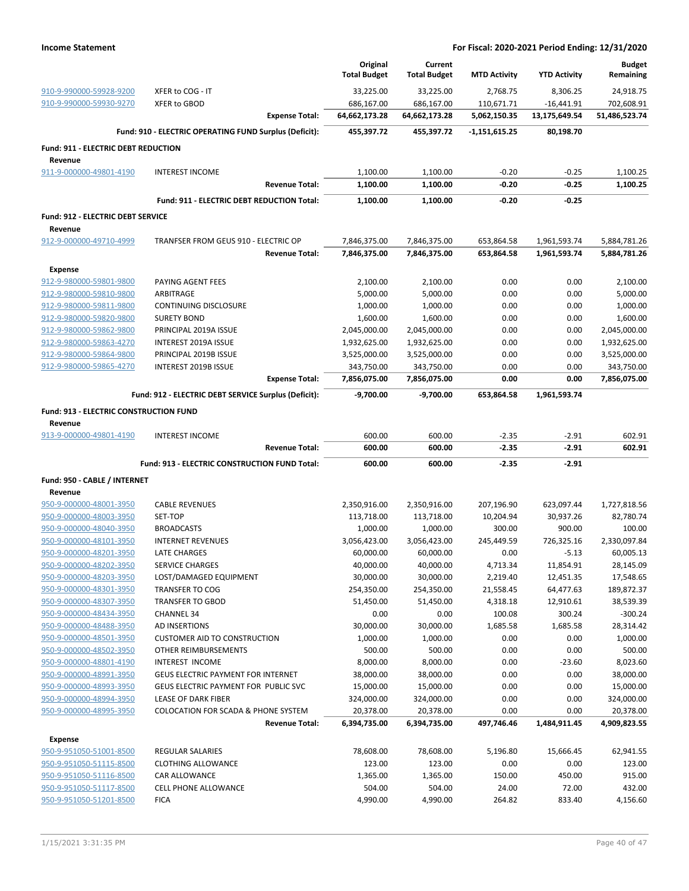|                                                   |                                                        | Original<br><b>Total Budget</b> | Current<br><b>Total Budget</b> | <b>MTD Activity</b> | <b>YTD Activity</b> | <b>Budget</b><br>Remaining |
|---------------------------------------------------|--------------------------------------------------------|---------------------------------|--------------------------------|---------------------|---------------------|----------------------------|
| 910-9-990000-59928-9200                           | XFER to COG - IT                                       | 33,225.00                       | 33,225.00                      | 2,768.75            | 8,306.25            | 24,918.75                  |
| 910-9-990000-59930-9270                           | <b>XFER to GBOD</b>                                    | 686,167.00                      | 686,167.00                     | 110,671.71          | $-16,441.91$        | 702,608.91                 |
|                                                   | <b>Expense Total:</b>                                  | 64,662,173.28                   | 64,662,173.28                  | 5,062,150.35        | 13,175,649.54       | 51,486,523.74              |
|                                                   | Fund: 910 - ELECTRIC OPERATING FUND Surplus (Deficit): | 455,397.72                      | 455,397.72                     | $-1,151,615.25$     | 80,198.70           |                            |
| Fund: 911 - ELECTRIC DEBT REDUCTION<br>Revenue    |                                                        |                                 |                                |                     |                     |                            |
| 911-9-000000-49801-4190                           | <b>INTEREST INCOME</b>                                 | 1,100.00                        | 1,100.00                       | $-0.20$             | $-0.25$             | 1,100.25                   |
|                                                   | <b>Revenue Total:</b>                                  | 1,100.00                        | 1,100.00                       | $-0.20$             | $-0.25$             | 1,100.25                   |
|                                                   | Fund: 911 - ELECTRIC DEBT REDUCTION Total:             | 1,100.00                        | 1,100.00                       | $-0.20$             | $-0.25$             |                            |
| Fund: 912 - ELECTRIC DEBT SERVICE                 |                                                        |                                 |                                |                     |                     |                            |
| Revenue<br>912-9-000000-49710-4999                | TRANFSER FROM GEUS 910 - ELECTRIC OP                   | 7,846,375.00                    | 7,846,375.00                   | 653,864.58          | 1,961,593.74        | 5,884,781.26               |
|                                                   | <b>Revenue Total:</b>                                  | 7,846,375.00                    | 7,846,375.00                   | 653,864.58          | 1,961,593.74        | 5,884,781.26               |
| <b>Expense</b>                                    |                                                        |                                 |                                |                     |                     |                            |
| 912-9-980000-59801-9800                           | PAYING AGENT FEES                                      | 2,100.00                        | 2,100.00                       | 0.00                | 0.00                | 2,100.00                   |
| 912-9-980000-59810-9800                           | ARBITRAGE                                              | 5,000.00                        | 5,000.00                       | 0.00                | 0.00                | 5,000.00                   |
| 912-9-980000-59811-9800                           | <b>CONTINUING DISCLOSURE</b>                           | 1,000.00                        | 1,000.00                       | 0.00                | 0.00                | 1,000.00                   |
| 912-9-980000-59820-9800                           | <b>SURETY BOND</b>                                     | 1,600.00                        | 1,600.00                       | 0.00                | 0.00                | 1,600.00                   |
| 912-9-980000-59862-9800                           | PRINCIPAL 2019A ISSUE                                  | 2,045,000.00                    | 2,045,000.00                   | 0.00                | 0.00                | 2,045,000.00               |
| 912-9-980000-59863-4270                           | INTEREST 2019A ISSUE                                   | 1,932,625.00                    |                                | 0.00                | 0.00                |                            |
|                                                   |                                                        |                                 | 1,932,625.00                   |                     |                     | 1,932,625.00               |
| 912-9-980000-59864-9800                           | PRINCIPAL 2019B ISSUE                                  | 3,525,000.00                    | 3,525,000.00                   | 0.00                | 0.00                | 3,525,000.00               |
| 912-9-980000-59865-4270                           | INTEREST 2019B ISSUE<br><b>Expense Total:</b>          | 343,750.00<br>7,856,075.00      | 343,750.00<br>7,856,075.00     | 0.00<br>0.00        | 0.00<br>0.00        | 343,750.00<br>7,856,075.00 |
|                                                   | Fund: 912 - ELECTRIC DEBT SERVICE Surplus (Deficit):   | $-9,700.00$                     | $-9,700.00$                    | 653,864.58          | 1,961,593.74        |                            |
|                                                   |                                                        |                                 |                                |                     |                     |                            |
| Fund: 913 - ELECTRIC CONSTRUCTION FUND<br>Revenue |                                                        |                                 |                                |                     |                     |                            |
| 913-9-000000-49801-4190                           | <b>INTEREST INCOME</b>                                 | 600.00                          | 600.00                         | $-2.35$             | $-2.91$             | 602.91                     |
|                                                   | <b>Revenue Total:</b>                                  | 600.00                          | 600.00                         | $-2.35$             | $-2.91$             | 602.91                     |
|                                                   | Fund: 913 - ELECTRIC CONSTRUCTION FUND Total:          | 600.00                          | 600.00                         | $-2.35$             | $-2.91$             |                            |
| Fund: 950 - CABLE / INTERNET                      |                                                        |                                 |                                |                     |                     |                            |
| Revenue<br>950-9-000000-48001-3950                | <b>CABLE REVENUES</b>                                  | 2,350,916.00                    | 2,350,916.00                   | 207,196.90          | 623,097.44          | 1,727,818.56               |
| 950-9-000000-48003-3950                           |                                                        |                                 |                                |                     |                     |                            |
|                                                   | SET-TOP                                                | 113,718.00                      | 113,718.00                     | 10,204.94           | 30,937.26           | 82,780.74                  |
| 950-9-000000-48040-3950                           | <b>BROADCASTS</b>                                      | 1,000.00                        | 1,000.00                       | 300.00              | 900.00              | 100.00                     |
| 950-9-000000-48101-3950                           | <b>INTERNET REVENUES</b>                               | 3,056,423.00                    | 3,056,423.00                   | 245,449.59          | 726,325.16          | 2,330,097.84               |
| 950-9-000000-48201-3950                           | LATE CHARGES                                           | 60,000.00                       | 60,000.00                      | 0.00                | $-5.13$             | 60,005.13                  |
| 950-9-000000-48202-3950                           | <b>SERVICE CHARGES</b>                                 | 40,000.00                       | 40,000.00                      | 4,713.34            | 11,854.91           | 28,145.09                  |
| 950-9-000000-48203-3950                           | LOST/DAMAGED EQUIPMENT                                 | 30,000.00                       | 30,000.00                      | 2,219.40            | 12,451.35           | 17,548.65                  |
| 950-9-000000-48301-3950                           | <b>TRANSFER TO COG</b>                                 | 254,350.00                      | 254,350.00                     | 21,558.45           | 64,477.63           | 189,872.37                 |
| 950-9-000000-48307-3950                           | <b>TRANSFER TO GBOD</b>                                | 51,450.00                       | 51,450.00                      | 4,318.18            | 12,910.61           | 38,539.39                  |
| 950-9-000000-48434-3950                           | <b>CHANNEL 34</b>                                      | 0.00                            | 0.00                           | 100.08              | 300.24              | $-300.24$                  |
| 950-9-000000-48488-3950                           | AD INSERTIONS                                          | 30,000.00                       | 30,000.00                      | 1,685.58            | 1,685.58            | 28,314.42                  |
| 950-9-000000-48501-3950                           | <b>CUSTOMER AID TO CONSTRUCTION</b>                    | 1,000.00                        | 1,000.00                       | 0.00                | 0.00                | 1,000.00                   |
| 950-9-000000-48502-3950                           | OTHER REIMBURSEMENTS                                   | 500.00                          | 500.00                         | 0.00                | 0.00                | 500.00                     |
| 950-9-000000-48801-4190                           | INTEREST INCOME                                        | 8,000.00                        | 8,000.00                       | 0.00                | $-23.60$            | 8,023.60                   |
| 950-9-000000-48991-3950                           | GEUS ELECTRIC PAYMENT FOR INTERNET                     | 38,000.00                       | 38,000.00                      | 0.00                | 0.00                | 38,000.00                  |
| 950-9-000000-48993-3950                           | GEUS ELECTRIC PAYMENT FOR PUBLIC SVC                   | 15,000.00                       | 15,000.00                      | 0.00                | 0.00                | 15,000.00                  |
| 950-9-000000-48994-3950                           | <b>LEASE OF DARK FIBER</b>                             | 324,000.00                      | 324,000.00                     | 0.00                | 0.00                | 324,000.00                 |
| 950-9-000000-48995-3950                           | <b>COLOCATION FOR SCADA &amp; PHONE SYSTEM</b>         | 20,378.00                       | 20,378.00                      | 0.00                | 0.00                | 20,378.00                  |
|                                                   | <b>Revenue Total:</b>                                  | 6,394,735.00                    | 6,394,735.00                   | 497,746.46          | 1,484,911.45        | 4,909,823.55               |
| <b>Expense</b>                                    |                                                        |                                 |                                |                     |                     |                            |
| 950-9-951050-51001-8500                           | <b>REGULAR SALARIES</b>                                | 78,608.00                       | 78,608.00                      | 5,196.80            | 15,666.45           | 62,941.55                  |
| 950-9-951050-51115-8500                           | <b>CLOTHING ALLOWANCE</b>                              | 123.00                          | 123.00                         | 0.00                | 0.00                | 123.00                     |
| 950-9-951050-51116-8500                           | <b>CAR ALLOWANCE</b>                                   | 1,365.00                        | 1,365.00                       | 150.00              | 450.00              | 915.00                     |
| 950-9-951050-51117-8500                           | CELL PHONE ALLOWANCE                                   | 504.00                          | 504.00                         | 24.00               | 72.00               | 432.00                     |
| 950-9-951050-51201-8500                           | <b>FICA</b>                                            | 4,990.00                        | 4,990.00                       | 264.82              | 833.40              | 4,156.60                   |
|                                                   |                                                        |                                 |                                |                     |                     |                            |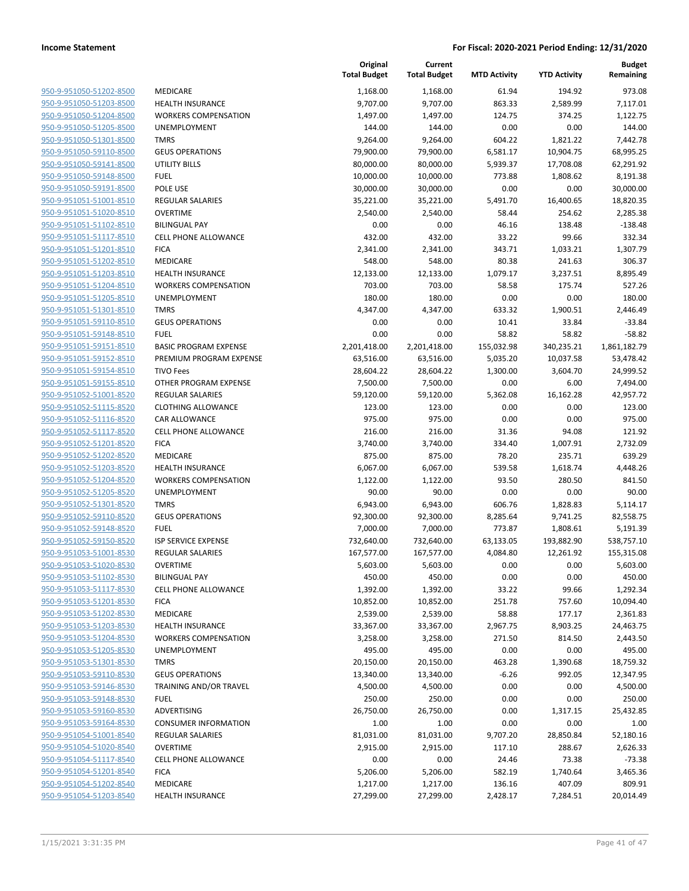| 950-9-951050-51202-8500        |
|--------------------------------|
| 950-9-951050-51203-8500        |
| 950-9-951050-51204-8500        |
| 950-9-951050-51205-8500        |
| 950-9-951050-51301-8500        |
| 950-9-951050-59110-8500        |
| <u>950-9-951050-59141-8500</u> |
| 950-9-951050-59148-8500        |
| 950-9-951050-59191-8500        |
| 950-9-951051-51001-8510        |
| 950-9-951051-51020-8510        |
| <u>950-9-951051-51102-8510</u> |
| 950-9-951051-51117-8510        |
| 950-9-951051-51201-8510        |
|                                |
| 950-9-951051-51202-8510        |
| 950-9-951051-51203-8510        |
| 950-9-951051-51204-8510        |
| 950-9-951051-51205-8510        |
| 950-9-951051-51301-8510        |
| 950-9-951051-59110-8510        |
| 950-9-951051-59148-8510        |
| <u>950-9-951051-59151-8510</u> |
| 950-9-951051-59152-8510        |
| 950-9-951051-59154-8510        |
| 950-9-951051-59155-8510        |
| 950-9-951052-51001-8520        |
| <u>950-9-951052-51115-8520</u> |
| 950-9-951052-51116-8520        |
| 950-9-951052-51117-8520        |
| 950-9-951052-51201-8520        |
| 950-9-951052-51202-8520        |
| <u>950-9-951052-51203-8520</u> |
|                                |
| 950-9-951052-51204-8520        |
| 950-9-951052-51205-8520        |
| 950-9-951052-51301-8520        |
| 950-9-951052-59110-8520        |
| <u>950-9-951052-59148-8520</u> |
| 950-9-951052-59150-8520        |
| 950-9-951053-51001-8530        |
| 950-9-951053-51020-8530        |
| 950-9-951053-51102-8530        |
| 950-9-951053-51117-8530        |
| 950-9-951053-51201-8530        |
| 950-9-951053-51202-8530        |
| 950-9-951053-51203-8530        |
| 950-9-951053-51204-8530        |
| 950-9-951053-51205-8530        |
| 950-9-951053-51301-8530        |
| 950-9-951053-59110-8530        |
| 950-9-951053-59146-8530        |
|                                |
| 950-9-951053-59148-8530        |
| <u>950-9-951053-59160-8530</u> |
| 950-9-951053-59164-8530        |
| 950-9-951054-51001-8540        |
| 950-9-951054-51020-8540        |
| 950-9-951054-51117-8540        |
| 950-9-951054-51201-8540        |
| 950-9-951054-51202-8540        |
| 950-9-951054-51203-8540        |
|                                |

|                         |                              | Original<br><b>Total Budget</b> | Current<br><b>Total Budget</b> | <b>MTD Activity</b> | <b>YTD Activity</b> | Budget<br>Remaining |
|-------------------------|------------------------------|---------------------------------|--------------------------------|---------------------|---------------------|---------------------|
| 950-9-951050-51202-8500 | <b>MEDICARE</b>              | 1,168.00                        | 1,168.00                       | 61.94               | 194.92              | 973.08              |
| 950-9-951050-51203-8500 | HEALTH INSURANCE             | 9,707.00                        | 9,707.00                       | 863.33              | 2,589.99            | 7,117.01            |
| 950-9-951050-51204-8500 | <b>WORKERS COMPENSATION</b>  | 1,497.00                        | 1,497.00                       | 124.75              | 374.25              | 1,122.75            |
| 950-9-951050-51205-8500 | UNEMPLOYMENT                 | 144.00                          | 144.00                         | 0.00                | 0.00                | 144.00              |
| 950-9-951050-51301-8500 | <b>TMRS</b>                  | 9,264.00                        | 9,264.00                       | 604.22              | 1,821.22            | 7,442.78            |
| 950-9-951050-59110-8500 | <b>GEUS OPERATIONS</b>       | 79,900.00                       | 79,900.00                      | 6,581.17            | 10,904.75           | 68,995.25           |
| 950-9-951050-59141-8500 | <b>UTILITY BILLS</b>         | 80,000.00                       | 80,000.00                      | 5,939.37            | 17,708.08           | 62,291.92           |
| 950-9-951050-59148-8500 | <b>FUEL</b>                  | 10,000.00                       | 10,000.00                      | 773.88              | 1,808.62            | 8,191.38            |
| 950-9-951050-59191-8500 | POLE USE                     | 30,000.00                       | 30,000.00                      | 0.00                | 0.00                | 30,000.00           |
| 950-9-951051-51001-8510 | <b>REGULAR SALARIES</b>      | 35,221.00                       | 35,221.00                      | 5,491.70            | 16,400.65           | 18,820.35           |
| 950-9-951051-51020-8510 | <b>OVERTIME</b>              | 2,540.00                        | 2,540.00                       | 58.44               | 254.62              | 2,285.38            |
| 950-9-951051-51102-8510 | <b>BILINGUAL PAY</b>         | 0.00                            | 0.00                           | 46.16               | 138.48              | $-138.48$           |
| 950-9-951051-51117-8510 | CELL PHONE ALLOWANCE         | 432.00                          | 432.00                         | 33.22               | 99.66               | 332.34              |
| 950-9-951051-51201-8510 | <b>FICA</b>                  | 2,341.00                        | 2,341.00                       | 343.71              | 1,033.21            | 1,307.79            |
| 950-9-951051-51202-8510 | MEDICARE                     | 548.00                          | 548.00                         | 80.38               | 241.63              | 306.37              |
| 950-9-951051-51203-8510 | <b>HEALTH INSURANCE</b>      | 12,133.00                       | 12,133.00                      | 1,079.17            | 3,237.51            | 8,895.49            |
| 950-9-951051-51204-8510 | <b>WORKERS COMPENSATION</b>  | 703.00                          | 703.00                         | 58.58               | 175.74              | 527.26              |
| 950-9-951051-51205-8510 | UNEMPLOYMENT                 | 180.00                          | 180.00                         | 0.00                | 0.00                | 180.00              |
| 950-9-951051-51301-8510 | <b>TMRS</b>                  | 4,347.00                        | 4,347.00                       | 633.32              | 1,900.51            | 2,446.49            |
| 950-9-951051-59110-8510 | <b>GEUS OPERATIONS</b>       | 0.00                            | 0.00                           | 10.41               | 33.84               | $-33.84$            |
| 950-9-951051-59148-8510 | <b>FUEL</b>                  | 0.00                            | 0.00                           | 58.82               | 58.82               | $-58.82$            |
| 950-9-951051-59151-8510 | <b>BASIC PROGRAM EXPENSE</b> | 2,201,418.00                    | 2,201,418.00                   | 155,032.98          | 340,235.21          | 1,861,182.79        |
| 950-9-951051-59152-8510 | PREMIUM PROGRAM EXPENSE      | 63,516.00                       | 63,516.00                      | 5,035.20            | 10,037.58           | 53,478.42           |
| 950-9-951051-59154-8510 | <b>TIVO Fees</b>             | 28,604.22                       | 28,604.22                      | 1,300.00            | 3,604.70            | 24,999.52           |
| 950-9-951051-59155-8510 | OTHER PROGRAM EXPENSE        | 7,500.00                        | 7,500.00                       | 0.00                | 6.00                | 7,494.00            |
| 950-9-951052-51001-8520 | <b>REGULAR SALARIES</b>      | 59,120.00                       | 59,120.00                      | 5,362.08            | 16,162.28           | 42,957.72           |
| 950-9-951052-51115-8520 | <b>CLOTHING ALLOWANCE</b>    | 123.00                          | 123.00                         | 0.00                | 0.00                | 123.00              |
| 950-9-951052-51116-8520 | CAR ALLOWANCE                | 975.00                          | 975.00                         | 0.00                | 0.00                | 975.00              |
| 950-9-951052-51117-8520 | CELL PHONE ALLOWANCE         | 216.00                          | 216.00                         | 31.36               | 94.08               | 121.92              |
| 950-9-951052-51201-8520 | <b>FICA</b>                  | 3,740.00                        | 3,740.00                       | 334.40              | 1,007.91            | 2,732.09            |
| 950-9-951052-51202-8520 | MEDICARE                     | 875.00                          | 875.00                         | 78.20               | 235.71              | 639.29              |
| 950-9-951052-51203-8520 | <b>HEALTH INSURANCE</b>      | 6,067.00                        | 6,067.00                       | 539.58              | 1,618.74            | 4,448.26            |
| 950-9-951052-51204-8520 | <b>WORKERS COMPENSATION</b>  | 1,122.00                        | 1,122.00                       | 93.50               | 280.50              | 841.50              |
| 950-9-951052-51205-8520 | UNEMPLOYMENT                 | 90.00                           | 90.00                          | 0.00                | 0.00                | 90.00               |
| 950-9-951052-51301-8520 | <b>TMRS</b>                  | 6,943.00                        | 6,943.00                       | 606.76              | 1,828.83            | 5,114.17            |
| 950-9-951052-59110-8520 | <b>GEUS OPERATIONS</b>       | 92,300.00                       | 92,300.00                      | 8,285.64            | 9,741.25            | 82,558.75           |
| 950-9-951052-59148-8520 | <b>FUEL</b>                  | 7,000.00                        | 7,000.00                       | 773.87              | 1,808.61            | 5,191.39            |
| 950-9-951052-59150-8520 | ISP SERVICE EXPENSE          | 732,640.00                      | 732,640.00                     | 63,133.05           | 193,882.90          | 538,757.10          |
| 950-9-951053-51001-8530 | <b>REGULAR SALARIES</b>      | 167,577.00                      | 167,577.00                     | 4,084.80            | 12,261.92           | 155,315.08          |
| 950-9-951053-51020-8530 | <b>OVERTIME</b>              | 5,603.00                        | 5,603.00                       | 0.00                | 0.00                | 5,603.00            |
| 950-9-951053-51102-8530 | <b>BILINGUAL PAY</b>         | 450.00                          | 450.00                         | 0.00                | 0.00                | 450.00              |
| 950-9-951053-51117-8530 | CELL PHONE ALLOWANCE         | 1,392.00                        | 1,392.00                       | 33.22               | 99.66               | 1,292.34            |
| 950-9-951053-51201-8530 | <b>FICA</b>                  | 10,852.00                       | 10,852.00                      | 251.78              | 757.60              | 10,094.40           |
| 950-9-951053-51202-8530 | MEDICARE                     | 2,539.00                        | 2,539.00                       | 58.88               | 177.17              | 2,361.83            |
| 950-9-951053-51203-8530 | <b>HEALTH INSURANCE</b>      | 33,367.00                       | 33,367.00                      | 2,967.75            | 8,903.25            | 24,463.75           |
| 950-9-951053-51204-8530 | <b>WORKERS COMPENSATION</b>  | 3,258.00                        | 3,258.00                       | 271.50              | 814.50              | 2,443.50            |
| 950-9-951053-51205-8530 | <b>UNEMPLOYMENT</b>          | 495.00                          | 495.00                         | 0.00                | 0.00                | 495.00              |
| 950-9-951053-51301-8530 | <b>TMRS</b>                  | 20,150.00                       | 20,150.00                      | 463.28              | 1,390.68            | 18,759.32           |
| 950-9-951053-59110-8530 | <b>GEUS OPERATIONS</b>       | 13,340.00                       | 13,340.00                      | $-6.26$             | 992.05              | 12,347.95           |
| 950-9-951053-59146-8530 | TRAINING AND/OR TRAVEL       | 4,500.00                        | 4,500.00                       | 0.00                | 0.00                | 4,500.00            |
| 950-9-951053-59148-8530 | <b>FUEL</b>                  | 250.00                          | 250.00                         | 0.00                | 0.00                | 250.00              |
| 950-9-951053-59160-8530 | ADVERTISING                  | 26,750.00                       | 26,750.00                      | 0.00                | 1,317.15            | 25,432.85           |
| 950-9-951053-59164-8530 | <b>CONSUMER INFORMATION</b>  | 1.00                            | 1.00                           | 0.00                | 0.00                | 1.00                |
| 950-9-951054-51001-8540 | <b>REGULAR SALARIES</b>      | 81,031.00                       | 81,031.00                      | 9,707.20            | 28,850.84           | 52,180.16           |
| 950-9-951054-51020-8540 | OVERTIME                     | 2,915.00                        | 2,915.00                       | 117.10              | 288.67              | 2,626.33            |
| 950-9-951054-51117-8540 | <b>CELL PHONE ALLOWANCE</b>  | 0.00                            | 0.00                           | 24.46               | 73.38               | $-73.38$            |
| 950-9-951054-51201-8540 | <b>FICA</b>                  | 5,206.00                        | 5,206.00                       | 582.19              | 1,740.64            | 3,465.36            |
| 950-9-951054-51202-8540 | MEDICARE                     | 1,217.00                        | 1,217.00                       | 136.16              | 407.09              | 809.91              |
| 950-9-951054-51203-8540 | <b>HEALTH INSURANCE</b>      | 27,299.00                       | 27,299.00                      | 2,428.17            | 7,284.51            | 20,014.49           |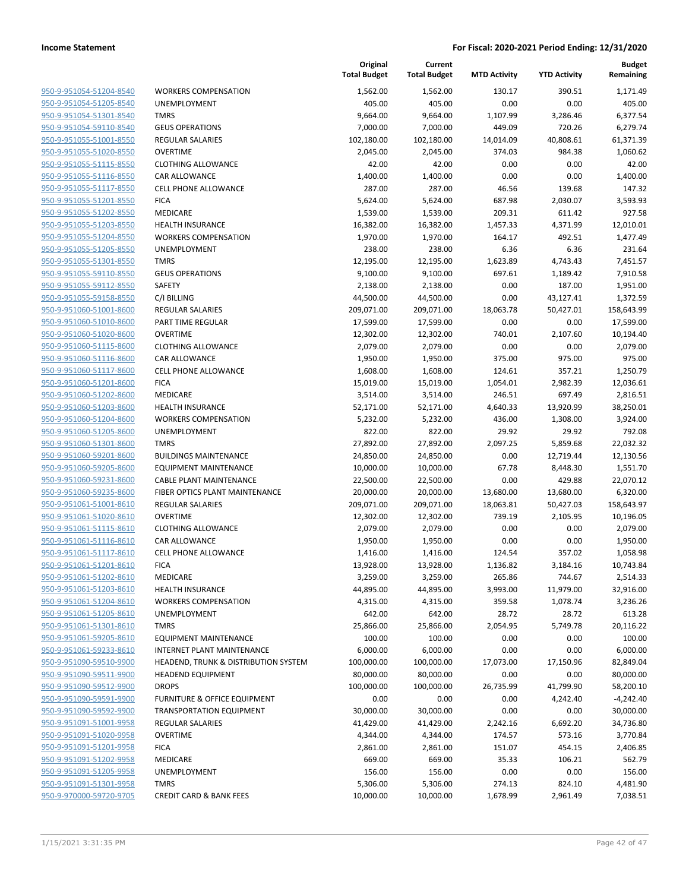| 950-9-951054-51204-8540        |
|--------------------------------|
| 950-9-951054-51205-8540        |
| 950-9-951054-51301-8540        |
| 950-9-951054-59110-8540        |
| 950-9-951055-51001-8550        |
| 950-9-951055-51020-8550        |
| 950-9-951055-51115-8550        |
| 950-9-951055-51116-8550        |
| 950-9-951055-51117-8550        |
| 950-9-951055-51201-8550        |
| 950-9-951055-51202-8550        |
| 950-9-951055-51203-8550        |
| 950-9-951055-51204-8550        |
| <u>950-9-951055-51205-8550</u> |
| <u>950-9-951055-51301-8550</u> |
| 950-9-951055-59110-8550        |
| 950-9-951055-59112-8550        |
| 950-9-951055-59158-8550        |
| 950-9-951060-51001-8600        |
| <u>950-9-951060-51010-8600</u> |
| 950-9-951060-51020-8600        |
| 950-9-951060-51115-8600        |
| 950-9-951060-51116-8600        |
| 950-9-951060-51117-8600        |
| <u>950-9-951060-51201-8600</u> |
| 950-9-951060-51202-8600        |
| 950-9-951060-51203-8600        |
| 950-9-951060-51204-8600        |
| 950-9-951060-51205-8600        |
| <u>950-9-951060-51301-8600</u> |
| 950-9-951060-59201-8600        |
| 950-9-951060-59205-8600        |
| 950-9-951060-59231-8600        |
| 950-9-951060-59235-8600        |
| <u>950-9-951061-51001-8610</u> |
| 950-9-951061-51020-8610        |
| 950-9-951061-51115-8610        |
| 950-9-951061-51116-8610        |
|                                |
| <u>950-9-951061-51117-8610</u> |
| 950-9-951061-51201-8610        |
| 950-9-951061-51202-8610        |
| 950-9-951061-51203-8610        |
| 950-9-951061-51204-8610        |
| 950-9-951061-51205-8610        |
| <u>950-9-951061-51301-8610</u> |
| 950-9-951061-59205-8610        |
| 950-9-951061-59233-8610        |
| 950-9-951090-59510-9900        |
| 950-9-951090-59511-9900        |
| <u>950-9-951090-59512-9900</u> |
| 950-9-951090-59591-9900        |
| 950-9-951090-59592-9900        |
| 950-9-951091-51001-9958        |
| 950-9-951091-51020-9958        |
| 950-9-951091-51201-9958        |
| <u>950-9-951091-51202-9958</u> |
| 950-9-951091-51205-9958        |
| 950-9-951091-51301-9958        |
| 950-9-970000-59720-9705        |
|                                |

|                         |                                      | Original<br><b>Total Budget</b> | Current<br><b>Total Budget</b> | <b>MTD Activity</b> | <b>YTD Activity</b> | <b>Budget</b><br>Remaining |
|-------------------------|--------------------------------------|---------------------------------|--------------------------------|---------------------|---------------------|----------------------------|
| 950-9-951054-51204-8540 | <b>WORKERS COMPENSATION</b>          | 1,562.00                        | 1,562.00                       | 130.17              | 390.51              | 1,171.49                   |
| 950-9-951054-51205-8540 | UNEMPLOYMENT                         | 405.00                          | 405.00                         | 0.00                | 0.00                | 405.00                     |
| 950-9-951054-51301-8540 | <b>TMRS</b>                          | 9,664.00                        | 9,664.00                       | 1,107.99            | 3,286.46            | 6,377.54                   |
| 950-9-951054-59110-8540 | <b>GEUS OPERATIONS</b>               | 7,000.00                        | 7,000.00                       | 449.09              | 720.26              | 6,279.74                   |
| 950-9-951055-51001-8550 | <b>REGULAR SALARIES</b>              | 102,180.00                      | 102,180.00                     | 14,014.09           | 40,808.61           | 61,371.39                  |
| 950-9-951055-51020-8550 | <b>OVERTIME</b>                      | 2,045.00                        | 2,045.00                       | 374.03              | 984.38              | 1,060.62                   |
| 950-9-951055-51115-8550 | <b>CLOTHING ALLOWANCE</b>            | 42.00                           | 42.00                          | 0.00                | 0.00                | 42.00                      |
| 950-9-951055-51116-8550 | <b>CAR ALLOWANCE</b>                 | 1,400.00                        | 1,400.00                       | 0.00                | 0.00                | 1,400.00                   |
| 950-9-951055-51117-8550 | <b>CELL PHONE ALLOWANCE</b>          | 287.00                          | 287.00                         | 46.56               | 139.68              | 147.32                     |
| 950-9-951055-51201-8550 | <b>FICA</b>                          | 5,624.00                        | 5,624.00                       | 687.98              | 2,030.07            | 3,593.93                   |
| 950-9-951055-51202-8550 | MEDICARE                             | 1,539.00                        | 1,539.00                       | 209.31              | 611.42              | 927.58                     |
| 950-9-951055-51203-8550 | <b>HEALTH INSURANCE</b>              | 16,382.00                       | 16,382.00                      | 1,457.33            | 4,371.99            | 12,010.01                  |
| 950-9-951055-51204-8550 | <b>WORKERS COMPENSATION</b>          | 1,970.00                        | 1,970.00                       | 164.17              | 492.51              | 1,477.49                   |
| 950-9-951055-51205-8550 | UNEMPLOYMENT                         | 238.00                          | 238.00                         | 6.36                | 6.36                | 231.64                     |
| 950-9-951055-51301-8550 | <b>TMRS</b>                          | 12,195.00                       | 12,195.00                      | 1,623.89            | 4,743.43            | 7,451.57                   |
| 950-9-951055-59110-8550 | <b>GEUS OPERATIONS</b>               | 9,100.00                        | 9,100.00                       | 697.61              | 1,189.42            | 7,910.58                   |
| 950-9-951055-59112-8550 | SAFETY                               | 2,138.00                        | 2,138.00                       | 0.00                | 187.00              | 1,951.00                   |
| 950-9-951055-59158-8550 | C/I BILLING                          | 44,500.00                       | 44,500.00                      | 0.00                | 43,127.41           | 1,372.59                   |
| 950-9-951060-51001-8600 | <b>REGULAR SALARIES</b>              | 209,071.00                      | 209,071.00                     | 18,063.78           | 50,427.01           | 158,643.99                 |
| 950-9-951060-51010-8600 | PART TIME REGULAR                    | 17,599.00                       | 17,599.00                      | 0.00                | 0.00                | 17,599.00                  |
| 950-9-951060-51020-8600 | <b>OVERTIME</b>                      | 12,302.00                       | 12,302.00                      | 740.01              | 2,107.60            | 10,194.40                  |
| 950-9-951060-51115-8600 | <b>CLOTHING ALLOWANCE</b>            | 2,079.00                        | 2,079.00                       | 0.00                | 0.00                | 2,079.00                   |
| 950-9-951060-51116-8600 | <b>CAR ALLOWANCE</b>                 | 1,950.00                        | 1,950.00                       | 375.00              | 975.00              | 975.00                     |
| 950-9-951060-51117-8600 | <b>CELL PHONE ALLOWANCE</b>          | 1,608.00                        | 1,608.00                       | 124.61              | 357.21              | 1,250.79                   |
| 950-9-951060-51201-8600 | <b>FICA</b>                          | 15,019.00                       | 15,019.00                      | 1,054.01            | 2,982.39            | 12,036.61                  |
| 950-9-951060-51202-8600 | MEDICARE                             | 3,514.00                        | 3,514.00                       | 246.51              | 697.49              | 2,816.51                   |
| 950-9-951060-51203-8600 | <b>HEALTH INSURANCE</b>              | 52,171.00                       | 52,171.00                      | 4,640.33            | 13,920.99           | 38,250.01                  |
| 950-9-951060-51204-8600 | <b>WORKERS COMPENSATION</b>          | 5,232.00                        | 5,232.00                       | 436.00              | 1,308.00            | 3,924.00                   |
| 950-9-951060-51205-8600 | UNEMPLOYMENT                         | 822.00                          | 822.00                         | 29.92               | 29.92               | 792.08                     |
| 950-9-951060-51301-8600 | <b>TMRS</b>                          | 27,892.00                       | 27,892.00                      | 2,097.25            | 5,859.68            | 22,032.32                  |
| 950-9-951060-59201-8600 | <b>BUILDINGS MAINTENANCE</b>         | 24,850.00                       | 24,850.00                      | 0.00                | 12,719.44           | 12,130.56                  |
| 950-9-951060-59205-8600 | <b>EQUIPMENT MAINTENANCE</b>         | 10,000.00                       | 10,000.00                      | 67.78               | 8,448.30            | 1,551.70                   |
| 950-9-951060-59231-8600 | <b>CABLE PLANT MAINTENANCE</b>       | 22,500.00                       | 22,500.00                      | 0.00                | 429.88              | 22,070.12                  |
| 950-9-951060-59235-8600 | FIBER OPTICS PLANT MAINTENANCE       | 20,000.00                       | 20,000.00                      | 13,680.00           | 13,680.00           | 6,320.00                   |
| 950-9-951061-51001-8610 | <b>REGULAR SALARIES</b>              | 209,071.00                      | 209,071.00                     | 18,063.81           | 50,427.03           | 158,643.97                 |
| 950-9-951061-51020-8610 | <b>OVERTIME</b>                      | 12,302.00                       | 12,302.00                      | 739.19              | 2,105.95            | 10,196.05                  |
| 950-9-951061-51115-8610 | <b>CLOTHING ALLOWANCE</b>            | 2,079.00                        | 2,079.00                       | 0.00                | 0.00                | 2,079.00                   |
| 950-9-951061-51116-8610 | CAR ALLOWANCE                        | 1,950.00                        | 1,950.00                       | 0.00                | 0.00                | 1,950.00                   |
| 950-9-951061-51117-8610 | <b>CELL PHONE ALLOWANCE</b>          | 1,416.00                        | 1,416.00                       | 124.54              | 357.02              | 1,058.98                   |
| 950-9-951061-51201-8610 | <b>FICA</b>                          | 13,928.00                       | 13,928.00                      | 1,136.82            | 3,184.16            | 10,743.84                  |
| 950-9-951061-51202-8610 | MEDICARE                             | 3,259.00                        | 3,259.00                       | 265.86              | 744.67              | 2,514.33                   |
| 950-9-951061-51203-8610 | <b>HEALTH INSURANCE</b>              | 44,895.00                       | 44,895.00                      | 3,993.00            | 11,979.00           | 32,916.00                  |
| 950-9-951061-51204-8610 | <b>WORKERS COMPENSATION</b>          | 4,315.00                        | 4,315.00                       | 359.58              | 1,078.74            | 3,236.26                   |
| 950-9-951061-51205-8610 | UNEMPLOYMENT                         | 642.00                          | 642.00                         | 28.72               | 28.72               | 613.28                     |
| 950-9-951061-51301-8610 | <b>TMRS</b>                          | 25,866.00                       | 25,866.00                      | 2,054.95            | 5,749.78            | 20,116.22                  |
| 950-9-951061-59205-8610 | <b>EQUIPMENT MAINTENANCE</b>         | 100.00                          | 100.00                         | 0.00                | 0.00                | 100.00                     |
| 950-9-951061-59233-8610 | INTERNET PLANT MAINTENANCE           | 6,000.00                        | 6,000.00                       | 0.00                | 0.00                | 6,000.00                   |
| 950-9-951090-59510-9900 | HEADEND, TRUNK & DISTRIBUTION SYSTEM | 100,000.00                      | 100,000.00                     | 17,073.00           | 17,150.96           | 82,849.04                  |
| 950-9-951090-59511-9900 | <b>HEADEND EQUIPMENT</b>             | 80,000.00                       | 80,000.00                      | 0.00                | 0.00                | 80,000.00                  |
| 950-9-951090-59512-9900 | <b>DROPS</b>                         | 100,000.00                      | 100,000.00                     | 26,735.99           | 41,799.90           | 58,200.10                  |
| 950-9-951090-59591-9900 | FURNITURE & OFFICE EQUIPMENT         | 0.00                            | 0.00                           | 0.00                | 4,242.40            | $-4,242.40$                |
| 950-9-951090-59592-9900 | <b>TRANSPORTATION EQUIPMENT</b>      | 30,000.00                       | 30,000.00                      | 0.00                | 0.00                | 30,000.00                  |
| 950-9-951091-51001-9958 | <b>REGULAR SALARIES</b>              | 41,429.00                       | 41,429.00                      | 2,242.16            | 6,692.20            | 34,736.80                  |
| 950-9-951091-51020-9958 | <b>OVERTIME</b>                      | 4,344.00                        | 4,344.00                       | 174.57              | 573.16              | 3,770.84                   |
| 950-9-951091-51201-9958 | <b>FICA</b>                          | 2,861.00                        | 2,861.00                       | 151.07              | 454.15              | 2,406.85                   |
| 950-9-951091-51202-9958 | MEDICARE                             | 669.00                          | 669.00                         | 35.33               | 106.21              | 562.79                     |
| 950-9-951091-51205-9958 | UNEMPLOYMENT                         | 156.00                          | 156.00                         | 0.00                | 0.00                | 156.00                     |
| 950-9-951091-51301-9958 | <b>TMRS</b>                          | 5,306.00                        | 5,306.00                       | 274.13              | 824.10              | 4,481.90                   |
| 950-9-970000-59720-9705 | <b>CREDIT CARD &amp; BANK FEES</b>   | 10,000.00                       | 10,000.00                      | 1,678.99            | 2,961.49            | 7,038.51                   |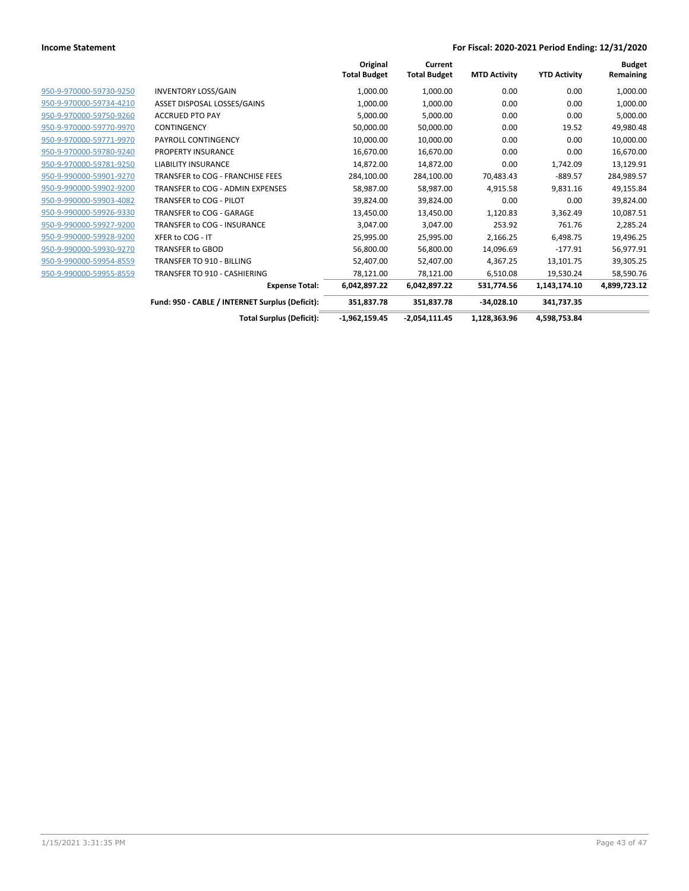|                         |                                                 | Original<br><b>Total Budget</b> | Current<br><b>Total Budget</b> | <b>MTD Activity</b> | <b>YTD Activity</b> | <b>Budget</b><br>Remaining |
|-------------------------|-------------------------------------------------|---------------------------------|--------------------------------|---------------------|---------------------|----------------------------|
| 950-9-970000-59730-9250 | <b>INVENTORY LOSS/GAIN</b>                      | 1,000.00                        | 1,000.00                       | 0.00                | 0.00                | 1,000.00                   |
| 950-9-970000-59734-4210 | ASSET DISPOSAL LOSSES/GAINS                     | 1,000.00                        | 1,000.00                       | 0.00                | 0.00                | 1,000.00                   |
| 950-9-970000-59750-9260 | <b>ACCRUED PTO PAY</b>                          | 5,000.00                        | 5,000.00                       | 0.00                | 0.00                | 5,000.00                   |
| 950-9-970000-59770-9970 | <b>CONTINGENCY</b>                              | 50,000.00                       | 50,000.00                      | 0.00                | 19.52               | 49,980.48                  |
| 950-9-970000-59771-9970 | PAYROLL CONTINGENCY                             | 10,000.00                       | 10,000.00                      | 0.00                | 0.00                | 10,000.00                  |
| 950-9-970000-59780-9240 | PROPERTY INSURANCE                              | 16,670.00                       | 16,670.00                      | 0.00                | 0.00                | 16,670.00                  |
| 950-9-970000-59781-9250 | <b>LIABILITY INSURANCE</b>                      | 14,872.00                       | 14,872.00                      | 0.00                | 1,742.09            | 13,129.91                  |
| 950-9-990000-59901-9270 | TRANSFER to COG - FRANCHISE FEES                | 284,100.00                      | 284,100.00                     | 70,483.43           | $-889.57$           | 284,989.57                 |
| 950-9-990000-59902-9200 | TRANSFER to COG - ADMIN EXPENSES                | 58,987.00                       | 58,987.00                      | 4,915.58            | 9,831.16            | 49,155.84                  |
| 950-9-990000-59903-4082 | TRANSFER to COG - PILOT                         | 39,824.00                       | 39,824.00                      | 0.00                | 0.00                | 39,824.00                  |
| 950-9-990000-59926-9330 | TRANSFER to COG - GARAGE                        | 13,450.00                       | 13,450.00                      | 1,120.83            | 3,362.49            | 10,087.51                  |
| 950-9-990000-59927-9200 | TRANSFER to COG - INSURANCE                     | 3,047.00                        | 3,047.00                       | 253.92              | 761.76              | 2,285.24                   |
| 950-9-990000-59928-9200 | XFER to COG - IT                                | 25,995.00                       | 25,995.00                      | 2,166.25            | 6,498.75            | 19,496.25                  |
| 950-9-990000-59930-9270 | <b>TRANSFER to GBOD</b>                         | 56,800.00                       | 56,800.00                      | 14,096.69           | $-177.91$           | 56,977.91                  |
| 950-9-990000-59954-8559 | <b>TRANSFER TO 910 - BILLING</b>                | 52,407.00                       | 52,407.00                      | 4,367.25            | 13,101.75           | 39,305.25                  |
| 950-9-990000-59955-8559 | <b>TRANSFER TO 910 - CASHIERING</b>             | 78,121.00                       | 78,121.00                      | 6,510.08            | 19,530.24           | 58,590.76                  |
|                         | <b>Expense Total:</b>                           | 6,042,897.22                    | 6,042,897.22                   | 531,774.56          | 1,143,174.10        | 4,899,723.12               |
|                         | Fund: 950 - CABLE / INTERNET Surplus (Deficit): | 351,837.78                      | 351,837.78                     | $-34,028.10$        | 341,737.35          |                            |
|                         | <b>Total Surplus (Deficit):</b>                 | $-1,962,159.45$                 | $-2,054,111.45$                | 1,128,363.96        | 4,598,753.84        |                            |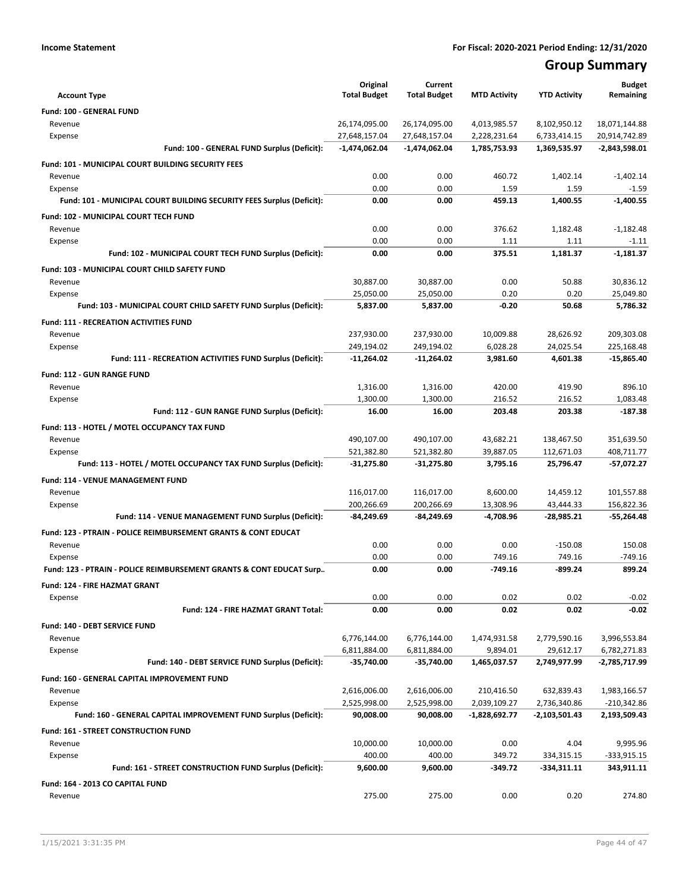# **Group Summary**

| <b>Account Type</b>                                                       | Original<br><b>Total Budget</b> | Current<br><b>Total Budget</b> | <b>MTD Activity</b> | <b>YTD Activity</b> | <b>Budget</b><br>Remaining |
|---------------------------------------------------------------------------|---------------------------------|--------------------------------|---------------------|---------------------|----------------------------|
| Fund: 100 - GENERAL FUND                                                  |                                 |                                |                     |                     |                            |
| Revenue                                                                   | 26,174,095.00                   | 26,174,095.00                  | 4,013,985.57        | 8,102,950.12        | 18,071,144.88              |
| Expense                                                                   | 27,648,157.04                   | 27,648,157.04                  | 2,228,231.64        | 6,733,414.15        | 20,914,742.89              |
| Fund: 100 - GENERAL FUND Surplus (Deficit):                               | $-1,474,062.04$                 | $-1,474,062.04$                | 1,785,753.93        | 1,369,535.97        | $-2,843,598.01$            |
| Fund: 101 - MUNICIPAL COURT BUILDING SECURITY FEES                        |                                 |                                |                     |                     |                            |
| Revenue                                                                   | 0.00                            | 0.00                           | 460.72              | 1,402.14            | $-1,402.14$                |
| Expense                                                                   | 0.00                            | 0.00                           | 1.59                | 1.59                | $-1.59$                    |
| Fund: 101 - MUNICIPAL COURT BUILDING SECURITY FEES Surplus (Deficit):     | 0.00                            | 0.00                           | 459.13              | 1,400.55            | $-1,400.55$                |
| Fund: 102 - MUNICIPAL COURT TECH FUND                                     |                                 |                                |                     |                     |                            |
| Revenue                                                                   | 0.00                            | 0.00                           | 376.62              | 1,182.48            | $-1,182.48$                |
| Expense                                                                   | 0.00                            | 0.00                           | 1.11                | 1.11                | $-1.11$                    |
| Fund: 102 - MUNICIPAL COURT TECH FUND Surplus (Deficit):                  | 0.00                            | 0.00                           | 375.51              | 1,181.37            | $-1,181.37$                |
| Fund: 103 - MUNICIPAL COURT CHILD SAFETY FUND                             |                                 |                                |                     |                     |                            |
| Revenue                                                                   | 30,887.00                       | 30,887.00                      | 0.00                | 50.88               | 30,836.12                  |
| Expense                                                                   | 25,050.00                       | 25,050.00                      | 0.20                | 0.20                | 25,049.80                  |
| Fund: 103 - MUNICIPAL COURT CHILD SAFETY FUND Surplus (Deficit):          | 5,837.00                        | 5,837.00                       | $-0.20$             | 50.68               | 5,786.32                   |
| <b>Fund: 111 - RECREATION ACTIVITIES FUND</b>                             |                                 |                                |                     |                     |                            |
| Revenue                                                                   | 237,930.00                      | 237,930.00                     | 10,009.88           | 28,626.92           | 209,303.08                 |
| Expense                                                                   | 249,194.02                      | 249,194.02                     | 6,028.28            | 24,025.54           | 225,168.48                 |
| Fund: 111 - RECREATION ACTIVITIES FUND Surplus (Deficit):                 | -11,264.02                      | -11,264.02                     | 3,981.60            | 4,601.38            | $-15,865.40$               |
| <b>Fund: 112 - GUN RANGE FUND</b>                                         |                                 |                                |                     |                     |                            |
| Revenue                                                                   | 1,316.00                        | 1,316.00                       | 420.00              | 419.90              | 896.10                     |
| Expense                                                                   | 1,300.00                        | 1,300.00                       | 216.52              | 216.52              | 1,083.48                   |
| Fund: 112 - GUN RANGE FUND Surplus (Deficit):                             | 16.00                           | 16.00                          | 203.48              | 203.38              | $-187.38$                  |
| Fund: 113 - HOTEL / MOTEL OCCUPANCY TAX FUND                              |                                 |                                |                     |                     |                            |
| Revenue                                                                   | 490,107.00                      | 490,107.00                     | 43,682.21           | 138,467.50          | 351,639.50                 |
| Expense                                                                   | 521,382.80                      | 521,382.80                     | 39,887.05           | 112,671.03          | 408,711.77                 |
| Fund: 113 - HOTEL / MOTEL OCCUPANCY TAX FUND Surplus (Deficit):           | -31,275.80                      | -31,275.80                     | 3,795.16            | 25,796.47           | -57,072.27                 |
| <b>Fund: 114 - VENUE MANAGEMENT FUND</b>                                  |                                 |                                |                     |                     |                            |
| Revenue                                                                   | 116,017.00                      | 116,017.00                     | 8,600.00            | 14,459.12           | 101,557.88                 |
| Expense                                                                   | 200,266.69                      | 200,266.69                     | 13,308.96           | 43,444.33           | 156,822.36                 |
| Fund: 114 - VENUE MANAGEMENT FUND Surplus (Deficit):                      | -84,249.69                      | -84,249.69                     | -4,708.96           | $-28,985.21$        | $-55,264.48$               |
| <b>Fund: 123 - PTRAIN - POLICE REIMBURSEMENT GRANTS &amp; CONT EDUCAT</b> |                                 |                                |                     |                     |                            |
| Revenue                                                                   | 0.00                            | 0.00                           | 0.00                | $-150.08$           | 150.08                     |
| Expense                                                                   | 0.00                            | 0.00                           | 749.16              | 749.16              | -749.16                    |
| Fund: 123 - PTRAIN - POLICE REIMBURSEMENT GRANTS & CONT EDUCAT Surp       | 0.00                            | 0.00                           | -749.16             | -899.24             | 899.24                     |
| Fund: 124 - FIRE HAZMAT GRANT                                             |                                 |                                |                     |                     |                            |
| Expense                                                                   | 0.00                            | 0.00                           | 0.02                | 0.02                | $-0.02$                    |
| Fund: 124 - FIRE HAZMAT GRANT Total:                                      | 0.00                            | 0.00                           | 0.02                | 0.02                | $-0.02$                    |
| Fund: 140 - DEBT SERVICE FUND                                             |                                 |                                |                     |                     |                            |
| Revenue                                                                   | 6,776,144.00                    | 6,776,144.00                   | 1,474,931.58        | 2,779,590.16        | 3,996,553.84               |
| Expense                                                                   | 6,811,884.00                    | 6,811,884.00                   | 9,894.01            | 29,612.17           | 6,782,271.83               |
| Fund: 140 - DEBT SERVICE FUND Surplus (Deficit):                          | $-35,740.00$                    | -35,740.00                     | 1,465,037.57        | 2,749,977.99        | -2,785,717.99              |
| Fund: 160 - GENERAL CAPITAL IMPROVEMENT FUND                              |                                 |                                |                     |                     |                            |
| Revenue                                                                   | 2,616,006.00                    | 2,616,006.00                   | 210,416.50          | 632,839.43          | 1,983,166.57               |
| Expense                                                                   | 2,525,998.00                    | 2,525,998.00                   | 2,039,109.27        | 2,736,340.86        | $-210,342.86$              |
| Fund: 160 - GENERAL CAPITAL IMPROVEMENT FUND Surplus (Deficit):           | 90,008.00                       | 90,008.00                      | -1,828,692.77       | -2,103,501.43       | 2,193,509.43               |
| Fund: 161 - STREET CONSTRUCTION FUND                                      |                                 |                                |                     |                     |                            |
| Revenue                                                                   | 10,000.00                       | 10,000.00                      | 0.00                | 4.04                | 9,995.96                   |
| Expense                                                                   | 400.00                          | 400.00                         | 349.72              | 334,315.15          | -333,915.15                |
| Fund: 161 - STREET CONSTRUCTION FUND Surplus (Deficit):                   | 9,600.00                        | 9,600.00                       | -349.72             | $-334,311.11$       | 343,911.11                 |
| Fund: 164 - 2013 CO CAPITAL FUND                                          |                                 |                                |                     |                     |                            |
| Revenue                                                                   | 275.00                          | 275.00                         | 0.00                | 0.20                | 274.80                     |
|                                                                           |                                 |                                |                     |                     |                            |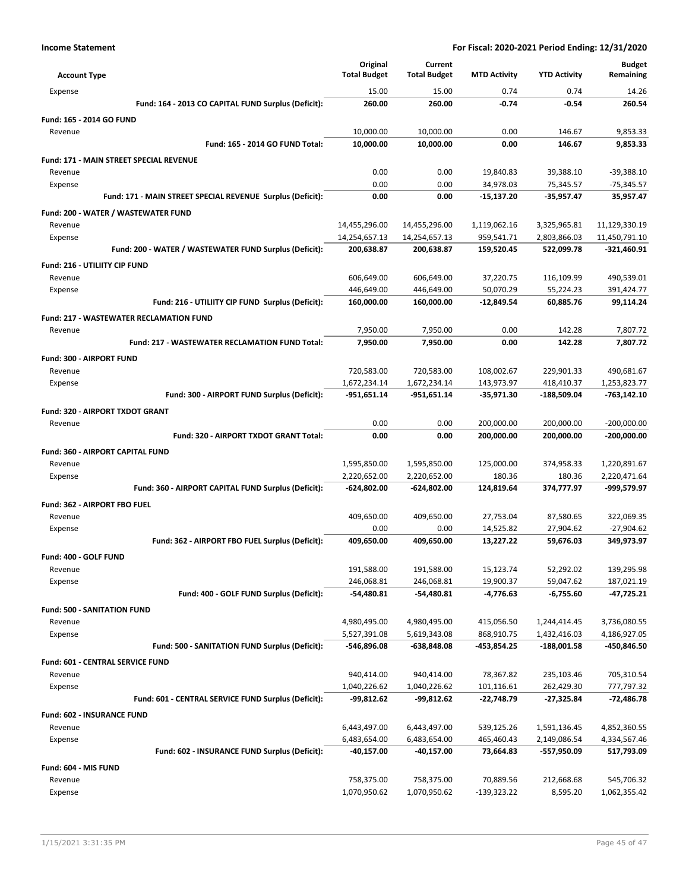| <b>Account Type</b>                                        | Original<br><b>Total Budget</b> | Current<br><b>Total Budget</b> | <b>MTD Activity</b>      | <b>YTD Activity</b>          | <b>Budget</b><br>Remaining   |
|------------------------------------------------------------|---------------------------------|--------------------------------|--------------------------|------------------------------|------------------------------|
| Expense                                                    | 15.00                           | 15.00                          | 0.74                     | 0.74                         | 14.26                        |
| Fund: 164 - 2013 CO CAPITAL FUND Surplus (Deficit):        | 260.00                          | 260.00                         | $-0.74$                  | $-0.54$                      | 260.54                       |
| Fund: 165 - 2014 GO FUND                                   |                                 |                                |                          |                              |                              |
| Revenue                                                    | 10,000.00                       | 10,000.00                      | 0.00                     | 146.67                       | 9,853.33                     |
| Fund: 165 - 2014 GO FUND Total:                            | 10,000.00                       | 10,000.00                      | 0.00                     | 146.67                       | 9,853.33                     |
| <b>Fund: 171 - MAIN STREET SPECIAL REVENUE</b>             |                                 |                                |                          |                              |                              |
| Revenue                                                    | 0.00                            | 0.00                           | 19,840.83                | 39,388.10                    | $-39,388.10$                 |
| Expense                                                    | 0.00                            | 0.00                           | 34,978.03                | 75,345.57                    | -75,345.57                   |
| Fund: 171 - MAIN STREET SPECIAL REVENUE Surplus (Deficit): | 0.00                            | 0.00                           | $-15,137.20$             | $-35,957.47$                 | 35,957.47                    |
| Fund: 200 - WATER / WASTEWATER FUND                        |                                 |                                |                          |                              |                              |
| Revenue                                                    | 14,455,296.00                   | 14,455,296.00                  | 1,119,062.16             | 3,325,965.81                 | 11,129,330.19                |
| Expense                                                    | 14,254,657.13                   | 14,254,657.13                  | 959,541.71               | 2,803,866.03                 | 11,450,791.10                |
| Fund: 200 - WATER / WASTEWATER FUND Surplus (Deficit):     | 200,638.87                      | 200,638.87                     | 159,520.45               | 522,099.78                   | -321,460.91                  |
| Fund: 216 - UTILIITY CIP FUND                              |                                 |                                |                          |                              |                              |
| Revenue                                                    | 606,649.00                      | 606,649.00                     | 37,220.75                | 116,109.99                   | 490,539.01                   |
| Expense                                                    | 446,649.00                      | 446,649.00                     | 50,070.29                | 55,224.23                    | 391,424.77                   |
| Fund: 216 - UTILIITY CIP FUND Surplus (Deficit):           | 160,000.00                      | 160,000.00                     | $-12,849.54$             | 60,885.76                    | 99,114.24                    |
| <b>Fund: 217 - WASTEWATER RECLAMATION FUND</b>             |                                 |                                |                          |                              |                              |
| Revenue                                                    | 7,950.00                        | 7,950.00                       | 0.00                     | 142.28                       | 7,807.72                     |
| Fund: 217 - WASTEWATER RECLAMATION FUND Total:             | 7,950.00                        | 7.950.00                       | 0.00                     | 142.28                       | 7.807.72                     |
| <b>Fund: 300 - AIRPORT FUND</b>                            |                                 |                                |                          |                              |                              |
| Revenue                                                    | 720,583.00                      | 720,583.00                     | 108,002.67               | 229,901.33                   | 490,681.67                   |
| Expense                                                    | 1,672,234.14                    | 1,672,234.14                   | 143,973.97               | 418,410.37                   | 1,253,823.77                 |
| Fund: 300 - AIRPORT FUND Surplus (Deficit):                | -951,651.14                     | -951,651.14                    | -35,971.30               | -188,509.04                  | -763,142.10                  |
| Fund: 320 - AIRPORT TXDOT GRANT                            |                                 |                                |                          |                              |                              |
| Revenue                                                    | 0.00                            | 0.00                           | 200,000.00               | 200,000.00                   | $-200,000.00$                |
| Fund: 320 - AIRPORT TXDOT GRANT Total:                     | 0.00                            | 0.00                           | 200,000.00               | 200,000.00                   | $-200,000.00$                |
| Fund: 360 - AIRPORT CAPITAL FUND                           |                                 |                                |                          |                              |                              |
| Revenue                                                    | 1,595,850.00                    | 1,595,850.00                   | 125,000.00               | 374,958.33                   | 1,220,891.67                 |
| Expense                                                    | 2,220,652.00                    | 2,220,652.00                   | 180.36                   | 180.36                       | 2,220,471.64                 |
| Fund: 360 - AIRPORT CAPITAL FUND Surplus (Deficit):        | -624,802.00                     | -624,802.00                    | 124,819.64               | 374,777.97                   | -999,579.97                  |
| Fund: 362 - AIRPORT FBO FUEL                               |                                 |                                |                          |                              |                              |
| Revenue                                                    | 409,650.00                      | 409,650.00                     | 27,753.04                | 87,580.65                    | 322,069.35                   |
| Expense                                                    | 0.00                            | 0.00<br>409.650.00             | 14,525.82                | 27,904.62                    | $-27,904.62$                 |
| Fund: 362 - AIRPORT FBO FUEL Surplus (Deficit):            | 409,650.00                      |                                | 13,227.22                | 59,676.03                    | 349,973.97                   |
| Fund: 400 - GOLF FUND                                      |                                 |                                |                          |                              |                              |
| Revenue                                                    | 191,588.00                      | 191,588.00                     | 15,123.74                | 52,292.02                    | 139,295.98                   |
| Expense<br>Fund: 400 - GOLF FUND Surplus (Deficit):        | 246,068.81<br>$-54,480.81$      | 246,068.81<br>-54,480.81       | 19,900.37<br>-4,776.63   | 59,047.62<br>$-6,755.60$     | 187,021.19<br>-47,725.21     |
|                                                            |                                 |                                |                          |                              |                              |
| <b>Fund: 500 - SANITATION FUND</b>                         |                                 |                                |                          |                              |                              |
| Revenue<br>Expense                                         | 4,980,495.00<br>5,527,391.08    | 4,980,495.00<br>5,619,343.08   | 415,056.50<br>868,910.75 | 1,244,414.45<br>1,432,416.03 | 3,736,080.55<br>4,186,927.05 |
| Fund: 500 - SANITATION FUND Surplus (Deficit):             | -546,896.08                     | $-638,848.08$                  | -453,854.25              | -188,001.58                  | -450,846.50                  |
|                                                            |                                 |                                |                          |                              |                              |
| Fund: 601 - CENTRAL SERVICE FUND<br>Revenue                | 940,414.00                      | 940,414.00                     | 78,367.82                | 235,103.46                   | 705,310.54                   |
| Expense                                                    | 1,040,226.62                    | 1,040,226.62                   | 101,116.61               | 262,429.30                   | 777,797.32                   |
| Fund: 601 - CENTRAL SERVICE FUND Surplus (Deficit):        | -99,812.62                      | -99,812.62                     | $-22,748.79$             | $-27,325.84$                 | -72,486.78                   |
| Fund: 602 - INSURANCE FUND                                 |                                 |                                |                          |                              |                              |
| Revenue                                                    | 6,443,497.00                    | 6,443,497.00                   | 539,125.26               | 1,591,136.45                 | 4,852,360.55                 |
| Expense                                                    | 6,483,654.00                    | 6,483,654.00                   | 465,460.43               | 2,149,086.54                 | 4,334,567.46                 |
| Fund: 602 - INSURANCE FUND Surplus (Deficit):              | -40,157.00                      | -40,157.00                     | 73,664.83                | -557,950.09                  | 517,793.09                   |
| Fund: 604 - MIS FUND                                       |                                 |                                |                          |                              |                              |
| Revenue                                                    | 758,375.00                      | 758,375.00                     | 70,889.56                | 212,668.68                   | 545,706.32                   |
| Expense                                                    | 1,070,950.62                    | 1,070,950.62                   | $-139,323.22$            | 8,595.20                     | 1,062,355.42                 |
|                                                            |                                 |                                |                          |                              |                              |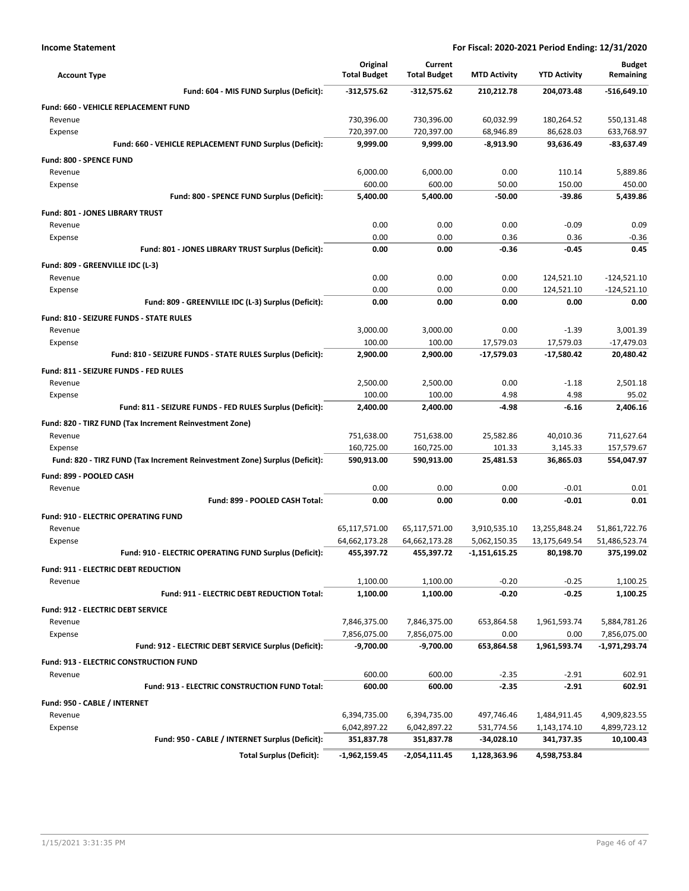| <b>Account Type</b>                                                        | Original<br><b>Total Budget</b> | Current<br><b>Total Budget</b> | <b>MTD Activity</b> | <b>YTD Activity</b> | <b>Budget</b><br>Remaining |
|----------------------------------------------------------------------------|---------------------------------|--------------------------------|---------------------|---------------------|----------------------------|
| Fund: 604 - MIS FUND Surplus (Deficit):                                    | $-312,575.62$                   | $-312,575.62$                  | 210,212.78          | 204,073.48          | $-516,649.10$              |
| <b>Fund: 660 - VEHICLE REPLACEMENT FUND</b>                                |                                 |                                |                     |                     |                            |
| Revenue                                                                    | 730,396.00                      | 730,396.00                     | 60,032.99           | 180,264.52          | 550,131.48                 |
| Expense                                                                    | 720,397.00                      | 720,397.00                     | 68,946.89           | 86,628.03           | 633,768.97                 |
| Fund: 660 - VEHICLE REPLACEMENT FUND Surplus (Deficit):                    | 9,999.00                        | 9,999.00                       | $-8,913.90$         | 93,636.49           | $-83,637.49$               |
| <b>Fund: 800 - SPENCE FUND</b>                                             |                                 |                                |                     |                     |                            |
| Revenue                                                                    | 6,000.00                        | 6,000.00                       | 0.00                | 110.14              | 5,889.86                   |
| Expense                                                                    | 600.00                          | 600.00                         | 50.00               | 150.00              | 450.00                     |
| Fund: 800 - SPENCE FUND Surplus (Deficit):                                 | 5,400.00                        | 5,400.00                       | $-50.00$            | $-39.86$            | 5,439.86                   |
| Fund: 801 - JONES LIBRARY TRUST                                            |                                 |                                |                     |                     |                            |
| Revenue                                                                    | 0.00                            | 0.00                           | 0.00                | $-0.09$             | 0.09                       |
| Expense                                                                    | 0.00                            | 0.00                           | 0.36                | 0.36                | $-0.36$                    |
| Fund: 801 - JONES LIBRARY TRUST Surplus (Deficit):                         | 0.00                            | 0.00                           | -0.36               | $-0.45$             | 0.45                       |
| Fund: 809 - GREENVILLE IDC (L-3)                                           |                                 |                                |                     |                     |                            |
| Revenue                                                                    | 0.00                            | 0.00                           | 0.00                | 124,521.10          | $-124,521.10$              |
| Expense                                                                    | 0.00                            | 0.00                           | 0.00                | 124,521.10          | $-124,521.10$              |
| Fund: 809 - GREENVILLE IDC (L-3) Surplus (Deficit):                        | 0.00                            | 0.00                           | 0.00                | 0.00                | 0.00                       |
| <b>Fund: 810 - SEIZURE FUNDS - STATE RULES</b>                             |                                 |                                |                     |                     |                            |
| Revenue                                                                    | 3,000.00                        | 3,000.00                       | 0.00                | $-1.39$             | 3,001.39                   |
| Expense                                                                    | 100.00                          | 100.00                         | 17,579.03           | 17,579.03           | $-17,479.03$               |
| Fund: 810 - SEIZURE FUNDS - STATE RULES Surplus (Deficit):                 | 2,900.00                        | 2,900.00                       | -17,579.03          | $-17,580.42$        | 20,480.42                  |
| Fund: 811 - SEIZURE FUNDS - FED RULES                                      |                                 |                                |                     |                     |                            |
| Revenue                                                                    | 2,500.00                        | 2,500.00                       | 0.00                | $-1.18$             | 2,501.18                   |
| Expense                                                                    | 100.00                          | 100.00                         | 4.98                | 4.98                | 95.02                      |
| Fund: 811 - SEIZURE FUNDS - FED RULES Surplus (Deficit):                   | 2,400.00                        | 2,400.00                       | -4.98               | $-6.16$             | 2,406.16                   |
| Fund: 820 - TIRZ FUND (Tax Increment Reinvestment Zone)                    |                                 |                                |                     |                     |                            |
| Revenue                                                                    | 751,638.00                      | 751,638.00                     | 25,582.86           | 40,010.36           | 711,627.64                 |
| Expense                                                                    | 160,725.00                      | 160,725.00                     | 101.33              | 3,145.33            | 157,579.67                 |
| Fund: 820 - TIRZ FUND (Tax Increment Reinvestment Zone) Surplus (Deficit): | 590,913.00                      | 590,913.00                     | 25,481.53           | 36,865.03           | 554,047.97                 |
| Fund: 899 - POOLED CASH                                                    |                                 |                                |                     |                     |                            |
| Revenue                                                                    | 0.00                            | 0.00                           | 0.00                | $-0.01$             | 0.01                       |
| Fund: 899 - POOLED CASH Total:                                             | 0.00                            | 0.00                           | 0.00                | $-0.01$             | 0.01                       |
| <b>Fund: 910 - ELECTRIC OPERATING FUND</b>                                 |                                 |                                |                     |                     |                            |
| Revenue                                                                    | 65,117,571.00                   | 65,117,571.00                  | 3,910,535.10        | 13,255,848.24       | 51,861,722.76              |
| Expense                                                                    | 64,662,173.28                   | 64,662,173.28                  | 5,062,150.35        | 13,175,649.54       | 51,486,523.74              |
| Fund: 910 - ELECTRIC OPERATING FUND Surplus (Deficit):                     | 455,397.72                      | 455,397.72                     | -1,151,615.25       | 80,198.70           | 375,199.02                 |
| Fund: 911 - ELECTRIC DEBT REDUCTION                                        |                                 |                                |                     |                     |                            |
| Revenue                                                                    | 1,100.00                        | 1,100.00                       | $-0.20$             | $-0.25$             | 1,100.25                   |
| Fund: 911 - ELECTRIC DEBT REDUCTION Total:                                 | 1,100.00                        | 1,100.00                       | -0.20               | $-0.25$             | 1,100.25                   |
| Fund: 912 - ELECTRIC DEBT SERVICE                                          |                                 |                                |                     |                     |                            |
| Revenue                                                                    | 7,846,375.00                    | 7,846,375.00                   | 653,864.58          | 1,961,593.74        | 5,884,781.26               |
| Expense                                                                    | 7,856,075.00                    | 7,856,075.00                   | 0.00                | 0.00                | 7,856,075.00               |
| Fund: 912 - ELECTRIC DEBT SERVICE Surplus (Deficit):                       | -9,700.00                       | $-9,700.00$                    | 653,864.58          | 1,961,593.74        | -1,971,293.74              |
| <b>Fund: 913 - ELECTRIC CONSTRUCTION FUND</b>                              |                                 |                                |                     |                     |                            |
| Revenue                                                                    | 600.00                          | 600.00                         | $-2.35$             | $-2.91$             | 602.91                     |
| Fund: 913 - ELECTRIC CONSTRUCTION FUND Total:                              | 600.00                          | 600.00                         | $-2.35$             | $-2.91$             | 602.91                     |
| Fund: 950 - CABLE / INTERNET                                               |                                 |                                |                     |                     |                            |
| Revenue                                                                    | 6,394,735.00                    | 6,394,735.00                   | 497,746.46          | 1,484,911.45        | 4,909,823.55               |
| Expense                                                                    | 6,042,897.22                    | 6,042,897.22                   | 531,774.56          | 1,143,174.10        | 4,899,723.12               |
| Fund: 950 - CABLE / INTERNET Surplus (Deficit):                            | 351,837.78                      | 351,837.78                     | -34,028.10          | 341,737.35          | 10,100.43                  |
| <b>Total Surplus (Deficit):</b>                                            | $-1,962,159.45$                 | -2,054,111.45                  | 1,128,363.96        | 4,598,753.84        |                            |